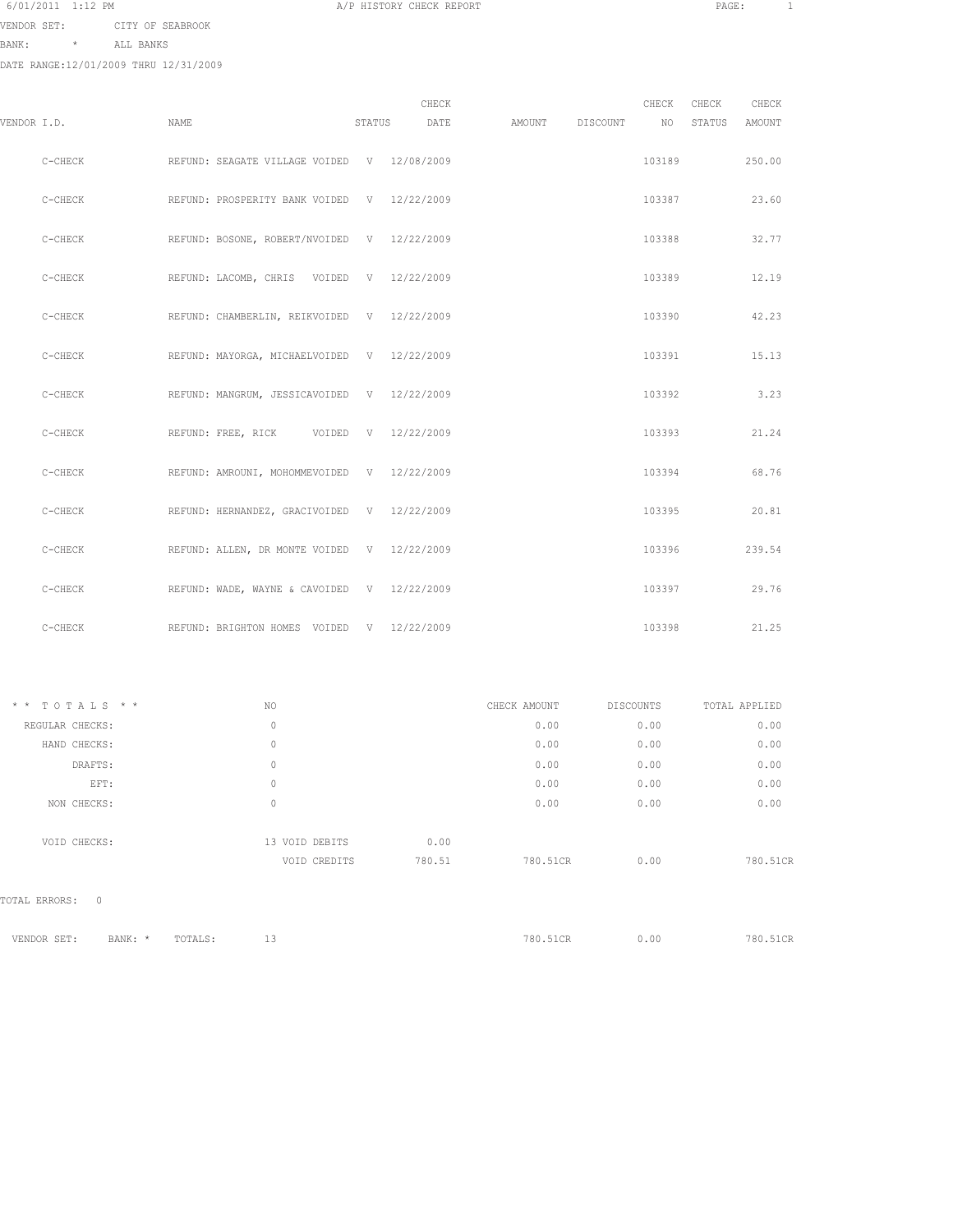| 6/01/2011 | $1:12$ PM |  |
|-----------|-----------|--|
|-----------|-----------|--|

VENDOR SET: CITY OF SEABROOK

BANK: \* ALL BANKS

DATE RANGE:12/01/2009 THRU 12/31/2009

| VENDOR I.D. |           | NAME                                        | STATUS | CHECK<br>DATE | AMOUNT | DISCOUNT | CHECK<br>NO | CHECK<br>STATUS | CHECK<br><b>AMOUNT</b> |
|-------------|-----------|---------------------------------------------|--------|---------------|--------|----------|-------------|-----------------|------------------------|
|             |           |                                             |        |               |        |          |             |                 |                        |
|             | $C-CHECK$ | REFUND: SEAGATE VILLAGE VOIDED V 12/08/2009 |        |               |        |          | 103189      |                 | 250.00                 |
|             | $C-CHECK$ | REFUND: PROSPERITY BANK VOIDED V 12/22/2009 |        |               |        |          | 103387      |                 | 23.60                  |
|             | $C-CHECK$ | REFUND: BOSONE, ROBERT/NVOIDED V 12/22/2009 |        |               |        |          | 103388      |                 | 32.77                  |
|             | $C-CHECK$ | REFUND: LACOMB, CHRIS VOIDED V 12/22/2009   |        |               |        |          | 103389      |                 | 12.19                  |
|             | $C-CHECK$ | REFUND: CHAMBERLIN, REIKVOIDED V 12/22/2009 |        |               |        |          | 103390      |                 | 42.23                  |
|             | $C-CHECK$ | REFUND: MAYORGA, MICHAELVOIDED V 12/22/2009 |        |               |        |          | 103391      |                 | 15.13                  |
|             | $C-CHECK$ | REFUND: MANGRUM, JESSICAVOIDED V 12/22/2009 |        |               |        |          | 103392      |                 | 3.23                   |
|             | $C-CHECK$ | REFUND: FREE, RICK VOIDED V 12/22/2009      |        |               |        |          | 103393      |                 | 21.24                  |
|             | C-CHECK   | REFUND: AMROUNI, MOHOMMEVOIDED V 12/22/2009 |        |               |        |          | 103394      |                 | 68.76                  |
|             | C-CHECK   | REFUND: HERNANDEZ, GRACIVOIDED V 12/22/2009 |        |               |        |          | 103395      |                 | 20.81                  |
|             | $C-CHECK$ | REFUND: ALLEN, DR MONTE VOIDED V 12/22/2009 |        |               |        |          | 103396      |                 | 239.54                 |
|             | $C-CHECK$ | REFUND: WADE, WAYNE & CAVOIDED V 12/22/2009 |        |               |        |          | 103397      |                 | 29.76                  |

A/P HISTORY CHECK REPORT PAGE: 1

| TOTALS * *<br>$\star$ $\star$ | NO.         |                        | CHECK AMOUNT | DISCOUNTS | TOTAL APPLIED |
|-------------------------------|-------------|------------------------|--------------|-----------|---------------|
| REGULAR CHECKS:               | $\circ$     |                        | 0.00         | 0.00      | 0.00          |
| HAND CHECKS:                  | $\circ$     |                        | 0.00         | 0.00      | 0.00          |
| DRAFTS:                       | $\circ$     |                        | 0.00         | 0.00      | 0.00          |
| EFT:                          | $\mathbb O$ |                        | 0.00         | 0.00      | 0.00          |
| NON CHECKS:                   | $\circ$     |                        | 0.00         | 0.00      | 0.00          |
| VOID CHECKS:                  |             | 0.00<br>13 VOID DEBITS |              |           |               |
|                               |             | 780.51<br>VOID CREDITS | 780.51CR     | 0.00      | 780.51CR      |
| $\circ$<br>TOTAL ERRORS:      |             |                        |              |           |               |
|                               |             |                        |              |           |               |

C-CHECK REFUND: BRIGHTON HOMES VOIDED V 12/22/2009 103398 103398 21.25

| VENDOR SET: | BANK: * TOTALS: | -- |  | 780.51CR | 0.00 | 780.51CR |
|-------------|-----------------|----|--|----------|------|----------|
|             |                 |    |  |          |      |          |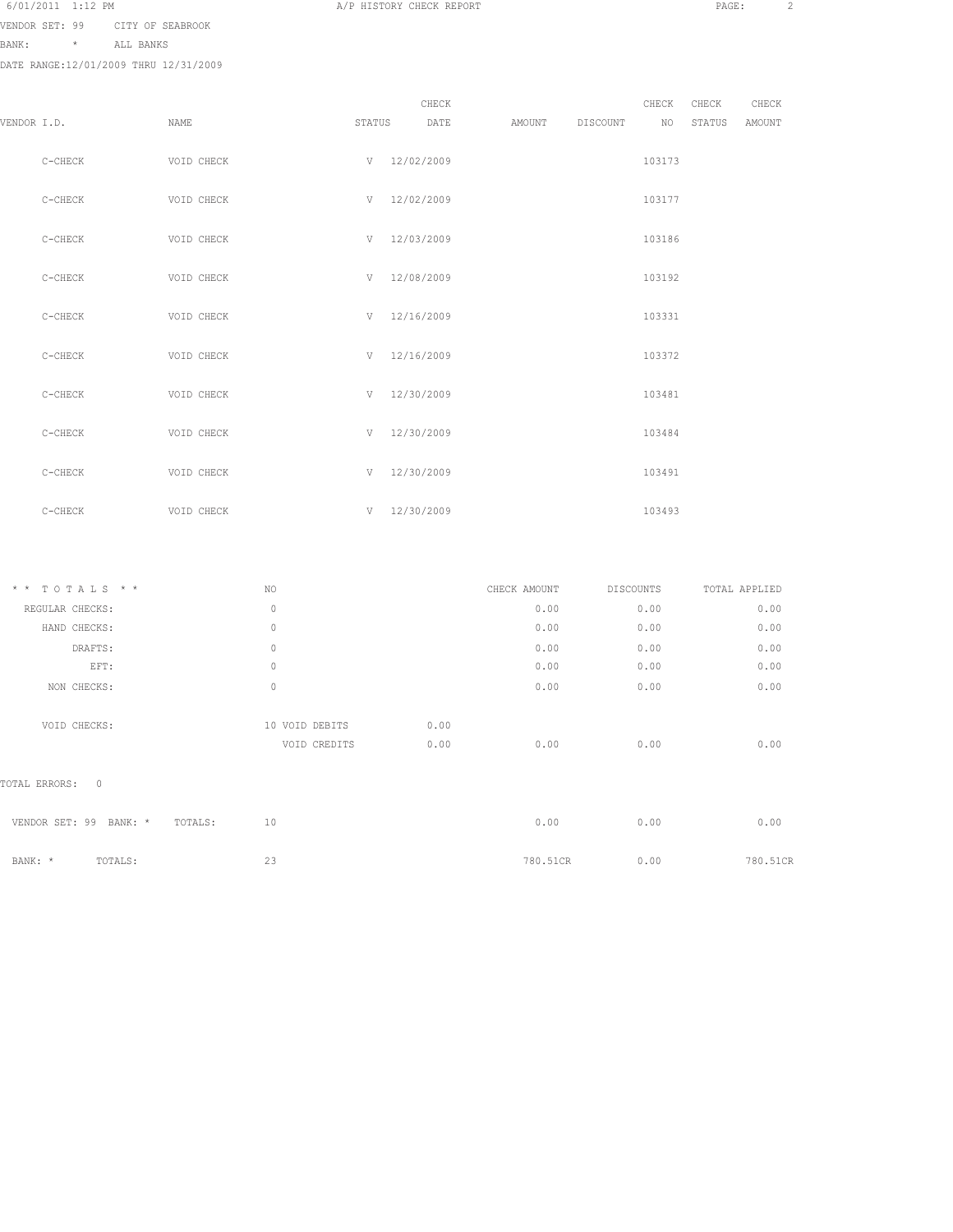VENDOR SET: 99 CITY OF SEABROOK

BANK: \* ALL BANKS

| VENDOR I.D. |           | NAME       | STATUS |                  | CHECK<br>DATE | AMOUNT DISCOUNT | CHECK<br>NO | CHECK<br>STATUS | CHECK<br><b>AMOUNT</b> |
|-------------|-----------|------------|--------|------------------|---------------|-----------------|-------------|-----------------|------------------------|
|             | $C-CHECK$ | VOID CHECK |        | V 12/02/2009     |               |                 | 103173      |                 |                        |
|             | $C-CHECK$ | VOID CHECK |        | V 12/02/2009     |               |                 | 103177      |                 |                        |
|             | C-CHECK   | VOID CHECK |        | V 12/03/2009     |               |                 | 103186      |                 |                        |
|             | C-CHECK   | VOID CHECK |        | V 12/08/2009     |               |                 | 103192      |                 |                        |
|             | $C-CHECK$ | VOID CHECK |        | $V = 12/16/2009$ |               |                 | 103331      |                 |                        |
|             | C-CHECK   | VOID CHECK |        | V 12/16/2009     |               |                 | 103372      |                 |                        |
|             | C-CHECK   | VOID CHECK |        | $V = 12/30/2009$ |               |                 | 103481      |                 |                        |
|             | C-CHECK   | VOID CHECK | V      | 12/30/2009       |               |                 | 103484      |                 |                        |
|             | C-CHECK   | VOID CHECK |        | V 12/30/2009     |               |                 | 103491      |                 |                        |
|             | C-CHECK   | VOID CHECK |        | V 12/30/2009     |               |                 | 103493      |                 |                        |

| $*$ * TOTALS * *                | NO.                            |              | CHECK AMOUNT | <b>DISCOUNTS</b> | TOTAL APPLIED |
|---------------------------------|--------------------------------|--------------|--------------|------------------|---------------|
| REGULAR CHECKS:                 | $\circ$                        |              | 0.00         | 0.00             | 0.00          |
| HAND CHECKS:                    | 0                              |              | 0.00         | 0.00             | 0.00          |
| DRAFTS:                         | $\mathbf 0$                    |              | 0.00         | 0.00             | 0.00          |
| EFT:                            | 0                              |              | 0.00         | 0.00             | 0.00          |
| NON CHECKS:                     | $\mathbf 0$                    |              | 0.00         | 0.00             | 0.00          |
| VOID CHECKS:                    | 10 VOID DEBITS<br>VOID CREDITS | 0.00<br>0.00 | 0.00         | 0.00             | 0.00          |
| TOTAL ERRORS:<br>$\overline{0}$ |                                |              |              |                  |               |
| VENDOR SET: 99<br>BANK: *       | 10<br>TOTALS:                  |              | 0.00         | 0.00             | 0.00          |
| BANK: *<br>TOTALS:              | 23                             |              | 780.51CR     | 0.00             | 780.51CR      |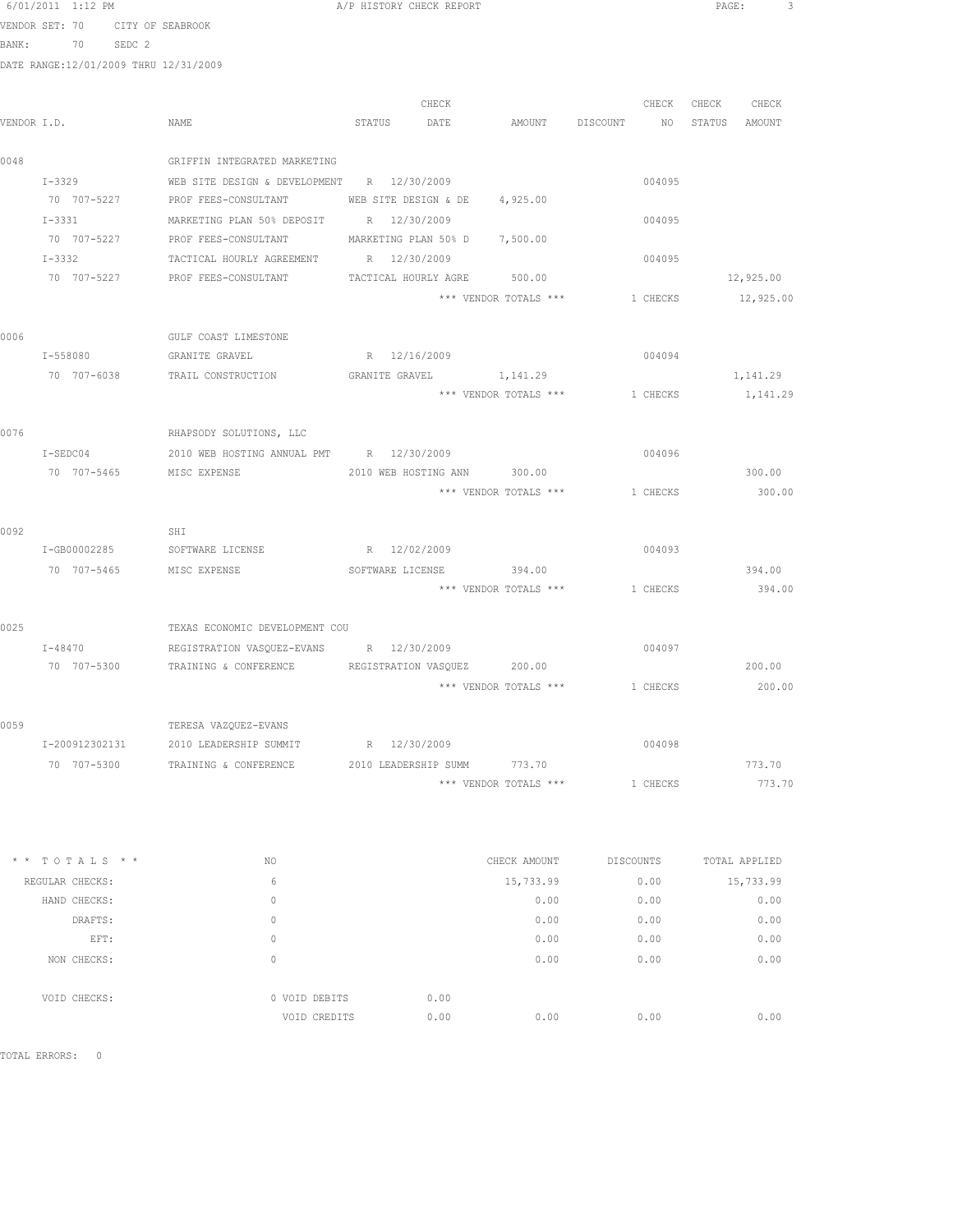6/01/2011 1:12 PM A/P HISTORY CHECK REPORT PAGE: 3<br>VENDOR SET · 70 CITY OF SEARROOK

VENDOR SET: 70 CITY OF SEABROOK

BANK: 70 SEDC 2

DATE RANGE:12/01/2009 THRU 12/31/2009

| VENDOR I.D. |                | NAME                                                          |              | CHECK<br>STATUS DATE          | AMOUNT DISCOUNT NO STATUS AMOUNT | CHECK    | CHECK CHECK |
|-------------|----------------|---------------------------------------------------------------|--------------|-------------------------------|----------------------------------|----------|-------------|
|             |                |                                                               |              |                               |                                  |          |             |
| 0048        |                | GRIFFIN INTEGRATED MARKETING                                  |              |                               |                                  |          |             |
|             | $I - 3329$     | WEB SITE DESIGN & DEVELOPMENT R 12/30/2009                    |              |                               |                                  | 004095   |             |
|             | 70 707-5227    | PROF FEES-CONSULTANT                                          |              | WEB SITE DESIGN & DE 4,925.00 |                                  |          |             |
|             | $I - 3331$     | MARKETING PLAN 50% DEPOSIT                                    | R 12/30/2009 |                               |                                  | 004095   |             |
|             | 70 707-5227    | PROF FEES-CONSULTANT                                          |              | MARKETING PLAN 50% D 7,500.00 |                                  |          |             |
|             | $T - 3332$     | TACTICAL HOURLY AGREEMENT                                     | R 12/30/2009 |                               |                                  | 004095   |             |
|             | 70 707-5227    | PROF FEES-CONSULTANT                                          |              |                               | TACTICAL HOURLY AGRE 500.00      |          | 12,925.00   |
|             |                |                                                               |              |                               | *** VENDOR TOTALS ***            | 1 CHECKS | 12,925.00   |
| 0006        |                | GULF COAST LIMESTONE                                          |              |                               |                                  |          |             |
|             | I-558080       | GRANITE GRAVEL                                                |              | R 12/16/2009                  |                                  | 004094   |             |
|             | 70 707-6038    | TRAIL CONSTRUCTION                                            |              |                               | GRANITE GRAVEL 1,141.29          |          | 1,141.29    |
|             |                |                                                               |              |                               | *** VENDOR TOTALS ***            | 1 CHECKS | 1,141.29    |
| 0076        |                | RHAPSODY SOLUTIONS, LLC                                       |              |                               |                                  |          |             |
|             | $I-SEDC04$     | 2010 WEB HOSTING ANNUAL PMT R 12/30/2009                      |              |                               |                                  | 004096   |             |
|             | 70 707-5465    | MISC EXPENSE                                                  |              |                               | 2010 WEB HOSTING ANN 300.00      |          | 300.00      |
|             |                |                                                               |              |                               | *** VENDOR TOTALS ***            | 1 CHECKS | 300.00      |
| 0092        |                | SHI                                                           |              |                               |                                  |          |             |
|             | I-GB00002285   | SOFTWARE LICENSE                                              |              | R 12/02/2009                  |                                  | 004093   |             |
|             | 70 707-5465    | MISC EXPENSE                                                  |              |                               | SOFTWARE LICENSE 394.00          |          | 394.00      |
|             |                |                                                               |              |                               | *** VENDOR TOTALS ***            | 1 CHECKS | 394.00      |
| 0025        |                | TEXAS ECONOMIC DEVELOPMENT COU                                |              |                               |                                  |          |             |
|             | $I - 48470$    | REGISTRATION VASQUEZ-EVANS                                    |              | R 12/30/2009                  |                                  | 004097   |             |
|             | 70 707-5300    | TRAINING & CONFERENCE REGISTRATION VASOUEZ 200.00             |              |                               |                                  |          | 200.00      |
|             |                |                                                               |              |                               | *** VENDOR TOTALS ***            | 1 CHECKS | 200.00      |
| 0059        |                | TERESA VAZQUEZ-EVANS                                          |              |                               |                                  |          |             |
|             | I-200912302131 | 2010 LEADERSHIP SUMMIT                                        |              | R 12/30/2009                  |                                  | 004098   |             |
|             |                | 70 707-5300 TRAINING & CONFERENCE 2010 LEADERSHIP SUMM 773.70 |              |                               |                                  |          | 773.70      |
|             |                |                                                               |              |                               | *** VENDOR TOTALS ***            | 1 CHECKS | 773.70      |

| $*$ * TOTALS * * | NO. |                       | CHECK AMOUNT | DISCOUNTS | TOTAL APPLIED |
|------------------|-----|-----------------------|--------------|-----------|---------------|
| REGULAR CHECKS:  | 6   |                       | 15,733.99    | 0.00      | 15,733.99     |
| HAND CHECKS:     | 0   |                       | 0.00         | 0.00      | 0.00          |
| DRAFTS:          | 0   |                       | 0.00         | 0.00      | 0.00          |
| EFT:             | 0   |                       | 0.00         | 0.00      | 0.00          |
| NON CHECKS:      | 0   |                       | 0.00         | 0.00      | 0.00          |
|                  |     |                       |              |           |               |
| VOID CHECKS:     |     | 0 VOID DEBITS<br>0.00 |              |           |               |
|                  |     | 0.00<br>VOID CREDITS  | 0.00         | 0.00      | 0.00          |

TOTAL ERRORS: 0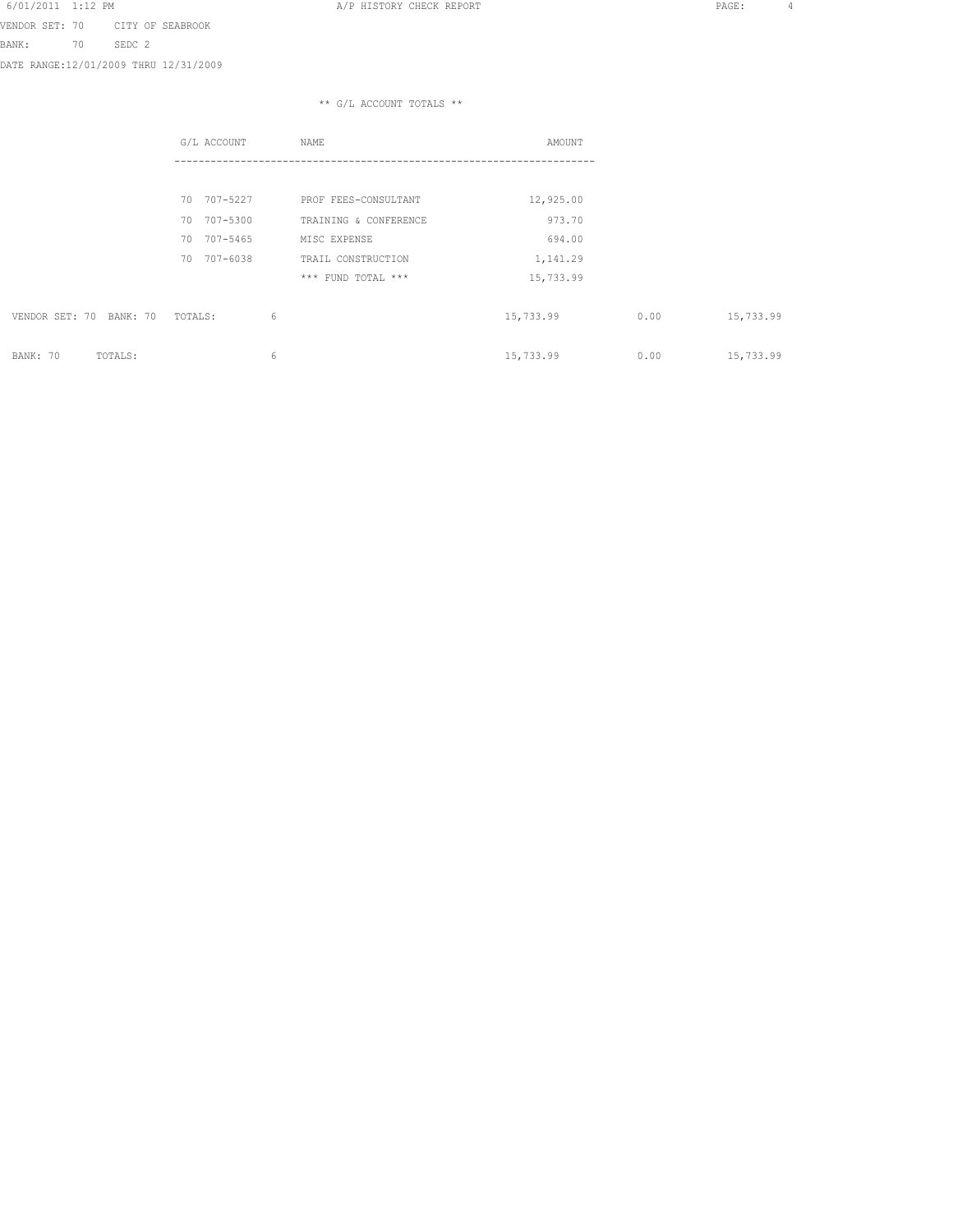VENDOR SET: 70 CITY OF SEABROOK BANK: 70 SEDC 2

DATE RANGE:12/01/2009 THRU 12/31/2009

|                            | G/L ACCOUNT    | NAME                  | AMOUNT    |      |           |
|----------------------------|----------------|-----------------------|-----------|------|-----------|
|                            |                |                       |           |      |           |
|                            | 70 707-5227    | PROF FEES-CONSULTANT  | 12,925.00 |      |           |
|                            | 707-5300<br>70 | TRAINING & CONFERENCE | 973.70    |      |           |
|                            | 707-5465<br>70 | MISC EXPENSE          | 694.00    |      |           |
|                            | 707-6038<br>70 | TRAIL CONSTRUCTION    | 1,141.29  |      |           |
|                            |                | *** FUND TOTAL ***    | 15,733.99 |      |           |
| VENDOR SET: 70<br>BANK: 70 | TOTALS:        | 6                     | 15,733.99 | 0.00 | 15,733.99 |
| BANK: 70<br>TOTALS:        |                | 6                     | 15,733.99 | 0.00 | 15,733.99 |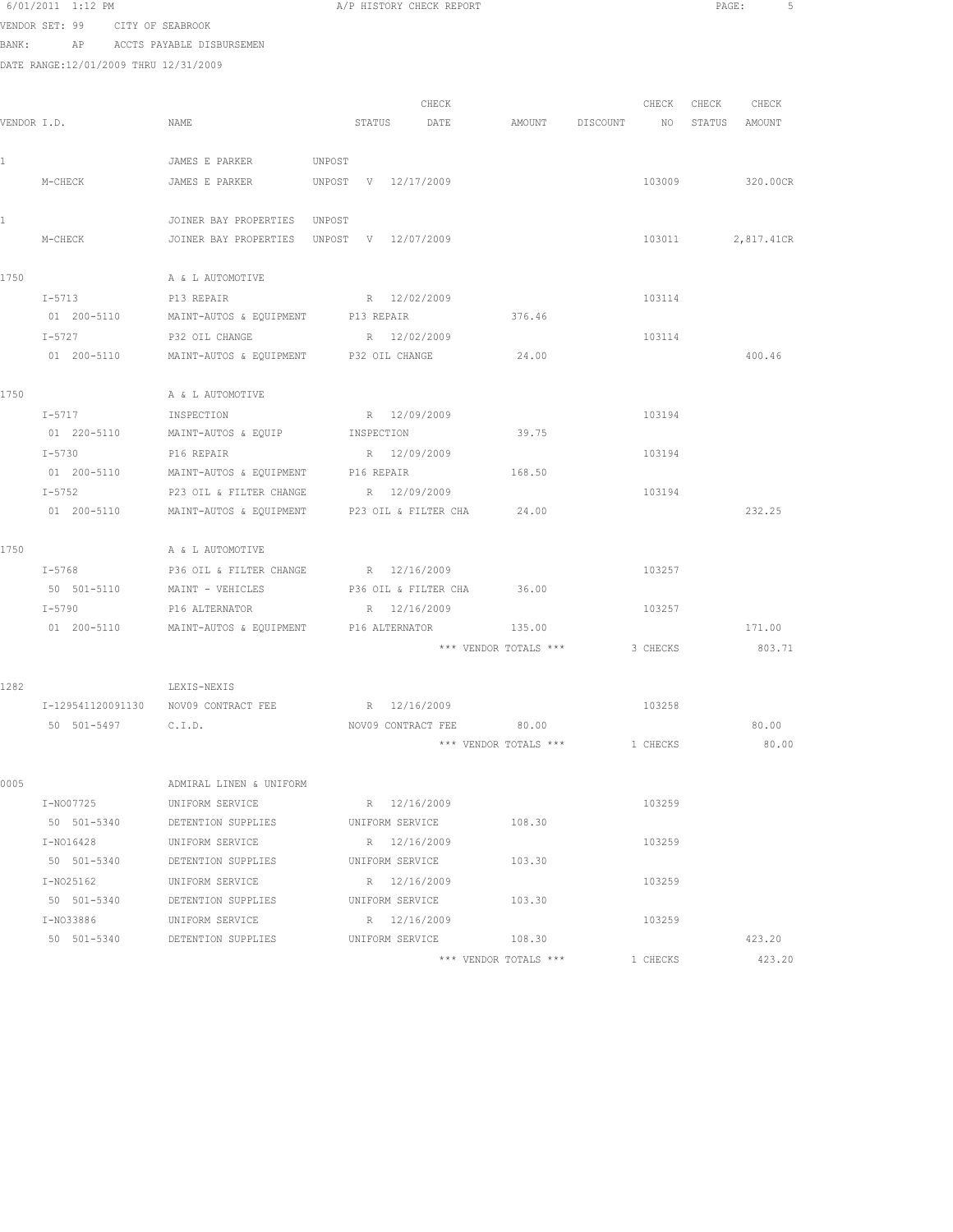| 6/01/2011 1:12 PM |  |                   |  |
|-------------------|--|-------------------|--|
|                   |  | ----- -- -------- |  |

A/P HISTORY CHECK REPORT **PAGE:** 5

VENDOR SET: 99 CITY OF SEABROOK BANK: AP ACCTS PAYABLE DISBURSEMEN

|             |                    |                                                       |                     | CHECK                    |                                  | CHECK CHECK | CHECK          |
|-------------|--------------------|-------------------------------------------------------|---------------------|--------------------------|----------------------------------|-------------|----------------|
| VENDOR I.D. |                    | NAME                                                  |                     | STATUS DATE              | AMOUNT DISCOUNT NO STATUS AMOUNT |             |                |
| 1           |                    | JAMES E PARKER                                        | UNPOST              |                          |                                  |             |                |
|             | M-CHECK            | JAMES E PARKER                                        | UNPOST V 12/17/2009 |                          |                                  | 103009      | 320.00CR       |
| 1           |                    | JOINER BAY PROPERTIES UNPOST                          |                     |                          |                                  |             |                |
|             | M-CHECK            | JOINER BAY PROPERTIES UNPOST V 12/07/2009             |                     |                          |                                  | 103011      | 2,817.41CR     |
| 1750        |                    | A & L AUTOMOTIVE                                      |                     |                          |                                  |             |                |
|             | $I - 5713$         | P13 REPAIR                                            |                     | R 12/02/2009             |                                  | 103114      |                |
|             | 01 200-5110        | MAINT-AUTOS & EQUIPMENT                               | P13 REPAIR          |                          | 376.46                           |             |                |
|             | I-5727             | P32 OIL CHANGE                                        |                     | R 12/02/2009             |                                  | 103114      |                |
|             | 01 200-5110        | MAINT-AUTOS & EQUIPMENT P32 OIL CHANGE                |                     |                          | 24.00                            |             | 400.46         |
| 1750        |                    | A & L AUTOMOTIVE                                      |                     |                          |                                  |             |                |
|             | $I - 5717$         | INSPECTION                                            |                     | R 12/09/2009             |                                  | 103194      |                |
|             | 01 220-5110        | MAINT-AUTOS & EQUIP INSPECTION                        |                     |                          | 39.75                            |             |                |
|             | $I - 5730$         | P16 REPAIR                                            |                     | R 12/09/2009             |                                  | 103194      |                |
|             |                    | 01 200-5110 MAINT-AUTOS & EQUIPMENT                   | P16 REPAIR          |                          | 168.50                           |             |                |
|             | $I - 5752$         | P23 OIL & FILTER CHANGE                               |                     | R 12/09/2009             |                                  | 103194      |                |
|             | 01 200-5110        | MAINT-AUTOS & EQUIPMENT                               |                     | P23 OIL & FILTER CHA     | 24.00                            |             | 232.25         |
| 1750        |                    | A & L AUTOMOTIVE                                      |                     |                          |                                  |             |                |
|             | $I - 5768$         | P36 OIL & FILTER CHANGE                               |                     | R 12/16/2009             |                                  | 103257      |                |
|             | 50 501-5110        | MAINT - VEHICLES                                      |                     | P36 OIL & FILTER CHA     | 36.00                            |             |                |
|             | I-5790             | P16 ALTERNATOR                                        |                     | R 12/16/2009             |                                  | 103257      |                |
|             | 01 200-5110        | MAINT-AUTOS & EQUIPMENT P16 ALTERNATOR                |                     |                          | 135.00                           |             | 171.00         |
|             |                    |                                                       |                     |                          | *** VENDOR TOTALS ***            | 3 CHECKS    | 803.71         |
| 1282        |                    | LEXIS-NEXIS                                           |                     |                          |                                  |             |                |
|             |                    | I-129541120091130 NOV09 CONTRACT FEE                  |                     | R 12/16/2009             |                                  | 103258      |                |
|             |                    |                                                       |                     |                          |                                  |             |                |
|             | 50 501-5497 C.I.D. |                                                       |                     | NOV09 CONTRACT FEE 80.00 | *** VENDOR TOTALS *** 1 CHECKS   |             | 80.00<br>80.00 |
|             |                    |                                                       |                     |                          |                                  |             |                |
| 0005        |                    | ADMIRAL LINEN & UNIFORM                               |                     |                          |                                  |             |                |
|             | I-N007725          | UNIFORM SERVICE                                       |                     | R 12/16/2009             |                                  | 103259      |                |
|             | 50 501-5340        | DETENTION SUPPLIES                                    |                     | UNIFORM SERVICE          | 108.30                           |             |                |
|             | I-N016428          | UNIFORM SERVICE                                       |                     | R 12/16/2009             |                                  | 103259      |                |
|             | 50 501-5340        | DETENTION SUPPLIES                                    |                     | UNIFORM SERVICE          | 103.30                           |             |                |
|             | I-N025162          | UNIFORM SERVICE                                       |                     | R 12/16/2009             |                                  | 103259      |                |
|             |                    | 50 501-5340 DETENTION SUPPLIES UNIFORM SERVICE 103.30 |                     |                          |                                  |             |                |
|             |                    | I-NO33886 UNIFORM SERVICE                             |                     | R 12/16/2009             |                                  | 103259      |                |
|             |                    | 50 501-5340 DETENTION SUPPLIES UNIFORM SERVICE 108.30 |                     |                          |                                  |             | 423.20         |
|             |                    |                                                       |                     |                          | *** VENDOR TOTALS ***            | 1 CHECKS    | 423.20         |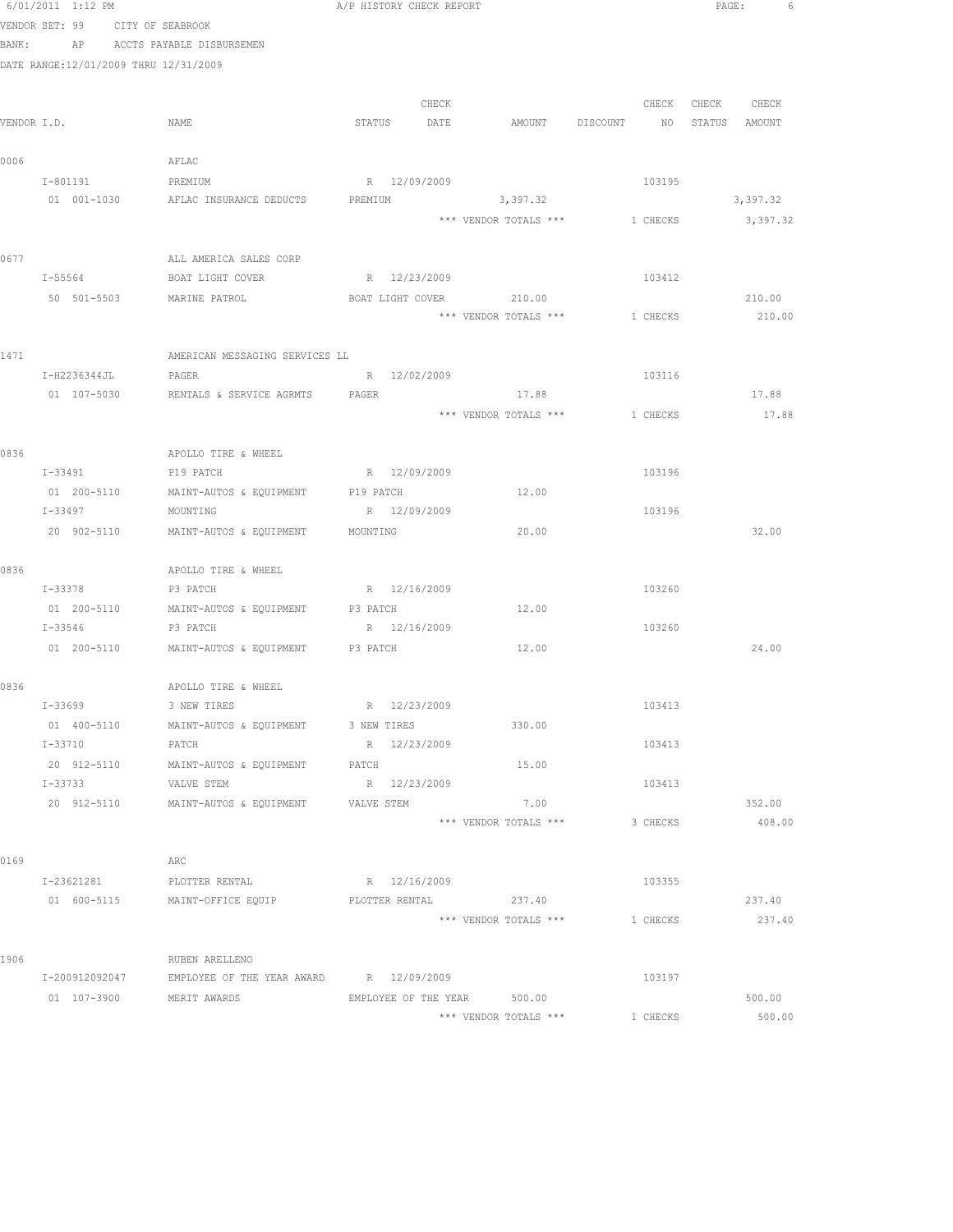|      | 6/01/2011 1:12 PM                     |                                                        | A/P HISTORY CHECK REPORT |                                         |                                  | PAGE:<br>6        |
|------|---------------------------------------|--------------------------------------------------------|--------------------------|-----------------------------------------|----------------------------------|-------------------|
|      | VENDOR SET: 99 CITY OF SEABROOK       |                                                        |                          |                                         |                                  |                   |
|      |                                       | BANK: AP ACCTS PAYABLE DISBURSEMEN                     |                          |                                         |                                  |                   |
|      | DATE RANGE:12/01/2009 THRU 12/31/2009 |                                                        |                          |                                         |                                  |                   |
|      |                                       |                                                        |                          |                                         |                                  |                   |
|      |                                       |                                                        | CHECK                    |                                         |                                  | CHECK CHECK CHECK |
|      | VENDOR I.D.                           | NAME                                                   | STATUS DATE              |                                         | AMOUNT DISCOUNT NO STATUS AMOUNT |                   |
| 0006 |                                       | AFLAC                                                  |                          |                                         |                                  |                   |
|      | I-801191                              | PREMIUM                                                | R 12/09/2009             |                                         | 103195                           |                   |
|      |                                       | 01 001-1030 AFLAC INSURANCE DEDUCTS                    | PREMIUM                  | 3,397.32                                |                                  | 3,397.32          |
|      |                                       |                                                        |                          | *** VENDOR TOTALS *** 1 CHECKS 3,397.32 |                                  |                   |
|      |                                       |                                                        |                          |                                         |                                  |                   |
| 0677 |                                       | ALL AMERICA SALES CORP                                 |                          |                                         |                                  |                   |
|      | $I - 55564$                           | BOAT LIGHT COVER                                       | R 12/23/2009             |                                         | 103412                           |                   |
|      | 50 501-5503                           | MARINE PATROL                                          | BOAT LIGHT COVER         | 210.00                                  |                                  | 210.00            |
|      |                                       |                                                        |                          | *** VENDOR TOTALS ***                   | 1 CHECKS                         | 210.00            |
|      |                                       |                                                        |                          |                                         |                                  |                   |
| 1471 |                                       | AMERICAN MESSAGING SERVICES LL                         |                          |                                         |                                  |                   |
|      | I-H2236344JL                          | PAGER                                                  | R 12/02/2009             |                                         | 103116                           |                   |
|      |                                       | 01 107-5030 RENTALS & SERVICE AGRMTS PAGER             |                          | 17.88                                   |                                  | 17.88             |
|      |                                       |                                                        |                          | *** VENDOR TOTALS *** 1 CHECKS          |                                  | 17.88             |
| 0836 |                                       | APOLLO TIRE & WHEEL                                    |                          |                                         |                                  |                   |
|      | I-33491 P19 PATCH                     |                                                        | R 12/09/2009             |                                         | 103196                           |                   |
|      |                                       | 01  200-5110   MAINT-AUTOS & EQUIPMENT   P19 PATCH     |                          | 12.00                                   |                                  |                   |
|      | I-33497                               | MOUNTING                                               | R 12/09/2009             |                                         | 103196                           |                   |
|      | 20 902-5110                           | MAINT-AUTOS & EQUIPMENT                                | MOUNTING                 | 20.00                                   |                                  | 32.00             |
|      |                                       |                                                        |                          |                                         |                                  |                   |
| 0836 |                                       | APOLLO TIRE & WHEEL                                    |                          |                                         |                                  |                   |
|      | I-33378                               | P3 PATCH                                               | R 12/16/2009             |                                         | 103260                           |                   |
|      | 01 200-5110                           | MAINT-AUTOS & EQUIPMENT P3 PATCH                       |                          | 12.00                                   |                                  |                   |
|      | I-33546                               | P3 PATCH                                               | R 12/16/2009             |                                         | 103260                           |                   |
|      |                                       | 01 200-5110 MAINT-AUTOS & EQUIPMENT P3 PATCH           |                          | 12.00                                   |                                  | 24.00             |
|      |                                       |                                                        |                          |                                         |                                  |                   |
| 0836 |                                       | APOLLO TIRE & WHEEL                                    | R 12/23/2009             |                                         | 103413                           |                   |
|      | I-33699<br>01 400-5110                | 3 NEW TIRES<br>MAINT-AUTOS & EQUIPMENT                 | 3 NEW TIRES              | 330.00                                  |                                  |                   |
|      | $I - 33710$                           | PATCH                                                  | R 12/23/2009             |                                         | 103413                           |                   |
|      | 20 912-5110                           | MAINT-AUTOS & EQUIPMENT                                | PATCH                    | 15.00                                   |                                  |                   |
|      | I-33733                               | VALVE STEM                                             | R 12/23/2009             |                                         | 103413                           |                   |
|      | 20 912-5110                           | MAINT-AUTOS & EQUIPMENT                                | VALVE STEM               | 7.00                                    |                                  | 352.00            |
|      |                                       |                                                        |                          | *** VENDOR TOTALS ***                   | 3 CHECKS                         | 408.00            |
|      |                                       |                                                        |                          |                                         |                                  |                   |
| 0169 |                                       | ARC                                                    |                          |                                         |                                  |                   |
|      | I-23621281                            | PLOTTER RENTAL                                         | R 12/16/2009             |                                         | 103355                           |                   |
|      |                                       | 01 600-5115 MAINT-OFFICE EQUIP                         | PLOTTER RENTAL 237.40    |                                         |                                  | 237.40            |
|      |                                       |                                                        |                          | *** VENDOR TOTALS ***                   | 1 CHECKS                         | 237.40            |
|      |                                       |                                                        |                          |                                         |                                  |                   |
| 1906 |                                       | RUBEN ARELLENO                                         |                          |                                         |                                  |                   |
|      |                                       | I-200912092047 EMPLOYEE OF THE YEAR AWARD R 12/09/2009 |                          | 500.00                                  | 103197                           |                   |
|      | 01 107-3900                           | MERIT AWARDS                                           | EMPLOYEE OF THE YEAR     | *** VENDOR TOTALS ***                   | 1 CHECKS                         | 500.00<br>500.00  |
|      |                                       |                                                        |                          |                                         |                                  |                   |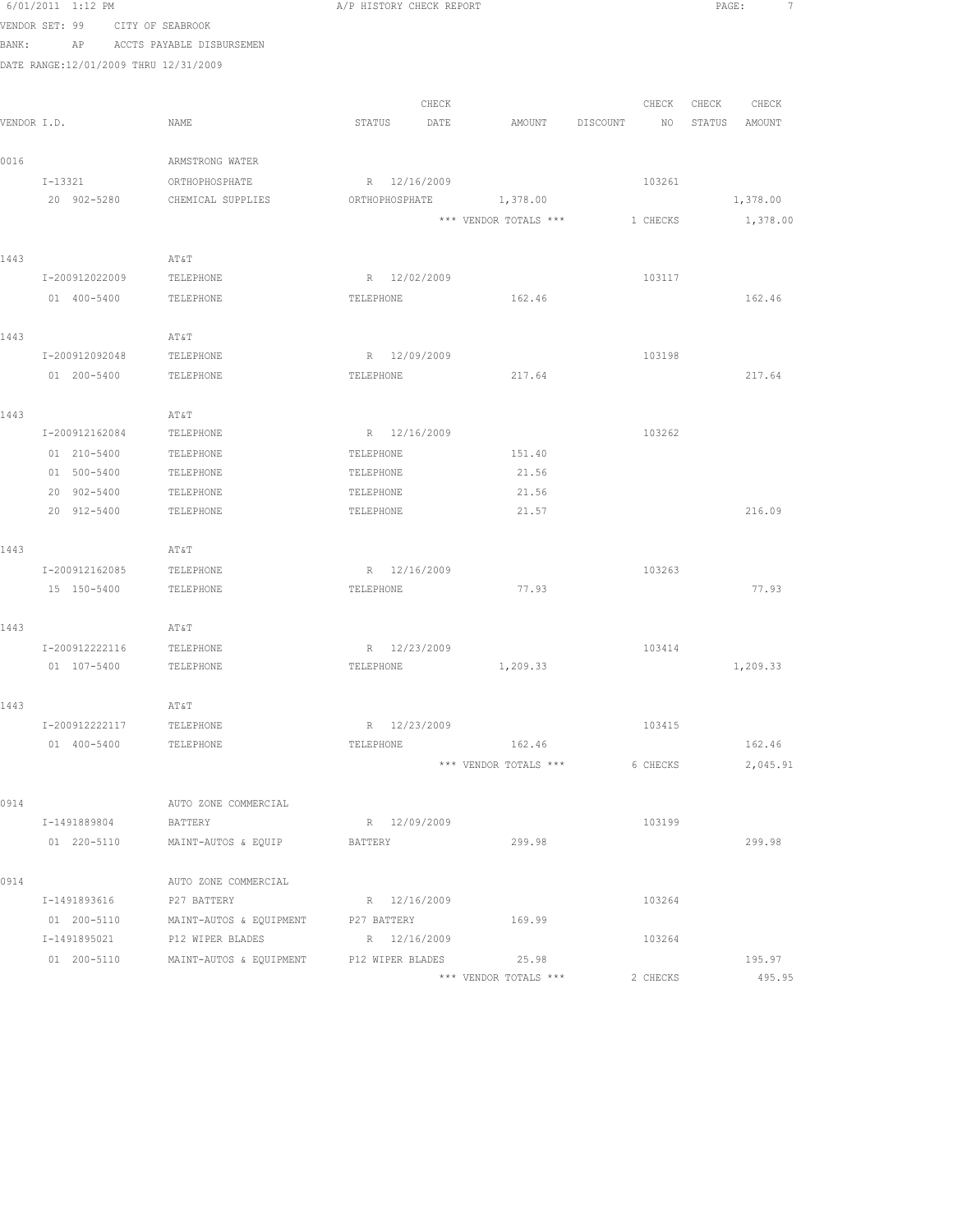|       | 6/01/2011 1:12 PM                     |                                                            | A/P HISTORY CHECK REPORT |                       |                                | PAGE:<br>7       |
|-------|---------------------------------------|------------------------------------------------------------|--------------------------|-----------------------|--------------------------------|------------------|
|       | VENDOR SET: 99                        | CITY OF SEABROOK                                           |                          |                       |                                |                  |
| BANK: |                                       | AP ACCTS PAYABLE DISBURSEMEN                               |                          |                       |                                |                  |
|       | DATE RANGE:12/01/2009 THRU 12/31/2009 |                                                            |                          |                       |                                |                  |
|       |                                       |                                                            |                          |                       |                                |                  |
|       |                                       |                                                            | CHECK                    |                       | CHECK                          | CHECK<br>CHECK   |
|       | VENDOR I.D.                           | NAME                                                       | STATUS DATE              | AMOUNT DISCOUNT       | NO                             | STATUS AMOUNT    |
| 0016  |                                       | ARMSTRONG WATER                                            |                          |                       |                                |                  |
|       | I-13321                               | ORTHOPHOSPHATE                                             | R 12/16/2009             |                       | 103261                         |                  |
|       | 20 902-5280                           | CHEMICAL SUPPLIES                                          | ORTHOPHOSPHATE 1,378.00  |                       |                                | 1,378.00         |
|       |                                       |                                                            |                          |                       | *** VENDOR TOTALS *** 1 CHECKS | 1,378.00         |
|       |                                       |                                                            |                          |                       |                                |                  |
| 1443  |                                       | AT&T                                                       |                          |                       |                                |                  |
|       | I-200912022009                        | TELEPHONE                                                  | R 12/02/2009             |                       | 103117                         |                  |
|       | 01 400-5400                           | TELEPHONE                                                  | TELEPHONE                | 162.46                |                                | 162.46           |
|       |                                       |                                                            |                          |                       |                                |                  |
| 1443  |                                       | AT&T                                                       |                          |                       |                                |                  |
|       | I-200912092048                        | TELEPHONE                                                  | R 12/09/2009             |                       | 103198                         |                  |
|       | 01 200-5400                           | TELEPHONE                                                  | TELEPHONE                | 217.64                |                                | 217.64           |
|       |                                       |                                                            |                          |                       |                                |                  |
| 1443  |                                       | AT&T                                                       |                          |                       |                                |                  |
|       | I-200912162084                        | TELEPHONE                                                  | R 12/16/2009             |                       | 103262                         |                  |
|       | 01 210-5400                           | TELEPHONE                                                  | TELEPHONE                | 151.40                |                                |                  |
|       | 01 500-5400                           | TELEPHONE                                                  | TELEPHONE                | 21.56                 |                                |                  |
|       | 20 902-5400                           | TELEPHONE                                                  | TELEPHONE                | 21.56                 |                                |                  |
|       | 20 912-5400                           | TELEPHONE                                                  | TELEPHONE                | 21.57                 |                                | 216.09           |
| 1443  |                                       | AT&T                                                       |                          |                       |                                |                  |
|       | I-200912162085 TELEPHONE              |                                                            | R 12/16/2009             |                       | 103263                         |                  |
|       | 15 150-5400                           | TELEPHONE                                                  | TELEPHONE                | 77.93                 |                                | 77.93            |
|       |                                       |                                                            |                          |                       |                                |                  |
| 1443  |                                       | AT&T                                                       |                          |                       |                                |                  |
|       | I-200912222116                        | TELEPHONE                                                  | R 12/23/2009             |                       | 103414                         |                  |
|       | 01 107-5400                           | TELEPHONE                                                  | TELEPHONE                | 1,209.33              |                                | 1,209.33         |
|       |                                       |                                                            |                          |                       |                                |                  |
| 1443  |                                       | AT&T                                                       |                          |                       |                                |                  |
|       | I-200912222117 TELEPHONE              |                                                            | R 12/23/2009             |                       | 103415                         |                  |
|       | 01  400-5400  TELEPHONE               |                                                            | TELEPHONE                | 162.46                |                                | 162.46           |
|       |                                       |                                                            |                          | *** VENDOR TOTALS *** | 6 CHECKS                       | 2,045.91         |
|       |                                       |                                                            |                          |                       |                                |                  |
| 0914  |                                       | AUTO ZONE COMMERCIAL                                       |                          |                       |                                |                  |
|       | I-1491889804                          | BATTERY                                                    | R 12/09/2009             |                       | 103199                         |                  |
|       | 01 220-5110                           | MAINT-AUTOS & EQUIP                                        | BATTERY                  | 299.98                |                                | 299.98           |
|       |                                       |                                                            |                          |                       |                                |                  |
| 0914  |                                       | AUTO ZONE COMMERCIAL                                       |                          |                       |                                |                  |
|       | I-1491893616                          | P27 BATTERY                                                | R 12/16/2009             |                       | 103264                         |                  |
|       | 01 200-5110                           | MAINT-AUTOS & EQUIPMENT P27 BATTERY                        |                          | 169.99                |                                |                  |
|       | I-1491895021                          | P12 WIPER BLADES                                           | R 12/16/2009             |                       | 103264                         |                  |
|       |                                       | 01 200-5110 MAINT-AUTOS & EQUIPMENT P12 WIPER BLADES 25.98 |                          | *** VENDOR TOTALS *** | 2 CHECKS                       | 195.97<br>495.95 |
|       |                                       |                                                            |                          |                       |                                |                  |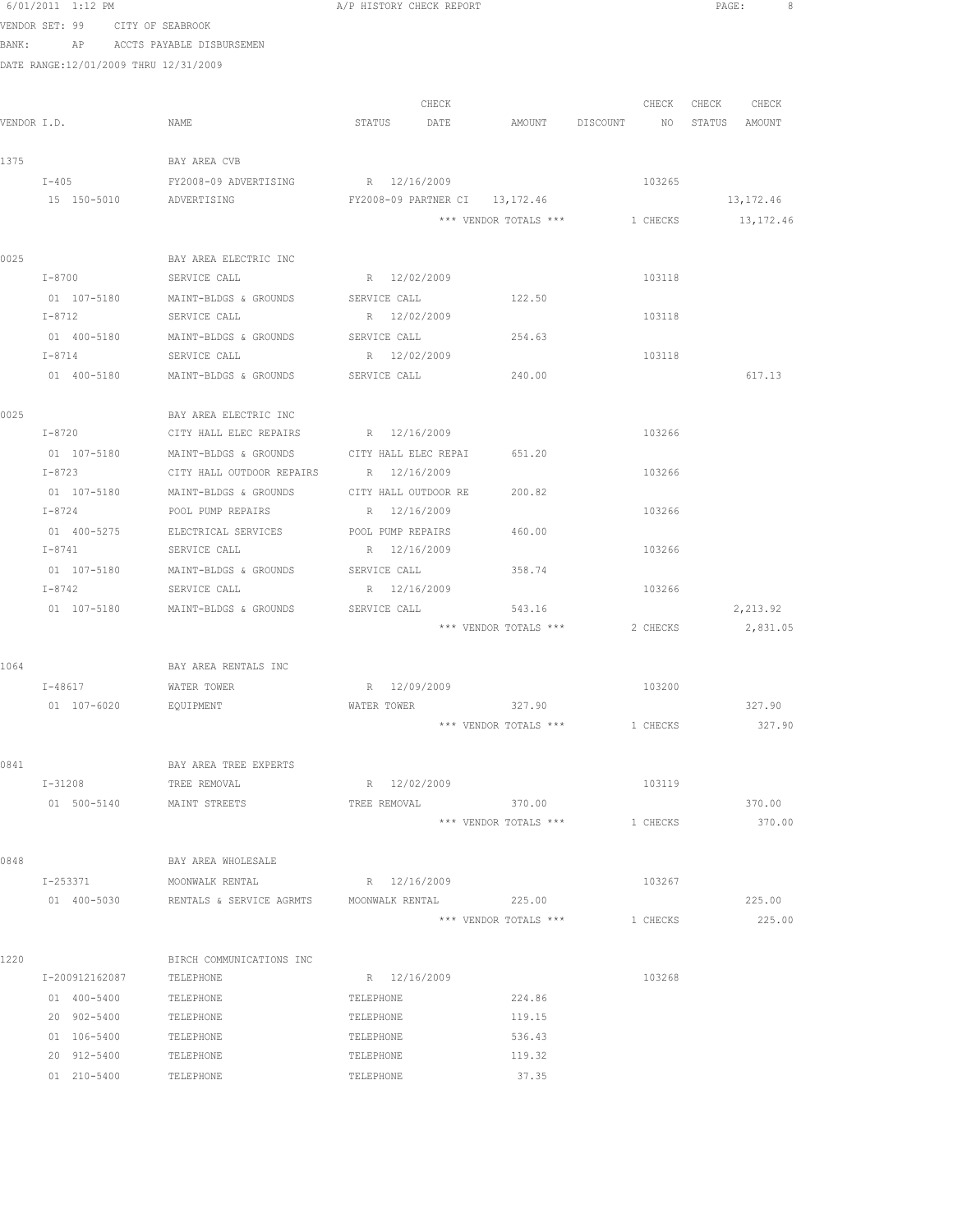|      | 6/01/2011 1:12 PM                     |                                                          | A/P HISTORY CHECK REPORT        |                       |                                          | PAGE:             |
|------|---------------------------------------|----------------------------------------------------------|---------------------------------|-----------------------|------------------------------------------|-------------------|
|      | VENDOR SET: 99 CITY OF SEABROOK       |                                                          |                                 |                       |                                          |                   |
|      |                                       | BANK: AP ACCTS PAYABLE DISBURSEMEN                       |                                 |                       |                                          |                   |
|      | DATE RANGE:12/01/2009 THRU 12/31/2009 |                                                          |                                 |                       |                                          |                   |
|      |                                       |                                                          |                                 |                       |                                          |                   |
|      |                                       |                                                          | CHECK                           |                       |                                          | CHECK CHECK CHECK |
|      | VENDOR I.D.                           | NAME                                                     | STATUS DATE                     |                       | AMOUNT DISCOUNT NO STATUS AMOUNT         |                   |
| 1375 |                                       | BAY AREA CVB                                             |                                 |                       |                                          |                   |
|      | $I - 405$                             | FY2008-09 ADVERTISING                                    | R 12/16/2009                    |                       | 103265                                   |                   |
|      | 15 150-5010                           | ADVERTISING                                              | FY2008-09 PARTNER CI 13,172.46  |                       |                                          | 13,172.46         |
|      |                                       |                                                          |                                 |                       | *** VENDOR TOTALS *** 1 CHECKS 13,172.46 |                   |
|      |                                       |                                                          |                                 |                       |                                          |                   |
| 0025 |                                       | BAY AREA ELECTRIC INC                                    |                                 |                       |                                          |                   |
|      | I-8700 SERVICE CALL                   |                                                          | R 12/02/2009                    |                       | 103118                                   |                   |
|      |                                       | 01 107-5180 MAINT-BLDGS & GROUNDS SERVICE CALL           |                                 | 122.50                |                                          |                   |
|      | $I - 8712$                            | SERVICE CALL                                             | R 12/02/2009                    |                       | 103118                                   |                   |
|      | 01 400-5180                           | MAINT-BLDGS & GROUNDS                                    | SERVICE CALL                    | 254.63                |                                          |                   |
|      | $I - 8714$                            | SERVICE CALL                                             | R 12/02/2009                    |                       | 103118                                   |                   |
|      | 01 400-5180                           | MAINT-BLDGS & GROUNDS                                    | SERVICE CALL                    | 240.00                |                                          | 617.13            |
| 0025 |                                       | BAY AREA ELECTRIC INC                                    |                                 |                       |                                          |                   |
|      | $I - 8720$                            | CITY HALL ELEC REPAIRS R 12/16/2009                      |                                 |                       | 103266                                   |                   |
|      | 01 107-5180                           | MAINT-BLDGS & GROUNDS CITY HALL ELEC REPAI 651.20        |                                 |                       |                                          |                   |
|      | $I - 8723$                            | CITY HALL OUTDOOR REPAIRS R 12/16/2009                   |                                 |                       | 103266                                   |                   |
|      |                                       | 01 107-5180 MAINT-BLDGS & GROUNDS CITY HALL OUTDOOR RE   |                                 | 200.82                |                                          |                   |
|      |                                       | I-8724 POOL PUMP REPAIRS R 12/16/2009                    |                                 |                       | 103266                                   |                   |
|      |                                       | 01 400-5275 ELECTRICAL SERVICES POOL PUMP REPAIRS 460.00 |                                 |                       |                                          |                   |
|      | $I - 8741$                            | SERVICE CALL                                             | R 12/16/2009                    |                       | 103266                                   |                   |
|      | 01 107-5180                           | MAINT-BLDGS & GROUNDS                                    | SERVICE CALL                    | 358.74                |                                          |                   |
|      | I-8742                                | SERVICE CALL                                             | R 12/16/2009                    |                       | 103266                                   |                   |
|      | 01 107-5180                           | MAINT-BLDGS & GROUNDS                                    | SERVICE CALL                    | 543.16                |                                          | 2,213.92          |
|      |                                       |                                                          |                                 | *** VENDOR TOTALS *** | 2 CHECKS                                 | 2,831.05          |
| 1064 |                                       | BAY AREA RENTALS INC                                     |                                 |                       |                                          |                   |
|      | I-48617 WATER TOWER                   |                                                          | R 12/09/2009                    |                       | 103200                                   |                   |
|      | 01 107-6020                           | <b>EQUIPMENT</b>                                         | WATER TOWER                     | 327.90                |                                          | 327.90            |
|      |                                       |                                                          |                                 | *** VENDOR TOTALS *** | 1 CHECKS                                 | 327.90            |
|      |                                       |                                                          |                                 |                       |                                          |                   |
| 0841 |                                       | BAY AREA TREE EXPERTS                                    |                                 |                       |                                          |                   |
|      | $I - 31208$                           | TREE REMOVAL                                             | R 12/02/2009                    |                       | 103119                                   |                   |
|      | 01 500-5140                           | MAINT STREETS                                            | TREE REMOVAL                    | 370.00                |                                          | 370.00            |
|      |                                       |                                                          |                                 | *** VENDOR TOTALS *** | 1 CHECKS                                 | 370.00            |
|      |                                       |                                                          |                                 |                       |                                          |                   |
| 0848 |                                       | BAY AREA WHOLESALE                                       |                                 |                       |                                          |                   |
|      | I-253371<br>01 400-5030               | MOONWALK RENTAL<br>RENTALS & SERVICE AGRMTS              | R 12/16/2009<br>MOONWALK RENTAL | 225.00                | 103267                                   | 225.00            |
|      |                                       |                                                          |                                 | *** VENDOR TOTALS *** | 1 CHECKS                                 | 225.00            |
|      |                                       |                                                          |                                 |                       |                                          |                   |
| 1220 |                                       | BIRCH COMMUNICATIONS INC                                 |                                 |                       |                                          |                   |
|      | I-200912162087                        | TELEPHONE                                                | R 12/16/2009                    |                       | 103268                                   |                   |
|      | 01 400-5400                           | TELEPHONE                                                | TELEPHONE                       | 224.86                |                                          |                   |
|      | 20 902-5400                           | TELEPHONE                                                | TELEPHONE                       | 119.15                |                                          |                   |
|      | 01 106-5400                           | TELEPHONE                                                | TELEPHONE                       | 536.43                |                                          |                   |
|      | 20 912-5400                           | TELEPHONE                                                | TELEPHONE                       | 119.32                |                                          |                   |
|      | 01 210-5400                           | TELEPHONE                                                | TELEPHONE                       | 37.35                 |                                          |                   |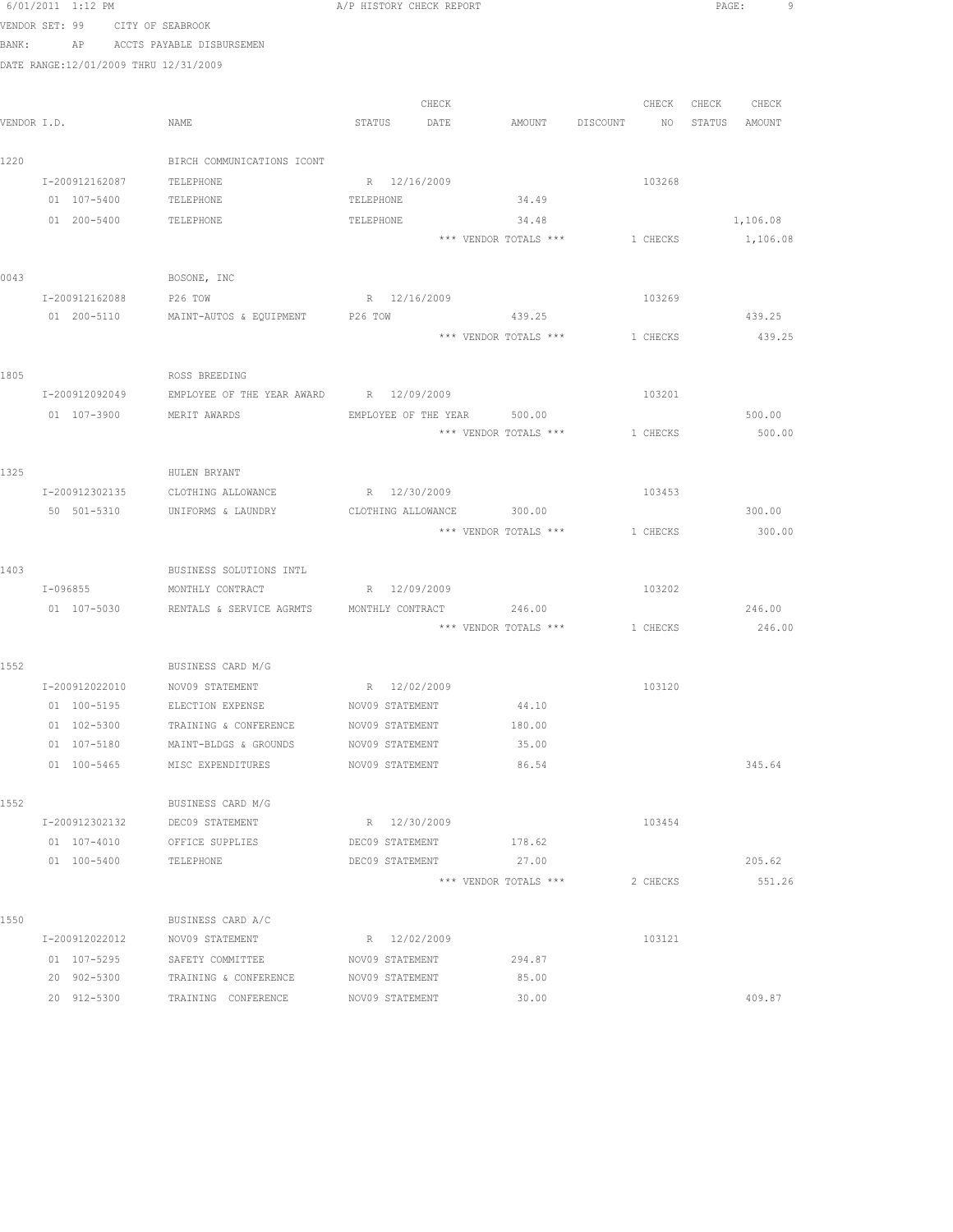| 6/01/2011 1:12 PM |                                       |                                         |           | A/P HISTORY CHECK REPORT |                                |             |          | PAGE: | 9.            |  |
|-------------------|---------------------------------------|-----------------------------------------|-----------|--------------------------|--------------------------------|-------------|----------|-------|---------------|--|
|                   | VENDOR SET: 99 CITY OF SEABROOK       |                                         |           |                          |                                |             |          |       |               |  |
|                   |                                       | BANK: AP ACCTS PAYABLE DISBURSEMEN      |           |                          |                                |             |          |       |               |  |
|                   | DATE RANGE:12/01/2009 THRU 12/31/2009 |                                         |           |                          |                                |             |          |       |               |  |
|                   |                                       |                                         |           |                          |                                |             |          |       |               |  |
|                   |                                       |                                         |           | CHECK                    |                                |             | CHECK    | CHECK | CHECK         |  |
| VENDOR I.D.       |                                       | NAME                                    | STATUS    | DATE                     | AMOUNT                         | DISCOUNT NO |          |       | STATUS AMOUNT |  |
| 1220              |                                       | BIRCH COMMUNICATIONS ICONT              |           |                          |                                |             |          |       |               |  |
|                   | I-200912162087                        | TELEPHONE                               |           | R 12/16/2009             |                                |             | 103268   |       |               |  |
|                   | 01 107-5400                           | TELEPHONE                               | TELEPHONE |                          | 34.49                          |             |          |       |               |  |
|                   | 01 200-5400                           | TELEPHONE                               | TELEPHONE |                          | 34.48                          |             |          |       | 1,106.08      |  |
|                   |                                       |                                         |           |                          | *** VENDOR TOTALS *** 1 CHECKS |             |          |       | 1,106.08      |  |
|                   |                                       |                                         |           |                          |                                |             |          |       |               |  |
| 0043              |                                       | BOSONE, INC                             |           |                          |                                |             |          |       |               |  |
|                   | I-200912162088 P26 TOW                |                                         |           | R 12/16/2009             |                                |             | 103269   |       |               |  |
|                   |                                       | 01 200-5110 MAINT-AUTOS & EQUIPMENT     | P26 TOW   |                          | 439.25                         |             |          |       | 439.25        |  |
|                   |                                       |                                         |           |                          | *** VENDOR TOTALS ***          |             | 1 CHECKS |       | 439.25        |  |
|                   |                                       |                                         |           |                          |                                |             |          |       |               |  |
| 1805              |                                       | ROSS BREEDING                           |           |                          |                                |             |          |       |               |  |
|                   | I-200912092049                        | EMPLOYEE OF THE YEAR AWARD R 12/09/2009 |           |                          |                                |             | 103201   |       |               |  |
|                   | 01 107-3900                           | MERIT AWARDS                            |           |                          | EMPLOYEE OF THE YEAR 500.00    |             |          |       | 500.00        |  |
|                   |                                       |                                         |           |                          | *** VENDOR TOTALS ***          |             | 1 CHECKS |       | 500.00        |  |
| 1325              |                                       | HULEN BRYANT                            |           |                          |                                |             |          |       |               |  |
|                   | I-200912302135                        | CLOTHING ALLOWANCE                      |           | R 12/30/2009             |                                |             | 103453   |       |               |  |
|                   | 50 501-5310                           | UNIFORMS & LAUNDRY                      |           |                          | CLOTHING ALLOWANCE 300.00      |             |          |       | 300.00        |  |
|                   |                                       |                                         |           |                          | *** VENDOR TOTALS ***          |             | 1 CHECKS |       | 300.00        |  |
|                   |                                       |                                         |           |                          |                                |             |          |       |               |  |
| 1403              |                                       | BUSINESS SOLUTIONS INTL                 |           |                          |                                |             |          |       |               |  |
|                   | I-096855                              | MONTHLY CONTRACT                        |           | R 12/09/2009             |                                |             | 103202   |       |               |  |
|                   | 01 107-5030                           | RENTALS & SERVICE AGRMTS                |           | MONTHLY CONTRACT         | 246.00                         |             |          |       | 246.00        |  |
|                   |                                       |                                         |           |                          | *** VENDOR TOTALS ***          |             | 1 CHECKS |       | 246.00        |  |
|                   |                                       |                                         |           |                          |                                |             |          |       |               |  |
| 1552              |                                       | BUSINESS CARD M/G                       |           |                          |                                |             |          |       |               |  |
|                   |                                       | I-200912022010 NOV09 STATEMENT          |           | R 12/02/2009             |                                |             | 103120   |       |               |  |
|                   | 01 100-5195                           | ELECTION EXPENSE                        |           | NOV09 STATEMENT          | 44.10                          |             |          |       |               |  |
|                   | 01 102-5300                           | TRAINING & CONFERENCE                   |           | NOV09 STATEMENT          | 180.00                         |             |          |       |               |  |
|                   | 01 107-5180                           | MAINT-BLDGS & GROUNDS                   |           | NOV09 STATEMENT          | 35.00                          |             |          |       |               |  |
|                   | 01 100-5465                           | MISC EXPENDITURES                       |           | NOV09 STATEMENT          | 86.54                          |             |          |       | 345.64        |  |
| 1552              |                                       | BUSINESS CARD M/G                       |           |                          |                                |             |          |       |               |  |
|                   | I-200912302132                        | DEC09 STATEMENT                         |           | R 12/30/2009             |                                |             | 103454   |       |               |  |
|                   | 01 107-4010                           | OFFICE SUPPLIES                         |           | DEC09 STATEMENT          | 178.62                         |             |          |       |               |  |
|                   | $01 100 - 5400$                       | TELEPHONE                               |           | DEC09 STATEMENT          | 27.00                          |             |          |       | 205.62        |  |
|                   |                                       |                                         |           |                          | *** VENDOR TOTALS ***          |             | 2 CHECKS |       | 551.26        |  |
|                   |                                       |                                         |           |                          |                                |             |          |       |               |  |
| 1550              |                                       | BUSINESS CARD A/C                       |           |                          |                                |             |          |       |               |  |
|                   | I-200912022012                        | NOV09 STATEMENT                         |           | R 12/02/2009             |                                |             | 103121   |       |               |  |
|                   | 01 107-5295                           | SAFETY COMMITTEE                        |           | NOV09 STATEMENT          | 294.87                         |             |          |       |               |  |
|                   | 20 902-5300                           | TRAINING & CONFERENCE                   |           | NOV09 STATEMENT          | 85.00                          |             |          |       |               |  |
|                   | 20 912-5300                           | TRAINING CONFERENCE                     |           | NOV09 STATEMENT          | 30.00                          |             |          |       | 409.87        |  |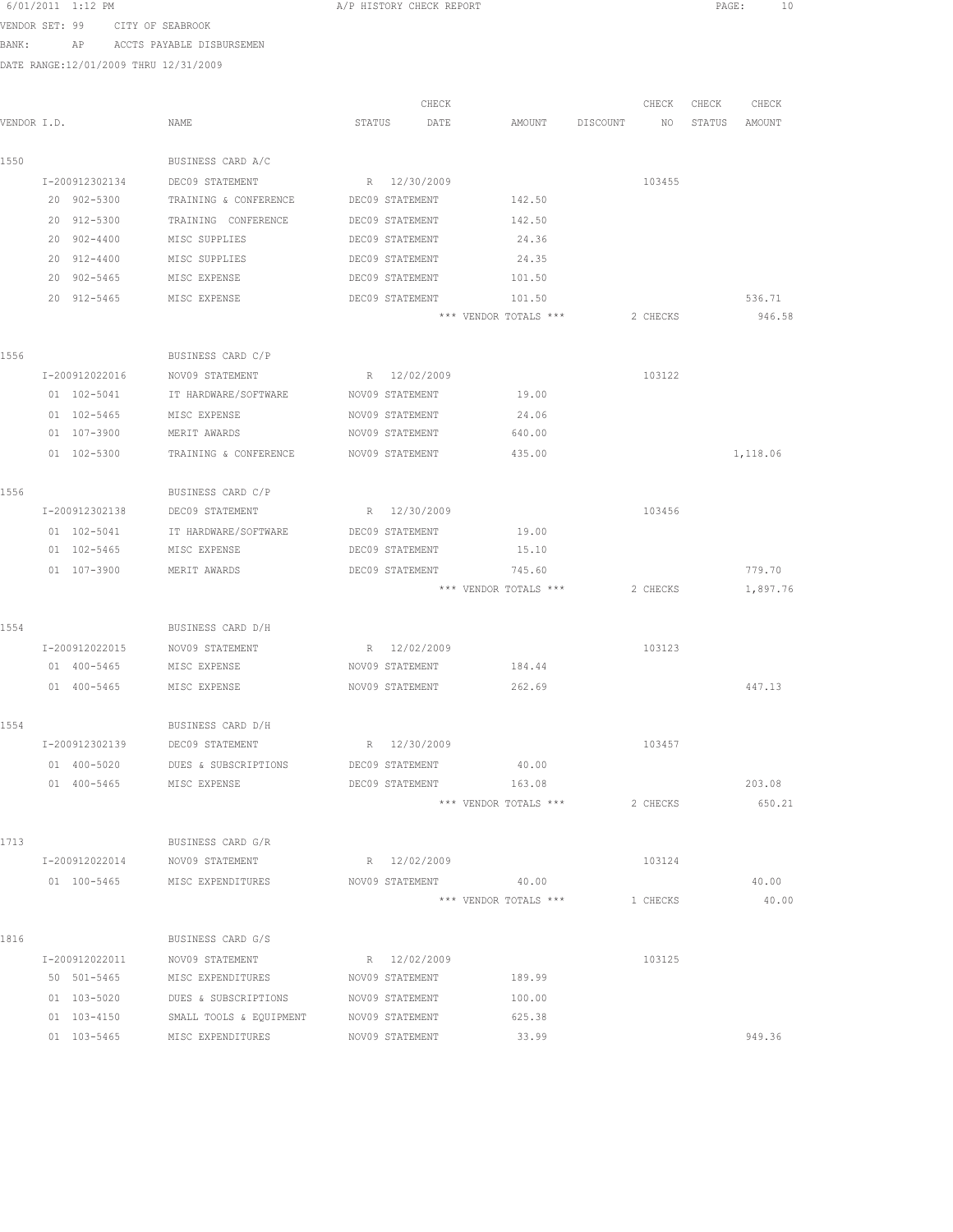|                | 6/01/2011 1:12 PM |                                                     |        | A/P HISTORY CHECK REPORT |                                |          |          | PAGE:  | ΙO             |
|----------------|-------------------|-----------------------------------------------------|--------|--------------------------|--------------------------------|----------|----------|--------|----------------|
| VENDOR SET: 99 |                   | CITY OF SEABROOK                                    |        |                          |                                |          |          |        |                |
| BANK:          | AP                | ACCTS PAYABLE DISBURSEMEN                           |        |                          |                                |          |          |        |                |
|                |                   | DATE RANGE:12/01/2009 THRU 12/31/2009               |        |                          |                                |          |          |        |                |
|                |                   |                                                     |        |                          |                                |          |          |        |                |
|                |                   |                                                     |        | CHECK                    |                                |          | CHECK    | CHECK  | CHECK          |
| VENDOR I.D.    |                   | NAME                                                | STATUS | DATE                     | AMOUNT                         | DISCOUNT | NO       | STATUS | AMOUNT         |
| 1550           |                   | BUSINESS CARD A/C                                   |        |                          |                                |          |          |        |                |
|                | I-200912302134    | DEC09 STATEMENT                                     |        | R 12/30/2009             |                                |          | 103455   |        |                |
|                | 20 902-5300       | TRAINING & CONFERENCE                               |        | DEC09 STATEMENT          | 142.50                         |          |          |        |                |
|                | 20 912-5300       | TRAINING CONFERENCE                                 |        | DEC09 STATEMENT          | 142.50                         |          |          |        |                |
|                | 20 902-4400       | MISC SUPPLIES                                       |        | DEC09 STATEMENT          | 24.36                          |          |          |        |                |
|                | 20 912-4400       | MISC SUPPLIES                                       |        | DEC09 STATEMENT          | 24.35                          |          |          |        |                |
|                | 20 902-5465       | MISC EXPENSE                                        |        | DEC09 STATEMENT          | 101.50                         |          |          |        |                |
|                | 20 912-5465       | MISC EXPENSE                                        |        | DEC09 STATEMENT          | 101.50                         |          |          |        | 536.71         |
|                |                   |                                                     |        |                          | *** VENDOR TOTALS ***          |          | 2 CHECKS |        | 946.58         |
| 1556           |                   | BUSINESS CARD C/P                                   |        |                          |                                |          |          |        |                |
|                | I-200912022016    | NOV09 STATEMENT                                     |        | R 12/02/2009             |                                |          | 103122   |        |                |
|                | 01 102-5041       | IT HARDWARE/SOFTWARE                                |        | NOV09 STATEMENT          | 19.00                          |          |          |        |                |
|                | 01 102-5465       | MISC EXPENSE                                        |        | NOV09 STATEMENT          | 24.06                          |          |          |        |                |
|                | 01 107-3900       | MERIT AWARDS                                        |        | NOV09 STATEMENT          | 640.00                         |          |          |        |                |
|                | 01 102-5300       | TRAINING & CONFERENCE                               |        | NOV09 STATEMENT          | 435.00                         |          |          |        | 1,118.06       |
|                |                   |                                                     |        |                          |                                |          |          |        |                |
| 1556           |                   | BUSINESS CARD C/P                                   |        |                          |                                |          |          |        |                |
|                | I-200912302138    | DEC09 STATEMENT                                     |        | R 12/30/2009             |                                |          | 103456   |        |                |
|                | 01 102-5041       | IT HARDWARE/SOFTWARE                                |        | DEC09 STATEMENT          | 19.00                          |          |          |        |                |
|                | 01 102-5465       | MISC EXPENSE                                        |        | DEC09 STATEMENT          | 15.10                          |          |          |        |                |
|                | 01 107-3900       | MERIT AWARDS                                        |        | DEC09 STATEMENT          | 745.60                         |          |          |        | 779.70         |
|                |                   |                                                     |        |                          | *** VENDOR TOTALS ***          |          | 2 CHECKS |        | 1,897.76       |
| 1554           |                   | BUSINESS CARD D/H                                   |        |                          |                                |          |          |        |                |
|                | I-200912022015    | NOV09 STATEMENT                                     |        | R 12/02/2009             |                                |          | 103123   |        |                |
|                | 01 400-5465       | MISC EXPENSE                                        |        | NOV09 STATEMENT          | 184.44                         |          |          |        |                |
|                | 01 400-5465       | MISC EXPENSE                                        |        | NOV09 STATEMENT          | 262.69                         |          |          |        | 447.13         |
| 1554           |                   | BUSINESS CARD D/H                                   |        |                          |                                |          |          |        |                |
|                |                   | I-200912302139 DEC09 STATEMENT                      |        | R 12/30/2009             |                                |          | 103457   |        |                |
|                |                   | 01 400-5020 DUES & SUBSCRIPTIONS                    |        |                          | DEC09 STATEMENT 40.00          |          |          |        |                |
|                |                   | 01 400-5465 MISC EXPENSE                            |        |                          | DEC09 STATEMENT 163.08         |          |          |        | 203.08         |
|                |                   |                                                     |        |                          | *** VENDOR TOTALS ***          |          | 2 CHECKS |        | 650.21         |
|                |                   |                                                     |        |                          |                                |          |          |        |                |
| 1713           |                   | BUSINESS CARD G/R                                   |        |                          |                                |          |          |        |                |
|                | I-200912022014    | NOV09 STATEMENT                                     |        | R 12/02/2009             |                                |          | 103124   |        |                |
|                | 01 100-5465       | MISC EXPENDITURES                                   |        | NOV09 STATEMENT          | 40.00<br>*** VENDOR TOTALS *** |          | 1 CHECKS |        | 40.00<br>40.00 |
|                |                   |                                                     |        |                          |                                |          |          |        |                |
| 1816           |                   | BUSINESS CARD G/S                                   |        |                          |                                |          |          |        |                |
|                |                   | I-200912022011 NOV09 STATEMENT                      |        | R 12/02/2009             |                                |          | 103125   |        |                |
|                | 50 501-5465       | MISC EXPENDITURES MOVO9 STATEMENT                   |        |                          | 189.99                         |          |          |        |                |
|                |                   | 01  103-5020  DUES & SUBSCRIPTIONS  NOV09 STATEMENT |        |                          | 100.00                         |          |          |        |                |
|                | 01 103-4150       | SMALL TOOLS & EQUIPMENT NOV09 STATEMENT             |        |                          | 625.38                         |          |          |        |                |

01 103-5465 MISC EXPENDITURES NOV09 STATEMENT 33.99 36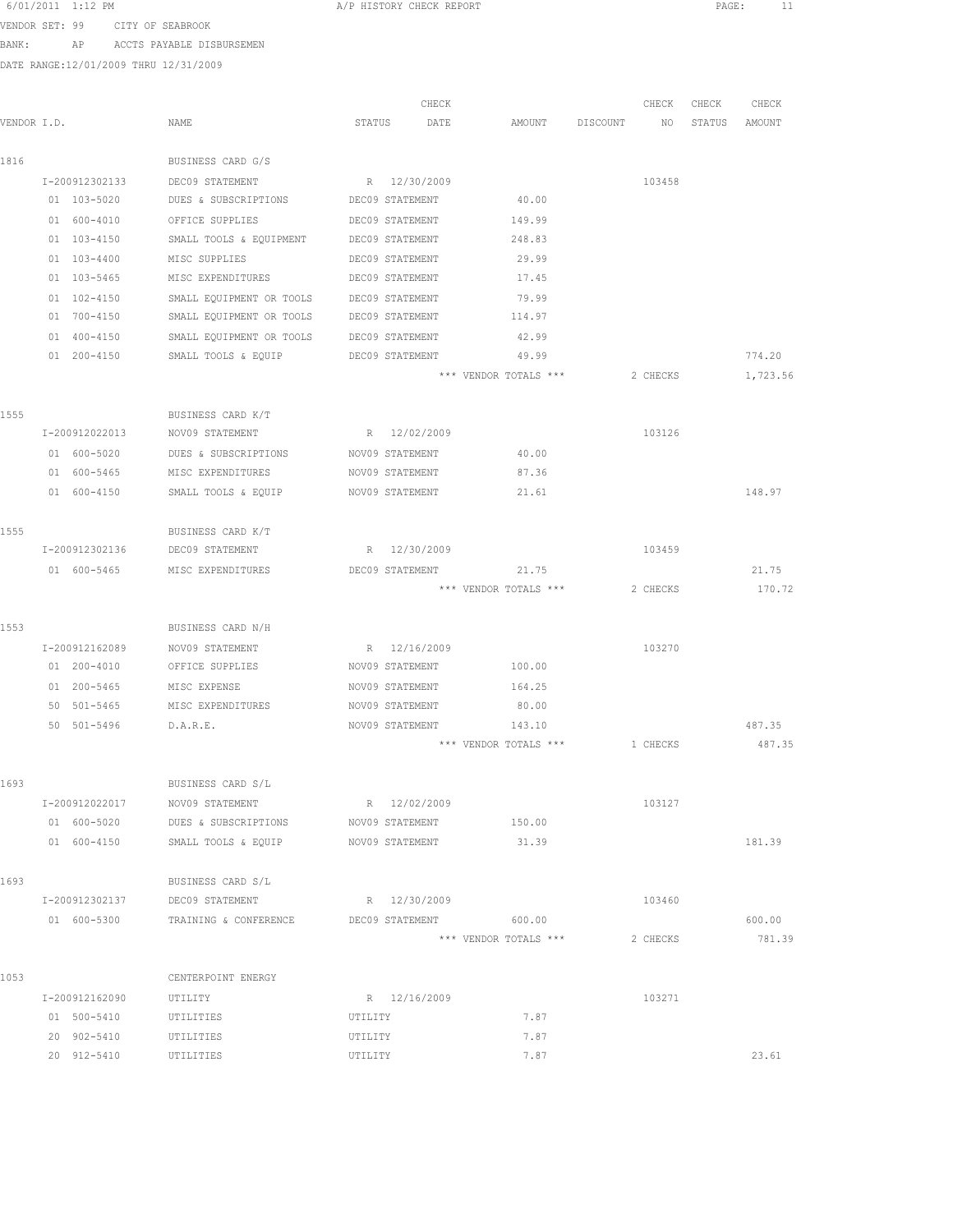| 6/01/2011 1:12 PM |                                 | A/P HISTORY CHECK REPORT |  |  | PAGE. |  |
|-------------------|---------------------------------|--------------------------|--|--|-------|--|
|                   | VENDOR SET: 99 CITY OF SEABROOK |                          |  |  |       |  |

BANK: AP ACCTS PAYABLE DISBURSEMEN

|             |                 |                                              | CHECK           |                       |          | CHECK<br>CHECK            | CHECK            |
|-------------|-----------------|----------------------------------------------|-----------------|-----------------------|----------|---------------------------|------------------|
| VENDOR I.D. |                 | NAME                                         | STATUS<br>DATE  | AMOUNT                | DISCOUNT | NO <sub>1</sub><br>STATUS | AMOUNT           |
| 1816        |                 | BUSINESS CARD G/S                            |                 |                       |          |                           |                  |
|             | I-200912302133  | DEC09 STATEMENT                              | R 12/30/2009    |                       |          | 103458                    |                  |
|             | 01 103-5020     | DUES & SUBSCRIPTIONS                         | DEC09 STATEMENT | 40.00                 |          |                           |                  |
|             | 01 600-4010     | OFFICE SUPPLIES                              | DEC09 STATEMENT | 149.99                |          |                           |                  |
|             | 01 103-4150     | SMALL TOOLS & EQUIPMENT                      | DEC09 STATEMENT | 248.83                |          |                           |                  |
|             | $01 103 - 4400$ | MISC SUPPLIES                                | DEC09 STATEMENT | 29.99                 |          |                           |                  |
|             | 01 103-5465     | MISC EXPENDITURES                            | DEC09 STATEMENT | 17.45                 |          |                           |                  |
|             | 01 102-4150     | SMALL EQUIPMENT OR TOOLS                     | DEC09 STATEMENT | 79.99                 |          |                           |                  |
|             | 01 700-4150     | SMALL EQUIPMENT OR TOOLS                     | DEC09 STATEMENT | 114.97                |          |                           |                  |
|             | 01 400-4150     | SMALL EQUIPMENT OR TOOLS                     | DEC09 STATEMENT | 42.99                 |          |                           |                  |
|             | 01 200-4150     | SMALL TOOLS & EQUIP                          | DEC09 STATEMENT | 49.99                 |          |                           | 774.20           |
|             |                 |                                              |                 | *** VENDOR TOTALS *** | 2 CHECKS |                           | 1,723.56         |
| 1555        |                 | BUSINESS CARD K/T                            |                 |                       |          |                           |                  |
|             | I-200912022013  | NOV09 STATEMENT                              | R 12/02/2009    |                       |          | 103126                    |                  |
|             | 01 600-5020     | DUES & SUBSCRIPTIONS                         | NOV09 STATEMENT | 40.00                 |          |                           |                  |
|             | 01 600-5465     | MISC EXPENDITURES                            | NOV09 STATEMENT | 87.36                 |          |                           |                  |
|             | 01 600-4150     | SMALL TOOLS & EQUIP                          | NOV09 STATEMENT | 21.61                 |          |                           | 148.97           |
| 1555        |                 | BUSINESS CARD K/T                            |                 |                       |          |                           |                  |
|             | I-200912302136  | DEC09 STATEMENT                              | R 12/30/2009    |                       |          | 103459                    |                  |
|             | 01 600-5465     | MISC EXPENDITURES                            | DEC09 STATEMENT | 21.75                 |          |                           | 21.75            |
|             |                 |                                              |                 | *** VENDOR TOTALS *** | 2 CHECKS |                           | 170.72           |
| 1553        |                 | BUSINESS CARD N/H                            |                 |                       |          |                           |                  |
|             | I-200912162089  | NOV09 STATEMENT                              | R 12/16/2009    |                       |          | 103270                    |                  |
|             | 01 200-4010     | OFFICE SUPPLIES                              | NOV09 STATEMENT | 100.00                |          |                           |                  |
|             | 01 200-5465     | MISC EXPENSE                                 | NOV09 STATEMENT | 164.25                |          |                           |                  |
|             | 50 501-5465     | MISC EXPENDITURES                            | NOV09 STATEMENT | 80.00                 |          |                           |                  |
|             | 50 501-5496     | D.A.R.E.                                     | NOV09 STATEMENT | 143.10                |          |                           | 487.35           |
|             |                 |                                              |                 | *** VENDOR TOTALS *** | 1 CHECKS |                           | 487.35           |
| 1693        |                 | BUSINESS CARD S/L                            |                 |                       |          |                           |                  |
|             | I-200912022017  | NOV09 STATEMENT                              | R 12/02/2009    |                       |          | 103127                    |                  |
|             | 01 600-5020     | DUES & SUBSCRIPTIONS                         | NOV09 STATEMENT | 150.00                |          |                           |                  |
|             | 01 600-4150     | SMALL TOOLS & EQUIP                          | NOV09 STATEMENT | 31.39                 |          |                           | 181.39           |
| 1693        |                 | BUSINESS CARD S/L                            |                 |                       |          |                           |                  |
|             |                 | I-200912302137 DEC09 STATEMENT               | R 12/30/2009    |                       |          | 103460                    |                  |
|             | 01 600-5300     | TRAINING & CONFERENCE DEC09 STATEMENT 600.00 |                 | *** VENDOR TOTALS *** | 2 CHECKS |                           | 600.00<br>781.39 |
|             |                 |                                              |                 |                       |          |                           |                  |
| 1053        |                 | CENTERPOINT ENERGY                           |                 |                       |          |                           |                  |
|             | I-200912162090  | UTILITY                                      | R 12/16/2009    |                       |          | 103271                    |                  |
|             | 01 500-5410     | UTILITIES                                    | UTILITY         | 7.87                  |          |                           |                  |
|             | 20 902-5410     | UTILITIES                                    | UTILITY         | 7.87                  |          |                           |                  |
|             | 20 912-5410     | UTILITIES                                    | UTILITY         | 7.87                  |          |                           | 23.61            |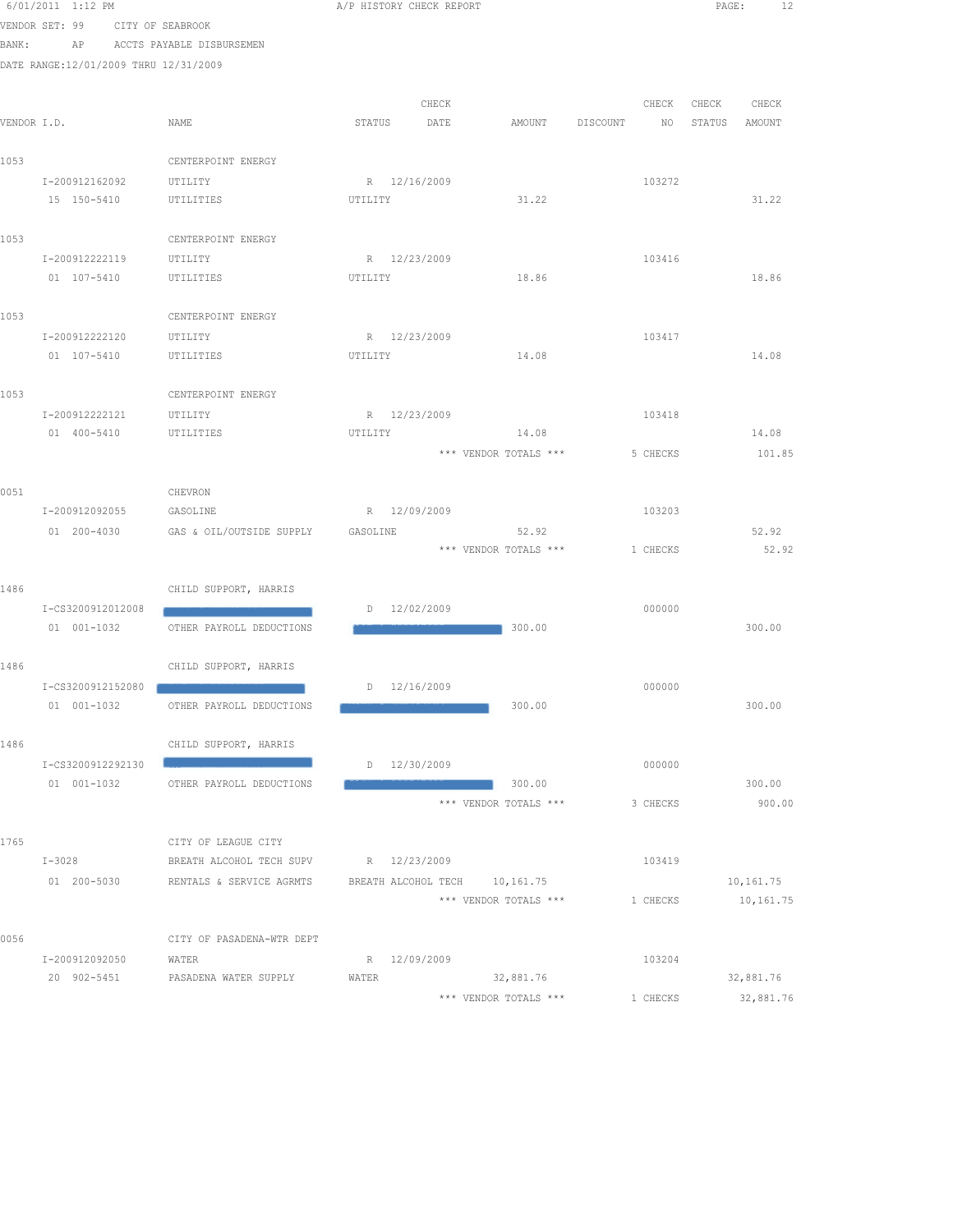|      | 0/ui/zuil i:iz FM                     |                                   | A/F HISTORY CHECK REPORT |       |                               |          |                 |        | PAGE:     |  |
|------|---------------------------------------|-----------------------------------|--------------------------|-------|-------------------------------|----------|-----------------|--------|-----------|--|
|      | VENDOR SET: 99 CITY OF SEABROOK       |                                   |                          |       |                               |          |                 |        |           |  |
|      | BANK:                                 | AP ACCTS PAYABLE DISBURSEMEN      |                          |       |                               |          |                 |        |           |  |
|      | DATE RANGE:12/01/2009 THRU 12/31/2009 |                                   |                          |       |                               |          |                 |        |           |  |
|      |                                       |                                   |                          |       |                               |          |                 |        |           |  |
|      |                                       |                                   |                          |       |                               |          |                 |        |           |  |
|      |                                       |                                   |                          | CHECK |                               |          | CHECK           | CHECK  | CHECK     |  |
|      | VENDOR I.D.                           | NAME                              | STATUS                   | DATE  | AMOUNT                        | DISCOUNT | NO <sub>1</sub> | STATUS | AMOUNT    |  |
|      |                                       |                                   |                          |       |                               |          |                 |        |           |  |
| 1053 |                                       | CENTERPOINT ENERGY                |                          |       |                               |          |                 |        |           |  |
|      | I-200912162092                        | UTILITY                           | R 12/16/2009             |       |                               |          | 103272          |        |           |  |
|      | 15 150-5410                           | UTILITIES                         | UTILITY                  |       | 31.22                         |          |                 |        | 31.22     |  |
|      |                                       |                                   |                          |       |                               |          |                 |        |           |  |
| 1053 |                                       | CENTERPOINT ENERGY                |                          |       |                               |          |                 |        |           |  |
|      | I-200912222119                        | UTILITY                           | R 12/23/2009             |       |                               |          | 103416          |        |           |  |
|      | 01 107-5410                           | UTILITIES                         | UTILITY                  |       | 18.86                         |          |                 |        | 18.86     |  |
|      |                                       |                                   |                          |       |                               |          |                 |        |           |  |
| 1053 |                                       | CENTERPOINT ENERGY                |                          |       |                               |          |                 |        |           |  |
|      | I-200912222120                        | UTILITY                           | R 12/23/2009             |       |                               |          | 103417          |        |           |  |
|      | 01 107-5410                           | UTILITIES                         | UTILITY                  |       | 14.08                         |          |                 |        | 14.08     |  |
|      |                                       |                                   |                          |       |                               |          |                 |        |           |  |
| 1053 |                                       | CENTERPOINT ENERGY                |                          |       |                               |          |                 |        |           |  |
|      | I-200912222121                        | UTILITY                           | R 12/23/2009             |       |                               |          | 103418          |        |           |  |
|      | 01 400-5410                           | UTILITIES                         | UTILITY                  |       | 14.08                         |          |                 |        | 14.08     |  |
|      |                                       |                                   |                          |       | *** VENDOR TOTALS ***         |          | 5 CHECKS        |        | 101.85    |  |
|      |                                       |                                   |                          |       |                               |          |                 |        |           |  |
| 0051 |                                       | CHEVRON                           |                          |       |                               |          |                 |        |           |  |
|      | I-200912092055                        | GASOLINE                          | R 12/09/2009             |       |                               |          | 103203          |        |           |  |
|      | 01 200-4030                           | GAS & OIL/OUTSIDE SUPPLY GASOLINE |                          |       | 52.92                         |          |                 |        | 52.92     |  |
|      |                                       |                                   |                          |       | *** VENDOR TOTALS ***         |          | 1 CHECKS        |        | 52.92     |  |
|      |                                       |                                   |                          |       |                               |          |                 |        |           |  |
| 1486 |                                       | CHILD SUPPORT, HARRIS             |                          |       |                               |          |                 |        |           |  |
|      | I-CS3200912012008                     |                                   | D 12/02/2009             |       |                               |          | 000000          |        |           |  |
|      | 01 001-1032                           | OTHER PAYROLL DEDUCTIONS          |                          |       | $\blacksquare$ 300.00         |          |                 |        | 300.00    |  |
|      |                                       |                                   |                          |       |                               |          |                 |        |           |  |
| 1486 |                                       | CHILD SUPPORT, HARRIS             |                          |       |                               |          |                 |        |           |  |
|      | I-CS3200912152080                     |                                   | D 12/16/2009             |       |                               |          | 000000          |        |           |  |
|      | 01 001-1032                           | OTHER PAYROLL DEDUCTIONS          |                          |       | 300.00                        |          |                 |        | 300.00    |  |
|      |                                       |                                   |                          |       |                               |          |                 |        |           |  |
| 1486 |                                       | CHILD SUPPORT, HARRIS             |                          |       |                               |          |                 |        |           |  |
|      | I-CS3200912292130                     |                                   | $D = 12/30/2009$         |       |                               |          | 000000          |        |           |  |
|      | 01 001-1032                           | OTHER PAYROLL DEDUCTIONS          |                          |       | 300.00                        |          |                 |        | 300.00    |  |
|      |                                       |                                   |                          |       | *** VENDOR TOTALS ***         |          | 3 CHECKS        |        | 900.00    |  |
|      |                                       |                                   |                          |       |                               |          |                 |        |           |  |
| 1765 |                                       | CITY OF LEAGUE CITY               |                          |       |                               |          |                 |        |           |  |
|      | $I-3028$                              | BREATH ALCOHOL TECH SUPV          | R 12/23/2009             |       |                               |          | 103419          |        |           |  |
|      | 01 200-5030                           | RENTALS & SERVICE AGRMTS          |                          |       | BREATH ALCOHOL TECH 10,161.75 |          |                 |        | 10,161.75 |  |
|      |                                       |                                   |                          |       | *** VENDOR TOTALS ***         |          | 1 CHECKS        |        | 10,161.75 |  |
|      |                                       |                                   |                          |       |                               |          |                 |        |           |  |
| 0056 |                                       | CITY OF PASADENA-WTR DEPT         |                          |       |                               |          |                 |        |           |  |
|      | I-200912092050                        | WATER                             | R 12/09/2009             |       |                               |          | 103204          |        |           |  |
|      | 20 902-5451                           | PASADENA WATER SUPPLY             | WATER                    |       | 32,881.76                     |          |                 |        | 32,881.76 |  |
|      |                                       |                                   |                          |       | *** VENDOR TOTALS ***         |          | 1 CHECKS        |        | 32,881.76 |  |
|      |                                       |                                   |                          |       |                               |          |                 |        |           |  |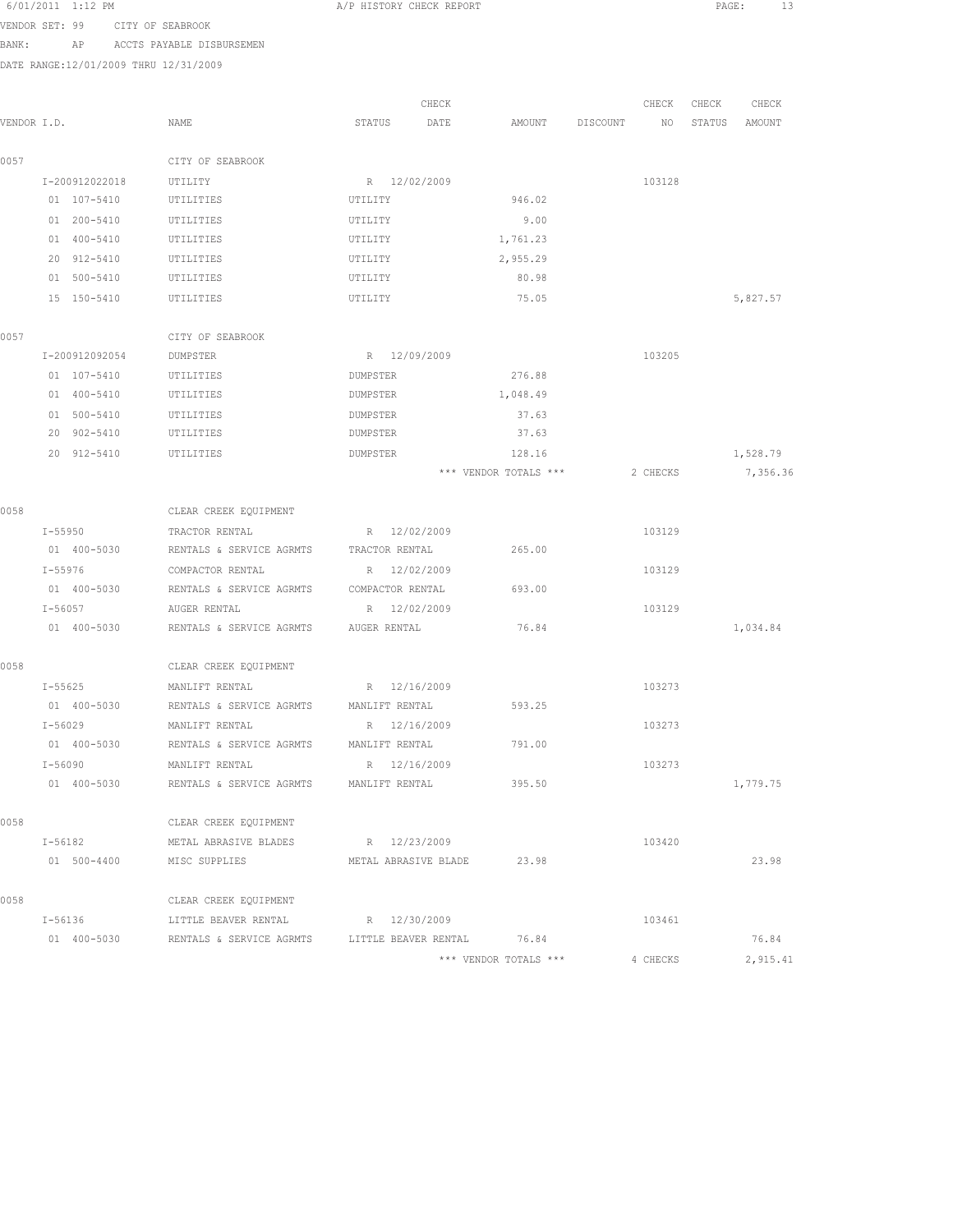|       | 6/01/2011 1:12 PM                     |                                               | A/P HISTORY CHECK REPORT   |                       |          |          | PAGE:  | 13       |
|-------|---------------------------------------|-----------------------------------------------|----------------------------|-----------------------|----------|----------|--------|----------|
|       | VENDOR SET: 99                        | CITY OF SEABROOK                              |                            |                       |          |          |        |          |
| BANK: | AP                                    | ACCTS PAYABLE DISBURSEMEN                     |                            |                       |          |          |        |          |
|       | DATE RANGE:12/01/2009 THRU 12/31/2009 |                                               |                            |                       |          |          |        |          |
|       |                                       |                                               |                            |                       |          |          |        |          |
|       |                                       |                                               | CHECK                      |                       |          | CHECK    | CHECK  | CHECK    |
|       | VENDOR I.D.                           | NAME                                          | STATUS<br>DATE             | AMOUNT                | DISCOUNT | NO       | STATUS | AMOUNT   |
|       |                                       |                                               |                            |                       |          |          |        |          |
| 0057  |                                       | CITY OF SEABROOK                              | R 12/02/2009               |                       |          | 103128   |        |          |
|       | I-200912022018<br>01 107-5410         | UTILITY<br>UTILITIES                          | UTILITY                    | 946.02                |          |          |        |          |
|       | 01 200-5410                           | UTILITIES                                     | UTILITY                    | 9.00                  |          |          |        |          |
|       | 01 400-5410                           | UTILITIES                                     | UTILITY                    | 1,761.23              |          |          |        |          |
|       | 20 912-5410                           | UTILITIES                                     | UTILITY                    | 2,955.29              |          |          |        |          |
|       | 01 500-5410                           | UTILITIES                                     | UTILITY                    | 80.98                 |          |          |        |          |
|       | 15 150-5410                           | UTILITIES                                     | UTILITY                    | 75.05                 |          |          |        | 5,827.57 |
|       |                                       |                                               |                            |                       |          |          |        |          |
| 0057  |                                       | CITY OF SEABROOK                              |                            |                       |          |          |        |          |
|       | I-200912092054                        | DUMPSTER                                      | R 12/09/2009               |                       |          | 103205   |        |          |
|       | 01 107-5410                           | UTILITIES                                     | <b>DUMPSTER</b>            | 276.88                |          |          |        |          |
|       | 01 400-5410                           | UTILITIES                                     | DUMPSTER                   | 1,048.49              |          |          |        |          |
|       | 01 500-5410                           | UTILITIES                                     | DUMPSTER                   | 37.63                 |          |          |        |          |
|       | 20 902-5410                           | UTILITIES                                     | DUMPSTER                   | 37.63                 |          |          |        |          |
|       | 20 912-5410                           | UTILITIES                                     | DUMPSTER                   | 128.16                |          |          |        | 1,528.79 |
|       |                                       |                                               |                            | *** VENDOR TOTALS *** |          | 2 CHECKS |        | 7,356.36 |
|       |                                       |                                               |                            |                       |          |          |        |          |
| 0058  |                                       | CLEAR CREEK EQUIPMENT                         |                            |                       |          |          |        |          |
|       | I-55950                               | TRACTOR RENTAL                                | R 12/02/2009               |                       |          | 103129   |        |          |
|       | 01 400-5030                           | RENTALS & SERVICE AGRMTS                      | TRACTOR RENTAL             | 265.00                |          |          |        |          |
|       | I-55976                               | COMPACTOR RENTAL                              | R 12/02/2009               |                       |          | 103129   |        |          |
|       | 01 400-5030                           | RENTALS & SERVICE AGRMTS                      | COMPACTOR RENTAL           | 693.00                |          |          |        |          |
|       | $I - 56057$                           | AUGER RENTAL                                  | R 12/02/2009               |                       |          | 103129   |        |          |
|       | 01 400-5030                           | RENTALS & SERVICE AGRMTS                      | AUGER RENTAL               | 76.84                 |          |          |        | 1,034.84 |
|       |                                       |                                               |                            |                       |          |          |        |          |
| 0058  |                                       | CLEAR CREEK EQUIPMENT                         |                            |                       |          |          |        |          |
|       | $I - 55625$                           | MANLIFT RENTAL                                | R 12/16/2009               |                       |          | 103273   |        |          |
|       | 01 400-5030                           | RENTALS & SERVICE AGRMTS                      | MANLIFT RENTAL             | 593.25                |          |          |        |          |
|       | I-56029                               | MANLIFT RENTAL                                | R 12/16/2009               |                       |          | 103273   |        |          |
|       | 01 400-5030                           | RENTALS & SERVICE AGRMTS                      | MANLIFT RENTAL             | 791.00                |          |          |        |          |
|       | I-56090                               | MANLIFT RENTAL                                | R 12/16/2009               |                       |          | 103273   |        |          |
|       | 01 400-5030                           | RENTALS & SERVICE AGRMTS                      | MANLIFT RENTAL             | 395.50                |          |          |        | 1,779.75 |
|       |                                       |                                               |                            |                       |          |          |        |          |
| 0058  |                                       | CLEAR CREEK EQUIPMENT                         |                            |                       |          |          |        |          |
|       | I-56182                               | METAL ABRASIVE BLADES                         | R 12/23/2009               |                       |          | 103420   |        |          |
|       | 01 500-4400                           | MISC SUPPLIES                                 | METAL ABRASIVE BLADE 23.98 |                       |          |          |        | 23.98    |
| 0058  |                                       | CLEAR CREEK EQUIPMENT                         |                            |                       |          |          |        |          |
|       | I-56136                               | LITTLE BEAVER RENTAL                          | R 12/30/2009               |                       |          | 103461   |        |          |
|       | 01 400-5030                           | RENTALS & SERVICE AGRMTS LITTLE BEAVER RENTAL |                            | 76.84                 |          |          |        | 76.84    |
|       |                                       |                                               |                            |                       |          |          |        |          |

\*\*\* VENDOR TOTALS \*\*\* 4 CHECKS 2,915.41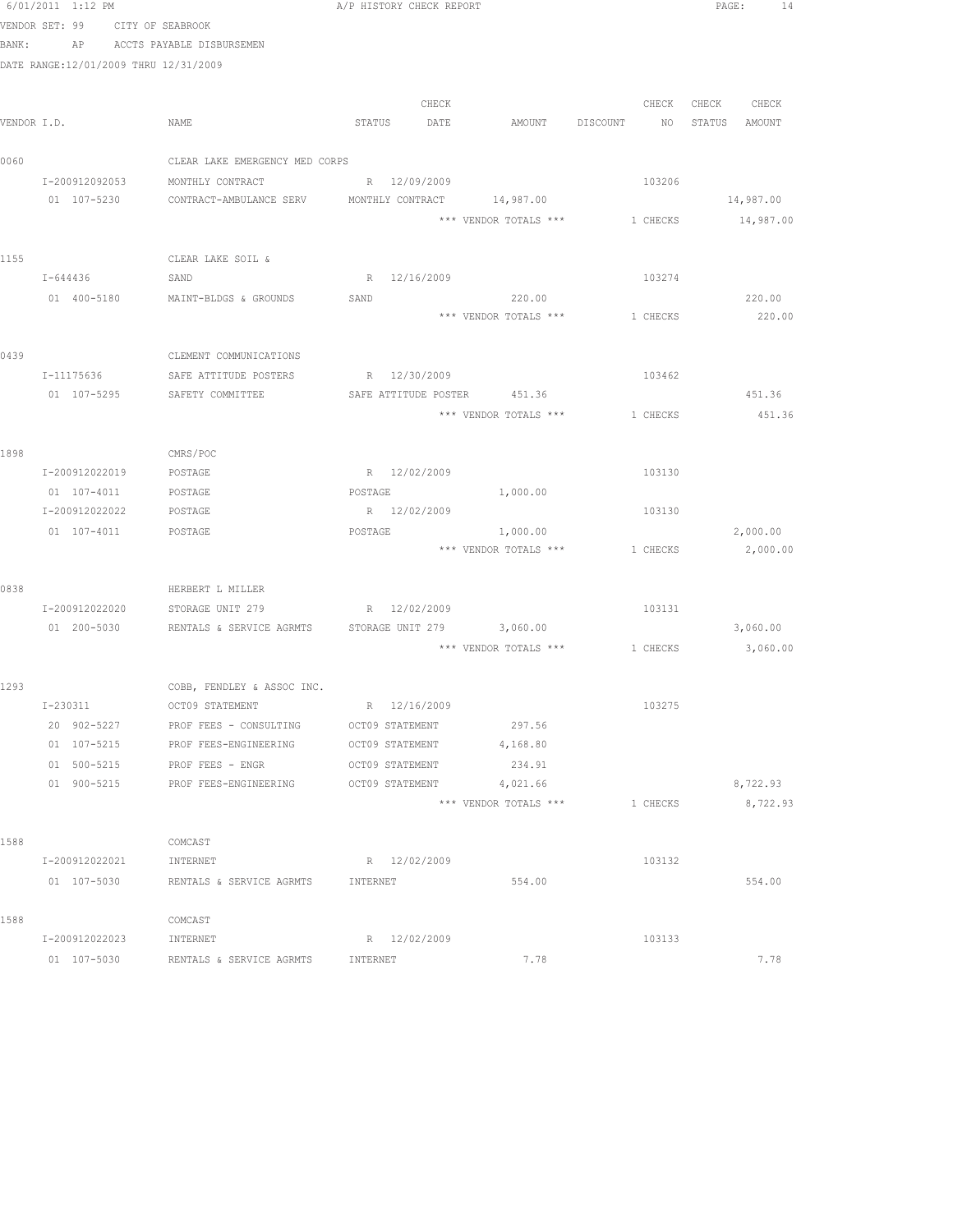|             | 6/01/2011 1:12 PM                     |                                                    | A/P HISTORY CHECK REPORT |       |                                         |          |               | PAGE:<br>14 |
|-------------|---------------------------------------|----------------------------------------------------|--------------------------|-------|-----------------------------------------|----------|---------------|-------------|
|             | VENDOR SET: 99 CITY OF SEABROOK       |                                                    |                          |       |                                         |          |               |             |
| BANK:       |                                       | AP ACCTS PAYABLE DISBURSEMEN                       |                          |       |                                         |          |               |             |
|             | DATE RANGE:12/01/2009 THRU 12/31/2009 |                                                    |                          |       |                                         |          |               |             |
|             |                                       |                                                    |                          |       |                                         |          |               |             |
|             |                                       |                                                    |                          | CHECK |                                         | CHECK    | CHECK CHECK   |             |
| VENDOR I.D. |                                       | NAME                                               | STATUS DATE              |       | AMOUNT DISCOUNT NO                      |          | STATUS AMOUNT |             |
|             |                                       |                                                    |                          |       |                                         |          |               |             |
| 0060        |                                       | CLEAR LAKE EMERGENCY MED CORPS                     |                          |       |                                         |          |               |             |
|             | I-200912092053                        | MONTHLY CONTRACT                                   | R 12/09/2009             |       |                                         | 103206   |               |             |
|             | 01 107-5230                           | CONTRACT-AMBULANCE SERV MONTHLY CONTRACT 14,987.00 |                          |       |                                         |          |               | 14,987.00   |
|             |                                       |                                                    |                          |       | *** VENDOR TOTALS *** 1 CHECKS          |          |               | 14,987.00   |
|             |                                       |                                                    |                          |       |                                         |          |               |             |
| 1155        |                                       | CLEAR LAKE SOIL &                                  |                          |       |                                         |          |               |             |
|             | I-644436                              | SAND                                               | R 12/16/2009             |       |                                         | 103274   |               |             |
|             | 01 400-5180                           | MAINT-BLDGS & GROUNDS                              | SAND                     |       | 220.00                                  |          |               | 220.00      |
|             |                                       |                                                    |                          |       | *** VENDOR TOTALS ***                   | 1 CHECKS |               | 220.00      |
|             |                                       |                                                    |                          |       |                                         |          |               |             |
| 0439        |                                       | CLEMENT COMMUNICATIONS                             |                          |       |                                         |          |               |             |
|             | I-11175636                            | SAFE ATTITUDE POSTERS                              | R 12/30/2009             |       |                                         | 103462   |               |             |
|             | 01 107-5295                           | SAFETY COMMITTEE                                   |                          |       | SAFE ATTITUDE POSTER 451.36             |          |               | 451.36      |
|             |                                       |                                                    |                          |       | *** VENDOR TOTALS *** 1 CHECKS          |          |               | 451.36      |
|             |                                       |                                                    |                          |       |                                         |          |               |             |
| 1898        |                                       | CMRS/POC                                           |                          |       |                                         |          |               |             |
|             | I-200912022019                        | POSTAGE                                            | R 12/02/2009             |       |                                         | 103130   |               |             |
|             | 01 107-4011                           | POSTAGE                                            | POSTAGE                  |       | 1,000.00                                |          |               |             |
|             | I-200912022022                        | POSTAGE                                            | R 12/02/2009             |       |                                         | 103130   |               |             |
|             | 01 107-4011                           | POSTAGE                                            | POSTAGE                  |       | 1,000.00                                |          |               | 2,000.00    |
|             |                                       |                                                    |                          |       | *** VENDOR TOTALS ***                   | 1 CHECKS |               | 2,000.00    |
|             |                                       |                                                    |                          |       |                                         |          |               |             |
| 0838        |                                       | HERBERT L MILLER                                   |                          |       |                                         |          |               |             |
|             | I-200912022020                        | STORAGE UNIT 279                                   | R 12/02/2009             |       |                                         | 103131   |               |             |
|             | 01 200-5030                           | RENTALS & SERVICE AGRMTS                           |                          |       | STORAGE UNIT 279 3,060.00               |          |               | 3,060.00    |
|             |                                       |                                                    |                          |       | *** VENDOR TOTALS *** 1 CHECKS 3,060.00 |          |               |             |
|             |                                       |                                                    |                          |       |                                         |          |               |             |
| 1293        |                                       | COBB, FENDLEY & ASSOC INC.                         |                          |       |                                         |          |               |             |
|             | I-230311                              | OCT09 STATEMENT                                    | R 12/16/2009             |       |                                         | 103275   |               |             |
|             | 20 902-5227                           | PROF FEES - CONSULTING                             | OCT09 STATEMENT          |       | 297.56                                  |          |               |             |
|             | 01 107-5215                           | PROF FEES-ENGINEERING                              | OCT09 STATEMENT          |       | 4,168.80                                |          |               |             |
|             | 01 500-5215                           | PROF FEES - ENGR                                   | OCT09 STATEMENT          |       | 234.91                                  |          |               |             |
|             | 01 900-5215                           | PROF FEES-ENGINEERING                              | OCT09 STATEMENT          |       | 4,021.66                                |          |               | 8,722.93    |
|             |                                       |                                                    |                          |       | *** VENDOR TOTALS ***                   | 1 CHECKS |               | 8,722.93    |
|             |                                       |                                                    |                          |       |                                         |          |               |             |
| 1588        |                                       | COMCAST                                            |                          |       |                                         |          |               |             |
|             | I-200912022021                        | INTERNET                                           | R 12/02/2009             |       |                                         | 103132   |               |             |
|             | 01 107-5030                           | RENTALS & SERVICE AGRMTS                           | INTERNET                 |       | 554.00                                  |          |               | 554.00      |
|             |                                       |                                                    |                          |       |                                         |          |               |             |
| 1588        |                                       | COMCAST                                            |                          |       |                                         |          |               |             |
|             | I-200912022023                        | INTERNET                                           | R 12/02/2009             |       |                                         | 103133   |               |             |
|             | 01 107-5030                           | RENTALS & SERVICE AGRMTS                           | INTERNET                 |       | 7.78                                    |          |               | 7.78        |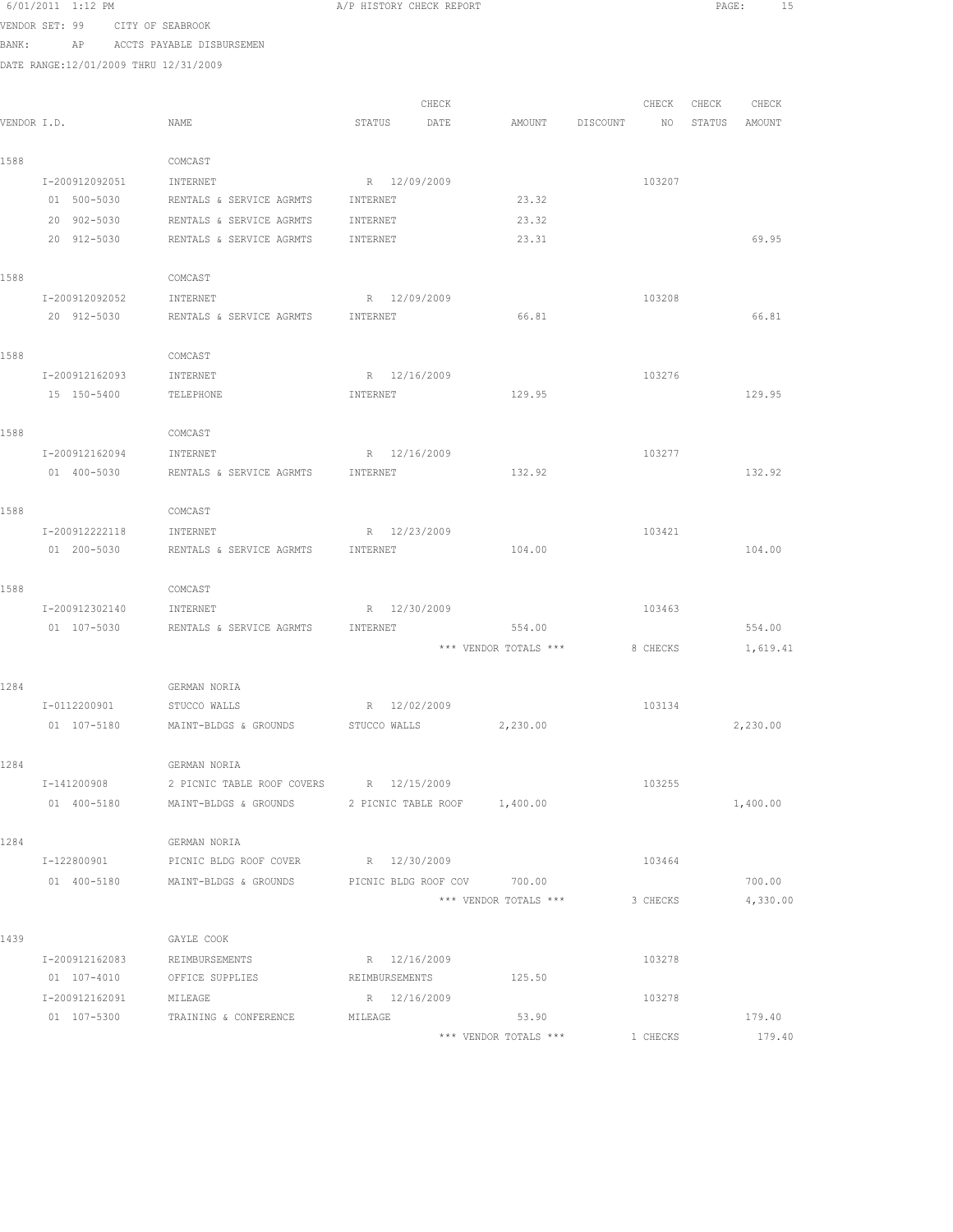|             | 0/01/2011 1:12 PM                     |                                         | A/F HISTORY CHECK REFORT     |                       |          |          | PAGE:  | - TD     |  |
|-------------|---------------------------------------|-----------------------------------------|------------------------------|-----------------------|----------|----------|--------|----------|--|
|             | VENDOR SET: 99                        | CITY OF SEABROOK                        |                              |                       |          |          |        |          |  |
| BANK:       |                                       | AP ACCTS PAYABLE DISBURSEMEN            |                              |                       |          |          |        |          |  |
|             | DATE RANGE:12/01/2009 THRU 12/31/2009 |                                         |                              |                       |          |          |        |          |  |
|             |                                       |                                         |                              |                       |          |          |        |          |  |
|             |                                       |                                         | CHECK                        |                       |          | CHECK    | CHECK  | CHECK    |  |
| VENDOR I.D. |                                       | NAME                                    | STATUS<br>DATE               | AMOUNT                | DISCOUNT | NO       | STATUS | AMOUNT   |  |
| 1588        |                                       | COMCAST                                 |                              |                       |          |          |        |          |  |
|             | I-200912092051                        | INTERNET                                | R 12/09/2009                 |                       |          | 103207   |        |          |  |
|             | 01 500-5030                           | RENTALS & SERVICE AGRMTS                | INTERNET                     | 23.32                 |          |          |        |          |  |
|             | 20 902-5030                           | RENTALS & SERVICE AGRMTS                | INTERNET                     | 23.32                 |          |          |        |          |  |
|             | 20 912-5030                           | RENTALS & SERVICE AGRMTS                | INTERNET                     | 23.31                 |          |          |        | 69.95    |  |
| 1588        |                                       | COMCAST                                 |                              |                       |          |          |        |          |  |
|             | I-200912092052                        | INTERNET                                | R 12/09/2009                 |                       |          | 103208   |        |          |  |
|             | 20 912-5030                           | RENTALS & SERVICE AGRMTS                | INTERNET                     | 66.81                 |          |          |        | 66.81    |  |
|             |                                       |                                         |                              |                       |          |          |        |          |  |
| 1588        |                                       | COMCAST                                 |                              |                       |          |          |        |          |  |
|             | I-200912162093                        | INTERNET                                | R 12/16/2009                 |                       |          | 103276   |        |          |  |
|             | 15 150-5400                           | TELEPHONE                               | INTERNET                     | 129.95                |          |          |        | 129.95   |  |
| 1588        |                                       | COMCAST                                 |                              |                       |          |          |        |          |  |
|             | I-200912162094                        | INTERNET                                | R 12/16/2009                 |                       |          | 103277   |        |          |  |
|             | 01 400-5030                           | RENTALS & SERVICE AGRMTS                | INTERNET                     | 132.92                |          |          |        | 132.92   |  |
| 1588        |                                       | COMCAST                                 |                              |                       |          |          |        |          |  |
|             | I-200912222118                        | INTERNET                                | R 12/23/2009                 |                       |          | 103421   |        |          |  |
|             | 01 200-5030                           | RENTALS & SERVICE AGRMTS                | INTERNET                     | 104.00                |          |          |        | 104.00   |  |
|             |                                       |                                         |                              |                       |          |          |        |          |  |
| 1588        |                                       | COMCAST                                 |                              |                       |          |          |        |          |  |
|             | I-200912302140                        | INTERNET                                | R 12/30/2009                 |                       |          | 103463   |        |          |  |
|             | 01 107-5030                           | RENTALS & SERVICE AGRMTS                | INTERNET                     | 554.00                |          |          |        | 554.00   |  |
|             |                                       |                                         |                              | *** VENDOR TOTALS *** |          | 8 CHECKS |        | 1,619.41 |  |
| 1284        |                                       | <b>GERMAN NORIA</b>                     |                              |                       |          |          |        |          |  |
|             | I-0112200901                          | STUCCO WALLS                            | R 12/02/2009                 |                       |          | 103134   |        |          |  |
|             | 01 107-5180                           | MAINT-BLDGS & GROUNDS STUCCO WALLS      |                              | 2,230.00              |          |          |        | 2,230.00 |  |
| 1284        |                                       | GERMAN NORIA                            |                              |                       |          |          |        |          |  |
|             | I-141200908                           | 2 PICNIC TABLE ROOF COVERS R 12/15/2009 |                              |                       |          | 103255   |        |          |  |
|             | 01 400-5180                           | MAINT-BLDGS & GROUNDS                   | 2 PICNIC TABLE ROOF 1,400.00 |                       |          |          |        | 1,400.00 |  |
|             |                                       |                                         |                              |                       |          |          |        |          |  |
| 1284        |                                       | GERMAN NORIA                            |                              |                       |          |          |        |          |  |
|             | I-122800901                           | PICNIC BLDG ROOF COVER                  | R 12/30/2009                 |                       |          | 103464   |        |          |  |
|             | 01 400-5180                           | MAINT-BLDGS & GROUNDS                   | PICNIC BLDG ROOF COV 700.00  |                       |          |          |        | 700.00   |  |
|             |                                       |                                         |                              | *** VENDOR TOTALS *** |          | 3 CHECKS |        | 4,330.00 |  |
| 1439        |                                       | GAYLE COOK                              |                              |                       |          |          |        |          |  |
|             | I-200912162083                        | REIMBURSEMENTS                          | R 12/16/2009                 |                       |          | 103278   |        |          |  |
|             | 01 107-4010                           | OFFICE SUPPLIES                         | REIMBURSEMENTS               | 125.50                |          |          |        |          |  |
|             | I-200912162091                        | MILEAGE                                 | R 12/16/2009                 |                       |          | 103278   |        |          |  |
|             | 01 107-5300                           | TRAINING & CONFERENCE                   | MILEAGE                      | 53.90                 |          |          |        | 179.40   |  |
|             |                                       |                                         |                              | *** VENDOR TOTALS *** |          | 1 CHECKS |        | 179.40   |  |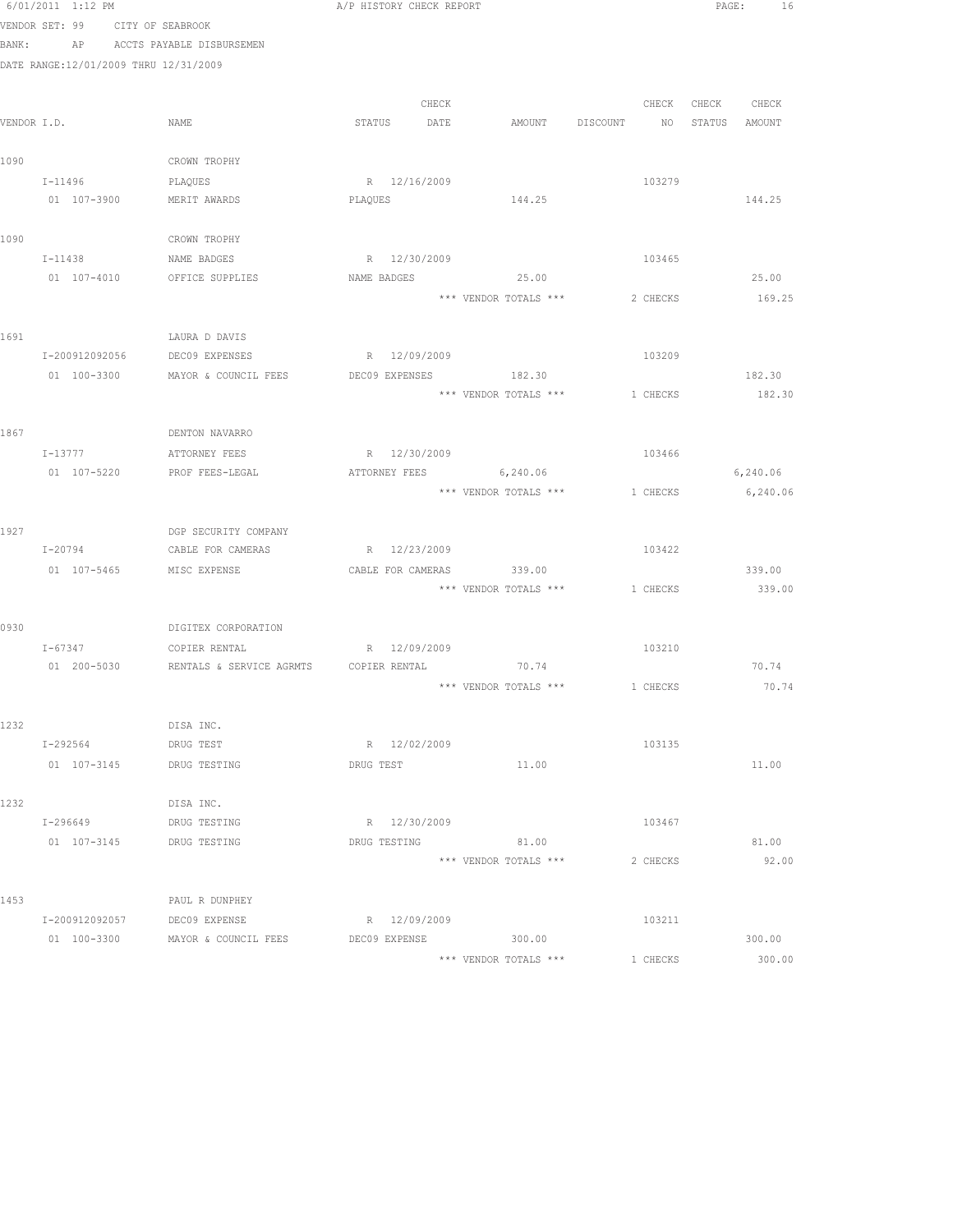|      | 6/01/2011 1:12 PM                     |                                                                 | A/P HISTORY CHECK REPORT     |       |                                        |          |                   | PAGE:<br>16       |
|------|---------------------------------------|-----------------------------------------------------------------|------------------------------|-------|----------------------------------------|----------|-------------------|-------------------|
|      | VENDOR SET: 99 CITY OF SEABROOK       |                                                                 |                              |       |                                        |          |                   |                   |
|      |                                       | BANK: AP ACCTS PAYABLE DISBURSEMEN                              |                              |       |                                        |          |                   |                   |
|      | DATE RANGE:12/01/2009 THRU 12/31/2009 |                                                                 |                              |       |                                        |          |                   |                   |
|      |                                       |                                                                 |                              |       |                                        |          |                   |                   |
|      |                                       |                                                                 |                              | CHECK |                                        |          | CHECK CHECK CHECK |                   |
|      | VENDOR I.D.                           | NAME                                                            | STATUS DATE                  |       | AMOUNT DISCOUNT NO                     |          |                   | STATUS AMOUNT     |
|      |                                       |                                                                 |                              |       |                                        |          |                   |                   |
| 1090 |                                       | CROWN TROPHY                                                    |                              |       |                                        |          |                   |                   |
|      | $I - 11496$                           | PLAQUES                                                         | R 12/16/2009                 |       |                                        | 103279   |                   |                   |
|      | 01  107-3900    MERIT AWARDS          |                                                                 | PLAQUES                      |       | 144.25                                 |          |                   | 144.25            |
| 1090 |                                       | CROWN TROPHY                                                    |                              |       |                                        |          |                   |                   |
|      | I-11438 NAME BADGES                   |                                                                 | R 12/30/2009                 |       |                                        | 103465   |                   |                   |
|      |                                       | 01 107-4010 OFFICE SUPPLIES                                     | NAME BADGES                  |       | 25.00                                  |          |                   | 25.00             |
|      |                                       |                                                                 |                              |       | *** VENDOR TOTALS ***                  | 2 CHECKS |                   | 169.25            |
|      |                                       |                                                                 |                              |       |                                        |          |                   |                   |
| 1691 |                                       | LAURA D DAVIS                                                   |                              |       |                                        |          |                   |                   |
|      | I-200912092056                        | DEC09 EXPENSES                                                  | R 12/09/2009                 |       |                                        | 103209   |                   |                   |
|      | 01 100-3300                           | MAYOR & COUNCIL FEES                                            | DEC09 EXPENSES               |       | 182.30                                 |          |                   | 182.30            |
|      |                                       |                                                                 |                              |       | *** VENDOR TOTALS ***                  | 1 CHECKS |                   | 182.30            |
|      |                                       |                                                                 |                              |       |                                        |          |                   |                   |
| 1867 |                                       | DENTON NAVARRO                                                  |                              |       |                                        |          |                   |                   |
|      | $I-13777$                             | ATTORNEY FEES                                                   | R 12/30/2009                 |       |                                        | 103466   |                   |                   |
|      |                                       | 01 107-5220 PROF FEES-LEGAL                                     |                              |       | ATTORNEY FEES 6,240.06                 |          |                   | 6,240.06          |
|      |                                       |                                                                 |                              |       | *** VENDOR TOTALS ***                  |          |                   | 1 CHECKS 6,240.06 |
| 1927 |                                       | DGP SECURITY COMPANY                                            |                              |       |                                        |          |                   |                   |
|      |                                       | I-20794 CABLE FOR CAMERAS                                       | R 12/23/2009                 |       |                                        | 103422   |                   |                   |
|      | 01 107-5465 MISC EXPENSE              |                                                                 |                              |       | CABLE FOR CAMERAS 339.00               |          |                   | 339.00            |
|      |                                       |                                                                 |                              |       | *** VENDOR TOTALS ***                  | 1 CHECKS |                   | 339.00            |
|      |                                       |                                                                 |                              |       |                                        |          |                   |                   |
| 0930 |                                       | DIGITEX CORPORATION                                             |                              |       |                                        |          |                   |                   |
|      | $I - 67347$                           | COPIER RENTAL                                                   | R 12/09/2009                 |       |                                        | 103210   |                   |                   |
|      |                                       | 01  200-5030   RENTALS & SERVICE AGRMTS   COPIER RENTAL   70.74 |                              |       |                                        |          |                   | 70.74             |
|      |                                       |                                                                 |                              |       | $***$ VENDOR TOTALS $***$ $1\,$ CHECKS |          |                   | 70.74             |
|      |                                       |                                                                 |                              |       |                                        |          |                   |                   |
| 1232 |                                       | DISA INC.                                                       |                              |       |                                        |          |                   |                   |
|      | I-292564                              | DRUG TEST                                                       | R 12/02/2009                 |       |                                        | 103135   |                   |                   |
|      | 01 107-3145                           | DRUG TESTING                                                    | DRUG TEST                    |       | 11.00                                  |          |                   | 11.00             |
|      |                                       |                                                                 |                              |       |                                        |          |                   |                   |
| 1232 |                                       | DISA INC.                                                       |                              |       |                                        |          |                   |                   |
|      | I-296649                              | DRUG TESTING                                                    | R 12/30/2009<br>DRUG TESTING |       | 81.00                                  | 103467   |                   |                   |
|      | 01 107-3145                           | DRUG TESTING                                                    |                              |       | *** VENDOR TOTALS ***                  | 2 CHECKS |                   | 81.00<br>92.00    |
|      |                                       |                                                                 |                              |       |                                        |          |                   |                   |
| 1453 |                                       | PAUL R DUNPHEY                                                  |                              |       |                                        |          |                   |                   |
|      | I-200912092057                        | DEC09 EXPENSE                                                   | R 12/09/2009                 |       |                                        | 103211   |                   |                   |
|      |                                       | 01 100-3300 MAYOR & COUNCIL FEES                                | DEC09 EXPENSE                |       | 300.00                                 |          |                   | 300.00            |
|      |                                       |                                                                 |                              |       | *** VENDOR TOTALS ***                  | 1 CHECKS |                   | 300.00            |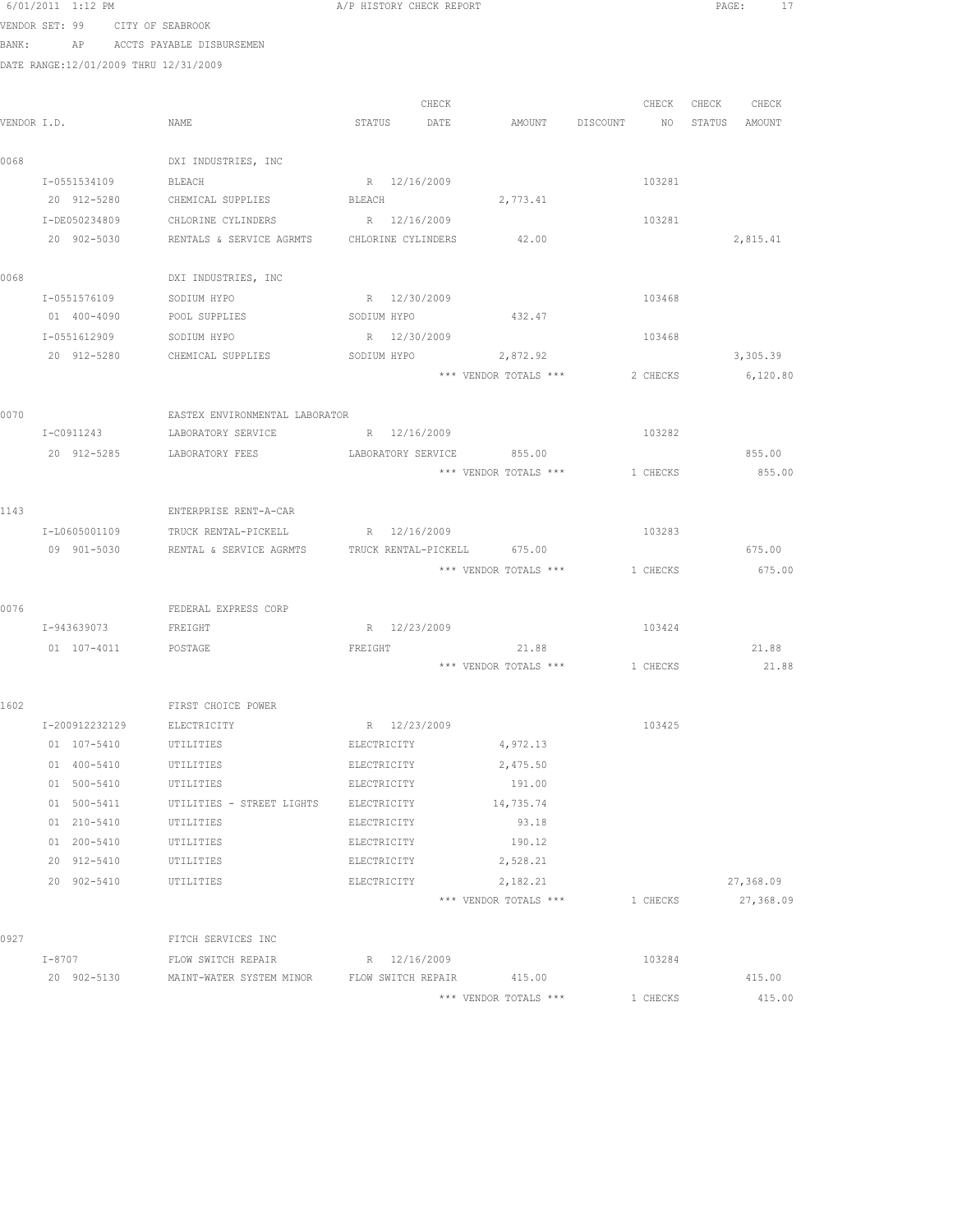|      | 0/UI/ZUII I:IZ PM                     |                                                     | A/F HISTORY CHECK REPORT |                                |                 | PAGE:             |
|------|---------------------------------------|-----------------------------------------------------|--------------------------|--------------------------------|-----------------|-------------------|
|      | VENDOR SET: 99 CITY OF SEABROOK       |                                                     |                          |                                |                 |                   |
|      |                                       | BANK: AP ACCTS PAYABLE DISBURSEMEN                  |                          |                                |                 |                   |
|      | DATE RANGE:12/01/2009 THRU 12/31/2009 |                                                     |                          |                                |                 |                   |
|      |                                       |                                                     |                          |                                |                 |                   |
|      |                                       |                                                     | CHECK                    |                                |                 | CHECK CHECK CHECK |
|      | VENDOR I.D.                           | NAME                                                | STATUS DATE              |                                | AMOUNT DISCOUNT | NO STATUS AMOUNT  |
|      |                                       |                                                     |                          |                                |                 |                   |
| 0068 |                                       | DXI INDUSTRIES, INC                                 |                          |                                |                 |                   |
|      | I-0551534109<br>20 912-5280           | <b>BLEACH</b><br>CHEMICAL SUPPLIES                  | R 12/16/2009<br>BLEACH   | 2,773.41                       | 103281          |                   |
|      | I-DE050234809                         | CHLORINE CYLINDERS                                  | R 12/16/2009             |                                | 103281          |                   |
|      | 20 902-5030                           | RENTALS & SERVICE AGRMTS CHLORINE CYLINDERS 42.00   |                          |                                |                 | 2,815.41          |
|      |                                       |                                                     |                          |                                |                 |                   |
| 0068 |                                       | DXI INDUSTRIES, INC                                 |                          |                                |                 |                   |
|      | I-0551576109                          | SODIUM HYPO                                         | R 12/30/2009             |                                | 103468          |                   |
|      | 01 400-4090                           | POOL SUPPLIES SODIUM HYPO                           |                          | 432.47                         |                 |                   |
|      | I-0551612909                          | SODIUM HYPO                                         | R 12/30/2009             |                                | 103468          |                   |
|      |                                       | 20 912-5280 CHEMICAL SUPPLIES                       |                          | SODIUM HYPO 2,872.92           |                 | 3,305.39          |
|      |                                       |                                                     |                          | *** VENDOR TOTALS ***          | 2 CHECKS        | 6,120.80          |
|      |                                       |                                                     |                          |                                |                 |                   |
| 0070 |                                       | EASTEX ENVIRONMENTAL LABORATOR                      |                          |                                |                 |                   |
|      | I-C0911243                            | LABORATORY SERVICE                                  | R 12/16/2009             |                                | 103282          |                   |
|      | 20 912-5285                           | LABORATORY FEES                                     | LABORATORY SERVICE       | 855.00                         |                 | 855.00            |
|      |                                       |                                                     |                          | *** VENDOR TOTALS ***          | 1 CHECKS        | 855.00            |
|      |                                       |                                                     |                          |                                |                 |                   |
| 1143 |                                       | ENTERPRISE RENT-A-CAR                               |                          |                                |                 |                   |
|      | I-L0605001109                         | TRUCK RENTAL-PICKELL R 12/16/2009                   |                          |                                | 103283          |                   |
|      | 09 901-5030                           | RENTAL & SERVICE AGRMTS TRUCK RENTAL-PICKELL 675.00 |                          |                                |                 | 675.00            |
|      |                                       |                                                     |                          | *** VENDOR TOTALS *** 1 CHECKS |                 | 675.00            |
|      |                                       |                                                     |                          |                                |                 |                   |
| 0076 | I-943639073                           | FEDERAL EXPRESS CORP<br>FREIGHT                     | R 12/23/2009             |                                | 103424          |                   |
|      | 01  107-4011  POSTAGE                 |                                                     | FREIGHT                  | 21.88                          |                 | 21.88             |
|      |                                       |                                                     |                          | *** VENDOR TOTALS *** 1 CHECKS |                 | 21.88             |
|      |                                       |                                                     |                          |                                |                 |                   |
| 1602 |                                       | FIRST CHOICE POWER                                  |                          |                                |                 |                   |
|      | I-200912232129                        | ELECTRICITY                                         | R 12/23/2009             |                                | 103425          |                   |
|      | 01 107-5410                           | UTILITIES                                           | ELECTRICITY              | 4,972.13                       |                 |                   |
|      | 01 400-5410                           | UTILITIES                                           | ELECTRICITY              | 2,475.50                       |                 |                   |
|      | 01 500-5410                           | UTILITIES                                           | ELECTRICITY              | 191.00                         |                 |                   |
|      | 01 500-5411                           | UTILITIES - STREET LIGHTS                           | ELECTRICITY              | 14,735.74                      |                 |                   |
|      | 01 210-5410                           | UTILITIES                                           | ELECTRICITY              | 93.18                          |                 |                   |
|      | 01 200-5410                           | UTILITIES                                           | ELECTRICITY              | 190.12                         |                 |                   |
|      | 20 912-5410                           | UTILITIES                                           | ELECTRICITY              | 2,528.21                       |                 |                   |
|      | 20 902-5410                           | UTILITIES                                           | ELECTRICITY              | 2,182.21                       |                 | 27,368.09         |
|      |                                       |                                                     |                          | *** VENDOR TOTALS ***          | 1 CHECKS        | 27,368.09         |
|      |                                       |                                                     |                          |                                |                 |                   |
| 0927 |                                       | FITCH SERVICES INC                                  |                          |                                |                 |                   |
|      | $I-8707$                              | FLOW SWITCH REPAIR                                  | R 12/16/2009             |                                | 103284          |                   |
|      | 20 902-5130                           | MAINT-WATER SYSTEM MINOR FLOW SWITCH REPAIR         |                          | 415.00                         |                 | 415.00            |
|      |                                       |                                                     |                          | *** VENDOR TOTALS ***          | 1 CHECKS        | 415.00            |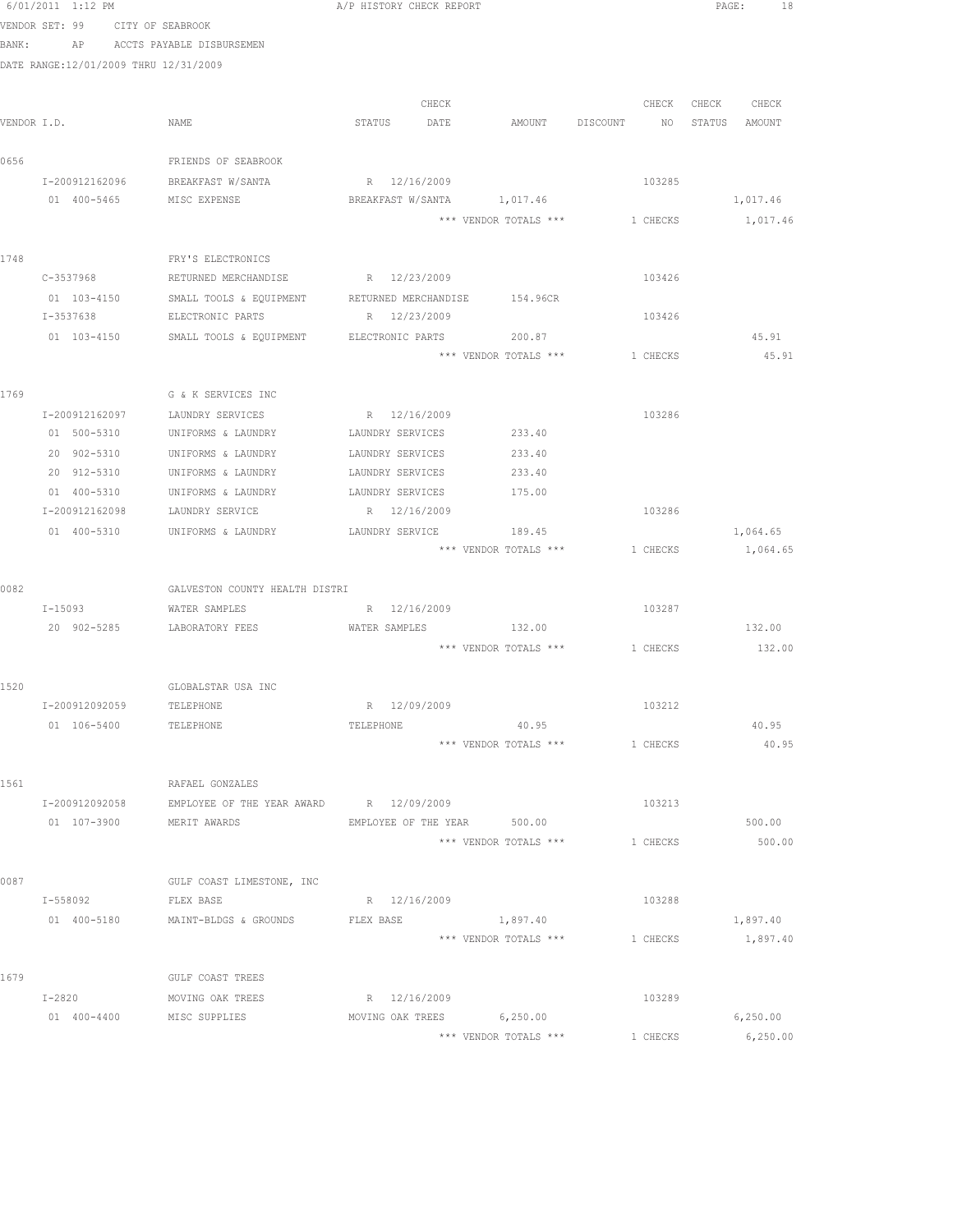|      | 6/01/2011 1:12 PM                     |                                          | A/P HISTORY CHECK REPORT      |                                       |                                  | PAGE: 18             |
|------|---------------------------------------|------------------------------------------|-------------------------------|---------------------------------------|----------------------------------|----------------------|
|      | VENDOR SET: 99 CITY OF SEABROOK       |                                          |                               |                                       |                                  |                      |
|      |                                       | BANK: AP ACCTS PAYABLE DISBURSEMEN       |                               |                                       |                                  |                      |
|      | DATE RANGE:12/01/2009 THRU 12/31/2009 |                                          |                               |                                       |                                  |                      |
|      |                                       |                                          |                               |                                       |                                  |                      |
|      |                                       |                                          | CHECK                         |                                       |                                  | CHECK CHECK<br>CHECK |
|      | VENDOR I.D.                           | NAME                                     | STATUS DATE                   |                                       | AMOUNT DISCOUNT NO STATUS AMOUNT |                      |
|      |                                       |                                          |                               |                                       |                                  |                      |
| 0656 |                                       | FRIENDS OF SEABROOK                      |                               |                                       |                                  |                      |
|      | I-200912162096                        | BREAKFAST W/SANTA                        | R 12/16/2009                  |                                       | 103285                           |                      |
|      | 01 400-5465                           | MISC EXPENSE                             |                               | BREAKFAST W/SANTA 1,017.46            |                                  | 1,017.46             |
|      |                                       |                                          |                               | *** VENDOR TOTALS *** 1 CHECKS        |                                  | 1,017.46             |
|      |                                       |                                          |                               |                                       |                                  |                      |
| 1748 |                                       | FRY'S ELECTRONICS                        |                               |                                       |                                  |                      |
|      | C-3537968                             | RETURNED MERCHANDISE                     | R 12/23/2009                  |                                       | 103426                           |                      |
|      | 01 103-4150                           | SMALL TOOLS & EQUIPMENT                  | RETURNED MERCHANDISE 154.96CR |                                       |                                  |                      |
|      | I-3537638                             | ELECTRONIC PARTS                         | R 12/23/2009                  |                                       | 103426                           |                      |
|      | 01 103-4150                           | SMALL TOOLS & EQUIPMENT ELECTRONIC PARTS |                               | 200.87                                |                                  | 45.91                |
|      |                                       |                                          |                               | *** VENDOR TOTALS ***                 | 1 CHECKS                         | 45.91                |
|      |                                       |                                          |                               |                                       |                                  |                      |
| 1769 |                                       | G & K SERVICES INC                       |                               |                                       |                                  |                      |
|      |                                       | I-200912162097 LAUNDRY SERVICES          | R 12/16/2009                  |                                       | 103286                           |                      |
|      | 01 500-5310                           | UNIFORMS & LAUNDRY                       | LAUNDRY SERVICES              | 233.40                                |                                  |                      |
|      | 20 902-5310                           | UNIFORMS & LAUNDRY                       | LAUNDRY SERVICES              | 233.40                                |                                  |                      |
|      | 20 912-5310                           | UNIFORMS & LAUNDRY                       | LAUNDRY SERVICES              | 233.40                                |                                  |                      |
|      | 01 400-5310                           | UNIFORMS & LAUNDRY                       | LAUNDRY SERVICES              | 175.00                                |                                  |                      |
|      | I-200912162098                        | LAUNDRY SERVICE                          | R 12/16/2009                  |                                       | 103286                           |                      |
|      | 01 400-5310                           | UNIFORMS & LAUNDRY                       | LAUNDRY SERVICE               | 189.45                                |                                  | 1,064.65             |
|      |                                       |                                          |                               | *** VENDOR TOTALS ***                 | 1 CHECKS                         | 1,064.65             |
|      |                                       |                                          |                               |                                       |                                  |                      |
| 0082 |                                       | GALVESTON COUNTY HEALTH DISTRI           |                               |                                       |                                  |                      |
|      | $I - 15093$                           | WATER SAMPLES                            | R 12/16/2009                  |                                       | 103287                           |                      |
|      | 20 902-5285                           | LABORATORY FEES                          | WATER SAMPLES                 | 132.00                                |                                  | 132.00               |
|      |                                       |                                          |                               | *** VENDOR TOTALS *** 1 CHECKS 132.00 |                                  |                      |
|      |                                       |                                          |                               |                                       |                                  |                      |
| 1520 |                                       | GLOBALSTAR USA INC                       |                               |                                       | 103212                           |                      |
|      | I-200912092059                        | TELEPHONE                                | R 12/09/2009                  | 40.95                                 |                                  | 40.95                |
|      | 01 106-5400                           | TELEPHONE                                | TELEPHONE                     | *** VENDOR TOTALS ***                 | 1 CHECKS                         | 40.95                |
|      |                                       |                                          |                               |                                       |                                  |                      |
| 1561 |                                       | RAFAEL GONZALES                          |                               |                                       |                                  |                      |
|      | I-200912092058                        | EMPLOYEE OF THE YEAR AWARD R 12/09/2009  |                               |                                       | 103213                           |                      |
|      | 01 107-3900                           | MERIT AWARDS                             | EMPLOYEE OF THE YEAR 500.00   |                                       |                                  | 500.00               |
|      |                                       |                                          |                               | *** VENDOR TOTALS ***                 | 1 CHECKS                         | 500.00               |
|      |                                       |                                          |                               |                                       |                                  |                      |
| 0087 |                                       | GULF COAST LIMESTONE, INC                |                               |                                       |                                  |                      |
|      | I-558092                              | FLEX BASE                                | R 12/16/2009                  |                                       | 103288                           |                      |
|      |                                       | 01 400-5180 MAINT-BLDGS & GROUNDS        | FLEX BASE                     | 1,897.40                              |                                  | 1,897.40             |
|      |                                       |                                          |                               | *** VENDOR TOTALS ***                 | 1 CHECKS                         | 1,897.40             |
|      |                                       |                                          |                               |                                       |                                  |                      |
| 1679 |                                       | GULF COAST TREES                         |                               |                                       |                                  |                      |
|      | $I-2820$                              | MOVING OAK TREES                         | R 12/16/2009                  |                                       | 103289                           |                      |
|      | 01 400-4400                           | MISC SUPPLIES                            | MOVING OAK TREES              | 6,250.00                              |                                  | 6,250.00             |
|      |                                       |                                          |                               | *** VENDOR TOTALS ***                 | 1 CHECKS                         | 6,250.00             |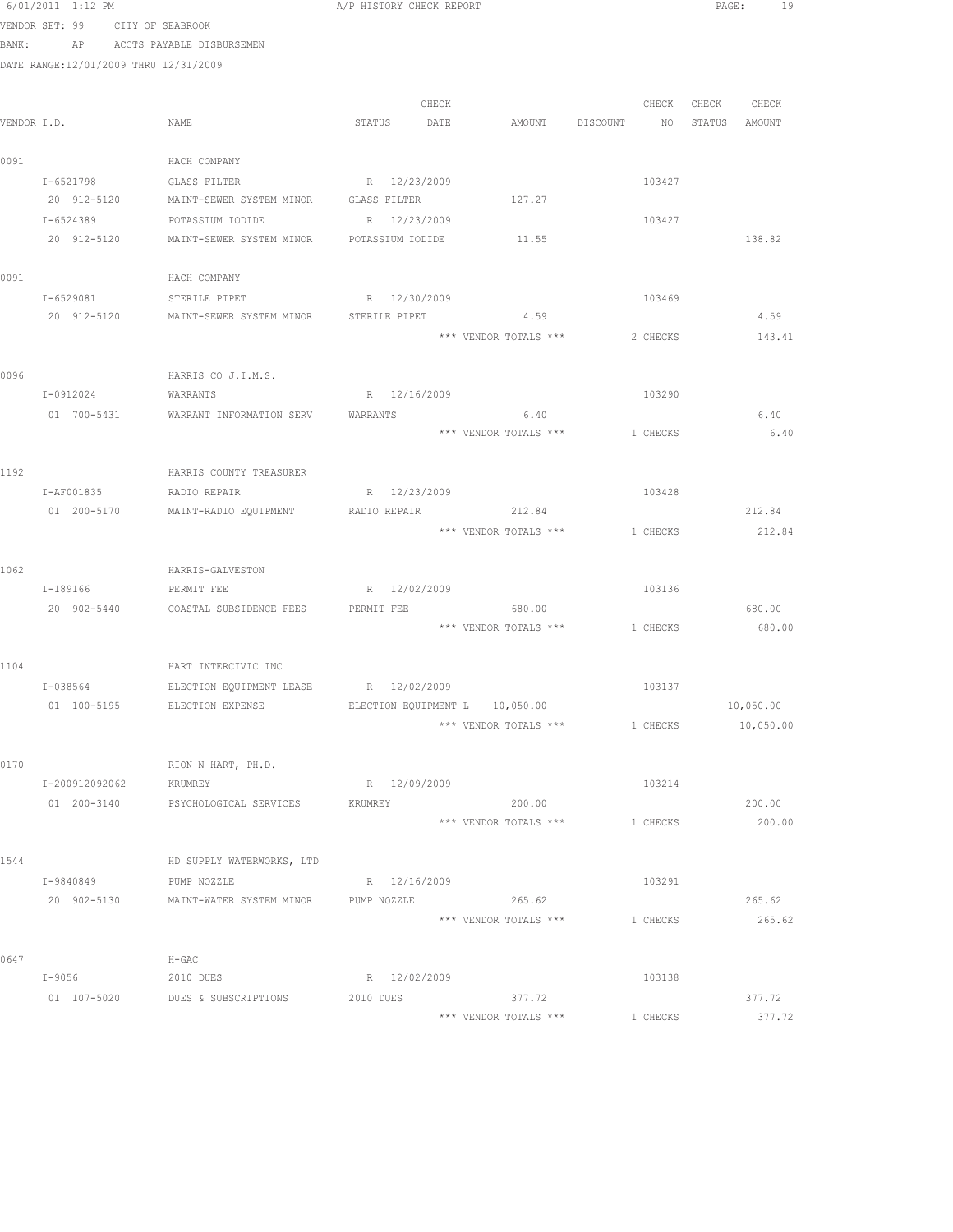|      | 0/UI/ZUII I:IZ FM                     |                                                           | A/F HISTORY CHECK REFORT |                                          |                                  |          | PAGE:             | - 19      |
|------|---------------------------------------|-----------------------------------------------------------|--------------------------|------------------------------------------|----------------------------------|----------|-------------------|-----------|
|      | VENDOR SET: 99 CITY OF SEABROOK       |                                                           |                          |                                          |                                  |          |                   |           |
|      |                                       | BANK: AP ACCTS PAYABLE DISBURSEMEN                        |                          |                                          |                                  |          |                   |           |
|      | DATE RANGE:12/01/2009 THRU 12/31/2009 |                                                           |                          |                                          |                                  |          |                   |           |
|      |                                       |                                                           |                          |                                          |                                  |          |                   |           |
|      |                                       |                                                           | CHECK                    |                                          |                                  |          | CHECK CHECK CHECK |           |
|      | VENDOR I.D.                           | NAME                                                      | STATUS DATE              |                                          | AMOUNT DISCOUNT NO STATUS AMOUNT |          |                   |           |
| 0091 |                                       | HACH COMPANY                                              |                          |                                          |                                  |          |                   |           |
|      | I-6521798                             | GLASS FILTER                                              | R 12/23/2009             |                                          |                                  | 103427   |                   |           |
|      | 20 912-5120                           | MAINT-SEWER SYSTEM MINOR                                  | GLASS FILTER             | 127.27                                   |                                  |          |                   |           |
|      | I-6524389                             | POTASSIUM IODIDE                                          | R 12/23/2009             |                                          |                                  | 103427   |                   |           |
|      |                                       | 20 912-5120 MAINT-SEWER SYSTEM MINOR POTASSIUM IODIDE     |                          | 11.55                                    |                                  |          |                   | 138.82    |
| 0091 |                                       | HACH COMPANY                                              |                          |                                          |                                  |          |                   |           |
|      | I-6529081 STERILE PIPET               |                                                           | R 12/30/2009             |                                          | 103469                           |          |                   |           |
|      |                                       | 20 912-5120 MAINT-SEWER SYSTEM MINOR STERILE PIPET 4.59   |                          |                                          |                                  |          |                   | 4.59      |
|      |                                       |                                                           |                          | *** VENDOR TOTALS ***                    |                                  | 2 CHECKS |                   | 143.41    |
|      |                                       |                                                           |                          |                                          |                                  |          |                   |           |
| 0096 |                                       | HARRIS CO J.I.M.S.                                        |                          |                                          |                                  |          |                   |           |
|      | I-0912024                             | WARRANTS                                                  | R 12/16/2009             |                                          |                                  | 103290   |                   |           |
|      | 01 700-5431                           | WARRANT INFORMATION SERV WARRANTS                         |                          | 6.40                                     |                                  |          |                   | 6.40      |
|      |                                       |                                                           |                          | *** VENDOR TOTALS ***                    | 1 CHECKS                         |          |                   | 6.40      |
|      |                                       |                                                           |                          |                                          |                                  |          |                   |           |
| 1192 | I-AF001835 RADIO REPAIR               | HARRIS COUNTY TREASURER                                   | R 12/23/2009             |                                          | 103428                           |          |                   |           |
|      |                                       | 01  200-5170  MAINT-RADIO EQUIPMENT  RADIO REPAIR  212.84 |                          |                                          |                                  |          |                   | 212.84    |
|      |                                       |                                                           |                          | *** VENDOR TOTALS *** 1 CHECKS           |                                  |          |                   | 212.84    |
|      |                                       |                                                           |                          |                                          |                                  |          |                   |           |
| 1062 |                                       | HARRIS-GALVESTON                                          |                          |                                          |                                  |          |                   |           |
|      | I-189166                              | PERMIT FEE                                                | R 12/02/2009             |                                          | 103136                           |          |                   |           |
|      | 20 902-5440                           | COASTAL SUBSIDENCE FEES PERMIT FEE                        |                          | 680.00                                   |                                  |          |                   | 680.00    |
|      |                                       |                                                           |                          | *** VENDOR TOTALS ***                    | 1 CHECKS                         |          |                   | 680.00    |
| 1104 |                                       | HART INTERCIVIC INC                                       |                          |                                          |                                  |          |                   |           |
|      | I-038564                              | ELECTION EQUIPMENT LEASE R 12/02/2009                     |                          |                                          |                                  | 103137   |                   |           |
|      |                                       | 01 100-5195 ELECTION EXPENSE                              |                          | ELECTION EQUIPMENT L 10,050.00           |                                  |          |                   | 10,050.00 |
|      |                                       |                                                           |                          | *** VENDOR TOTALS *** 1 CHECKS 10,050.00 |                                  |          |                   |           |
|      |                                       |                                                           |                          |                                          |                                  |          |                   |           |
| 0170 |                                       | RION N HART, PH.D.                                        |                          |                                          |                                  |          |                   |           |
|      | I-200912092062 KRUMREY                |                                                           | R 12/09/2009             |                                          |                                  | 103214   |                   |           |
|      |                                       | 01  200-3140  PSYCHOLOGICAL SERVICES  KRUMREY             |                          | 200.00                                   |                                  |          |                   | 200.00    |
|      |                                       |                                                           |                          | *** VENDOR TOTALS *** 1 CHECKS           |                                  |          |                   | 200.00    |
| 1544 |                                       | HD SUPPLY WATERWORKS, LTD                                 |                          |                                          |                                  |          |                   |           |
|      | I-9840849                             | PUMP NOZZLE                                               | R 12/16/2009             |                                          |                                  | 103291   |                   |           |
|      | 20 902-5130                           | MAINT-WATER SYSTEM MINOR PUMP NOZZLE                      |                          | 265.62                                   |                                  |          |                   | 265.62    |
|      |                                       |                                                           |                          | *** VENDOR TOTALS ***                    | 1 CHECKS                         |          |                   | 265.62    |
|      |                                       |                                                           |                          |                                          |                                  |          |                   |           |
| 0647 |                                       | H-GAC                                                     |                          |                                          |                                  |          |                   |           |
|      | I-9056 2010 DUES                      |                                                           | R 12/02/2009             |                                          |                                  | 103138   |                   |           |
|      |                                       | 01 107-5020 DUES & SUBSCRIPTIONS                          | 2010 DUES                | 377.72                                   |                                  |          |                   | 377.72    |

\*\*\* VENDOR TOTALS \*\*\* 1 CHECKS 377.72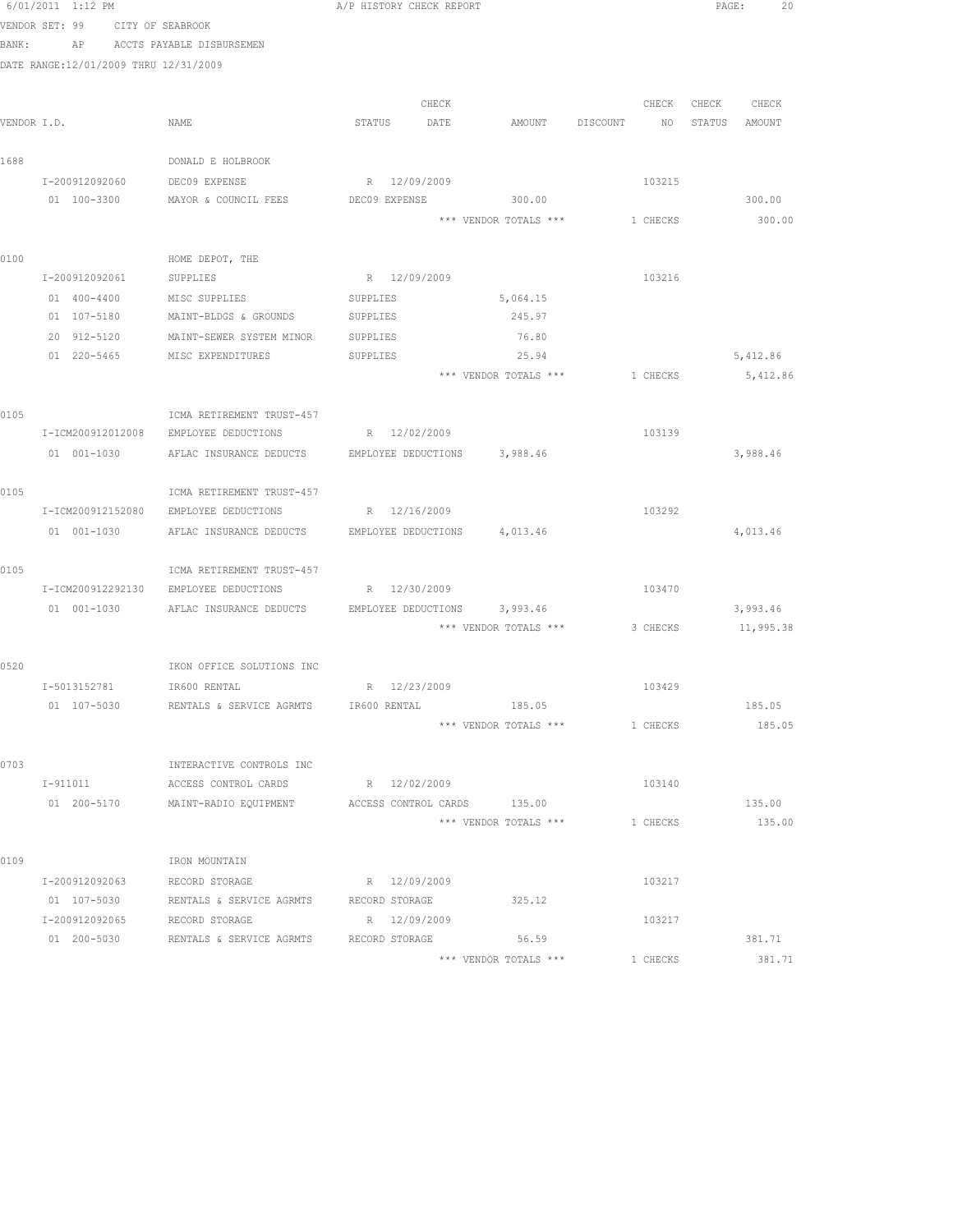|       | 6/01/2011 1:12 PM                     |                                                                  | A/P HISTORY CHECK REPORT |              |                                  |          | PAGE: 20          |  |
|-------|---------------------------------------|------------------------------------------------------------------|--------------------------|--------------|----------------------------------|----------|-------------------|--|
|       | VENDOR SET: 99<br>CITY OF SEABROOK    |                                                                  |                          |              |                                  |          |                   |  |
| BANK: |                                       | AP ACCTS PAYABLE DISBURSEMEN                                     |                          |              |                                  |          |                   |  |
|       | DATE RANGE:12/01/2009 THRU 12/31/2009 |                                                                  |                          |              |                                  |          |                   |  |
|       |                                       |                                                                  |                          |              |                                  |          |                   |  |
|       |                                       |                                                                  |                          | CHECK        |                                  |          | CHECK CHECK CHECK |  |
|       | VENDOR I.D.                           | NAME                                                             | STATUS DATE              |              | AMOUNT DISCOUNT NO STATUS AMOUNT |          |                   |  |
| 1688  |                                       | DONALD E HOLBROOK                                                |                          |              |                                  |          |                   |  |
|       | I-200912092060                        | DEC09 EXPENSE                                                    | R 12/09/2009             |              |                                  | 103215   |                   |  |
|       | 01 100-3300                           | MAYOR & COUNCIL FEES                                             | DEC09 EXPENSE            |              | 300.00                           |          | 300.00            |  |
|       |                                       |                                                                  |                          |              | *** VENDOR TOTALS *** 1 CHECKS   |          | 300.00            |  |
|       |                                       |                                                                  |                          |              |                                  |          |                   |  |
| 0100  |                                       | HOME DEPOT, THE                                                  |                          |              |                                  |          |                   |  |
|       |                                       | I-200912092061 SUPPLIES                                          | R 12/09/2009             |              |                                  | 103216   |                   |  |
|       |                                       | 01 400-4400 MISC SUPPLIES SUPPLIES                               |                          |              | 5,064.15                         |          |                   |  |
|       |                                       | 01 107-5180 MAINT-BLDGS & GROUNDS SUPPLIES                       |                          |              | 245.97                           |          |                   |  |
|       | 20 912-5120                           | MAINT-SEWER SYSTEM MINOR                                         | SUPPLIES                 |              | 76.80                            |          |                   |  |
|       | 01 220-5465                           | MISC EXPENDITURES                                                | SUPPLIES                 |              | 25.94                            |          | 5,412.86          |  |
|       |                                       |                                                                  |                          |              | *** VENDOR TOTALS ***            | 1 CHECKS | 5,412.86          |  |
| 0105  |                                       | ICMA RETIREMENT TRUST-457                                        |                          |              |                                  |          |                   |  |
|       | I-ICM200912012008                     | EMPLOYEE DEDUCTIONS                                              |                          | R 12/02/2009 |                                  | 103139   |                   |  |
|       | 01 001-1030                           | AFLAC INSURANCE DEDUCTS EMPLOYEE DEDUCTIONS 3,988.46             |                          |              |                                  |          | 3,988.46          |  |
|       |                                       |                                                                  |                          |              |                                  |          |                   |  |
| 0105  |                                       | ICMA RETIREMENT TRUST-457                                        |                          |              |                                  |          |                   |  |
|       |                                       | I-ICM200912152080 EMPLOYEE DEDUCTIONS                            | R 12/16/2009             |              |                                  | 103292   |                   |  |
|       |                                       | 01 001-1030 AFLAC INSURANCE DEDUCTS EMPLOYEE DEDUCTIONS 4,013.46 |                          |              |                                  |          | 4,013.46          |  |
|       |                                       |                                                                  |                          |              |                                  |          |                   |  |
| 0105  |                                       | ICMA RETIREMENT TRUST-457                                        |                          |              |                                  |          |                   |  |
|       |                                       | I-ICM200912292130 EMPLOYEE DEDUCTIONS                            | R 12/30/2009             |              |                                  | 103470   |                   |  |
|       |                                       | 01 001-1030 AFLAC INSURANCE DEDUCTS EMPLOYEE DEDUCTIONS 3,993.46 |                          |              |                                  |          | 3,993.46          |  |
|       |                                       |                                                                  |                          |              | *** VENDOR TOTALS *** 3 CHECKS   |          | 11,995.38         |  |
| 0520  |                                       | IKON OFFICE SOLUTIONS INC                                        |                          |              |                                  |          |                   |  |
|       | I-5013152781                          | IR600 RENTAL                                                     | R 12/23/2009             |              |                                  | 103429   |                   |  |
|       |                                       | 01 107-5030 RENTALS & SERVICE AGRMTS IR600 RENTAL                |                          |              | 185.05                           |          | 185.05            |  |
|       |                                       |                                                                  |                          |              | *** VENDOR TOTALS *** 1 CHECKS   |          | 185.05            |  |
|       |                                       |                                                                  |                          |              |                                  |          |                   |  |
| 0703  |                                       | INTERACTIVE CONTROLS INC                                         |                          |              |                                  |          |                   |  |
|       | I-911011                              | ACCESS CONTROL CARDS                                             | R 12/02/2009             |              |                                  | 103140   |                   |  |
|       | 01 200-5170                           | MAINT-RADIO EQUIPMENT                                            |                          |              | ACCESS CONTROL CARDS 135.00      |          | 135.00            |  |
|       |                                       |                                                                  |                          |              | *** VENDOR TOTALS ***            | 1 CHECKS | 135.00            |  |
|       |                                       |                                                                  |                          |              |                                  |          |                   |  |
| 0109  |                                       | IRON MOUNTAIN                                                    |                          |              |                                  |          |                   |  |
|       | I-200912092063                        | RECORD STORAGE                                                   | R 12/09/2009             |              |                                  | 103217   |                   |  |
|       | 01 107-5030                           | RENTALS & SERVICE AGRMTS                                         | RECORD STORAGE           |              | 325.12                           |          |                   |  |
|       | I-200912092065 RECORD STORAGE         |                                                                  | R 12/09/2009             |              |                                  | 103217   |                   |  |
|       |                                       | 01  200-5030   RENTALS & SERVICE AGRMTS   RECORD STORAGE   56.59 |                          |              | *** VENDOR TOTALS ***            | 1 CHECKS | 381.71<br>381.71  |  |
|       |                                       |                                                                  |                          |              |                                  |          |                   |  |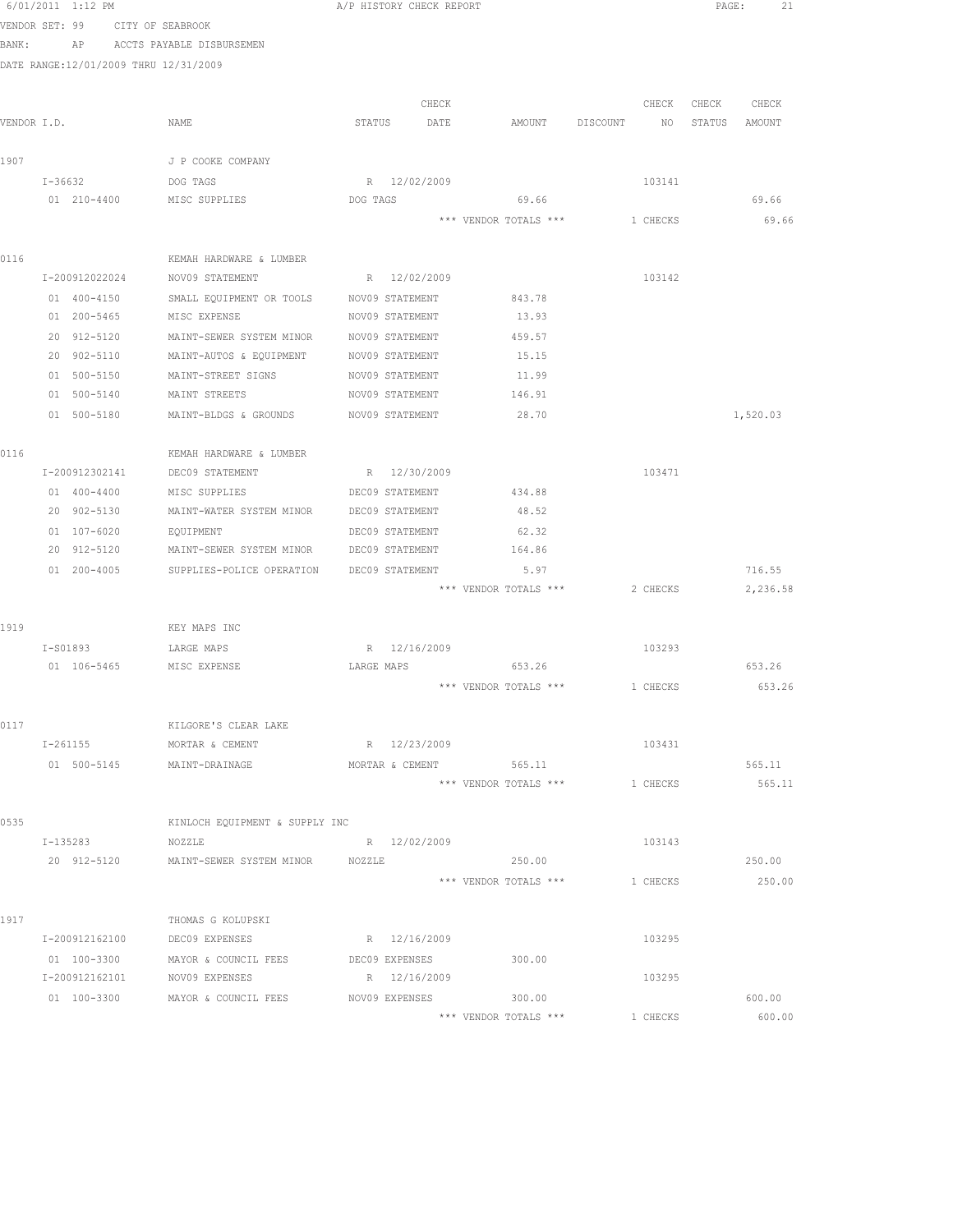|       | 6/01/2011 1:12 PM                     |                                                          | A/P HISTORY CHECK REPORT   |                       |                                | PAGE:<br>21    |
|-------|---------------------------------------|----------------------------------------------------------|----------------------------|-----------------------|--------------------------------|----------------|
|       | VENDOR SET: 99 CITY OF SEABROOK       |                                                          |                            |                       |                                |                |
| BANK: |                                       | AP ACCTS PAYABLE DISBURSEMEN                             |                            |                       |                                |                |
|       | DATE RANGE:12/01/2009 THRU 12/31/2009 |                                                          |                            |                       |                                |                |
|       |                                       |                                                          |                            |                       |                                |                |
|       |                                       |                                                          | CHECK                      |                       | CHECK                          | CHECK<br>CHECK |
|       | VENDOR I.D.                           | NAME                                                     | STATUS DATE                |                       | AMOUNT DISCOUNT NO             | STATUS AMOUNT  |
|       |                                       |                                                          |                            |                       |                                |                |
| 1907  |                                       | J P COOKE COMPANY                                        |                            |                       |                                |                |
|       | I-36632                               | DOG TAGS                                                 | R 12/02/2009               |                       | 103141                         |                |
|       | 01 210-4400                           | MISC SUPPLIES                                            | DOG TAGS                   | 69.66                 |                                | 69.66          |
|       |                                       |                                                          |                            | *** VENDOR TOTALS *** | 1 CHECKS                       | 69.66          |
| 0116  |                                       | KEMAH HARDWARE & LUMBER                                  |                            |                       |                                |                |
|       |                                       | I-200912022024 NOV09 STATEMENT R 12/02/2009              |                            |                       | 103142                         |                |
|       | 01 400-4150                           | SMALL EQUIPMENT OR TOOLS NOV09 STATEMENT 843.78          |                            |                       |                                |                |
|       | 01 200-5465                           | MISC EXPENSE                                             | NOV09 STATEMENT            | 13.93                 |                                |                |
|       | 20 912-5120                           | MAINT-SEWER SYSTEM MINOR NOV09 STATEMENT                 |                            | 459.57                |                                |                |
|       | 20 902-5110                           | MAINT-AUTOS & EQUIPMENT                                  | NOV09 STATEMENT            | 15.15                 |                                |                |
|       | 01 500-5150                           | MAINT-STREET SIGNS                                       | NOV09 STATEMENT            | 11.99                 |                                |                |
|       | 01 500-5140                           | MAINT STREETS                                            | NOV09 STATEMENT            | 146.91                |                                |                |
|       | 01 500-5180                           | MAINT-BLDGS & GROUNDS                                    | NOV09 STATEMENT            | 28.70                 |                                | 1,520.03       |
|       |                                       |                                                          |                            |                       |                                |                |
| 0116  |                                       | KEMAH HARDWARE & LUMBER                                  |                            |                       |                                |                |
|       | I-200912302141                        | DEC09 STATEMENT                                          | R 12/30/2009               |                       | 103471                         |                |
|       | 01 400-4400                           | MISC SUPPLIES                                            | DEC09 STATEMENT            | 434.88                |                                |                |
|       | 20 902-5130                           | MAINT-WATER SYSTEM MINOR DEC09 STATEMENT                 |                            | 48.52                 |                                |                |
|       | 01 107-6020                           | <b>EQUIPMENT</b>                                         | DEC09 STATEMENT            | 62.32                 |                                |                |
|       | 20 912-5120                           | MAINT-SEWER SYSTEM MINOR DEC09 STATEMENT                 |                            | 164.86                |                                |                |
|       |                                       | 01  200-4005  SUPPLIES-POLICE OPERATION  DEC09 STATEMENT |                            | 5.97                  |                                | 716.55         |
|       |                                       |                                                          |                            | *** VENDOR TOTALS *** | 2 CHECKS                       | 2,236.58       |
|       |                                       |                                                          |                            |                       |                                |                |
| 1919  |                                       | KEY MAPS INC                                             |                            |                       |                                |                |
|       | I-S01893                              | LARGE MAPS<br>01 106-5465 MISC EXPENSE                   | R 12/16/2009<br>LARGE MAPS | 653.26                | 103293                         | 653.26         |
|       |                                       |                                                          |                            |                       | *** VENDOR TOTALS *** 1 CHECKS | 653.26         |
|       |                                       |                                                          |                            |                       |                                |                |
| 0117  |                                       | KILGORE'S CLEAR LAKE                                     |                            |                       |                                |                |
|       | $I - 261155$                          | MORTAR & CEMENT                                          | R 12/23/2009               |                       | 103431                         |                |
|       |                                       | 01 500-5145 MAINT-DRAINAGE                               | MORTAR & CEMENT 565.11     |                       |                                | 565.11         |
|       |                                       |                                                          |                            | *** VENDOR TOTALS *** | 1 CHECKS                       | 565.11         |
|       |                                       |                                                          |                            |                       |                                |                |
| 0535  |                                       | KINLOCH EQUIPMENT & SUPPLY INC                           |                            |                       |                                |                |
|       | I-135283                              | NOZZLE                                                   | R 12/02/2009               |                       | 103143                         |                |
|       | 20 912-5120                           | MAINT-SEWER SYSTEM MINOR NOZZLE                          |                            | 250.00                |                                | 250.00         |
|       |                                       |                                                          |                            | *** VENDOR TOTALS *** | 1 CHECKS                       | 250.00         |
|       |                                       |                                                          |                            |                       |                                |                |
| 1917  |                                       | THOMAS G KOLUPSKI                                        |                            |                       |                                |                |
|       |                                       | I-200912162100 DEC09 EXPENSES                            | R 12/16/2009               |                       | 103295                         |                |
|       |                                       | 01 100-3300 MAYOR & COUNCIL FEES                         | DEC09 EXPENSES             | 300.00                |                                |                |
|       |                                       | I-200912162101 NOV09 EXPENSES                            | R 12/16/2009               |                       | 103295                         |                |
|       |                                       | 01 100-3300 MAYOR & COUNCIL FEES                         | NOV09 EXPENSES 300.00      |                       |                                | 600.00         |
|       |                                       |                                                          |                            | *** VENDOR TOTALS *** | 1 CHECKS                       | 600.00         |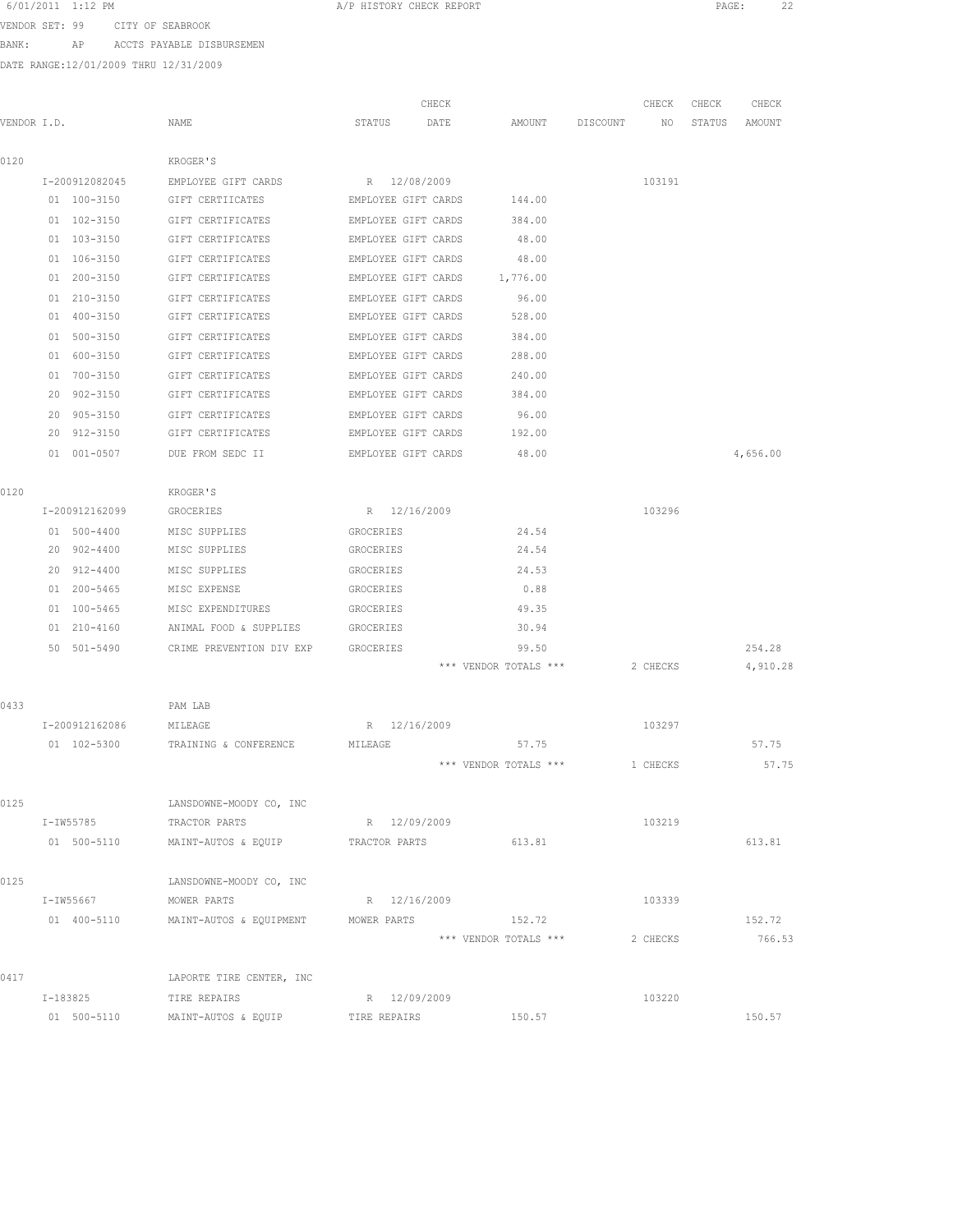| 6/01/2011 1:12 PM |  |  |  |
|-------------------|--|--|--|
|-------------------|--|--|--|

A/P HISTORY CHECK REPORT PAGE: 22

VENDOR SET: 99 CITY OF SEABROOK

BANK: AP ACCTS PAYABLE DISBURSEMEN

DATE RANGE:12/01/2009 THRU 12/31/2009

|             |                    |                                                      | CHECK               |                       |          | CHECK    | CHECK  | CHECK    |
|-------------|--------------------|------------------------------------------------------|---------------------|-----------------------|----------|----------|--------|----------|
| VENDOR I.D. |                    | NAME                                                 | STATUS<br>DATE      | AMOUNT                | DISCOUNT | NO       | STATUS | AMOUNT   |
|             |                    |                                                      |                     |                       |          |          |        |          |
| 0120        |                    | <b>KROGER'S</b>                                      |                     |                       |          |          |        |          |
|             | I-200912082045     | EMPLOYEE GIFT CARDS                                  | R 12/08/2009        |                       |          | 103191   |        |          |
|             | 01 100-3150        | GIFT CERTIICATES                                     | EMPLOYEE GIFT CARDS | 144.00                |          |          |        |          |
|             | 01 102-3150        | GIFT CERTIFICATES                                    | EMPLOYEE GIFT CARDS | 384.00                |          |          |        |          |
|             | 01 103-3150        | GIFT CERTIFICATES                                    | EMPLOYEE GIFT CARDS | 48.00                 |          |          |        |          |
|             | 01 106-3150        | GIFT CERTIFICATES                                    | EMPLOYEE GIFT CARDS | 48.00                 |          |          |        |          |
|             | 200-3150<br>01     | GIFT CERTIFICATES                                    | EMPLOYEE GIFT CARDS | 1,776.00              |          |          |        |          |
|             | 01 210-3150        | GIFT CERTIFICATES                                    | EMPLOYEE GIFT CARDS | 96.00                 |          |          |        |          |
|             | 400-3150<br>01     | GIFT CERTIFICATES                                    | EMPLOYEE GIFT CARDS | 528.00                |          |          |        |          |
|             | $500 - 3150$<br>01 | GIFT CERTIFICATES                                    | EMPLOYEE GIFT CARDS | 384.00                |          |          |        |          |
|             | 01<br>600-3150     | GIFT CERTIFICATES                                    | EMPLOYEE GIFT CARDS | 288.00                |          |          |        |          |
|             | 700-3150<br>01     | GIFT CERTIFICATES                                    | EMPLOYEE GIFT CARDS | 240.00                |          |          |        |          |
|             | 20<br>$902 - 3150$ | GIFT CERTIFICATES                                    | EMPLOYEE GIFT CARDS | 384.00                |          |          |        |          |
|             | $905 - 3150$<br>20 | GIFT CERTIFICATES                                    | EMPLOYEE GIFT CARDS | 96.00                 |          |          |        |          |
|             | 912-3150<br>20     | GIFT CERTIFICATES                                    | EMPLOYEE GIFT CARDS | 192.00                |          |          |        |          |
|             | 01<br>$001 - 0507$ | DUE FROM SEDC II                                     | EMPLOYEE GIFT CARDS | 48.00                 |          |          |        | 4,656.00 |
| 0120        |                    | KROGER'S                                             |                     |                       |          |          |        |          |
|             | I-200912162099     | GROCERIES                                            | R 12/16/2009        |                       |          | 103296   |        |          |
|             | 01 500-4400        | MISC SUPPLIES                                        | GROCERIES           | 24.54                 |          |          |        |          |
|             | 20 902-4400        | MISC SUPPLIES                                        | GROCERIES           | 24.54                 |          |          |        |          |
|             | 20<br>912-4400     | MISC SUPPLIES                                        | GROCERIES           | 24.53                 |          |          |        |          |
|             | 01 200-5465        | MISC EXPENSE                                         | GROCERIES           | 0.88                  |          |          |        |          |
|             | 01 100-5465        | MISC EXPENDITURES                                    | GROCERIES           | 49.35                 |          |          |        |          |
|             | 01 210-4160        | ANIMAL FOOD & SUPPLIES                               | GROCERIES           | 30.94                 |          |          |        |          |
|             | 50 501-5490        | CRIME PREVENTION DIV EXP                             | GROCERIES           | 99.50                 |          |          |        | 254.28   |
|             |                    |                                                      |                     | *** VENDOR TOTALS *** |          | 2 CHECKS |        | 4,910.28 |
| 0433        |                    | PAM LAB                                              |                     |                       |          |          |        |          |
|             | I-200912162086     | MILEAGE                                              | R 12/16/2009        |                       |          | 103297   |        |          |
|             | 01 102-5300        | TRAINING & CONFERENCE                                | MILEAGE             | 57.75                 |          |          |        | 57.75    |
|             |                    |                                                      |                     | *** VENDOR TOTALS *** |          | 1 CHECKS |        | 57.75    |
|             |                    |                                                      |                     |                       |          |          |        |          |
| 0125        |                    | LANSDOWNE-MOODY CO, INC                              |                     |                       |          |          |        |          |
|             |                    | I-IW55785 TRACTOR PARTS                              | R 12/09/2009        |                       |          | 103219   |        |          |
|             |                    | 01 500-5110 MAINT-AUTOS & EQUIP TRACTOR PARTS 613.81 |                     |                       |          |          |        | 613.81   |
| 0125        |                    | LANSDOWNE-MOODY CO, INC                              |                     |                       |          |          |        |          |
|             | I-IW55667          | MOWER PARTS                                          | R 12/16/2009        |                       |          | 103339   |        |          |
|             | 01 400-5110        | MAINT-AUTOS & EQUIPMENT MOWER PARTS                  |                     | 152.72                |          |          |        | 152.72   |
|             |                    |                                                      |                     | *** VENDOR TOTALS *** |          | 2 CHECKS |        | 766.53   |
|             |                    |                                                      |                     |                       |          |          |        |          |
| 0417        | I-183825           | LAPORTE TIRE CENTER, INC<br>TIRE REPAIRS             | R 12/09/2009        |                       |          | 103220   |        |          |
|             |                    |                                                      |                     |                       |          |          |        |          |

01 500-5110 MAINT-AUTOS & EQUIP TIRE REPAIRS 150.57 150.57 150.57 150.57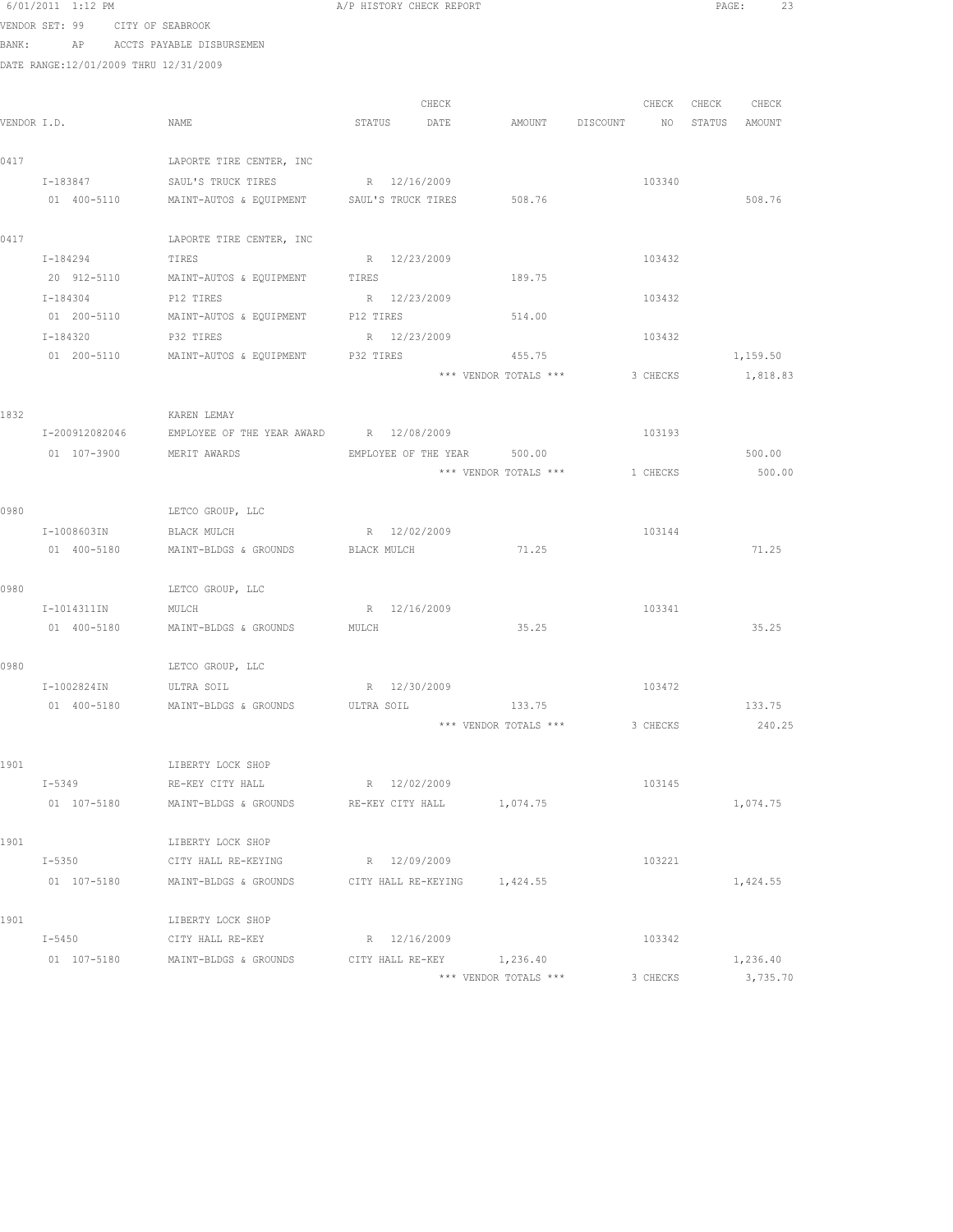|      | 6/01/2011 1:12 PM                     |                                                                | A/P HISTORY CHECK REPORT    |                       |                 |               | PAGE:<br>23 |
|------|---------------------------------------|----------------------------------------------------------------|-----------------------------|-----------------------|-----------------|---------------|-------------|
|      | VENDOR SET: 99 CITY OF SEABROOK       |                                                                |                             |                       |                 |               |             |
|      |                                       | BANK: AP ACCTS PAYABLE DISBURSEMEN                             |                             |                       |                 |               |             |
|      | DATE RANGE:12/01/2009 THRU 12/31/2009 |                                                                |                             |                       |                 |               |             |
|      |                                       |                                                                |                             |                       |                 |               |             |
|      |                                       |                                                                | CHECK                       |                       | CHECK           | CHECK CHECK   |             |
|      | VENDOR I.D.                           | NAME                                                           | STATUS<br>DATE              | AMOUNT DISCOUNT       | NO <sub>1</sub> | STATUS AMOUNT |             |
|      |                                       |                                                                |                             |                       |                 |               |             |
| 0417 |                                       | LAPORTE TIRE CENTER, INC                                       |                             |                       |                 |               |             |
|      |                                       | I-183847 SAUL'S TRUCK TIRES                                    | R 12/16/2009                |                       | 103340          |               |             |
|      |                                       | 01 400-5110 MAINT-AUTOS & EQUIPMENT SAUL'S TRUCK TIRES         |                             | 508.76                |                 |               | 508.76      |
| 0417 |                                       | LAPORTE TIRE CENTER, INC                                       |                             |                       |                 |               |             |
|      | I-184294                              | TIRES                                                          | R 12/23/2009                |                       | 103432          |               |             |
|      | 20 912-5110                           | MAINT-AUTOS & EQUIPMENT                                        | TIRES                       | 189.75                |                 |               |             |
|      | I-184304                              | P12 TIRES                                                      | R 12/23/2009                |                       | 103432          |               |             |
|      | 01 200-5110                           | MAINT-AUTOS & EQUIPMENT P12 TIRES                              |                             | 514.00                |                 |               |             |
|      | I-184320                              | P32 TIRES                                                      | R 12/23/2009                |                       | 103432          |               |             |
|      | 01 200-5110                           | MAINT-AUTOS & EQUIPMENT P32 TIRES                              |                             | 455.75                |                 |               | 1,159.50    |
|      |                                       |                                                                |                             | *** VENDOR TOTALS *** | 3 CHECKS        |               | 1,818.83    |
|      |                                       |                                                                |                             |                       |                 |               |             |
| 1832 |                                       | KAREN LEMAY                                                    |                             |                       |                 |               |             |
|      |                                       | I-200912082046 EMPLOYEE OF THE YEAR AWARD R 12/08/2009         |                             |                       | 103193          |               |             |
|      | 01 107-3900 MERIT AWARDS              |                                                                | EMPLOYEE OF THE YEAR 500.00 |                       |                 |               | 500.00      |
|      |                                       |                                                                |                             | *** VENDOR TOTALS *** | 1 CHECKS        |               | 500.00      |
|      |                                       |                                                                |                             |                       |                 |               |             |
| 0980 |                                       | LETCO GROUP, LLC                                               |                             |                       |                 |               |             |
|      | I-1008603IN                           | BLACK MULCH                                                    | R 12/02/2009                |                       | 103144          |               |             |
|      | 01 400-5180                           | MAINT-BLDGS & GROUNDS                                          | BLACK MULCH                 | 71.25                 |                 |               | 71.25       |
|      |                                       |                                                                |                             |                       |                 |               |             |
| 0980 |                                       | LETCO GROUP, LLC                                               |                             |                       |                 |               |             |
|      | I-1014311IN                           | MULCH                                                          | R 12/16/2009                |                       | 103341          |               |             |
|      | 01 400-5180                           | MAINT-BLDGS & GROUNDS                                          | MULCH                       | 35.25                 |                 |               | 35.25       |
|      |                                       |                                                                |                             |                       |                 |               |             |
| 0980 |                                       | LETCO GROUP, LLC                                               |                             |                       |                 |               |             |
|      | I-1002824IN ULTRA SOIL                | MAINT-BLDGS & GROUNDS                                          | R 12/30/2009<br>ULTRA SOIL  | 133.75                | 103472          |               | 133.75      |
|      | 01 400-5180                           |                                                                |                             | *** VENDOR TOTALS *** | 3 CHECKS        |               | 240.25      |
|      |                                       |                                                                |                             |                       |                 |               |             |
| 1901 |                                       | LIBERTY LOCK SHOP                                              |                             |                       |                 |               |             |
|      | I-5349                                | RE-KEY CITY HALL                                               | R 12/02/2009                |                       | 103145          |               |             |
|      | 01 107-5180                           | MAINT-BLDGS & GROUNDS                                          | RE-KEY CITY HALL            | 1,074.75              |                 |               | 1,074.75    |
|      |                                       |                                                                |                             |                       |                 |               |             |
| 1901 |                                       | LIBERTY LOCK SHOP                                              |                             |                       |                 |               |             |
|      | $I - 5350$                            | CITY HALL RE-KEYING                                            | R 12/09/2009                |                       | 103221          |               |             |
|      |                                       | 01 107-5180 MAINT-BLDGS & GROUNDS CITY HALL RE-KEYING 1,424.55 |                             |                       |                 |               | 1,424.55    |
|      |                                       |                                                                |                             |                       |                 |               |             |
| 1901 |                                       | LIBERTY LOCK SHOP                                              |                             |                       |                 |               |             |
|      | $I-5450$                              | CITY HALL RE-KEY                                               | R 12/16/2009                |                       | 103342          |               |             |
|      | 01 107-5180                           | MAINT-BLDGS & GROUNDS                                          | CITY HALL RE-KEY            | 1,236.40              |                 |               | 1,236.40    |
|      |                                       |                                                                |                             | *** VENDOR TOTALS *** | 3 CHECKS        |               | 3,735.70    |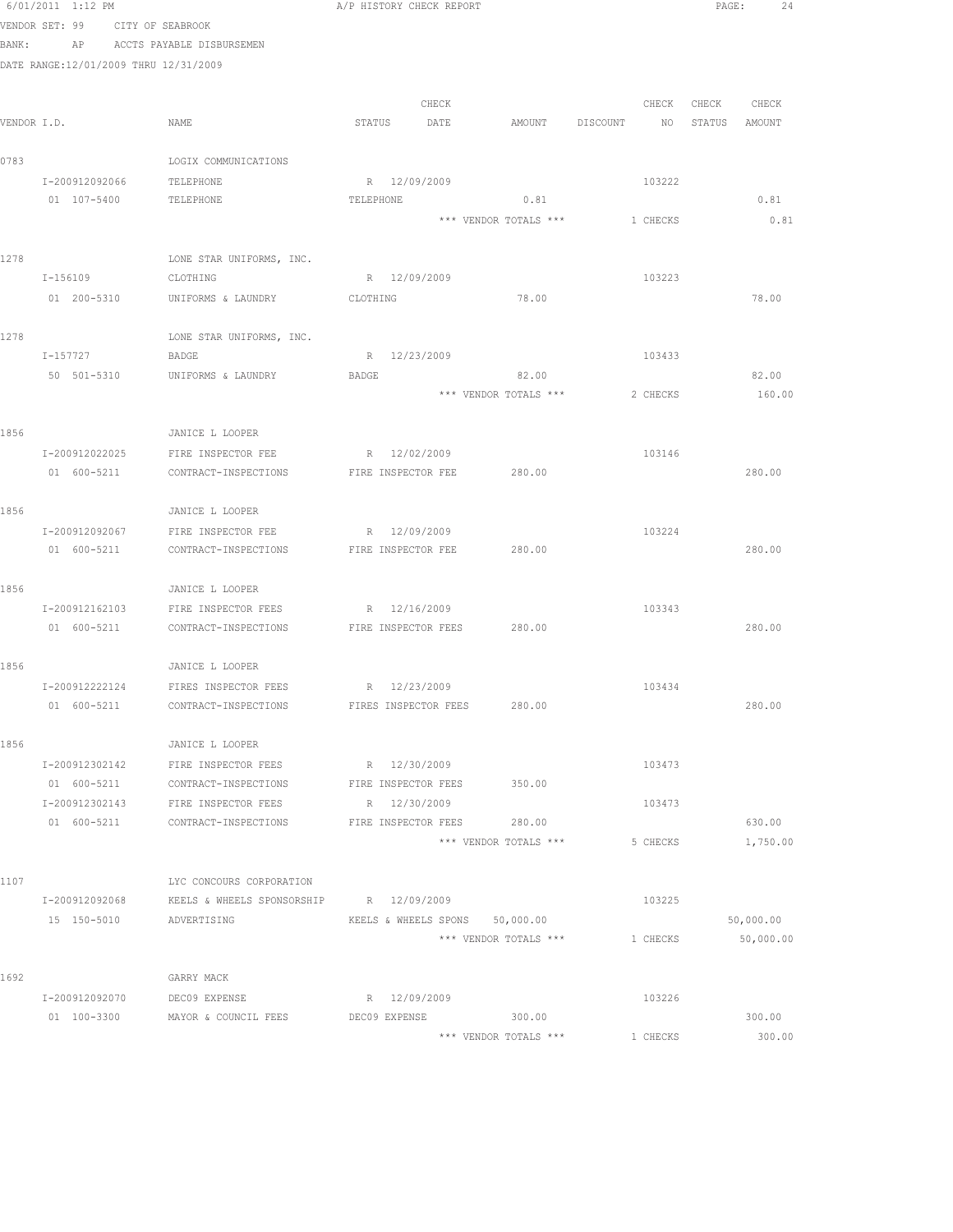|      | 6/01/2011 1:12 PM                     |                                                             | A/P HISTORY CHECK REPORT       |                       |          |               | PAGE:<br>24 |
|------|---------------------------------------|-------------------------------------------------------------|--------------------------------|-----------------------|----------|---------------|-------------|
|      | VENDOR SET: 99 CITY OF SEABROOK       |                                                             |                                |                       |          |               |             |
|      | BANK:                                 | AP ACCTS PAYABLE DISBURSEMEN                                |                                |                       |          |               |             |
|      | DATE RANGE:12/01/2009 THRU 12/31/2009 |                                                             |                                |                       |          |               |             |
|      |                                       |                                                             |                                |                       |          |               |             |
|      |                                       |                                                             | CHECK                          |                       | CHECK    | CHECK CHECK   |             |
|      | VENDOR I.D.                           | NAME                                                        | STATUS<br>DATE                 | AMOUNT DISCOUNT       | NO       | STATUS AMOUNT |             |
| 0783 |                                       | LOGIX COMMUNICATIONS                                        |                                |                       |          |               |             |
|      | I-200912092066                        | TELEPHONE                                                   | R 12/09/2009                   |                       | 103222   |               |             |
|      | 01 107-5400                           | TELEPHONE                                                   | TELEPHONE                      | 0.81                  |          |               | 0.81        |
|      |                                       |                                                             |                                | *** VENDOR TOTALS *** | 1 CHECKS |               | 0.81        |
|      |                                       |                                                             |                                |                       |          |               |             |
| 1278 |                                       | LONE STAR UNIFORMS, INC.                                    |                                |                       |          |               |             |
|      | I-156109                              | CLOTHING                                                    | R 12/09/2009                   |                       | 103223   |               |             |
|      | 01 200-5310                           | UNIFORMS & LAUNDRY                                          | CLOTHING                       | 78.00                 |          |               | 78.00       |
|      |                                       |                                                             |                                |                       |          |               |             |
| 1278 |                                       | LONE STAR UNIFORMS, INC.                                    |                                |                       |          |               |             |
|      | I-157727                              | BADGE                                                       | R 12/23/2009                   |                       | 103433   |               |             |
|      | 50 501-5310                           | UNIFORMS & LAUNDRY                                          | BADGE                          | 82.00                 |          |               | 82.00       |
|      |                                       |                                                             |                                | *** VENDOR TOTALS *** | 2 CHECKS |               | 160.00      |
| 1856 |                                       | JANICE L LOOPER                                             |                                |                       |          |               |             |
|      | I-200912022025                        | FIRE INSPECTOR FEE                                          | R 12/02/2009                   |                       | 103146   |               |             |
|      | 01 600-5211                           | CONTRACT-INSPECTIONS                                        | FIRE INSPECTOR FEE             | 280.00                |          |               | 280.00      |
|      |                                       |                                                             |                                |                       |          |               |             |
| 1856 |                                       | JANICE L LOOPER                                             |                                |                       |          |               |             |
|      | I-200912092067                        | FIRE INSPECTOR FEE                                          | R 12/09/2009                   |                       | 103224   |               |             |
|      | 01 600-5211                           | CONTRACT-INSPECTIONS                                        | FIRE INSPECTOR FEE             | 280.00                |          |               | 280.00      |
|      |                                       |                                                             |                                |                       |          |               |             |
| 1856 |                                       | JANICE L LOOPER                                             |                                |                       |          |               |             |
|      | I-200912162103                        | FIRE INSPECTOR FEES                                         | R 12/16/2009                   |                       | 103343   |               |             |
|      |                                       | 01 600-5211 CONTRACT-INSPECTIONS FIRE INSPECTOR FEES 280.00 |                                |                       |          |               | 280.00      |
|      |                                       |                                                             |                                |                       |          |               |             |
| 1856 |                                       | JANICE L LOOPER                                             |                                |                       |          |               |             |
|      |                                       | I-200912222124 FIRES INSPECTOR FEES R 12/23/2009            |                                |                       | 103434   |               |             |
|      | 01 600-5211                           | CONTRACT-INSPECTIONS                                        | FIRES INSPECTOR FEES           | 280.00                |          |               | 280.00      |
| 1856 |                                       |                                                             |                                |                       |          |               |             |
|      | I-200912302142                        | JANICE L LOOPER<br>FIRE INSPECTOR FEES                      | R 12/30/2009                   |                       | 103473   |               |             |
|      | 01 600-5211                           | CONTRACT-INSPECTIONS                                        | FIRE INSPECTOR FEES            | 350.00                |          |               |             |
|      | I-200912302143                        | FIRE INSPECTOR FEES                                         | R 12/30/2009                   |                       | 103473   |               |             |
|      | 01 600-5211                           | CONTRACT-INSPECTIONS                                        | FIRE INSPECTOR FEES            | 280.00                |          |               | 630.00      |
|      |                                       |                                                             |                                | *** VENDOR TOTALS *** | 5 CHECKS |               | 1,750.00    |
|      |                                       |                                                             |                                |                       |          |               |             |
| 1107 |                                       | LYC CONCOURS CORPORATION                                    |                                |                       |          |               |             |
|      | I-200912092068                        | KEELS & WHEELS SPONSORSHIP                                  | R 12/09/2009                   |                       | 103225   |               |             |
|      | 15 150-5010                           | ADVERTISING                                                 | KEELS & WHEELS SPONS 50,000.00 |                       |          |               | 50,000.00   |
|      |                                       |                                                             |                                | *** VENDOR TOTALS *** | 1 CHECKS |               | 50,000.00   |
|      |                                       |                                                             |                                |                       |          |               |             |
| 1692 |                                       | GARRY MACK                                                  |                                |                       |          |               |             |
|      | I-200912092070                        | DEC09 EXPENSE                                               | R 12/09/2009                   |                       | 103226   |               |             |
|      | 01 100-3300                           | MAYOR & COUNCIL FEES                                        | DEC09 EXPENSE                  | 300.00                |          |               | 300.00      |
|      |                                       |                                                             |                                | *** VENDOR TOTALS *** | 1 CHECKS |               | 300.00      |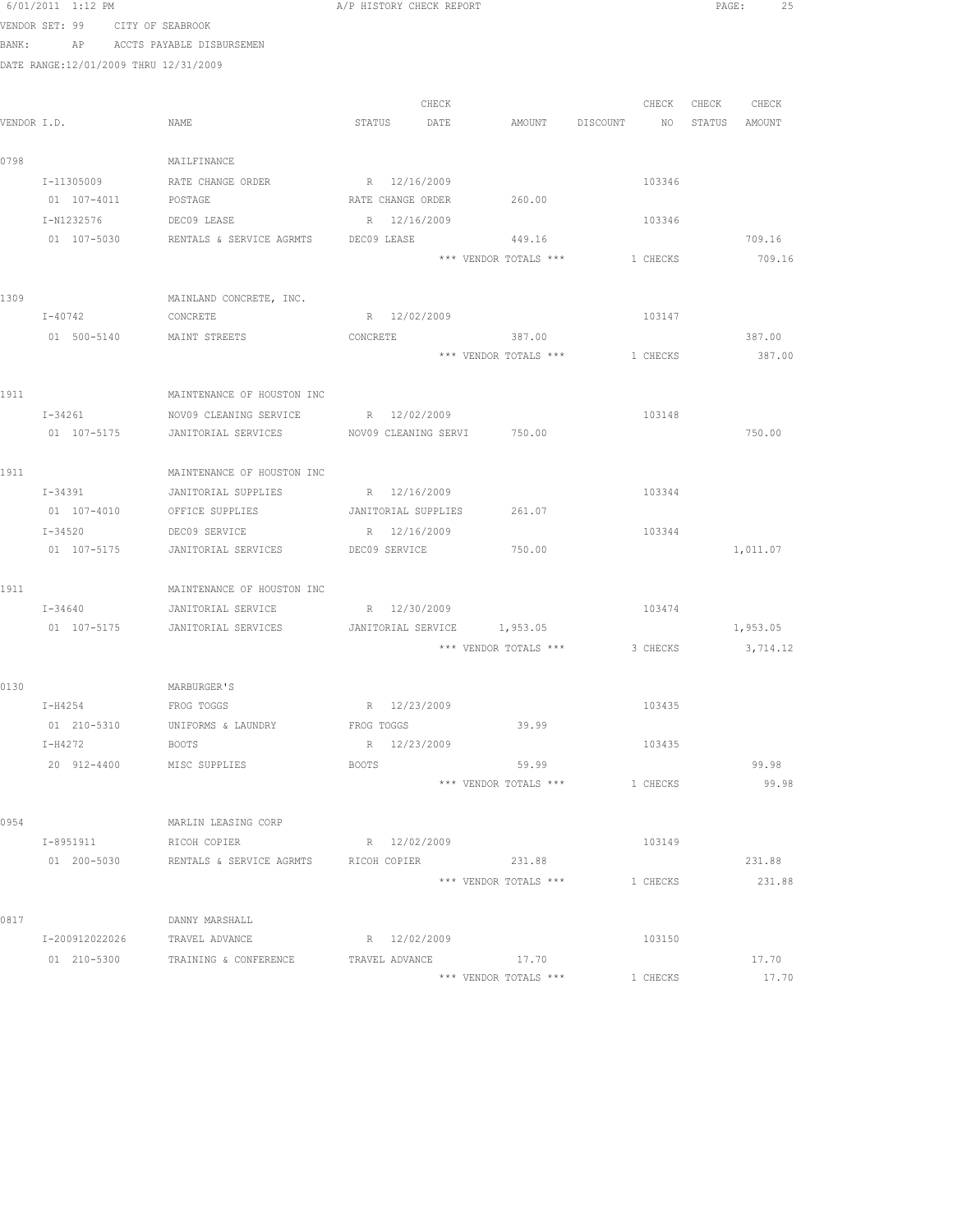|      | 0/ui/zuil i:iz FM                     |                                                            | A/F HISTORY CHECK REPORT    |       |                       |                           |          |                   | PAGE:<br>- 45 |  |
|------|---------------------------------------|------------------------------------------------------------|-----------------------------|-------|-----------------------|---------------------------|----------|-------------------|---------------|--|
|      | VENDOR SET: 99 CITY OF SEABROOK       |                                                            |                             |       |                       |                           |          |                   |               |  |
|      |                                       | BANK: AP ACCTS PAYABLE DISBURSEMEN                         |                             |       |                       |                           |          |                   |               |  |
|      | DATE RANGE:12/01/2009 THRU 12/31/2009 |                                                            |                             |       |                       |                           |          |                   |               |  |
|      |                                       |                                                            |                             |       |                       |                           |          |                   |               |  |
|      |                                       |                                                            |                             | CHECK |                       |                           |          | CHECK CHECK CHECK |               |  |
|      | VENDOR I.D.                           | NAME                                                       | STATUS DATE                 |       | AMOUNT                | DISCOUNT NO STATUS AMOUNT |          |                   |               |  |
|      |                                       |                                                            |                             |       |                       |                           |          |                   |               |  |
| 0798 |                                       | MAILFINANCE                                                |                             |       |                       |                           |          |                   |               |  |
|      | I-11305009                            | RATE CHANGE ORDER                                          | R 12/16/2009                |       |                       |                           | 103346   |                   |               |  |
|      | 01 107-4011                           | POSTAGE                                                    | RATE CHANGE ORDER           |       | 260.00                |                           |          |                   |               |  |
|      | I-N1232576                            | DEC09 LEASE                                                | R 12/16/2009                |       |                       |                           | 103346   |                   |               |  |
|      | 01 107-5030                           | RENTALS & SERVICE AGRMTS                                   | DEC09 LEASE                 |       | 449.16                |                           |          |                   | 709.16        |  |
|      |                                       |                                                            |                             |       | *** VENDOR TOTALS *** |                           | 1 CHECKS |                   | 709.16        |  |
|      |                                       |                                                            |                             |       |                       |                           |          |                   |               |  |
| 1309 |                                       | MAINLAND CONCRETE, INC.                                    |                             |       |                       |                           |          |                   |               |  |
|      | $I - 40742$                           | CONCRETE                                                   | R 12/02/2009                |       |                       |                           | 103147   |                   |               |  |
|      |                                       | 01 500-5140 MAINT STREETS                                  | CONCRETE                    |       | 387.00                |                           |          |                   | 387.00        |  |
|      |                                       |                                                            |                             |       | *** VENDOR TOTALS *** |                           | 1 CHECKS |                   | 387.00        |  |
|      |                                       |                                                            |                             |       |                       |                           |          |                   |               |  |
| 1911 |                                       | MAINTENANCE OF HOUSTON INC                                 |                             |       |                       |                           |          |                   |               |  |
|      | I-34261                               | NOV09 CLEANING SERVICE                                     | R 12/02/2009                |       |                       |                           | 103148   |                   |               |  |
|      | 01 107-5175                           | JANITORIAL SERVICES                                        | NOV09 CLEANING SERVI 750.00 |       |                       |                           |          |                   | 750.00        |  |
|      |                                       |                                                            |                             |       |                       |                           |          |                   |               |  |
| 1911 |                                       | MAINTENANCE OF HOUSTON INC                                 |                             |       |                       |                           |          |                   |               |  |
|      | I-34391                               | JANITORIAL SUPPLIES R 12/16/2009                           |                             |       |                       |                           | 103344   |                   |               |  |
|      |                                       | 01 107-4010 OFFICE SUPPLIES                                | JANITORIAL SUPPLIES 261.07  |       |                       |                           |          |                   |               |  |
|      | I-34520                               | DEC09 SERVICE                                              | R 12/16/2009                |       |                       |                           | 103344   |                   |               |  |
|      | 01 107-5175                           | JANITORIAL SERVICES DEC09 SERVICE                          |                             |       | 750.00                |                           |          |                   | 1,011.07      |  |
| 1911 |                                       | MAINTENANCE OF HOUSTON INC                                 |                             |       |                       |                           |          |                   |               |  |
|      | $I - 34640$                           | JANITORIAL SERVICE                                         | R 12/30/2009                |       |                       |                           | 103474   |                   |               |  |
|      | 01 107-5175                           | JANITORIAL SERVICES                                        | JANITORIAL SERVICE 1,953.05 |       |                       |                           |          |                   | 1,953.05      |  |
|      |                                       |                                                            |                             |       | *** VENDOR TOTALS *** |                           | 3 CHECKS |                   | 3,714.12      |  |
|      |                                       |                                                            |                             |       |                       |                           |          |                   |               |  |
| 0130 |                                       | MARBURGER'S                                                |                             |       |                       |                           |          |                   |               |  |
|      | $I-H4254$                             | FROG TOGGS                                                 | R 12/23/2009                |       |                       |                           | 103435   |                   |               |  |
|      |                                       | 01 210-5310 UNIFORMS & LAUNDRY                             | FROG TOGGS                  |       | 39.99                 |                           |          |                   |               |  |
|      | I-H4272                               | BOOTS                                                      | R 12/23/2009                |       |                       |                           | 103435   |                   |               |  |
|      |                                       | 20 912-4400 MISC SUPPLIES                                  | BOOTS                       |       | 59.99                 |                           |          |                   | 99.98         |  |
|      |                                       |                                                            |                             |       | *** VENDOR TOTALS *** |                           | 1 CHECKS |                   | 99.98         |  |
|      |                                       |                                                            |                             |       |                       |                           |          |                   |               |  |
| 0954 |                                       | MARLIN LEASING CORP                                        |                             |       |                       |                           |          |                   |               |  |
|      | I-8951911                             | RICOH COPIER                                               | R 12/02/2009                |       |                       |                           | 103149   |                   |               |  |
|      | 01 200-5030                           | RENTALS & SERVICE AGRMTS                                   | RICOH COPIER 231.88         |       |                       |                           |          |                   | 231.88        |  |
|      |                                       |                                                            |                             |       | *** VENDOR TOTALS *** |                           | 1 CHECKS |                   | 231.88        |  |
|      |                                       |                                                            |                             |       |                       |                           |          |                   |               |  |
| 0817 |                                       | DANNY MARSHALL                                             |                             |       |                       |                           |          |                   |               |  |
|      | I-200912022026                        | TRAVEL ADVANCE                                             | R 12/02/2009                |       |                       |                           | 103150   |                   |               |  |
|      |                                       | 01  210-5300  TRAINING & CONFERENCE  TRAVEL ADVANCE  17.70 |                             |       |                       |                           |          |                   | 17.70         |  |
|      |                                       |                                                            |                             |       | *** VENDOR TOTALS *** |                           | 1 CHECKS |                   | 17.70         |  |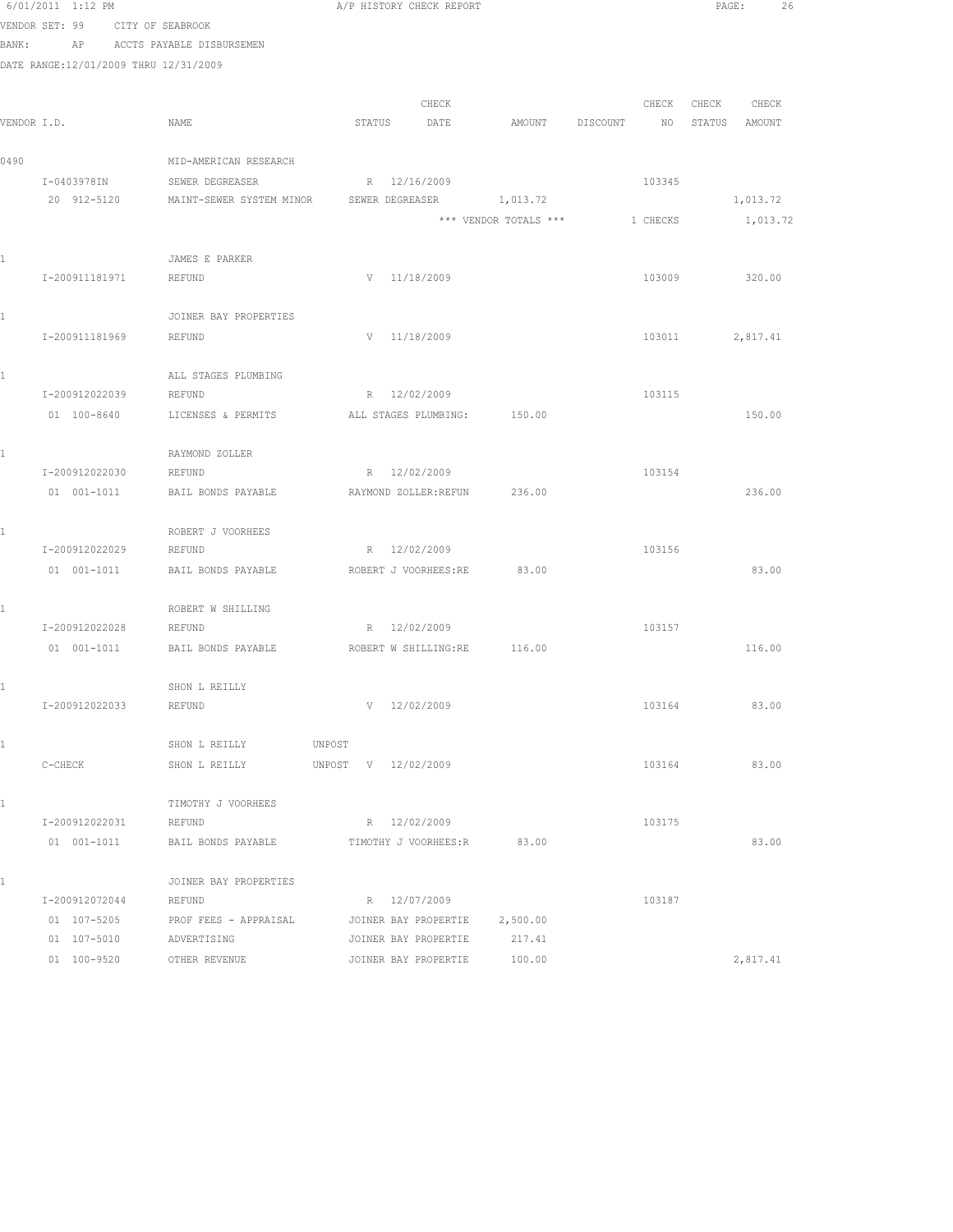|       | 6/01/2011 1:12 PM                     |                           | A/P HISTORY CHECK REPORT    |                       |                | PAGE:<br>26      |
|-------|---------------------------------------|---------------------------|-----------------------------|-----------------------|----------------|------------------|
|       | VENDOR SET: 99                        | CITY OF SEABROOK          |                             |                       |                |                  |
| BANK: | AP                                    | ACCTS PAYABLE DISBURSEMEN |                             |                       |                |                  |
|       | DATE RANGE:12/01/2009 THRU 12/31/2009 |                           |                             |                       |                |                  |
|       |                                       |                           |                             |                       |                |                  |
|       |                                       |                           | CHECK                       |                       | CHECK          | CHECK<br>CHECK   |
|       | VENDOR I.D.                           | NAME                      | STATUS<br>DATE              | AMOUNT                | DISCOUNT<br>NO | STATUS<br>AMOUNT |
|       |                                       |                           |                             |                       |                |                  |
| 0490  |                                       | MID-AMERICAN RESEARCH     |                             |                       |                |                  |
|       | I-0403978IN                           | SEWER DEGREASER           | R 12/16/2009                |                       | 103345         |                  |
|       | 20 912-5120                           | MAINT-SEWER SYSTEM MINOR  | SEWER DEGREASER             | 1,013.72              |                | 1,013.72         |
|       |                                       |                           |                             | *** VENDOR TOTALS *** | 1 CHECKS       | 1,013.72         |
|       |                                       |                           |                             |                       |                |                  |
| 1     |                                       | JAMES E PARKER            |                             |                       |                |                  |
|       | I-200911181971                        | <b>REFUND</b>             | V 11/18/2009                |                       | 103009         | 320.00           |
|       |                                       |                           |                             |                       |                |                  |
| 1     |                                       | JOINER BAY PROPERTIES     |                             |                       |                |                  |
|       | I-200911181969                        | REFUND                    | V 11/18/2009                |                       | 103011         | 2,817.41         |
| 1     |                                       | ALL STAGES PLUMBING       |                             |                       |                |                  |
|       | I-200912022039                        | REFUND                    | R 12/02/2009                |                       | 103115         |                  |
|       | 01 100-8640                           | LICENSES & PERMITS        | ALL STAGES PLUMBING:        | 150.00                |                | 150.00           |
|       |                                       |                           |                             |                       |                |                  |
| 1     |                                       | RAYMOND ZOLLER            |                             |                       |                |                  |
|       | I-200912022030                        | REFUND                    | R 12/02/2009                |                       | 103154         |                  |
|       | 01 001-1011                           | BAIL BONDS PAYABLE        | RAYMOND ZOLLER: REFUN       | 236.00                |                | 236.00           |
|       |                                       |                           |                             |                       |                |                  |
| 1     |                                       | ROBERT J VOORHEES         |                             |                       |                |                  |
|       | I-200912022029                        | REFUND                    | R 12/02/2009                |                       | 103156         |                  |
|       | 01 001-1011                           | BAIL BONDS PAYABLE        | ROBERT J VOORHEES:RE        | 83.00                 |                | 83.00            |
|       |                                       |                           |                             |                       |                |                  |
| 1     |                                       | ROBERT W SHILLING         |                             |                       |                |                  |
|       | I-200912022028                        | REFUND                    | R 12/02/2009                |                       | 103157         |                  |
|       | 01 001-1011                           | BAIL BONDS PAYABLE        | ROBERT W SHILLING:RE 116.00 |                       |                | 116.00           |
|       |                                       |                           |                             |                       |                |                  |
| 1     |                                       | SHON L REILLY             |                             |                       |                |                  |
|       | I-200912022033                        | REFUND                    | 12/02/2009                  |                       | 103164         | 83.00            |
|       |                                       |                           |                             |                       |                |                  |
| 1     |                                       | SHON L REILLY             | UNPOST                      |                       |                |                  |
|       | C-CHECK                               | SHON L REILLY             | UNPOST V 12/02/2009         |                       | 103164         | 83.00            |
| 1     |                                       | TIMOTHY J VOORHEES        |                             |                       |                |                  |
|       | I-200912022031                        | REFUND                    | R 12/02/2009                |                       | 103175         |                  |
|       | 01 001-1011                           | BAIL BONDS PAYABLE        | TIMOTHY J VOORHEES:R        | 83.00                 |                | 83.00            |
|       |                                       |                           |                             |                       |                |                  |
| 1     |                                       | JOINER BAY PROPERTIES     |                             |                       |                |                  |
|       | I-200912072044                        | REFUND                    | R 12/07/2009                |                       | 103187         |                  |
|       | 01 107-5205                           | PROF FEES - APPRAISAL     | JOINER BAY PROPERTIE        | 2,500.00              |                |                  |
|       | 01 107-5010                           | ADVERTISING               | JOINER BAY PROPERTIE        | 217.41                |                |                  |
|       | 01 100-9520                           | OTHER REVENUE             | JOINER BAY PROPERTIE        | 100.00                |                | 2,817.41         |
|       |                                       |                           |                             |                       |                |                  |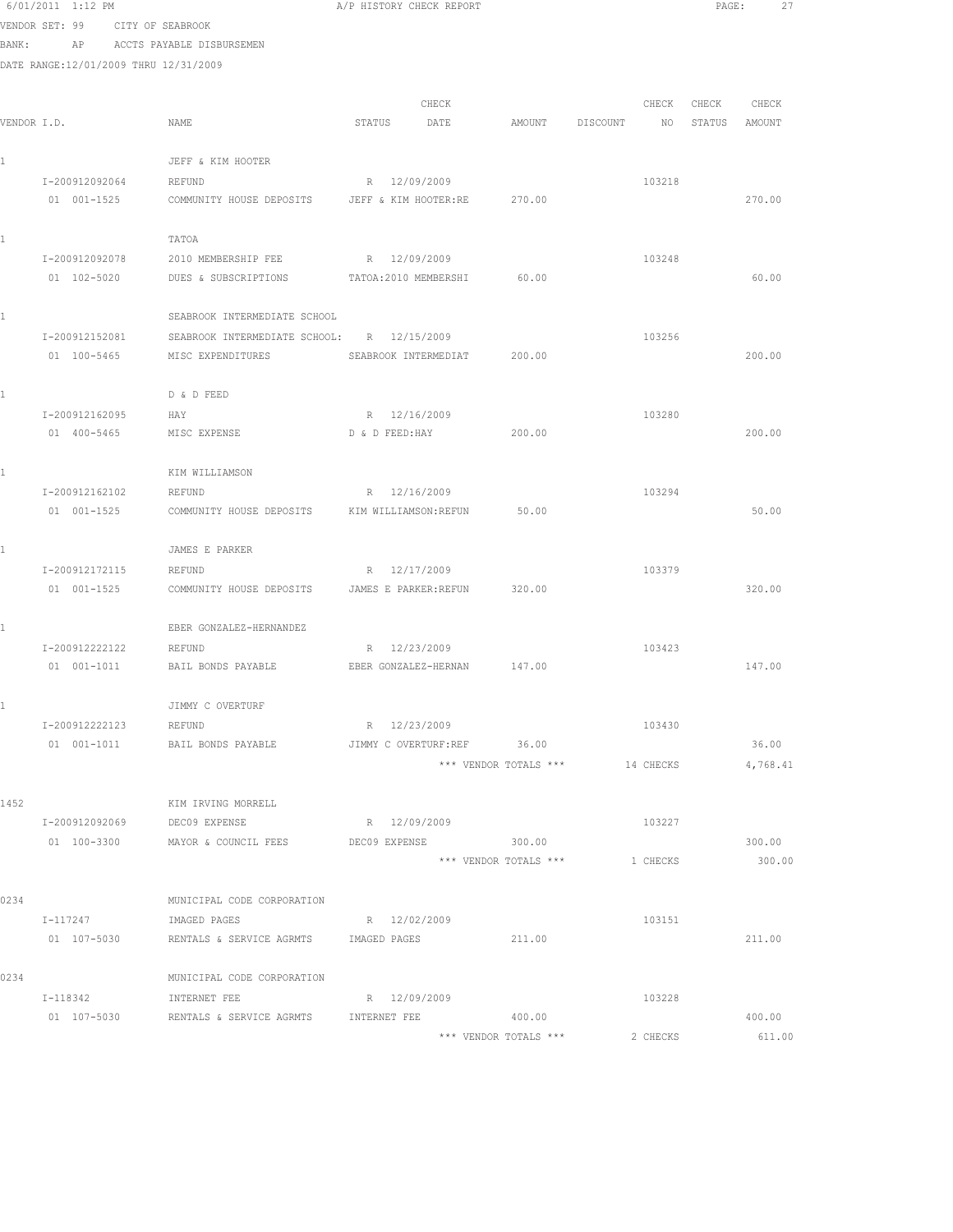|             | 6/01/2011 1:12 PM                     |                                                  | A/P HISTORY CHECK REPORT   |                       |                | PAGE:  | 27       |  |
|-------------|---------------------------------------|--------------------------------------------------|----------------------------|-----------------------|----------------|--------|----------|--|
|             | VENDOR SET: 99                        | CITY OF SEABROOK                                 |                            |                       |                |        |          |  |
| BANK:       | AP                                    | ACCTS PAYABLE DISBURSEMEN                        |                            |                       |                |        |          |  |
|             | DATE RANGE:12/01/2009 THRU 12/31/2009 |                                                  |                            |                       |                |        |          |  |
|             |                                       |                                                  |                            |                       |                |        |          |  |
|             |                                       |                                                  | CHECK                      |                       | CHECK          | CHECK  | CHECK    |  |
| VENDOR I.D. |                                       | NAME                                             | STATUS<br>DATE             | AMOUNT                | DISCOUNT<br>NO | STATUS | AMOUNT   |  |
|             |                                       | JEFF & KIM HOOTER                                |                            |                       |                |        |          |  |
|             | I-200912092064                        | REFUND                                           | R 12/09/2009               |                       | 103218         |        |          |  |
|             | 01 001-1525                           | COMMUNITY HOUSE DEPOSITS                         | JEFF & KIM HOOTER:RE       | 270.00                |                |        | 270.00   |  |
|             |                                       | TATOA                                            |                            |                       |                |        |          |  |
|             | I-200912092078                        | 2010 MEMBERSHIP FEE                              | R 12/09/2009               |                       | 103248         |        |          |  |
|             | 01 102-5020                           | DUES & SUBSCRIPTIONS                             | TATOA: 2010 MEMBERSHI      | 60.00                 |                |        | 60.00    |  |
| 1           |                                       | SEABROOK INTERMEDIATE SCHOOL                     |                            |                       |                |        |          |  |
|             | I-200912152081                        | SEABROOK INTERMEDIATE SCHOOL: R 12/15/2009       |                            |                       | 103256         |        |          |  |
|             | 01 100-5465                           | MISC EXPENDITURES                                | SEABROOK INTERMEDIAT       | 200.00                |                |        | 200.00   |  |
|             |                                       | D & D FEED                                       |                            |                       |                |        |          |  |
|             | I-200912162095                        | HAY                                              | R 12/16/2009               |                       | 103280         |        |          |  |
|             | 01 400-5465                           | MISC EXPENSE                                     | D & D FEED: HAY            | 200.00                |                |        | 200.00   |  |
|             |                                       |                                                  |                            |                       |                |        |          |  |
|             |                                       | KIM WILLIAMSON                                   |                            |                       |                |        |          |  |
|             | I-200912162102                        | REFUND                                           | R 12/16/2009               |                       | 103294         |        |          |  |
|             | 01 001-1525                           | COMMUNITY HOUSE DEPOSITS                         | KIM WILLIAMSON: REFUN      | 50.00                 |                |        | 50.00    |  |
|             |                                       | JAMES E PARKER                                   |                            |                       |                |        |          |  |
|             | I-200912172115                        | REFUND                                           | R 12/17/2009               |                       | 103379         |        |          |  |
|             | 01 001-1525                           | COMMUNITY HOUSE DEPOSITS                         | JAMES E PARKER: REFUN      | 320.00                |                |        | 320.00   |  |
|             |                                       | EBER GONZALEZ-HERNANDEZ                          |                            |                       |                |        |          |  |
|             | I-200912222122                        | REFUND                                           | R 12/23/2009               |                       | 103423         |        |          |  |
|             | 01 001-1011                           | BAIL BONDS PAYABLE                               | EBER GONZALEZ-HERNAN       | 147.00                |                |        | 147.00   |  |
|             |                                       | JIMMY C OVERTURF                                 |                            |                       |                |        |          |  |
|             | I-200912222123                        | REFUND                                           | R 12/23/2009               |                       | 103430         |        |          |  |
|             | 01 001-1011                           | BAIL BONDS PAYABLE                               | JIMMY C OVERTURF:REF 36.00 |                       |                |        | 36.00    |  |
|             |                                       |                                                  |                            | *** VENDOR TOTALS *** | 14 CHECKS      |        | 4,768.41 |  |
| 1452        |                                       | KIM IRVING MORRELL                               |                            |                       |                |        |          |  |
|             | I-200912092069                        | DEC09 EXPENSE                                    | R 12/09/2009               |                       | 103227         |        |          |  |
|             |                                       | 01  100-3300  MAYOR & COUNCIL FEES DEC09 EXPENSE |                            | 300.00                |                |        | 300.00   |  |
|             |                                       |                                                  |                            | *** VENDOR TOTALS *** | 1 CHECKS       |        | 300.00   |  |
| 0234        |                                       | MUNICIPAL CODE CORPORATION                       |                            |                       |                |        |          |  |
|             | I-117247                              | IMAGED PAGES                                     | R 12/02/2009               |                       | 103151         |        |          |  |
|             | 01 107-5030                           | RENTALS & SERVICE AGRMTS IMAGED PAGES            |                            | 211.00                |                |        | 211.00   |  |
| 0234        |                                       | MUNICIPAL CODE CORPORATION                       |                            |                       |                |        |          |  |
|             | I-118342                              | INTERNET FEE                                     | R 12/09/2009               |                       | 103228         |        |          |  |
|             | 01 107-5030                           | RENTALS & SERVICE AGRMTS                         | INTERNET FEE               | 400.00                |                |        | 400.00   |  |
|             |                                       |                                                  |                            |                       |                |        |          |  |

\*\*\* VENDOR TOTALS \*\*\* 2 CHECKS 611.00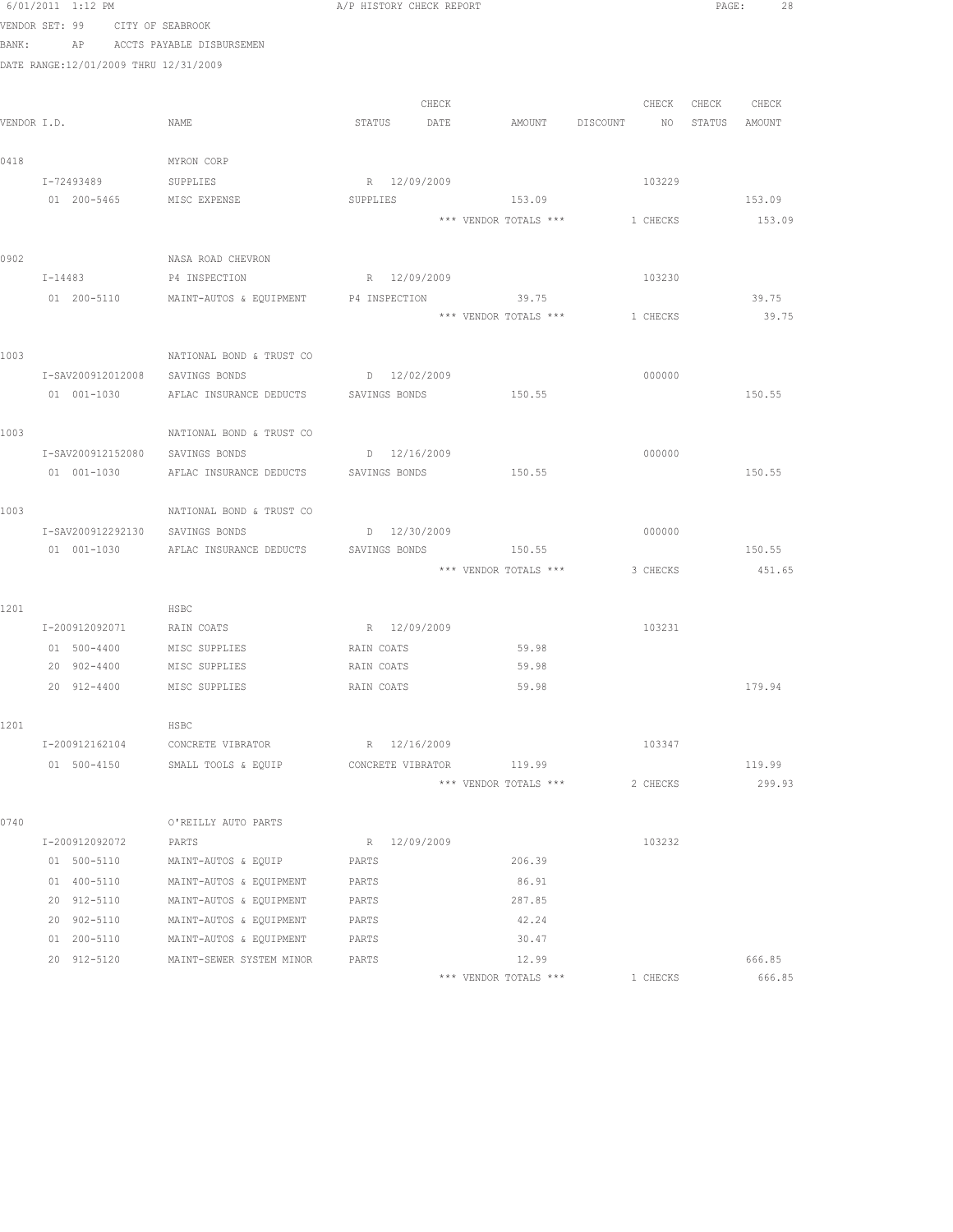|      | 6/01/2011 1:12 PM                                      |                                                          | A/P HISTORY CHECK REPORT |                                |          | PAGE:<br>28   |
|------|--------------------------------------------------------|----------------------------------------------------------|--------------------------|--------------------------------|----------|---------------|
|      | VENDOR SET: 99 CITY OF SEABROOK                        |                                                          |                          |                                |          |               |
|      | BANK: AP ACCTS PAYABLE DISBURSEMEN                     |                                                          |                          |                                |          |               |
|      | DATE RANGE:12/01/2009 THRU 12/31/2009                  |                                                          |                          |                                |          |               |
|      |                                                        |                                                          |                          |                                |          |               |
|      |                                                        |                                                          | CHECK                    |                                | CHECK    | CHECK CHECK   |
|      | VENDOR I.D.                                            | NAME                                                     | STATUS DATE              | AMOUNT DISCOUNT                | NO       | STATUS AMOUNT |
|      |                                                        |                                                          |                          |                                |          |               |
| 0418 |                                                        | MYRON CORP                                               |                          |                                |          |               |
|      | I-72493489                                             | SUPPLIES                                                 | R 12/09/2009             |                                | 103229   |               |
|      | 01  200-5465   MISC EXPENSE                            |                                                          | SUPPLIES                 | 153.09                         |          | 153.09        |
|      |                                                        |                                                          |                          | *** VENDOR TOTALS *** 1 CHECKS |          | 153.09        |
| 0902 |                                                        | NASA ROAD CHEVRON                                        |                          |                                |          |               |
|      | $I - 14483$                                            | P4 INSPECTION                                            | R 12/09/2009             |                                | 103230   |               |
|      |                                                        | 01  200-5110   MAINT-AUTOS & EQUIPMENT   P4 INSPECTION   |                          | 39.75                          |          | 39.75         |
|      |                                                        |                                                          |                          | *** VENDOR TOTALS ***          | 1 CHECKS | 39.75         |
|      |                                                        |                                                          |                          |                                |          |               |
| 1003 |                                                        | NATIONAL BOND & TRUST CO                                 |                          |                                |          |               |
|      | I-SAV200912012008                                      | SAVINGS BONDS                                            | $D = 12/02/2009$         |                                | 000000   |               |
|      |                                                        | 01 001-1030 AFLAC INSURANCE DEDUCTS SAVINGS BONDS 150.55 |                          |                                |          | 150.55        |
|      |                                                        |                                                          |                          |                                |          |               |
| 1003 |                                                        | NATIONAL BOND & TRUST CO                                 |                          |                                |          |               |
|      | I-SAV200912152080                                      | SAVINGS BONDS                                            | D 12/16/2009             |                                | 000000   |               |
|      | 01 001-1030                                            | AFLAC INSURANCE DEDUCTS                                  | SAVINGS BONDS            | 150.55                         |          | 150.55        |
|      |                                                        |                                                          |                          |                                |          |               |
| 1003 |                                                        | NATIONAL BOND & TRUST CO                                 |                          |                                |          |               |
|      | I-SAV200912292130                                      | SAVINGS BONDS                                            | D 12/30/2009             |                                | 000000   |               |
|      | 01 001-1030                                            | AFLAC INSURANCE DEDUCTS                                  | SAVINGS BONDS            | 150.55                         |          | 150.55        |
|      |                                                        |                                                          |                          | *** VENDOR TOTALS *** 3 CHECKS |          | 451.65        |
|      |                                                        |                                                          |                          |                                |          |               |
| 1201 |                                                        | HSBC                                                     |                          |                                |          |               |
|      | I-200912092071                                         | RAIN COATS                                               | R 12/09/2009             |                                | 103231   |               |
|      | 01 500-4400 MISC SUPPLIES<br>20 902-4400 MISC SUPPLIES |                                                          | RAIN COATS<br>RAIN COATS | 59.98<br>59.98                 |          |               |
|      | 20 912-4400                                            | MISC SUPPLIES                                            | RAIN COATS               | 59.98                          |          | 179.94        |
|      |                                                        |                                                          |                          |                                |          |               |
| 1201 |                                                        | HSBC                                                     |                          |                                |          |               |
|      | I-200912162104                                         | CONCRETE VIBRATOR                                        | R 12/16/2009             |                                | 103347   |               |
|      | 01 500-4150                                            | SMALL TOOLS & EQUIP                                      | CONCRETE VIBRATOR        | 119.99                         |          | 119.99        |
|      |                                                        |                                                          |                          | *** VENDOR TOTALS ***          | 2 CHECKS | 299.93        |
|      |                                                        |                                                          |                          |                                |          |               |
| 0740 |                                                        | O'REILLY AUTO PARTS                                      |                          |                                |          |               |
|      | I-200912092072                                         | PARTS                                                    | R 12/09/2009             |                                | 103232   |               |
|      | 01 500-5110                                            | MAINT-AUTOS & EQUIP                                      | PARTS                    | 206.39                         |          |               |
|      | 01 400-5110                                            | MAINT-AUTOS & EQUIPMENT                                  | PARTS                    | 86.91                          |          |               |
|      | 20 912-5110                                            | MAINT-AUTOS & EQUIPMENT                                  | PARTS                    | 287.85                         |          |               |
|      | 20 902-5110                                            | MAINT-AUTOS & EQUIPMENT                                  | PARTS                    | 42.24                          |          |               |
|      | 01 200-5110                                            | MAINT-AUTOS & EQUIPMENT                                  | PARTS                    | 30.47                          |          |               |
|      | 20 912-5120                                            | MAINT-SEWER SYSTEM MINOR                                 | PARTS                    | 12.99                          |          | 666.85        |
|      |                                                        |                                                          |                          | *** VENDOR TOTALS ***          | 1 CHECKS | 666.85        |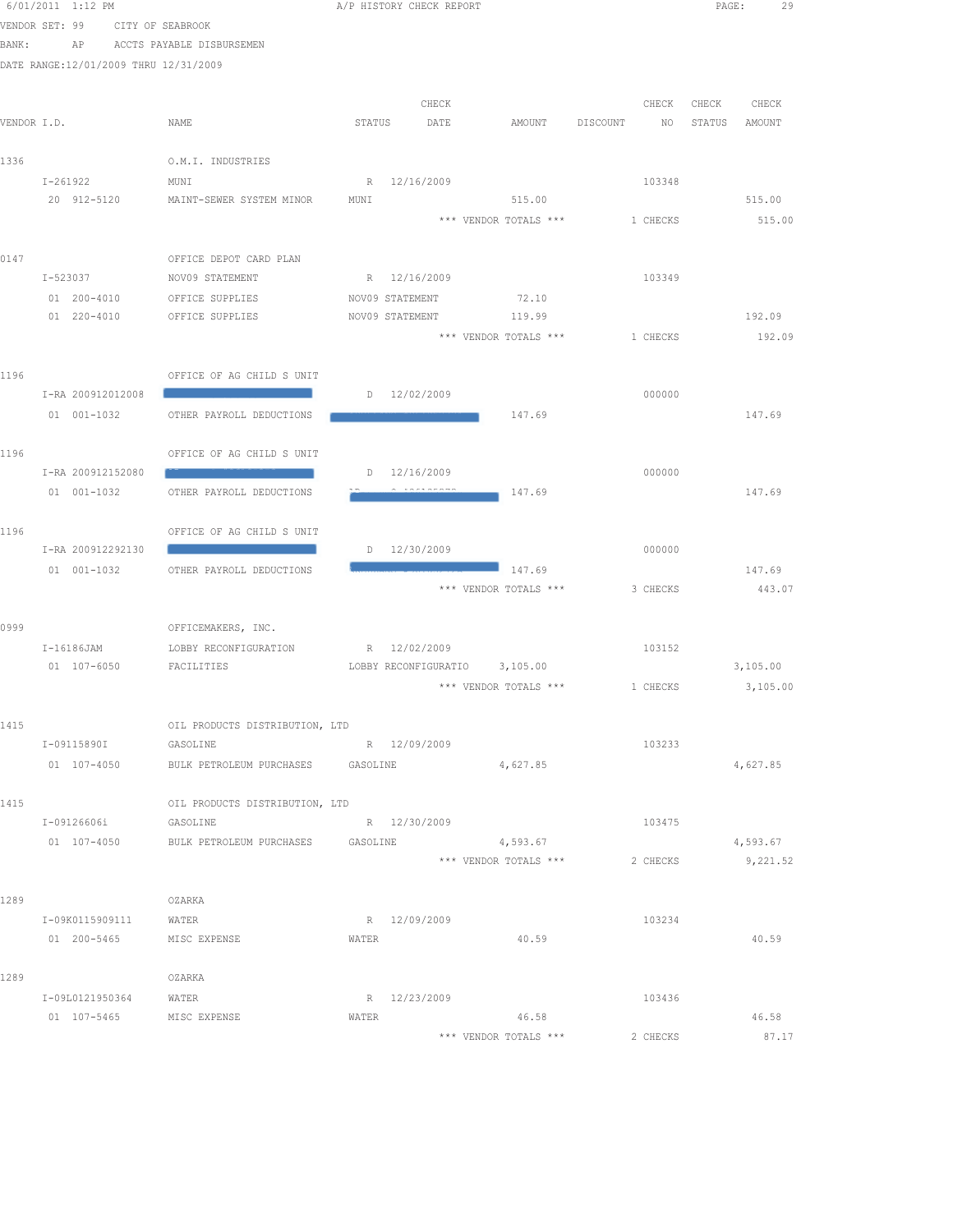|       | 6/01/2011 1:12 PM                     |                                   |          | A/P HISTORY CHECK REPORT |                               |                | PAGE:  | 29       |
|-------|---------------------------------------|-----------------------------------|----------|--------------------------|-------------------------------|----------------|--------|----------|
|       | VENDOR SET: 99                        | CITY OF SEABROOK                  |          |                          |                               |                |        |          |
| BANK: | ΑP                                    | ACCTS PAYABLE DISBURSEMEN         |          |                          |                               |                |        |          |
|       | DATE RANGE:12/01/2009 THRU 12/31/2009 |                                   |          |                          |                               |                |        |          |
|       |                                       |                                   |          |                          |                               |                |        |          |
|       |                                       |                                   |          | CHECK                    |                               | CHECK          | CHECK  | CHECK    |
|       | VENDOR I.D.                           | NAME                              | STATUS   | DATE                     | AMOUNT                        | DISCOUNT<br>NO | STATUS | AMOUNT   |
|       |                                       |                                   |          |                          |                               |                |        |          |
| 1336  |                                       | O.M.I. INDUSTRIES                 |          |                          |                               |                |        |          |
|       | $I - 261922$                          | MUNI                              |          | R 12/16/2009             |                               | 103348         |        |          |
|       | 20 912-5120                           | MAINT-SEWER SYSTEM MINOR          | MUNI     |                          | 515.00                        |                |        | 515.00   |
|       |                                       |                                   |          |                          | *** VENDOR TOTALS ***         | 1 CHECKS       |        | 515.00   |
|       |                                       |                                   |          |                          |                               |                |        |          |
| 0147  |                                       | OFFICE DEPOT CARD PLAN            |          |                          |                               |                |        |          |
|       | I-523037                              | NOV09 STATEMENT                   |          | R 12/16/2009             |                               | 103349         |        |          |
|       | 01 200-4010                           | OFFICE SUPPLIES                   |          | NOV09 STATEMENT          | 72.10                         |                |        |          |
|       | $01 220 - 4010$                       | OFFICE SUPPLIES                   |          | NOV09 STATEMENT          | 119.99                        |                |        | 192.09   |
|       |                                       |                                   |          |                          | *** VENDOR TOTALS ***         | 1 CHECKS       |        | 192.09   |
|       |                                       |                                   |          |                          |                               |                |        |          |
| 1196  |                                       | OFFICE OF AG CHILD S UNIT         |          |                          |                               | 000000         |        |          |
|       | I-RA 200912012008                     |                                   |          | $D = 12/02/2009$         |                               |                |        |          |
|       | $01 001 - 1032$                       | OTHER PAYROLL DEDUCTIONS          |          |                          | 147.69                        |                |        | 147.69   |
|       |                                       |                                   |          |                          |                               |                |        |          |
| 1196  | I-RA 200912152080                     | OFFICE OF AG CHILD S UNIT         |          | $D = 12/16/2009$         |                               | 000000         |        |          |
|       | 01 001-1032                           | OTHER PAYROLL DEDUCTIONS          |          |                          | 147.69                        |                |        | 147.69   |
|       |                                       |                                   |          |                          |                               |                |        |          |
| 1196  |                                       | OFFICE OF AG CHILD S UNIT         |          |                          |                               |                |        |          |
|       | I-RA 200912292130                     |                                   |          | D 12/30/2009             |                               | 000000         |        |          |
|       | 01 001-1032                           | OTHER PAYROLL DEDUCTIONS          |          |                          | 147.69                        |                |        | 147.69   |
|       |                                       |                                   |          |                          | *** VENDOR TOTALS ***         | 3 CHECKS       |        | 443.07   |
|       |                                       |                                   |          |                          |                               |                |        |          |
| 0999  |                                       | OFFICEMAKERS, INC.                |          |                          |                               |                |        |          |
|       | I-16186JAM                            | LOBBY RECONFIGURATION             |          | R 12/02/2009             |                               | 103152         |        |          |
|       | 01 107-6050                           | FACILITIES                        |          |                          | LOBBY RECONFIGURATIO 3,105.00 |                |        | 3,105.00 |
|       |                                       |                                   |          |                          | *** VENDOR TOTALS ***         | 1 CHECKS       |        | 3,105.00 |
|       |                                       |                                   |          |                          |                               |                |        |          |
| 1415  |                                       | OIL PRODUCTS DISTRIBUTION, LTD    |          |                          |                               |                |        |          |
|       | I-09115890I                           | GASOLINE                          |          | R 12/09/2009             |                               | 103233         |        |          |
|       | 01 107-4050                           | BULK PETROLEUM PURCHASES GASOLINE |          |                          | 4,627.85                      |                |        | 4,627.85 |
|       |                                       |                                   |          |                          |                               |                |        |          |
| 1415  |                                       | OIL PRODUCTS DISTRIBUTION, LTD    |          |                          |                               |                |        |          |
|       | I-09126606i                           | GASOLINE                          |          | R 12/30/2009             |                               | 103475         |        |          |
|       | 01 107-4050                           | BULK PETROLEUM PURCHASES          | GASOLINE |                          | 4,593.67                      |                |        | 4,593.67 |
|       |                                       |                                   |          |                          | *** VENDOR TOTALS ***         | 2 CHECKS       |        | 9,221.52 |
|       |                                       |                                   |          |                          |                               |                |        |          |
| 1289  |                                       | OZARKA                            |          |                          |                               |                |        |          |
|       | I-09K0115909111                       | WATER                             |          | R 12/09/2009             |                               | 103234         |        |          |
|       | 01 200-5465                           | MISC EXPENSE                      | WATER    |                          | 40.59                         |                |        | 40.59    |
|       |                                       |                                   |          |                          |                               |                |        |          |
| 1289  |                                       | OZARKA                            |          |                          |                               |                |        |          |
|       | I-09L0121950364                       | WATER                             |          | R 12/23/2009             |                               | 103436         |        |          |
|       | 01 107-5465                           | MISC EXPENSE                      | WATER    |                          | 46.58                         |                |        | 46.58    |
|       |                                       |                                   |          |                          | *** VENDOR TOTALS ***         | 2 CHECKS       |        | 87.17    |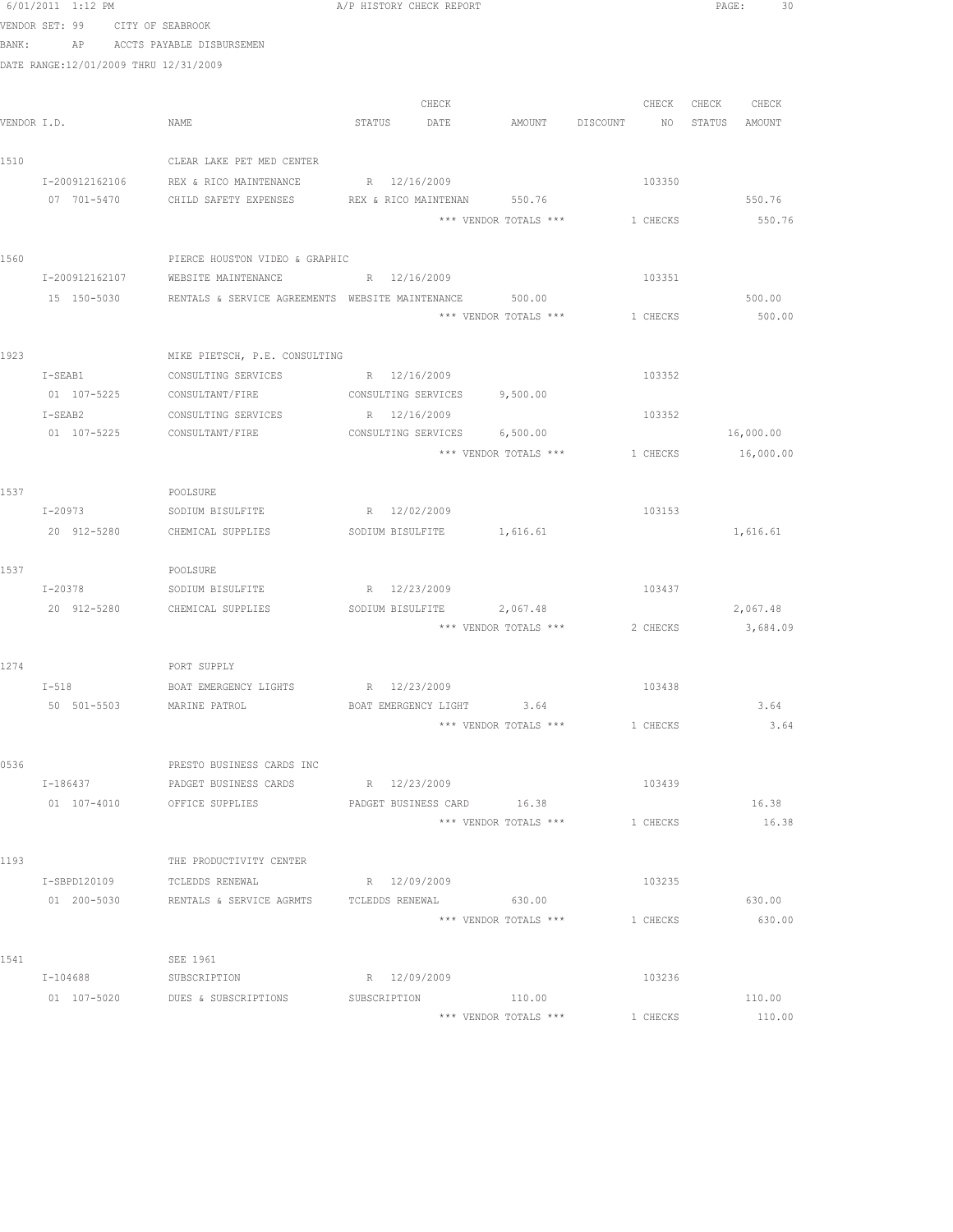|       | 6/01/2011 1:12 PM                     |                                                                | A/P HISTORY CHECK REPORT |              |                                |          |               | PAGE:<br>30 |  |
|-------|---------------------------------------|----------------------------------------------------------------|--------------------------|--------------|--------------------------------|----------|---------------|-------------|--|
|       | VENDOR SET: 99 CITY OF SEABROOK       |                                                                |                          |              |                                |          |               |             |  |
| BANK: |                                       | AP ACCTS PAYABLE DISBURSEMEN                                   |                          |              |                                |          |               |             |  |
|       | DATE RANGE:12/01/2009 THRU 12/31/2009 |                                                                |                          |              |                                |          |               |             |  |
|       |                                       |                                                                |                          |              |                                |          |               |             |  |
|       |                                       |                                                                |                          | CHECK        |                                |          | CHECK CHECK   | CHECK       |  |
|       | VENDOR I.D.                           | NAME                                                           | STATUS DATE              |              | AMOUNT DISCOUNT NO             |          | STATUS AMOUNT |             |  |
|       |                                       |                                                                |                          |              |                                |          |               |             |  |
| 1510  |                                       | CLEAR LAKE PET MED CENTER                                      |                          |              |                                |          |               |             |  |
|       | 07 701-5470                           | I-200912162106 REX & RICO MAINTENANCE<br>CHILD SAFETY EXPENSES | R 12/16/2009             |              | REX & RICO MAINTENAN 550.76    | 103350   |               | 550.76      |  |
|       |                                       |                                                                |                          |              | *** VENDOR TOTALS *** 1 CHECKS |          |               | 550.76      |  |
|       |                                       |                                                                |                          |              |                                |          |               |             |  |
| 1560  |                                       | PIERCE HOUSTON VIDEO & GRAPHIC                                 |                          |              |                                |          |               |             |  |
|       | I-200912162107                        | WEBSITE MAINTENANCE                                            | R 12/16/2009             |              |                                | 103351   |               |             |  |
|       |                                       | 15 150-5030 RENTALS & SERVICE AGREEMENTS WEBSITE MAINTENANCE   |                          |              | 500.00                         |          |               | 500.00      |  |
|       |                                       |                                                                |                          |              | *** VENDOR TOTALS ***          | 1 CHECKS |               | 500.00      |  |
|       |                                       |                                                                |                          |              |                                |          |               |             |  |
| 1923  |                                       | MIKE PIETSCH, P.E. CONSULTING                                  |                          |              |                                |          |               |             |  |
|       | $I-SEAB1$                             | CONSULTING SERVICES                                            | R 12/16/2009             |              |                                | 103352   |               |             |  |
|       |                                       | 01 107-5225 CONSULTANT/FIRE                                    |                          |              | CONSULTING SERVICES 9,500.00   |          |               |             |  |
|       | $I-SEAB2$                             | CONSULTING SERVICES                                            | R 12/16/2009             |              |                                | 103352   |               |             |  |
|       |                                       | 01 107-5225 CONSULTANT/FIRE                                    |                          |              | CONSULTING SERVICES 6,500.00   |          |               | 16,000.00   |  |
|       |                                       |                                                                |                          |              | *** VENDOR TOTALS ***          | 1 CHECKS |               | 16,000.00   |  |
| 1537  |                                       | POOLSURE                                                       |                          |              |                                |          |               |             |  |
|       | I-20973                               | SODIUM BISULFITE                                               | R 12/02/2009             |              |                                | 103153   |               |             |  |
|       | 20 912-5280                           | CHEMICAL SUPPLIES                                              |                          |              | SODIUM BISULFITE 1,616.61      |          |               | 1,616.61    |  |
|       |                                       |                                                                |                          |              |                                |          |               |             |  |
| 1537  |                                       | POOLSURE                                                       |                          |              |                                |          |               |             |  |
|       | I-20378                               | SODIUM BISULFITE                                               | R 12/23/2009             |              |                                | 103437   |               |             |  |
|       |                                       | 20 912-5280 CHEMICAL SUPPLIES                                  |                          |              | SODIUM BISULFITE 2,067.48      |          |               | 2,067.48    |  |
|       |                                       |                                                                |                          |              | *** VENDOR TOTALS *** 2 CHECKS |          |               | 3,684.09    |  |
|       |                                       |                                                                |                          |              |                                |          |               |             |  |
| 1274  |                                       | PORT SUPPLY                                                    |                          |              |                                |          |               |             |  |
|       | $I-518$<br>50 501-5503                | BOAT EMERGENCY LIGHTS R 12/23/2009<br>MARINE PATROL            | BOAT EMERGENCY LIGHT     |              | 3.64                           | 103438   |               | 3.64        |  |
|       |                                       |                                                                |                          |              | *** VENDOR TOTALS ***          | 1 CHECKS |               | 3.64        |  |
|       |                                       |                                                                |                          |              |                                |          |               |             |  |
| 0536  |                                       | PRESTO BUSINESS CARDS INC                                      |                          |              |                                |          |               |             |  |
|       | I-186437                              | PADGET BUSINESS CARDS                                          | R 12/23/2009             |              |                                | 103439   |               |             |  |
|       | $01 107 - 4010$                       | OFFICE SUPPLIES                                                | PADGET BUSINESS CARD     |              | 16.38                          |          |               | 16.38       |  |
|       |                                       |                                                                |                          |              | *** VENDOR TOTALS ***          | 1 CHECKS |               | 16.38       |  |
|       |                                       |                                                                |                          |              |                                |          |               |             |  |
| 1193  |                                       | THE PRODUCTIVITY CENTER                                        |                          |              |                                |          |               |             |  |
|       | I-SBPD120109                          | TCLEDDS RENEWAL                                                |                          | R 12/09/2009 |                                | 103235   |               |             |  |
|       | 01 200-5030                           | RENTALS & SERVICE AGRMTS TCLEDDS RENEWAL 630.00                |                          |              |                                |          |               | 630.00      |  |
|       |                                       |                                                                |                          |              | *** VENDOR TOTALS ***          | 1 CHECKS |               | 630.00      |  |
| 1541  |                                       | SEE 1961                                                       |                          |              |                                |          |               |             |  |
|       | I-104688                              | SUBSCRIPTION                                                   |                          | R 12/09/2009 |                                | 103236   |               |             |  |
|       | 01 107-5020                           | DUES & SUBSCRIPTIONS                                           | SUBSCRIPTION             |              | 110.00                         |          |               | 110.00      |  |
|       |                                       |                                                                |                          |              | *** VENDOR TOTALS ***          | 1 CHECKS |               | 110.00      |  |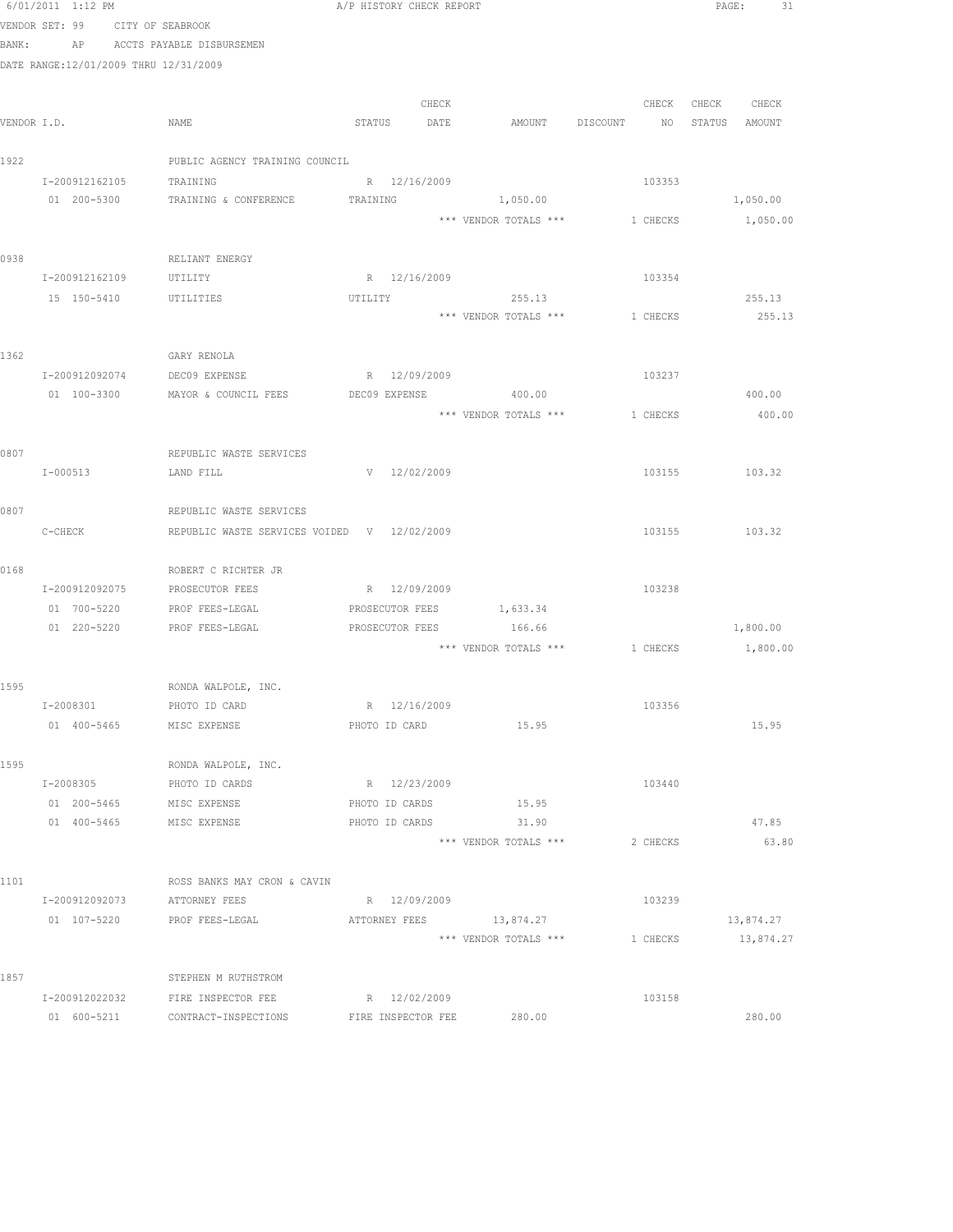|      | 6/01/2011 1:12 PM                     |                                                       | A/P HISTORY CHECK REPORT      |                       |                                         | PAGE: 31      |
|------|---------------------------------------|-------------------------------------------------------|-------------------------------|-----------------------|-----------------------------------------|---------------|
|      | VENDOR SET: 99 CITY OF SEABROOK       |                                                       |                               |                       |                                         |               |
|      |                                       | BANK: AP ACCTS PAYABLE DISBURSEMEN                    |                               |                       |                                         |               |
|      | DATE RANGE:12/01/2009 THRU 12/31/2009 |                                                       |                               |                       |                                         |               |
|      |                                       |                                                       |                               |                       |                                         |               |
|      |                                       |                                                       | CHECK                         |                       | CHECK                                   | CHECK CHECK   |
|      | VENDOR I.D.                           | NAME                                                  | STATUS DATE                   |                       | AMOUNT DISCOUNT NO STATUS AMOUNT        |               |
|      |                                       |                                                       |                               |                       |                                         |               |
| 1922 |                                       | PUBLIC AGENCY TRAINING COUNCIL                        |                               |                       |                                         |               |
|      | I-200912162105 TRAINING               |                                                       | R 12/16/2009                  |                       | 103353                                  |               |
|      | 01 200-5300                           | TRAINING & CONFERENCE                                 | TRAINING                      | 1,050.00              |                                         | 1,050.00      |
|      |                                       |                                                       |                               | *** VENDOR TOTALS *** | 1 CHECKS                                | 1,050.00      |
| 0938 |                                       | RELIANT ENERGY                                        |                               |                       |                                         |               |
|      | I-200912162109                        | UTILITY                                               | R 12/16/2009                  |                       | 103354                                  |               |
|      |                                       | 15 150-5410 UTILITIES                                 | UTILITY                       | 255.13                |                                         | 255.13        |
|      |                                       |                                                       |                               |                       | *** VENDOR TOTALS *** 1 CHECKS          | 255.13        |
|      |                                       |                                                       |                               |                       |                                         |               |
| 1362 |                                       | GARY RENOLA                                           |                               |                       |                                         |               |
|      |                                       | I-200912092074 DEC09 EXPENSE                          | R 12/09/2009                  |                       | 103237                                  |               |
|      |                                       | 01 100-3300 MAYOR & COUNCIL FEES DEC09 EXPENSE 400.00 |                               |                       |                                         | 400.00        |
|      |                                       |                                                       |                               | *** VENDOR TOTALS *** | 1 CHECKS                                | 400.00        |
|      |                                       |                                                       |                               |                       |                                         |               |
| 0807 |                                       | REPUBLIC WASTE SERVICES                               |                               |                       |                                         |               |
|      | I-000513                              | LAND FILL                                             | V 12/02/2009                  |                       |                                         | 103155 103.32 |
|      |                                       |                                                       |                               |                       |                                         |               |
| 0807 |                                       | REPUBLIC WASTE SERVICES                               |                               |                       |                                         |               |
|      | C-CHECK                               | REPUBLIC WASTE SERVICES VOIDED V 12/02/2009           |                               |                       |                                         | 103155 103.32 |
|      |                                       |                                                       |                               |                       |                                         |               |
| 0168 |                                       | ROBERT C RICHTER JR                                   |                               |                       |                                         |               |
|      |                                       | I-200912092075 PROSECUTOR FEES                        | R 12/09/2009                  |                       | 103238                                  |               |
|      |                                       | 01 700-5220 PROF FEES-LEGAL                           | PROSECUTOR FEES 1,633.34      |                       |                                         |               |
|      |                                       | 01 220-5220 PROF FEES-LEGAL                           | PROSECUTOR FEES 166.66        |                       |                                         | 1,800.00      |
|      |                                       |                                                       |                               |                       | *** VENDOR TOTALS *** 1 CHECKS 1,800.00 |               |
|      |                                       |                                                       |                               |                       |                                         |               |
| 1595 |                                       | RONDA WALPOLE, INC.                                   |                               |                       | 103356                                  |               |
|      | I-2008301                             | PHOTO ID CARD                                         | R 12/16/2009<br>PHOTO ID CARD |                       |                                         |               |
|      | 01 400-5465                           | MISC EXPENSE                                          |                               | 15.95                 |                                         | 15.95         |
| 1595 |                                       | RONDA WALPOLE, INC.                                   |                               |                       |                                         |               |
|      | I-2008305                             | PHOTO ID CARDS                                        | R 12/23/2009                  |                       | 103440                                  |               |
|      | 01 200-5465                           | MISC EXPENSE                                          | PHOTO ID CARDS                | 15.95                 |                                         |               |
|      | 01 400-5465                           | MISC EXPENSE                                          | PHOTO ID CARDS                | 31.90                 |                                         | 47.85         |
|      |                                       |                                                       |                               | *** VENDOR TOTALS *** | 2 CHECKS                                | 63.80         |
|      |                                       |                                                       |                               |                       |                                         |               |
| 1101 |                                       | ROSS BANKS MAY CRON & CAVIN                           |                               |                       |                                         |               |
|      | I-200912092073                        | ATTORNEY FEES                                         | R 12/09/2009                  |                       | 103239                                  |               |
|      | 01 107-5220                           | PROF FEES-LEGAL                                       | ATTORNEY FEES 13,874.27       |                       |                                         | 13,874.27     |
|      |                                       |                                                       |                               | *** VENDOR TOTALS *** | 1 CHECKS                                | 13,874.27     |
|      |                                       |                                                       |                               |                       |                                         |               |
| 1857 |                                       | STEPHEN M RUTHSTROM                                   |                               |                       |                                         |               |
|      | I-200912022032                        | FIRE INSPECTOR FEE                                    | R 12/02/2009                  |                       | 103158                                  |               |
|      | 01 600-5211                           | CONTRACT-INSPECTIONS                                  | FIRE INSPECTOR FEE            | 280.00                |                                         | 280.00        |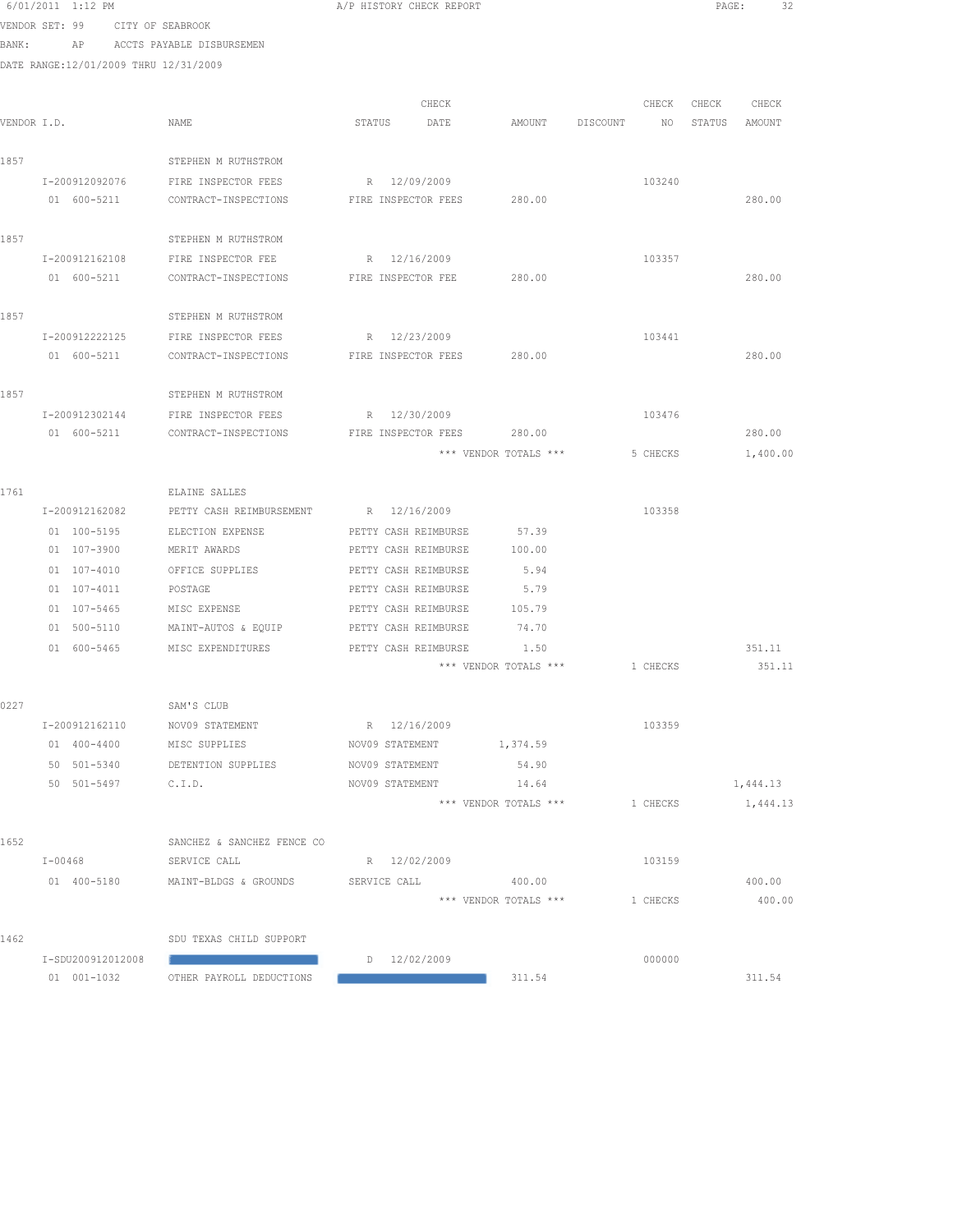|       | 6/01/2011 1:12 PM                     |                                             | A/P HISTORY CHECK REPORT                     |                       |          |       | PAGE:<br>-32  |
|-------|---------------------------------------|---------------------------------------------|----------------------------------------------|-----------------------|----------|-------|---------------|
|       | VENDOR SET: 99 CITY OF SEABROOK       |                                             |                                              |                       |          |       |               |
| BANK: | AP                                    | ACCTS PAYABLE DISBURSEMEN                   |                                              |                       |          |       |               |
|       | DATE RANGE:12/01/2009 THRU 12/31/2009 |                                             |                                              |                       |          |       |               |
|       |                                       |                                             |                                              |                       |          |       |               |
|       |                                       |                                             | CHECK                                        |                       | CHECK    | CHECK | CHECK         |
|       | VENDOR I.D.                           | NAME                                        | STATUS<br>DATE                               | AMOUNT DISCOUNT       |          | NO    | STATUS AMOUNT |
| 1857  |                                       | STEPHEN M RUTHSTROM                         |                                              |                       |          |       |               |
|       |                                       |                                             |                                              |                       |          |       |               |
|       | I-200912092076<br>01 600-5211         | FIRE INSPECTOR FEES<br>CONTRACT-INSPECTIONS | R 12/09/2009<br>FIRE INSPECTOR FEES          | 280.00                | 103240   |       | 280.00        |
|       |                                       |                                             |                                              |                       |          |       |               |
| 1857  |                                       | STEPHEN M RUTHSTROM                         |                                              |                       |          |       |               |
|       | I-200912162108                        | FIRE INSPECTOR FEE                          | R 12/16/2009                                 |                       | 103357   |       |               |
|       | 01 600-5211                           | CONTRACT-INSPECTIONS                        | FIRE INSPECTOR FEE                           | 280.00                |          |       | 280.00        |
|       |                                       |                                             |                                              |                       |          |       |               |
| 1857  |                                       | STEPHEN M RUTHSTROM                         |                                              |                       |          |       |               |
|       | I-200912222125                        | FIRE INSPECTOR FEES                         | R 12/23/2009                                 |                       | 103441   |       |               |
|       | 01 600-5211                           | CONTRACT-INSPECTIONS                        | FIRE INSPECTOR FEES                          | 280.00                |          |       | 280.00        |
|       |                                       |                                             |                                              |                       |          |       |               |
| 1857  |                                       | STEPHEN M RUTHSTROM                         |                                              |                       |          |       |               |
|       | I-200912302144                        | FIRE INSPECTOR FEES                         | R 12/30/2009                                 |                       | 103476   |       |               |
|       | 01 600-5211                           | CONTRACT-INSPECTIONS                        | FIRE INSPECTOR FEES 280.00                   |                       |          |       | 280.00        |
|       |                                       |                                             |                                              | *** VENDOR TOTALS *** | 5 CHECKS |       | 1,400.00      |
|       |                                       |                                             |                                              |                       |          |       |               |
| 1761  |                                       | ELAINE SALLES                               |                                              |                       |          |       |               |
|       | I-200912162082                        | PETTY CASH REIMBURSEMENT                    | R 12/16/2009                                 | 57.39                 | 103358   |       |               |
|       | 01 100-5195<br>01 107-3900            | ELECTION EXPENSE<br>MERIT AWARDS            | PETTY CASH REIMBURSE<br>PETTY CASH REIMBURSE | 100.00                |          |       |               |
|       | 01 107-4010                           | OFFICE SUPPLIES                             | PETTY CASH REIMBURSE                         | 5.94                  |          |       |               |
|       | 01 107-4011                           | POSTAGE                                     | PETTY CASH REIMBURSE                         | 5.79                  |          |       |               |
|       | 01 107-5465                           | MISC EXPENSE                                | PETTY CASH REIMBURSE                         | 105.79                |          |       |               |
|       | 01 500-5110                           | MAINT-AUTOS & EQUIP                         | PETTY CASH REIMBURSE                         | 74.70                 |          |       |               |
|       | 01 600-5465                           | MISC EXPENDITURES                           | PETTY CASH REIMBURSE                         | 1.50                  |          |       | 351.11        |
|       |                                       |                                             |                                              | *** VENDOR TOTALS *** | 1 CHECKS |       | 351.11        |
|       |                                       |                                             |                                              |                       |          |       |               |
| 0227  |                                       | SAM'S CLUB                                  |                                              |                       |          |       |               |
|       | I-200912162110                        | NOV09 STATEMENT                             | R 12/16/2009                                 |                       | 103359   |       |               |
|       | 01 400-4400                           | MISC SUPPLIES                               | NOV09 STATEMENT                              | 1,374.59              |          |       |               |
|       | 50 501-5340                           | DETENTION SUPPLIES                          | NOV09 STATEMENT                              | 54.90                 |          |       |               |
|       | 50 501-5497                           | C.I.D.                                      | NOV09 STATEMENT                              | 14.64                 |          |       | 1,444.13      |
|       |                                       |                                             |                                              | *** VENDOR TOTALS *** | 1 CHECKS |       | 1,444.13      |
|       |                                       |                                             |                                              |                       |          |       |               |
| 1652  |                                       | SANCHEZ & SANCHEZ FENCE CO                  |                                              |                       |          |       |               |
|       | $I - 00468$                           | SERVICE CALL                                | R 12/02/2009                                 |                       | 103159   |       |               |
|       | 01 400-5180                           | MAINT-BLDGS & GROUNDS                       | SERVICE CALL                                 | 400.00                |          |       | 400.00        |
|       |                                       |                                             |                                              | *** VENDOR TOTALS *** | 1 CHECKS |       | 400.00        |
| 1462  |                                       | SDU TEXAS CHILD SUPPORT                     |                                              |                       |          |       |               |
|       | I-SDU200912012008                     |                                             | D 12/02/2009                                 |                       | 000000   |       |               |
|       | 01 001-1032                           | OTHER PAYROLL DEDUCTIONS                    |                                              | 311.54                |          |       | 311.54        |
|       |                                       |                                             |                                              |                       |          |       |               |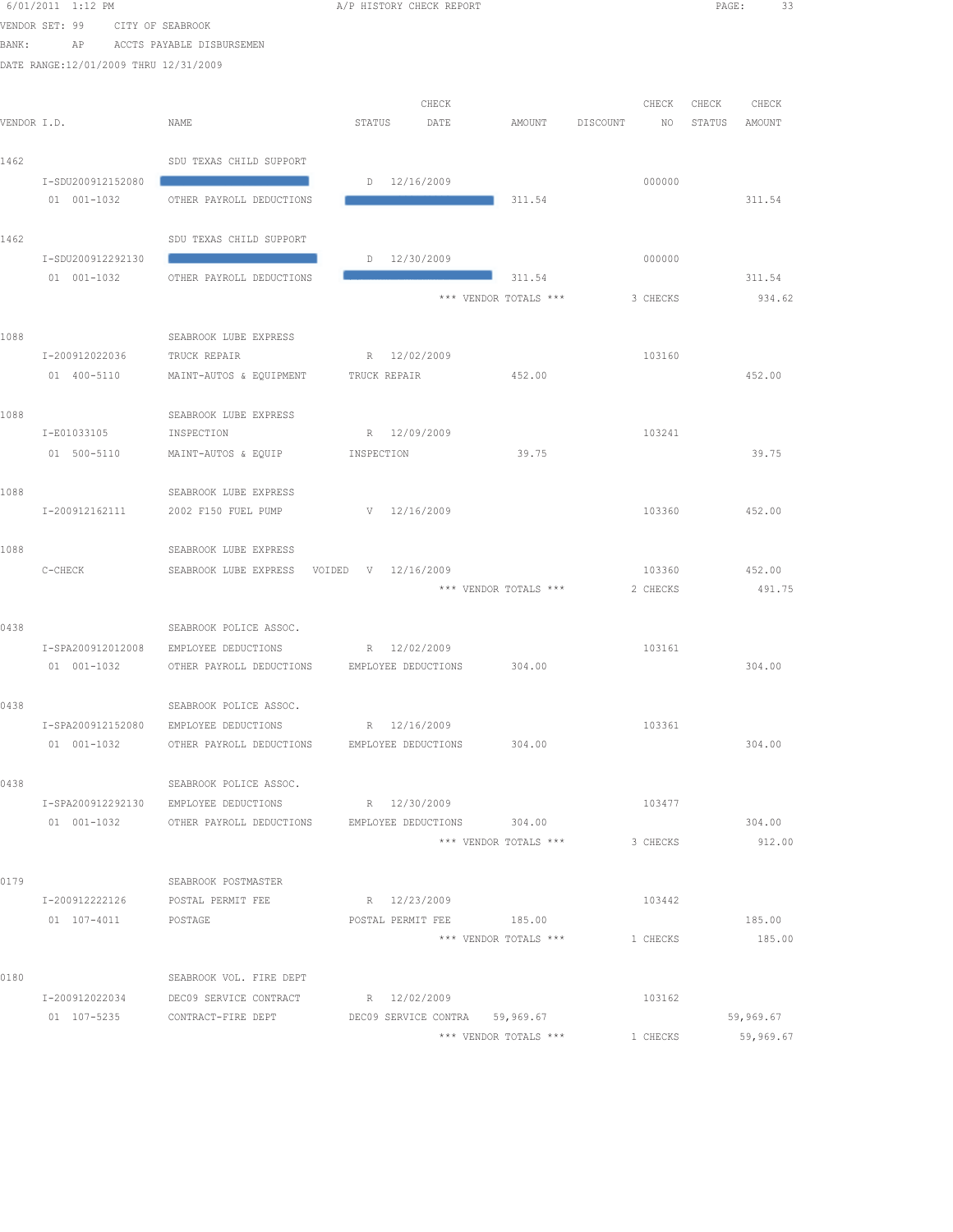|       | 6/01/2011 1:12 PM                     |                                           | A/P HISTORY CHECK REPORT                               |                | PAGE:<br>33      |
|-------|---------------------------------------|-------------------------------------------|--------------------------------------------------------|----------------|------------------|
|       | VENDOR SET: 99                        | CITY OF SEABROOK                          |                                                        |                |                  |
| BANK: | AP                                    | ACCTS PAYABLE DISBURSEMEN                 |                                                        |                |                  |
|       | DATE RANGE:12/01/2009 THRU 12/31/2009 |                                           |                                                        |                |                  |
|       |                                       |                                           |                                                        |                |                  |
|       |                                       |                                           | CHECK                                                  | CHECK          | CHECK<br>CHECK   |
|       | VENDOR I.D.                           | NAME                                      | STATUS<br>DATE<br>AMOUNT                               | DISCOUNT<br>NO | STATUS<br>AMOUNT |
|       |                                       |                                           |                                                        |                |                  |
| 1462  |                                       | SDU TEXAS CHILD SUPPORT                   |                                                        |                |                  |
|       | I-SDU200912152080<br>01 001-1032      | OTHER PAYROLL DEDUCTIONS                  | D 12/16/2009<br>311.54                                 | 000000         | 311.54           |
|       |                                       |                                           |                                                        |                |                  |
| 1462  |                                       | SDU TEXAS CHILD SUPPORT                   |                                                        |                |                  |
|       | I-SDU200912292130                     |                                           | $D = 12/30/2009$                                       | 000000         |                  |
|       | 01 001-1032                           | OTHER PAYROLL DEDUCTIONS                  | $-1$ 311.54                                            |                | 311.54           |
|       |                                       |                                           | *** VENDOR TOTALS ***                                  | 3 CHECKS       | 934.62           |
|       |                                       |                                           |                                                        |                |                  |
| 1088  |                                       | SEABROOK LUBE EXPRESS                     |                                                        |                |                  |
|       | I-200912022036                        | TRUCK REPAIR                              | R 12/02/2009                                           | 103160         |                  |
|       | 01 400-5110                           | MAINT-AUTOS & EQUIPMENT                   | 452.00<br>TRUCK REPAIR                                 |                | 452.00           |
|       |                                       |                                           |                                                        |                |                  |
| 1088  | I-E01033105                           | SEABROOK LUBE EXPRESS<br>INSPECTION       | R 12/09/2009                                           | 103241         |                  |
|       | 01 500-5110                           | MAINT-AUTOS & EQUIP                       | 39.75<br>INSPECTION                                    |                | 39.75            |
|       |                                       |                                           |                                                        |                |                  |
| 1088  |                                       | SEABROOK LUBE EXPRESS                     |                                                        |                |                  |
|       | I-200912162111                        | 2002 F150 FUEL PUMP                       | V 12/16/2009                                           | 103360         | 452.00           |
|       |                                       |                                           |                                                        |                |                  |
| 1088  |                                       | SEABROOK LUBE EXPRESS                     |                                                        |                |                  |
|       | $C-CHECK$                             | SEABROOK LUBE EXPRESS VOIDED V 12/16/2009 |                                                        | 103360         | 452.00           |
|       |                                       |                                           | *** VENDOR TOTALS ***                                  | 2 CHECKS       | 491.75           |
| 0438  |                                       | SEABROOK POLICE ASSOC.                    |                                                        |                |                  |
|       | I-SPA200912012008                     | EMPLOYEE DEDUCTIONS                       | R 12/02/2009                                           | 103161         |                  |
|       | 01 001-1032                           |                                           | OTHER PAYROLL DEDUCTIONS EMPLOYEE DEDUCTIONS 304.00    |                | 304.00           |
|       |                                       |                                           |                                                        |                |                  |
| 0438  |                                       | SEABROOK POLICE ASSOC.                    |                                                        |                |                  |
|       | I-SPA200912152080                     | EMPLOYEE DEDUCTIONS                       | R 12/16/2009                                           | 103361         |                  |
|       | 01 001-1032                           | OTHER PAYROLL DEDUCTIONS                  | EMPLOYEE DEDUCTIONS<br>304.00                          |                | 304.00           |
|       |                                       |                                           |                                                        |                |                  |
| 0438  |                                       | SEABROOK POLICE ASSOC.                    |                                                        |                |                  |
|       | I-SPA200912292130                     | EMPLOYEE DEDUCTIONS                       | R 12/30/2009                                           | 103477         |                  |
|       | 01 001-1032                           | OTHER PAYROLL DEDUCTIONS                  | 304.00<br>EMPLOYEE DEDUCTIONS<br>*** VENDOR TOTALS *** | 3 CHECKS       | 304.00<br>912.00 |
|       |                                       |                                           |                                                        |                |                  |
| 0179  |                                       | SEABROOK POSTMASTER                       |                                                        |                |                  |
|       | I-200912222126                        | POSTAL PERMIT FEE                         | R 12/23/2009                                           | 103442         |                  |
|       | 01 107-4011                           | POSTAGE                                   | 185.00<br>POSTAL PERMIT FEE                            |                | 185.00           |
|       |                                       |                                           | *** VENDOR TOTALS ***                                  | 1 CHECKS       | 185.00           |
|       |                                       |                                           |                                                        |                |                  |
| 0180  |                                       | SEABROOK VOL. FIRE DEPT                   |                                                        |                |                  |
|       | I-200912022034                        | DEC09 SERVICE CONTRACT                    | R 12/02/2009                                           | 103162         |                  |
|       | 01 107-5235                           | CONTRACT-FIRE DEPT                        | DEC09 SERVICE CONTRA 59,969.67                         |                | 59,969.67        |
|       |                                       |                                           | *** VENDOR TOTALS ***                                  | 1 CHECKS       | 59,969.67        |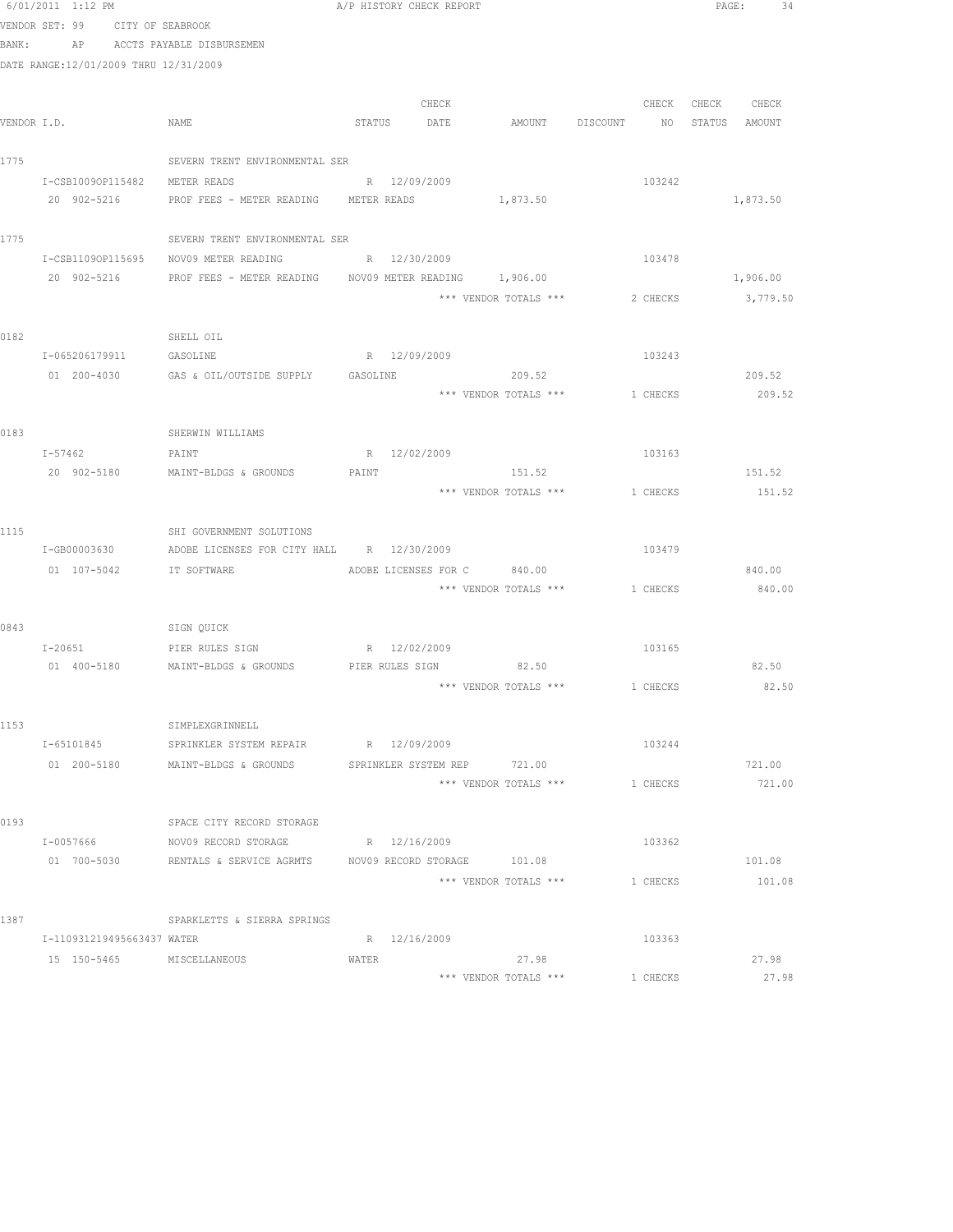|       | 6/01/2011 1:12 PM                     |                                                                      | A/P HISTORY CHECK REPORT |       |                                              |                   | PAGE: 34           |
|-------|---------------------------------------|----------------------------------------------------------------------|--------------------------|-------|----------------------------------------------|-------------------|--------------------|
|       | VENDOR SET: 99 CITY OF SEABROOK       |                                                                      |                          |       |                                              |                   |                    |
| BANK: |                                       | AP ACCTS PAYABLE DISBURSEMEN                                         |                          |       |                                              |                   |                    |
|       | DATE RANGE:12/01/2009 THRU 12/31/2009 |                                                                      |                          |       |                                              |                   |                    |
|       |                                       |                                                                      |                          | CHECK |                                              | CHECK CHECK CHECK |                    |
|       | VENDOR I.D.                           | NAME                                                                 |                          |       | STATUS DATE AMOUNT DISCOUNT NO STATUS AMOUNT |                   |                    |
|       |                                       |                                                                      |                          |       |                                              |                   |                    |
| 1775  |                                       | SEVERN TRENT ENVIRONMENTAL SER                                       |                          |       |                                              |                   |                    |
|       | I-CSB1009OP115482                     | METER READS                                                          | R 12/09/2009             |       |                                              | 103242            |                    |
|       | 20 902-5216                           | PROF FEES - METER READING METER READS                                |                          |       | 1,873.50                                     |                   | 1,873.50           |
|       |                                       |                                                                      |                          |       |                                              |                   |                    |
| 1775  |                                       | SEVERN TRENT ENVIRONMENTAL SER                                       |                          |       |                                              |                   |                    |
|       |                                       | I-CSB11090P115695 NOV09 METER READING R 22/30/2009                   |                          |       |                                              | 103478            |                    |
|       |                                       | 20 902-5216 PROF FEES - METER READING NOV09 METER READING 1,906.00   |                          |       |                                              |                   | 1,906.00           |
|       |                                       |                                                                      |                          |       | *** VENDOR TOTALS ***                        |                   | 2 CHECKS 3, 779.50 |
| 0182  | SHELL OIL                             |                                                                      |                          |       |                                              |                   |                    |
|       |                                       | I-065206179911 GASOLINE R 12/09/2009                                 |                          |       |                                              | 103243            |                    |
|       |                                       |                                                                      |                          |       |                                              |                   | 209.52             |
|       |                                       |                                                                      |                          |       | *** VENDOR TOTALS ***                        | 1 CHECKS          | 209.52             |
|       |                                       |                                                                      |                          |       |                                              |                   |                    |
| 0183  |                                       | SHERWIN WILLIAMS                                                     |                          |       |                                              |                   |                    |
|       | $I - 57462$                           | PAINT                                                                | R 12/02/2009             |       |                                              | 103163            |                    |
|       |                                       | 20 902-5180 MAINT-BLDGS & GROUNDS                                    | PAINT                    |       | 151.52                                       |                   | 151.52             |
|       |                                       |                                                                      |                          |       | *** VENDOR TOTALS *** 1 CHECKS               |                   | 151.52             |
|       |                                       |                                                                      |                          |       |                                              |                   |                    |
| 1115  |                                       | SHI GOVERNMENT SOLUTIONS                                             |                          |       |                                              |                   |                    |
|       |                                       | I-GB00003630 ADOBE LICENSES FOR CITY HALL R 12/30/2009               |                          |       |                                              | 103479            |                    |
|       | 01  107-5042    IT SOFTWARE           |                                                                      |                          |       | ADOBE LICENSES FOR C 840.00                  |                   | 840.00             |
|       |                                       |                                                                      |                          |       | *** VENDOR TOTALS *** 1 CHECKS               |                   | 840.00             |
| 0843  |                                       | SIGN QUICK                                                           |                          |       |                                              |                   |                    |
|       | $I - 20651$                           | PIER RULES SIGN                                                      | R 12/02/2009             |       |                                              | 103165            |                    |
|       |                                       | 01 400-5180 MAINT-BLDGS & GROUNDS PIER RULES SIGN 82.50              |                          |       |                                              |                   | 82.50              |
|       |                                       |                                                                      |                          |       | *** VENDOR TOTALS *** 1 CHECKS               |                   | 82.50              |
|       |                                       |                                                                      |                          |       |                                              |                   |                    |
| 1153  |                                       | SIMPLEXGRINNELL                                                      |                          |       |                                              |                   |                    |
|       | T-65101845                            | SPRINKLER SYSTEM REPAIR R 12/09/2009                                 |                          |       |                                              | 103244            |                    |
|       |                                       | 01  200-5180   MAINT-BLDGS & GROUNDS   SPRINKLER SYSTEM REP   721.00 |                          |       |                                              |                   | 721.00             |
|       |                                       |                                                                      |                          |       | *** VENDOR TOTALS ***                        | 1 CHECKS          | 721.00             |
|       |                                       |                                                                      |                          |       |                                              |                   |                    |
| 0193  |                                       | SPACE CITY RECORD STORAGE                                            |                          |       |                                              |                   |                    |
|       | I-0057666                             | NOV09 RECORD STORAGE                                                 | R 12/16/2009             |       |                                              | 103362            |                    |
|       | 01 700-5030                           | RENTALS & SERVICE AGRMTS MOV09 RECORD STORAGE 101.08                 |                          |       |                                              |                   | 101.08             |
|       |                                       |                                                                      |                          |       | *** VENDOR TOTALS ***                        | 1 CHECKS          | 101.08             |
| 1387  |                                       | SPARKLETTS & SIERRA SPRINGS                                          |                          |       |                                              |                   |                    |
|       | I-110931219495663437 WATER            |                                                                      | R 12/16/2009             |       |                                              | 103363            |                    |
|       | 15 150-5465 MISCELLANEOUS             |                                                                      | WATER                    |       | 27.98                                        |                   | 27.98              |
|       |                                       |                                                                      |                          |       | *** VENDOR TOTALS ***                        | 1 CHECKS          | 27.98              |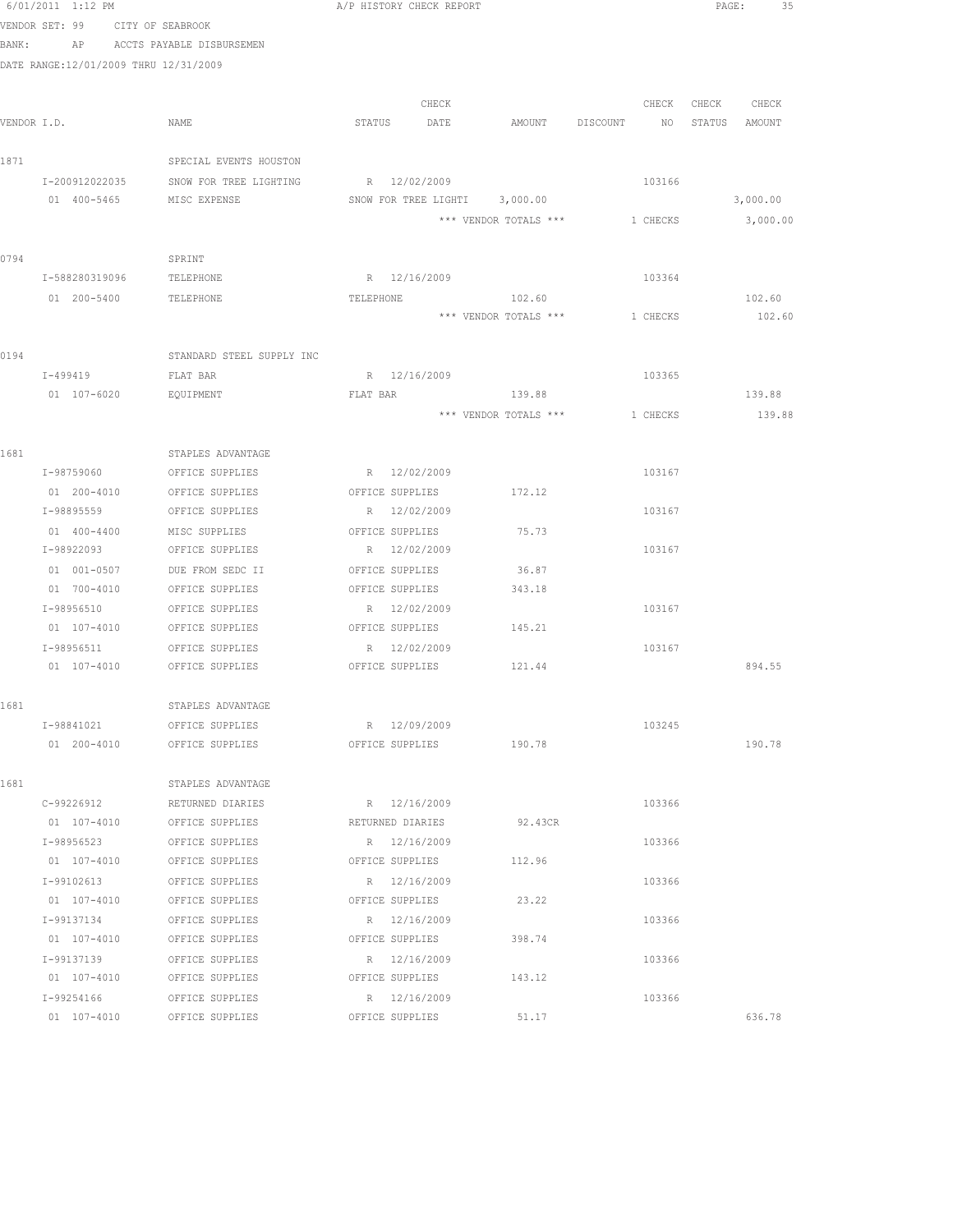|       | 6/01/2011 1:12 PM                     |                                        | A/P HISTORY CHECK REPORT               |       |                                |          |                   | PAGE:<br>35   |
|-------|---------------------------------------|----------------------------------------|----------------------------------------|-------|--------------------------------|----------|-------------------|---------------|
|       | VENDOR SET: 99 CITY OF SEABROOK       |                                        |                                        |       |                                |          |                   |               |
| BANK: |                                       | AP ACCTS PAYABLE DISBURSEMEN           |                                        |       |                                |          |                   |               |
|       | DATE RANGE:12/01/2009 THRU 12/31/2009 |                                        |                                        |       |                                |          |                   |               |
|       |                                       |                                        |                                        |       |                                |          |                   |               |
|       |                                       |                                        |                                        | CHECK |                                |          | CHECK CHECK CHECK |               |
|       | VENDOR I.D.                           | NAME                                   | STATUS                                 | DATE  | AMOUNT DISCOUNT NO             |          |                   | STATUS AMOUNT |
|       |                                       |                                        |                                        |       |                                |          |                   |               |
| 1871  |                                       | SPECIAL EVENTS HOUSTON                 |                                        |       |                                |          |                   |               |
|       | I-200912022035<br>01 400-5465         | SNOW FOR TREE LIGHTING<br>MISC EXPENSE | R 12/02/2009                           |       | SNOW FOR TREE LIGHTI 3,000.00  | 103166   |                   | 3,000.00      |
|       |                                       |                                        |                                        |       | *** VENDOR TOTALS *** 1 CHECKS |          |                   | 3,000.00      |
|       |                                       |                                        |                                        |       |                                |          |                   |               |
| 0794  |                                       | SPRINT                                 |                                        |       |                                |          |                   |               |
|       | I-588280319096                        | TELEPHONE                              | R 12/16/2009                           |       |                                | 103364   |                   |               |
|       | 01 200-5400                           | TELEPHONE                              | TELEPHONE                              |       | 102.60                         |          |                   | 102.60        |
|       |                                       |                                        |                                        |       | *** VENDOR TOTALS ***          | 1 CHECKS |                   | 102.60        |
|       |                                       |                                        |                                        |       |                                |          |                   |               |
| 0194  |                                       | STANDARD STEEL SUPPLY INC              |                                        |       |                                |          |                   |               |
|       | I-499419                              | FLAT BAR                               | R 12/16/2009                           |       |                                | 103365   |                   |               |
|       | 01 107-6020                           | EQUIPMENT                              | FLAT BAR                               |       | 139.88                         |          |                   | 139.88        |
|       |                                       |                                        |                                        |       | *** VENDOR TOTALS ***          | 1 CHECKS |                   | 139.88        |
|       |                                       |                                        |                                        |       |                                |          |                   |               |
| 1681  |                                       | STAPLES ADVANTAGE                      |                                        |       |                                |          |                   |               |
|       | I-98759060                            | OFFICE SUPPLIES                        | R 12/02/2009                           |       |                                | 103167   |                   |               |
|       | 01 200-4010                           | OFFICE SUPPLIES                        | OFFICE SUPPLIES                        |       | 172.12                         |          |                   |               |
|       | I-98895559                            | OFFICE SUPPLIES                        | R 12/02/2009                           |       |                                | 103167   |                   |               |
|       | 01 400-4400                           | MISC SUPPLIES                          | OFFICE SUPPLIES                        |       | 75.73                          |          |                   |               |
|       | I-98922093                            | OFFICE SUPPLIES                        | R 12/02/2009                           |       |                                | 103167   |                   |               |
|       | 01 001-0507                           | DUE FROM SEDC II                       | OFFICE SUPPLIES                        |       | 36.87                          |          |                   |               |
|       | 01 700-4010                           | OFFICE SUPPLIES                        | OFFICE SUPPLIES                        |       | 343.18                         |          |                   |               |
|       | I-98956510                            | OFFICE SUPPLIES                        | R 12/02/2009                           |       |                                | 103167   |                   |               |
|       | 01 107-4010                           | OFFICE SUPPLIES                        | OFFICE SUPPLIES                        |       | 145.21                         |          |                   |               |
|       | I-98956511                            | OFFICE SUPPLIES                        | R 12/02/2009                           |       |                                | 103167   |                   |               |
|       | 01 107-4010                           | OFFICE SUPPLIES                        | OFFICE SUPPLIES 121.44                 |       |                                |          |                   | 894.55        |
|       |                                       |                                        |                                        |       |                                |          |                   |               |
| 1681  |                                       | STAPLES ADVANTAGE                      |                                        |       |                                |          |                   |               |
|       | I-98841021                            | OFFICE SUPPLIES                        | R 12/09/2009<br>OFFICE SUPPLIES 190.78 |       |                                | 103245   |                   | 190.78        |
|       |                                       | 01 200-4010 OFFICE SUPPLIES            |                                        |       |                                |          |                   |               |
| 1681  |                                       | STAPLES ADVANTAGE                      |                                        |       |                                |          |                   |               |
|       | C-99226912                            | RETURNED DIARIES                       | R 12/16/2009                           |       |                                | 103366   |                   |               |
|       | 01 107-4010                           | OFFICE SUPPLIES                        | RETURNED DIARIES                       |       | 92.43CR                        |          |                   |               |
|       | I-98956523                            | OFFICE SUPPLIES                        | R 12/16/2009                           |       |                                | 103366   |                   |               |
|       | 01 107-4010                           | OFFICE SUPPLIES                        | OFFICE SUPPLIES                        |       | 112.96                         |          |                   |               |
|       | I-99102613                            | OFFICE SUPPLIES                        | R 12/16/2009                           |       |                                | 103366   |                   |               |
|       | 01 107-4010                           | OFFICE SUPPLIES                        | OFFICE SUPPLIES                        |       | 23.22                          |          |                   |               |
|       | I-99137134                            | OFFICE SUPPLIES                        | R 12/16/2009                           |       |                                | 103366   |                   |               |
|       | 01 107-4010                           | OFFICE SUPPLIES                        | OFFICE SUPPLIES                        |       | 398.74                         |          |                   |               |
|       | I-99137139                            | OFFICE SUPPLIES                        | R 12/16/2009                           |       |                                | 103366   |                   |               |
|       |                                       | 01 107-4010 OFFICE SUPPLIES            | OFFICE SUPPLIES                        |       | 143.12                         |          |                   |               |
|       | I-99254166                            | OFFICE SUPPLIES                        | R 12/16/2009                           |       |                                | 103366   |                   |               |
|       | 01 107-4010                           | OFFICE SUPPLIES                        | OFFICE SUPPLIES                        |       | 51.17                          |          |                   | 636.78        |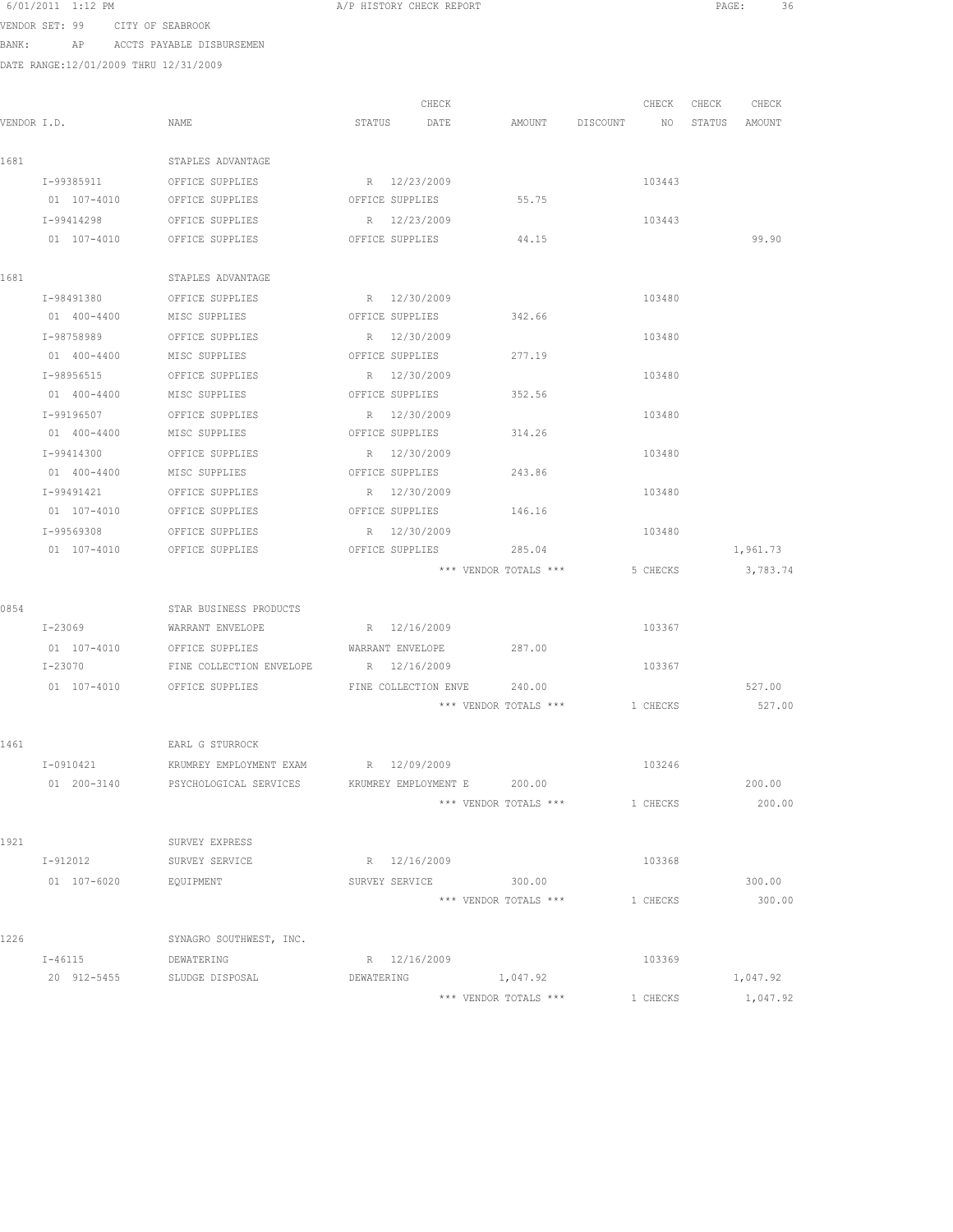6/01/2011 1:12 PM  $A/P$  HISTORY CHECK REPORT PAGE: 36<br>VENDOR SETULOR CITTY OF CITERAL CHECK REPORT

VENDOR SET: 99 CITY OF SEABROOK BANK: AP ACCTS PAYABLE DISBURSEMEN

|             |             |                                                     |                      | CHECK                           |                                | CHECK    | CHECK | CHECK    |
|-------------|-------------|-----------------------------------------------------|----------------------|---------------------------------|--------------------------------|----------|-------|----------|
| VENDOR I.D. |             | NAME                                                | STATUS               | DATE                            | AMOUNT DISCOUNT NO STATUS      |          |       | AMOUNT   |
|             |             |                                                     |                      |                                 |                                |          |       |          |
| 1681        |             | STAPLES ADVANTAGE                                   |                      |                                 |                                |          |       |          |
|             | I-99385911  | OFFICE SUPPLIES                                     |                      | R 12/23/2009                    |                                | 103443   |       |          |
|             |             | 01 107-4010 OFFICE SUPPLIES                         | OFFICE SUPPLIES      |                                 | 55.75                          |          |       |          |
|             | I-99414298  | OFFICE SUPPLIES                                     |                      | R 12/23/2009                    |                                | 103443   |       |          |
|             | 01 107-4010 | OFFICE SUPPLIES                                     | OFFICE SUPPLIES      |                                 | 44.15                          |          |       | 99.90    |
| 1681        |             | STAPLES ADVANTAGE                                   |                      |                                 |                                |          |       |          |
|             | I-98491380  | OFFICE SUPPLIES                                     |                      | R 12/30/2009                    |                                | 103480   |       |          |
|             | 01 400-4400 | MISC SUPPLIES                                       | OFFICE SUPPLIES      |                                 | 342.66                         |          |       |          |
|             | I-98758989  | OFFICE SUPPLIES                                     |                      | R 12/30/2009                    |                                | 103480   |       |          |
|             | 01 400-4400 | MISC SUPPLIES                                       | OFFICE SUPPLIES      |                                 | 277.19                         |          |       |          |
|             | I-98956515  | OFFICE SUPPLIES                                     |                      | R 12/30/2009                    |                                | 103480   |       |          |
|             | 01 400-4400 | MISC SUPPLIES                                       | OFFICE SUPPLIES      |                                 | 352.56                         |          |       |          |
|             | I-99196507  | OFFICE SUPPLIES                                     |                      | R 12/30/2009                    |                                | 103480   |       |          |
|             | 01 400-4400 | MISC SUPPLIES                                       | OFFICE SUPPLIES      |                                 | 314.26                         |          |       |          |
|             | I-99414300  | OFFICE SUPPLIES                                     |                      | R 12/30/2009                    |                                | 103480   |       |          |
|             | 01 400-4400 | MISC SUPPLIES                                       | OFFICE SUPPLIES      |                                 | 243.86                         |          |       |          |
|             | I-99491421  | OFFICE SUPPLIES                                     |                      | R 12/30/2009                    |                                | 103480   |       |          |
|             | 01 107-4010 | OFFICE SUPPLIES                                     | OFFICE SUPPLIES      |                                 | 146.16                         |          |       |          |
|             | I-99569308  | OFFICE SUPPLIES                                     |                      |                                 |                                | 103480   |       |          |
|             | 01 107-4010 | OFFICE SUPPLIES                                     |                      | R 12/30/2009<br>OFFICE SUPPLIES | 285.04                         |          |       | 1,961.73 |
|             |             |                                                     |                      |                                 | *** VENDOR TOTALS ***          |          |       |          |
|             |             |                                                     |                      |                                 |                                | 5 CHECKS |       | 3,783.74 |
| 0854        |             | STAR BUSINESS PRODUCTS                              |                      |                                 |                                |          |       |          |
|             | $I - 23069$ | WARRANT ENVELOPE R 12/16/2009                       |                      |                                 |                                | 103367   |       |          |
|             |             | 01 107-4010 OFFICE SUPPLIES WARRANT ENVELOPE 287.00 |                      |                                 |                                |          |       |          |
|             | I-23070     | FINE COLLECTION ENVELOPE R 12/16/2009               |                      |                                 |                                | 103367   |       |          |
|             | 01 107-4010 | OFFICE SUPPLIES                                     | FINE COLLECTION ENVE |                                 | 240.00                         |          |       | 527.00   |
|             |             |                                                     |                      |                                 | *** VENDOR TOTALS ***          | 1 CHECKS |       | 527.00   |
|             |             |                                                     |                      |                                 |                                |          |       |          |
| 1461        |             | EARL G STURROCK                                     |                      |                                 |                                |          |       |          |
|             | I-0910421   | KRUMREY EMPLOYMENT EXAM                             | R 12/09/2009         |                                 |                                | 103246   |       |          |
|             | 01 200-3140 | PSYCHOLOGICAL SERVICES                              | KRUMREY EMPLOYMENT E |                                 | 200.00                         |          |       | 200.00   |
|             |             |                                                     |                      |                                 | *** VENDOR TOTALS *** 1 CHECKS |          |       | 200.00   |
|             |             |                                                     |                      |                                 |                                |          |       |          |
| 1921        |             | SURVEY EXPRESS                                      |                      |                                 |                                |          |       |          |
|             | I-912012    | SURVEY SERVICE                                      |                      | R 12/16/2009                    |                                | 103368   |       |          |
|             | 01 107-6020 | EQUIPMENT                                           |                      |                                 | SURVEY SERVICE 300.00          |          |       | 300.00   |
|             |             |                                                     |                      |                                 | *** VENDOR TOTALS ***          | 1 CHECKS |       | 300.00   |
|             |             |                                                     |                      |                                 |                                |          |       |          |
| 1226        |             | SYNAGRO SOUTHWEST, INC.                             |                      |                                 |                                |          |       |          |
|             | $I - 46115$ | DEWATERING                                          |                      | R 12/16/2009                    |                                | 103369   |       |          |
|             | 20 912-5455 | SLUDGE DISPOSAL                                     | DEWATERING           |                                 | 1,047.92                       |          |       | 1,047.92 |
|             |             |                                                     |                      |                                 | *** VENDOR TOTALS ***          | 1 CHECKS |       | 1,047.92 |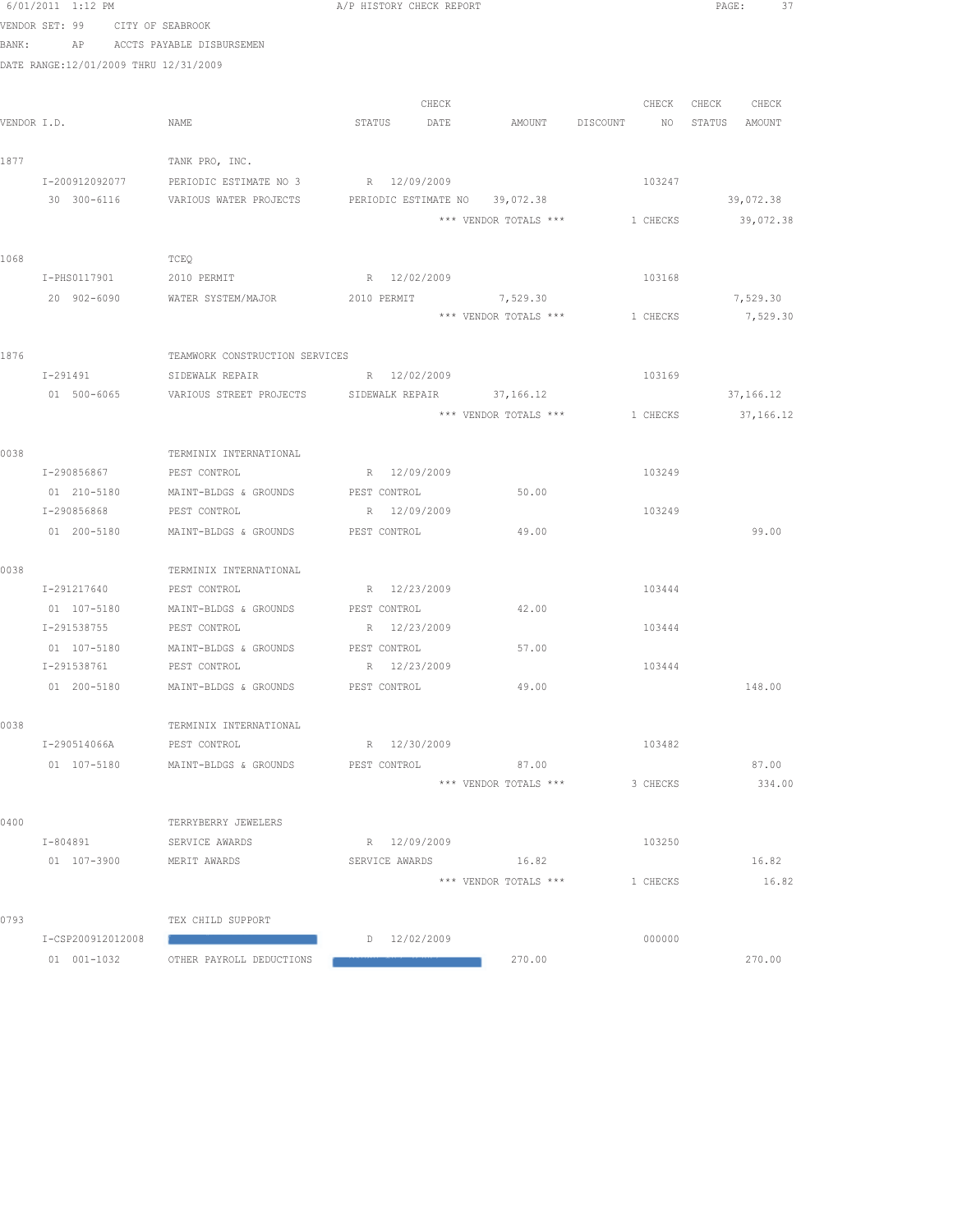|       | 6/01/2011 1:12 PM                     |                                                   | A/P HISTORY CHECK REPORT       |                       |                                          | PAGE:<br>37       |
|-------|---------------------------------------|---------------------------------------------------|--------------------------------|-----------------------|------------------------------------------|-------------------|
|       | VENDOR SET: 99 CITY OF SEABROOK       |                                                   |                                |                       |                                          |                   |
| BANK: |                                       | AP ACCTS PAYABLE DISBURSEMEN                      |                                |                       |                                          |                   |
|       | DATE RANGE:12/01/2009 THRU 12/31/2009 |                                                   |                                |                       |                                          |                   |
|       |                                       |                                                   |                                |                       |                                          |                   |
|       |                                       |                                                   | CHECK                          |                       |                                          | CHECK CHECK CHECK |
|       | VENDOR I.D.                           | NAME                                              | STATUS DATE                    |                       | AMOUNT DISCOUNT NO                       | STATUS AMOUNT     |
|       |                                       |                                                   |                                |                       |                                          |                   |
| 1877  |                                       | TANK PRO, INC.                                    |                                |                       |                                          |                   |
|       | I-200912092077                        | PERIODIC ESTIMATE NO 3 R 12/09/2009               |                                |                       | 103247                                   |                   |
|       | 30 300-6116                           | VARIOUS WATER PROJECTS                            | PERIODIC ESTIMATE NO 39,072.38 |                       |                                          | 39,072.38         |
|       |                                       |                                                   |                                |                       | *** VENDOR TOTALS *** 1 CHECKS           | 39,072.38         |
|       |                                       |                                                   |                                |                       |                                          |                   |
| 1068  |                                       | TCEQ                                              |                                |                       |                                          |                   |
|       | I-PHS0117901                          | 2010 PERMIT                                       | R 12/02/2009                   |                       | 103168                                   |                   |
|       | 20 902-6090                           | WATER SYSTEM/MAJOR                                | 2010 PERMIT                    | 7,529.30              |                                          | 7,529.30          |
|       |                                       |                                                   |                                | *** VENDOR TOTALS *** | 1 CHECKS                                 | 7,529.30          |
|       |                                       |                                                   |                                |                       |                                          |                   |
| 1876  |                                       | TEAMWORK CONSTRUCTION SERVICES                    |                                |                       |                                          |                   |
|       | I-291491                              | SIDEWALK REPAIR                                   | R 12/02/2009                   |                       | 103169                                   |                   |
|       | 01 500-6065                           | VARIOUS STREET PROJECTS SIDEWALK REPAIR 37,166.12 |                                |                       |                                          | 37,166.12         |
|       |                                       |                                                   |                                |                       | *** VENDOR TOTALS *** 1 CHECKS 37,166.12 |                   |
|       |                                       |                                                   |                                |                       |                                          |                   |
| 0038  |                                       | TERMINIX INTERNATIONAL                            |                                |                       |                                          |                   |
|       | I-290856867 PEST CONTROL              |                                                   | R 12/09/2009                   |                       | 103249                                   |                   |
|       |                                       | 01 210-5180 MAINT-BLDGS & GROUNDS PEST CONTROL    |                                | 50.00                 |                                          |                   |
|       | I-290856868                           | PEST CONTROL                                      | R 12/09/2009                   |                       | 103249                                   |                   |
|       | 01 200-5180                           | MAINT-BLDGS & GROUNDS                             | PEST CONTROL                   | 49.00                 |                                          | 99.00             |
| 0038  |                                       | TERMINIX INTERNATIONAL                            |                                |                       |                                          |                   |
|       | I-291217640                           | PEST CONTROL                                      | R 12/23/2009                   |                       | 103444                                   |                   |
|       | 01 107-5180                           | MAINT-BLDGS & GROUNDS                             | PEST CONTROL                   | 42.00                 |                                          |                   |
|       | I-291538755                           | PEST CONTROL                                      | R 12/23/2009                   |                       | 103444                                   |                   |
|       |                                       | 01 107-5180 MAINT-BLDGS & GROUNDS PEST CONTROL    |                                | 57.00                 |                                          |                   |
|       | I-291538761 PEST CONTROL              |                                                   | R 12/23/2009                   |                       | 103444                                   |                   |
|       |                                       |                                                   | PEST CONTROL                   | 49.00                 |                                          | 148.00            |
|       |                                       |                                                   |                                |                       |                                          |                   |
| 0038  |                                       | TERMINIX INTERNATIONAL                            |                                |                       |                                          |                   |
|       | I-290514066A                          | PEST CONTROL                                      | R 12/30/2009                   |                       | 103482                                   |                   |
|       | 01 107-5180                           | MAINT-BLDGS & GROUNDS                             | PEST CONTROL                   | 87.00                 |                                          | 87.00             |
|       |                                       |                                                   |                                | *** VENDOR TOTALS *** | 3 CHECKS                                 | 334.00            |
|       |                                       |                                                   |                                |                       |                                          |                   |
| 0400  |                                       | TERRYBERRY JEWELERS                               |                                |                       |                                          |                   |
|       | I-804891                              | SERVICE AWARDS                                    | R 12/09/2009                   |                       | 103250                                   |                   |
|       | 01 107-3900                           | MERIT AWARDS                                      | SERVICE AWARDS                 | 16.82                 |                                          | 16.82             |
|       |                                       |                                                   |                                | *** VENDOR TOTALS *** | 1 CHECKS                                 | 16.82             |
|       |                                       |                                                   |                                |                       |                                          |                   |
| 0793  |                                       | TEX CHILD SUPPORT                                 |                                |                       |                                          |                   |
|       | I-CSP200912012008                     |                                                   | $D = 12/02/2009$               |                       | 000000                                   |                   |
|       | 01 001-1032                           | OTHER PAYROLL DEDUCTIONS                          |                                | 270.00                |                                          | 270.00            |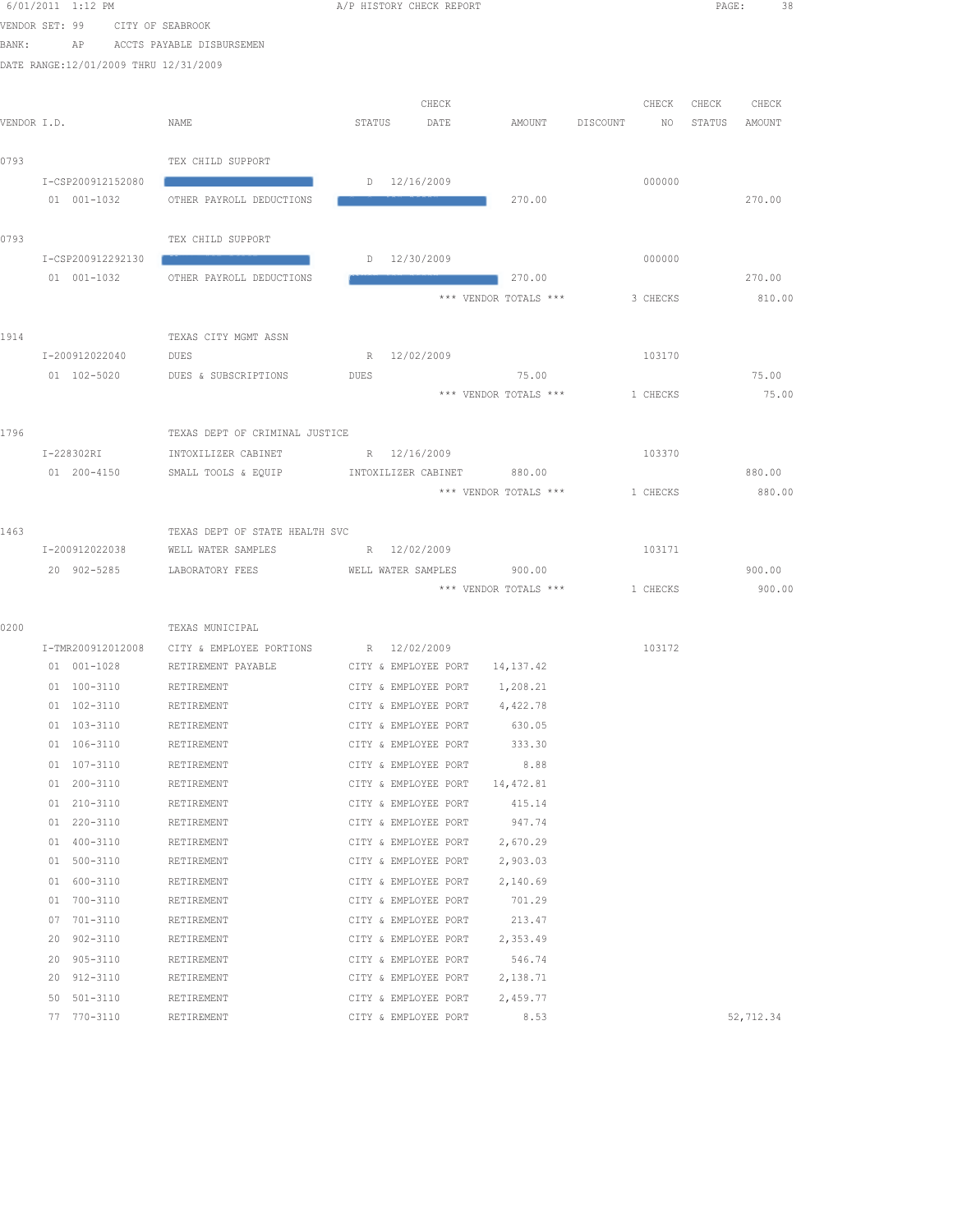|       | 6/01/2011 1:12 PM                     |                                            | A/P HISTORY CHECK REPORT                     |                       |                | PAGE:<br>38      |  |
|-------|---------------------------------------|--------------------------------------------|----------------------------------------------|-----------------------|----------------|------------------|--|
|       | VENDOR SET: 99<br>CITY OF SEABROOK    |                                            |                                              |                       |                |                  |  |
| BANK: | AP                                    | ACCTS PAYABLE DISBURSEMEN                  |                                              |                       |                |                  |  |
|       | DATE RANGE:12/01/2009 THRU 12/31/2009 |                                            |                                              |                       |                |                  |  |
|       |                                       |                                            |                                              |                       |                |                  |  |
|       |                                       |                                            | CHECK                                        |                       | CHECK          | CHECK<br>CHECK   |  |
|       | VENDOR I.D.                           | NAME                                       | STATUS<br>DATE                               | AMOUNT                | DISCOUNT<br>NO | STATUS<br>AMOUNT |  |
|       |                                       |                                            |                                              |                       |                |                  |  |
| 0793  |                                       | TEX CHILD SUPPORT                          |                                              |                       |                |                  |  |
|       | I-CSP200912152080<br>01 001-1032      | OTHER PAYROLL DEDUCTIONS                   | D 12/16/2009                                 | 270.00                | 000000         | 270.00           |  |
|       |                                       |                                            |                                              |                       |                |                  |  |
| 0793  |                                       | TEX CHILD SUPPORT                          |                                              |                       |                |                  |  |
|       | I-CSP200912292130                     |                                            | $D = 12/30/2009$                             |                       | 000000         |                  |  |
|       | 01 001-1032                           | OTHER PAYROLL DEDUCTIONS                   |                                              | 270.00                |                | 270.00           |  |
|       |                                       |                                            |                                              | *** VENDOR TOTALS *** | 3 CHECKS       | 810.00           |  |
|       |                                       |                                            |                                              |                       |                |                  |  |
| 1914  |                                       | TEXAS CITY MGMT ASSN                       |                                              |                       |                |                  |  |
|       | I-200912022040                        | DUES                                       | R 12/02/2009                                 |                       | 103170         |                  |  |
|       | 01 102-5020                           | DUES & SUBSCRIPTIONS                       | <b>DUES</b>                                  | 75.00                 |                | 75.00            |  |
|       |                                       |                                            |                                              | *** VENDOR TOTALS *** | 1 CHECKS       | 75.00            |  |
|       |                                       |                                            |                                              |                       |                |                  |  |
| 1796  |                                       | TEXAS DEPT OF CRIMINAL JUSTICE             |                                              |                       |                |                  |  |
|       | I-228302RI<br>01 200-4150             | INTOXILIZER CABINET<br>SMALL TOOLS & EQUIP | R 12/16/2009<br>INTOXILIZER CABINET 880.00   |                       | 103370         | 880.00           |  |
|       |                                       |                                            |                                              | *** VENDOR TOTALS *** | 1 CHECKS       | 880.00           |  |
|       |                                       |                                            |                                              |                       |                |                  |  |
| 1463  |                                       | TEXAS DEPT OF STATE HEALTH SVC             |                                              |                       |                |                  |  |
|       | I-200912022038                        | WELL WATER SAMPLES                         | R 12/02/2009                                 |                       | 103171         |                  |  |
|       | 20 902-5285                           | LABORATORY FEES                            | WELL WATER SAMPLES                           | 900.00                |                | 900.00           |  |
|       |                                       |                                            |                                              | *** VENDOR TOTALS *** | 1 CHECKS       | 900.00           |  |
|       |                                       |                                            |                                              |                       |                |                  |  |
| 0200  |                                       | TEXAS MUNICIPAL                            |                                              |                       |                |                  |  |
|       | I-TMR200912012008                     | CITY & EMPLOYEE PORTIONS                   | R 12/02/2009                                 |                       | 103172         |                  |  |
|       | 01 001-1028                           | RETIREMENT PAYABLE                         | CITY & EMPLOYEE PORT                         | 14,137.42             |                |                  |  |
|       | 01 100-3110                           | RETIREMENT                                 | CITY & EMPLOYEE PORT                         | 1,208.21              |                |                  |  |
|       | 01 102-3110                           | RETIREMENT                                 | CITY & EMPLOYEE PORT                         | 4,422.78              |                |                  |  |
|       | 01 103-3110                           | RETIREMENT                                 | CITY & EMPLOYEE PORT                         | 630.05                |                |                  |  |
|       | 01 106-3110<br>01 107-3110            | RETIREMENT                                 | CITY & EMPLOYEE PORT<br>CITY & EMPLOYEE PORT | 333.30<br>8.88        |                |                  |  |
|       | 01 200-3110                           | RETIREMENT<br>RETIREMENT                   | CITY & EMPLOYEE PORT                         | 14,472.81             |                |                  |  |
|       | 01 210-3110                           | RETIREMENT                                 | CITY & EMPLOYEE PORT                         | 415.14                |                |                  |  |
|       | 01 220-3110                           | RETIREMENT                                 | CITY & EMPLOYEE PORT                         | 947.74                |                |                  |  |
|       | 01 400-3110                           | RETIREMENT                                 | CITY & EMPLOYEE PORT                         | 2,670.29              |                |                  |  |
|       | 01 500-3110                           | RETIREMENT                                 | CITY & EMPLOYEE PORT                         | 2,903.03              |                |                  |  |
|       | 01 600-3110                           | RETIREMENT                                 | CITY & EMPLOYEE PORT                         | 2,140.69              |                |                  |  |
|       | 01 700-3110                           | RETIREMENT                                 | CITY & EMPLOYEE PORT                         | 701.29                |                |                  |  |
|       | 07 701-3110                           | RETIREMENT                                 | CITY & EMPLOYEE PORT                         | 213.47                |                |                  |  |
|       | 20 902-3110                           | RETIREMENT                                 | CITY & EMPLOYEE PORT                         | 2,353.49              |                |                  |  |
|       | 20<br>905-3110                        | RETIREMENT                                 | CITY & EMPLOYEE PORT                         | 546.74                |                |                  |  |
|       | 912-3110<br>20                        | RETIREMENT                                 | CITY & EMPLOYEE PORT                         | 2,138.71              |                |                  |  |
|       | 50 501-3110                           | RETIREMENT                                 | CITY & EMPLOYEE PORT                         | 2,459.77              |                |                  |  |
|       | 77 770-3110                           | RETIREMENT                                 | CITY & EMPLOYEE PORT                         | 8.53                  |                | 52,712.34        |  |
|       |                                       |                                            |                                              |                       |                |                  |  |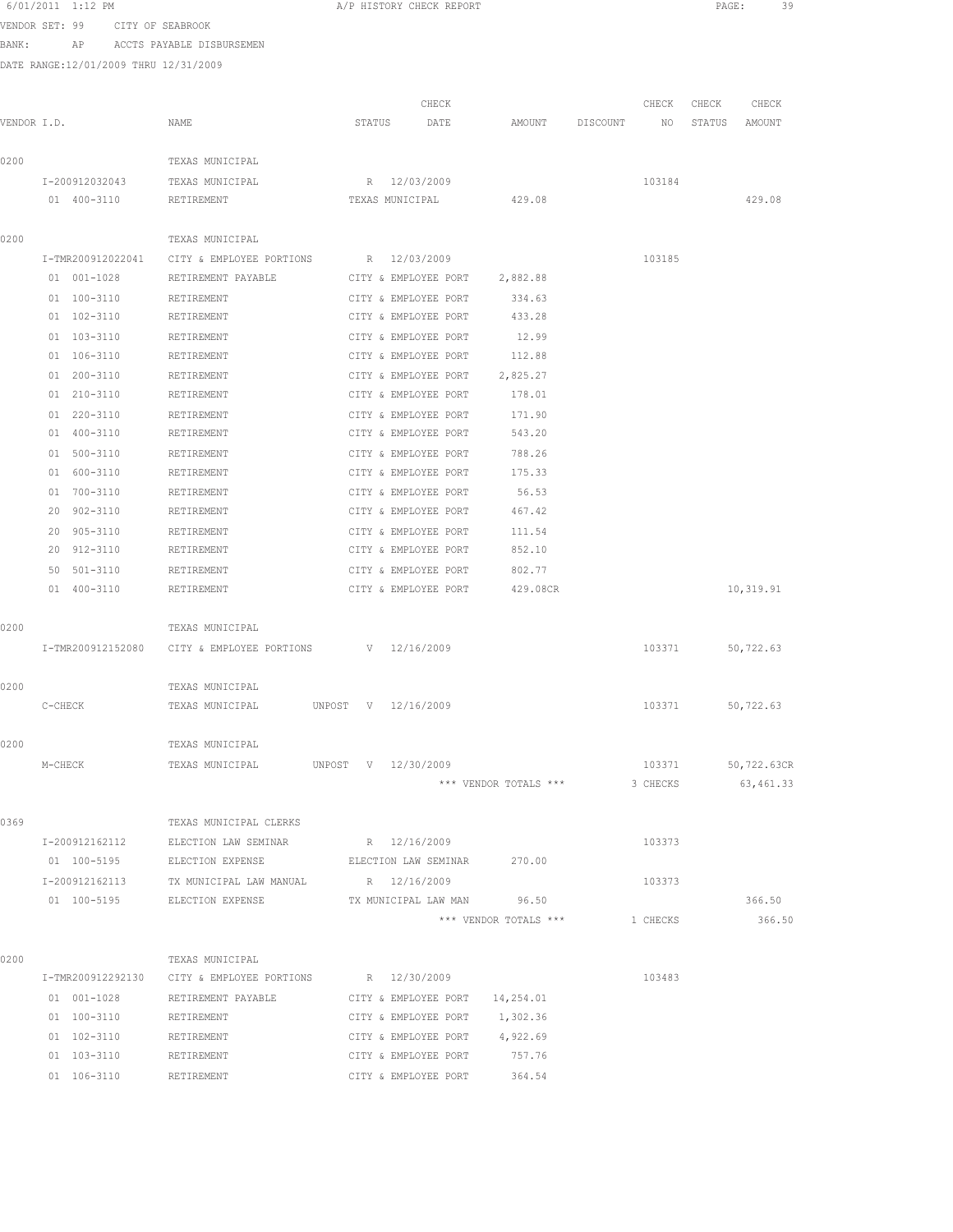|             | 6/01/2011 1:12 PM                     |                                       | A/P HISTORY CHECK REPORT |                      |                       |          |          | PAGE:  | 39          |  |
|-------------|---------------------------------------|---------------------------------------|--------------------------|----------------------|-----------------------|----------|----------|--------|-------------|--|
|             | VENDOR SET: 99<br>CITY OF SEABROOK    |                                       |                          |                      |                       |          |          |        |             |  |
| BANK:       |                                       | AP ACCTS PAYABLE DISBURSEMEN          |                          |                      |                       |          |          |        |             |  |
|             | DATE RANGE:12/01/2009 THRU 12/31/2009 |                                       |                          |                      |                       |          |          |        |             |  |
|             |                                       |                                       |                          |                      |                       |          |          |        |             |  |
|             |                                       |                                       |                          | CHECK                |                       |          | CHECK    | CHECK  | CHECK       |  |
| VENDOR I.D. |                                       | NAME                                  | STATUS                   | DATE                 | AMOUNT                | DISCOUNT | NO       | STATUS | AMOUNT      |  |
|             |                                       |                                       |                          |                      |                       |          |          |        |             |  |
| 0200        |                                       | TEXAS MUNICIPAL                       |                          |                      |                       |          |          |        |             |  |
|             | I-200912032043                        | TEXAS MUNICIPAL                       | R 12/03/2009             |                      |                       |          | 103184   |        |             |  |
|             | 01 400-3110                           | RETIREMENT                            | TEXAS MUNICIPAL          |                      | 429.08                |          |          |        | 429.08      |  |
|             |                                       |                                       |                          |                      |                       |          |          |        |             |  |
| 0200        |                                       | TEXAS MUNICIPAL                       |                          |                      |                       |          |          |        |             |  |
|             | I-TMR200912022041                     | CITY & EMPLOYEE PORTIONS              | R 12/03/2009             |                      |                       |          | 103185   |        |             |  |
|             | 01 001-1028                           | RETIREMENT PAYABLE                    | CITY & EMPLOYEE PORT     |                      | 2,882.88              |          |          |        |             |  |
|             | 01 100-3110                           | RETIREMENT                            | CITY & EMPLOYEE PORT     |                      | 334.63                |          |          |        |             |  |
|             | 01 102-3110                           | RETIREMENT                            | CITY & EMPLOYEE PORT     |                      | 433.28                |          |          |        |             |  |
|             | 01 103-3110                           | RETIREMENT                            | CITY & EMPLOYEE PORT     |                      | 12.99                 |          |          |        |             |  |
|             | 01 106-3110                           | RETIREMENT                            | CITY & EMPLOYEE PORT     |                      | 112.88                |          |          |        |             |  |
|             | 01 200-3110                           | RETIREMENT                            | CITY & EMPLOYEE PORT     |                      | 2,825.27              |          |          |        |             |  |
|             | 01 210-3110                           | RETIREMENT                            | CITY & EMPLOYEE PORT     |                      | 178.01                |          |          |        |             |  |
|             | 01 220-3110                           | RETIREMENT                            | CITY & EMPLOYEE PORT     |                      | 171.90                |          |          |        |             |  |
|             | 01 400-3110                           | RETIREMENT                            | CITY & EMPLOYEE PORT     |                      | 543.20                |          |          |        |             |  |
|             | 01 500-3110                           | RETIREMENT                            | CITY & EMPLOYEE PORT     |                      | 788.26                |          |          |        |             |  |
|             | 01 600-3110                           | RETIREMENT                            | CITY & EMPLOYEE PORT     |                      | 175.33                |          |          |        |             |  |
|             | 01 700-3110                           | RETIREMENT                            | CITY & EMPLOYEE PORT     |                      | 56.53                 |          |          |        |             |  |
|             | 20 902-3110                           | RETIREMENT                            | CITY & EMPLOYEE PORT     |                      | 467.42                |          |          |        |             |  |
|             | 20 905-3110                           | RETIREMENT                            | CITY & EMPLOYEE PORT     |                      | 111.54                |          |          |        |             |  |
|             | 20 912-3110                           | RETIREMENT                            | CITY & EMPLOYEE PORT     |                      | 852.10                |          |          |        |             |  |
|             | 50 501-3110                           | RETIREMENT                            | CITY & EMPLOYEE PORT     |                      | 802.77                |          |          |        |             |  |
|             | 01 400-3110                           | RETIREMENT                            | CITY & EMPLOYEE PORT     |                      | 429.08CR              |          |          |        | 10,319.91   |  |
|             |                                       |                                       |                          |                      |                       |          |          |        |             |  |
| 0200        |                                       | TEXAS MUNICIPAL                       |                          |                      |                       |          |          |        |             |  |
|             | I-TMR200912152080                     | CITY & EMPLOYEE PORTIONS              | V 12/16/2009             |                      |                       |          | 103371   |        | 50,722.63   |  |
|             |                                       |                                       |                          |                      |                       |          |          |        |             |  |
| 0200        |                                       | TEXAS MUNICIPAL                       |                          |                      |                       |          |          |        |             |  |
|             | C-CHECK                               | TEXAS MUNICIPAL                       | UNPOST V 12/16/2009      |                      |                       |          | 103371   |        | 50,722.63   |  |
|             |                                       |                                       |                          |                      |                       |          |          |        |             |  |
| 0200        |                                       | TEXAS MUNICIPAL                       |                          |                      |                       |          |          |        |             |  |
|             | M-CHECK                               | TEXAS MUNICIPAL                       | UNPOST V 12/30/2009      |                      |                       |          | 103371   |        | 50,722.63CR |  |
|             |                                       |                                       |                          |                      | *** VENDOR TOTALS *** |          | 3 CHECKS |        | 63,461.33   |  |
|             |                                       |                                       |                          |                      |                       |          |          |        |             |  |
| 0369        |                                       | TEXAS MUNICIPAL CLERKS                |                          |                      |                       |          |          |        |             |  |
|             | I-200912162112                        | ELECTION LAW SEMINAR                  | R 12/16/2009             |                      |                       |          | 103373   |        |             |  |
|             | 01 100-5195                           | ELECTION EXPENSE                      | ELECTION LAW SEMINAR     |                      | 270.00                |          |          |        |             |  |
|             | I-200912162113                        | TX MUNICIPAL LAW MANUAL               | R 12/16/2009             |                      |                       |          | 103373   |        |             |  |
|             | 01 100-5195                           | ELECTION EXPENSE                      |                          | TX MUNICIPAL LAW MAN | 96.50                 |          |          |        | 366.50      |  |
|             |                                       |                                       |                          |                      | *** VENDOR TOTALS *** |          | 1 CHECKS |        | 366.50      |  |
|             |                                       |                                       |                          |                      |                       |          |          |        |             |  |
| 0200        |                                       | TEXAS MUNICIPAL                       |                          |                      |                       |          |          |        |             |  |
|             | I-TMR200912292130                     | CITY & EMPLOYEE PORTIONS R 12/30/2009 |                          |                      |                       |          | 103483   |        |             |  |
|             | 01 001-1028                           | RETIREMENT PAYABLE                    | CITY & EMPLOYEE PORT     |                      | 14,254.01             |          |          |        |             |  |
|             | 01 100-3110                           | RETIREMENT                            | CITY & EMPLOYEE PORT     |                      | 1,302.36              |          |          |        |             |  |
|             | 01 102-3110                           | RETIREMENT                            | CITY & EMPLOYEE PORT     |                      | 4,922.69              |          |          |        |             |  |
|             | 01 103-3110                           | RETIREMENT                            | CITY & EMPLOYEE PORT     |                      | 757.76                |          |          |        |             |  |

106-3110 RETIREMENT CITY & EMPLOYEE PORT 364.54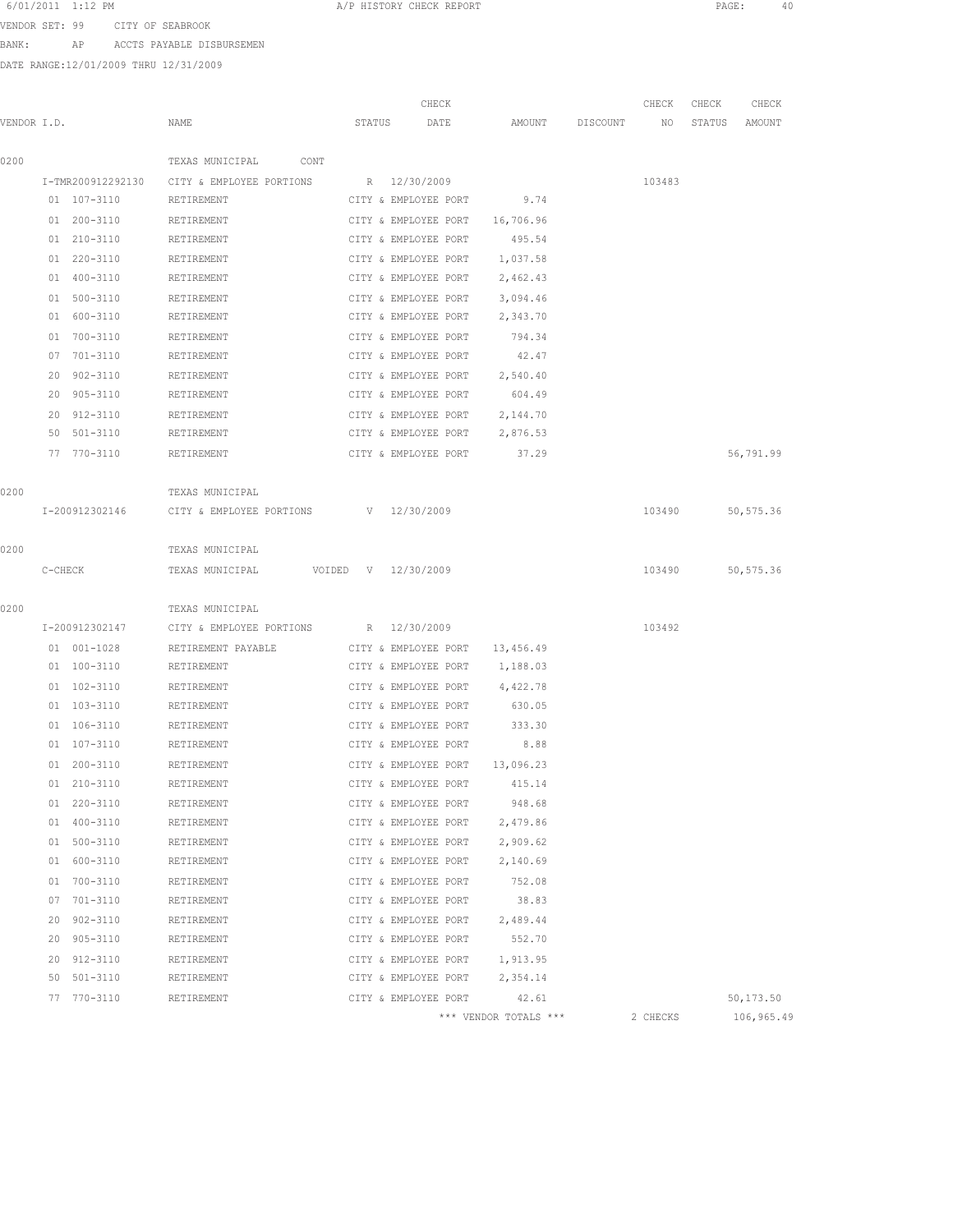VENDOR SET: 99 CITY OF SEABROOK BANK: AP ACCTS PAYABLE DISBURSEMEN

|             |                    |                          |                     | CHECK                |                       |          | CHECK    | CHECK  | CHECK      |
|-------------|--------------------|--------------------------|---------------------|----------------------|-----------------------|----------|----------|--------|------------|
| VENDOR I.D. |                    | NAME                     | STATUS              | DATE                 | AMOUNT                | DISCOUNT | NO.      | STATUS | AMOUNT     |
| 0200        |                    | TEXAS MUNICIPAL<br>CONT  |                     |                      |                       |          |          |        |            |
|             | I-TMR200912292130  | CITY & EMPLOYEE PORTIONS | R 12/30/2009        |                      |                       |          | 103483   |        |            |
|             | 01 107-3110        | RETIREMENT               |                     | CITY & EMPLOYEE PORT | 9.74                  |          |          |        |            |
|             | 01 200-3110        | RETIREMENT               |                     | CITY & EMPLOYEE PORT | 16,706.96             |          |          |        |            |
|             | 01 210-3110        | RETIREMENT               |                     | CITY & EMPLOYEE PORT | 495.54                |          |          |        |            |
|             | 01 220-3110        | RETIREMENT               |                     | CITY & EMPLOYEE PORT | 1,037.58              |          |          |        |            |
|             | 01 400-3110        | RETIREMENT               |                     | CITY & EMPLOYEE PORT | 2,462.43              |          |          |        |            |
|             | 01 500-3110        | RETIREMENT               |                     | CITY & EMPLOYEE PORT | 3,094.46              |          |          |        |            |
|             | 01 600-3110        | RETIREMENT               |                     | CITY & EMPLOYEE PORT | 2,343.70              |          |          |        |            |
|             | 01 700-3110        | RETIREMENT               |                     | CITY & EMPLOYEE PORT | 794.34                |          |          |        |            |
|             | 07 701-3110        | RETIREMENT               |                     | CITY & EMPLOYEE PORT | 42.47                 |          |          |        |            |
|             | 20<br>$902 - 3110$ | RETIREMENT               |                     | CITY & EMPLOYEE PORT | 2,540.40              |          |          |        |            |
|             | 20<br>905-3110     | RETIREMENT               |                     | CITY & EMPLOYEE PORT | 604.49                |          |          |        |            |
|             | 20 912-3110        | RETIREMENT               |                     | CITY & EMPLOYEE PORT | 2,144.70              |          |          |        |            |
|             | 50 501-3110        | RETIREMENT               |                     | CITY & EMPLOYEE PORT | 2,876.53              |          |          |        |            |
|             | 77 770-3110        | RETIREMENT               |                     | CITY & EMPLOYEE PORT | 37.29                 |          |          |        | 56,791.99  |
|             |                    |                          |                     |                      |                       |          |          |        |            |
| 0200        |                    | TEXAS MUNICIPAL          |                     |                      |                       |          |          |        |            |
|             | I-200912302146     | CITY & EMPLOYEE PORTIONS | V 12/30/2009        |                      |                       |          | 103490   |        | 50, 575.36 |
|             |                    |                          |                     |                      |                       |          |          |        |            |
| 0200        |                    | TEXAS MUNICIPAL          |                     |                      |                       |          |          |        |            |
|             | C-CHECK            | TEXAS MUNICIPAL          | VOIDED V 12/30/2009 |                      |                       |          | 103490   |        | 50,575.36  |
|             |                    |                          |                     |                      |                       |          |          |        |            |
| 0200        |                    | TEXAS MUNICIPAL          |                     |                      |                       |          |          |        |            |
|             | I-200912302147     | CITY & EMPLOYEE PORTIONS |                     | R 12/30/2009         |                       |          | 103492   |        |            |
|             | 01 001-1028        | RETIREMENT PAYABLE       |                     | CITY & EMPLOYEE PORT | 13,456.49             |          |          |        |            |
|             | 01 100-3110        | RETIREMENT               |                     | CITY & EMPLOYEE PORT | 1,188.03              |          |          |        |            |
|             | 01 102-3110        | RETIREMENT               |                     | CITY & EMPLOYEE PORT | 4,422.78              |          |          |        |            |
|             | 01 103-3110        | RETIREMENT               |                     | CITY & EMPLOYEE PORT | 630.05                |          |          |        |            |
|             | 01 106-3110        | RETIREMENT               |                     | CITY & EMPLOYEE PORT | 333.30                |          |          |        |            |
|             | 01 107-3110        | RETIREMENT               |                     | CITY & EMPLOYEE PORT | 8.88                  |          |          |        |            |
|             | $01 200 - 3110$    | RETIREMENT               |                     | CITY & EMPLOYEE PORT | 13,096.23             |          |          |        |            |
|             | $210 - 3110$<br>01 | RETIREMENT               |                     | CITY & EMPLOYEE PORT | 415.14                |          |          |        |            |
|             | $220 - 3110$<br>01 | RETIREMENT               |                     | CITY & EMPLOYEE PORT | 948.68                |          |          |        |            |
|             | $400 - 3110$<br>01 | RETIREMENT               |                     | CITY & EMPLOYEE PORT | 2,479.86              |          |          |        |            |
|             | 500-3110<br>01     | RETIREMENT               |                     | CITY & EMPLOYEE PORT | 2,909.62              |          |          |        |            |
|             | 600-3110<br>01     | RETIREMENT               |                     | CITY & EMPLOYEE PORT | 2,140.69              |          |          |        |            |
|             | 700-3110<br>01     | RETIREMENT               |                     | CITY & EMPLOYEE PORT | 752.08                |          |          |        |            |
|             | 701-3110<br>07     | RETIREMENT               |                     | CITY & EMPLOYEE PORT | 38.83                 |          |          |        |            |
|             | 902-3110<br>20     | RETIREMENT               |                     | CITY & EMPLOYEE PORT | 2,489.44              |          |          |        |            |
|             | 20 905-3110        | RETIREMENT               |                     | CITY & EMPLOYEE PORT | 552.70                |          |          |        |            |
|             | 20<br>912-3110     | RETIREMENT               |                     | CITY & EMPLOYEE PORT | 1,913.95              |          |          |        |            |
|             | 50<br>501-3110     | RETIREMENT               |                     | CITY & EMPLOYEE PORT | 2,354.14              |          |          |        |            |
|             | 77 770-3110        | RETIREMENT               |                     | CITY & EMPLOYEE PORT | 42.61                 |          |          |        | 50,173.50  |
|             |                    |                          |                     |                      | *** VENDOR TOTALS *** |          | 2 CHECKS |        | 106,965.49 |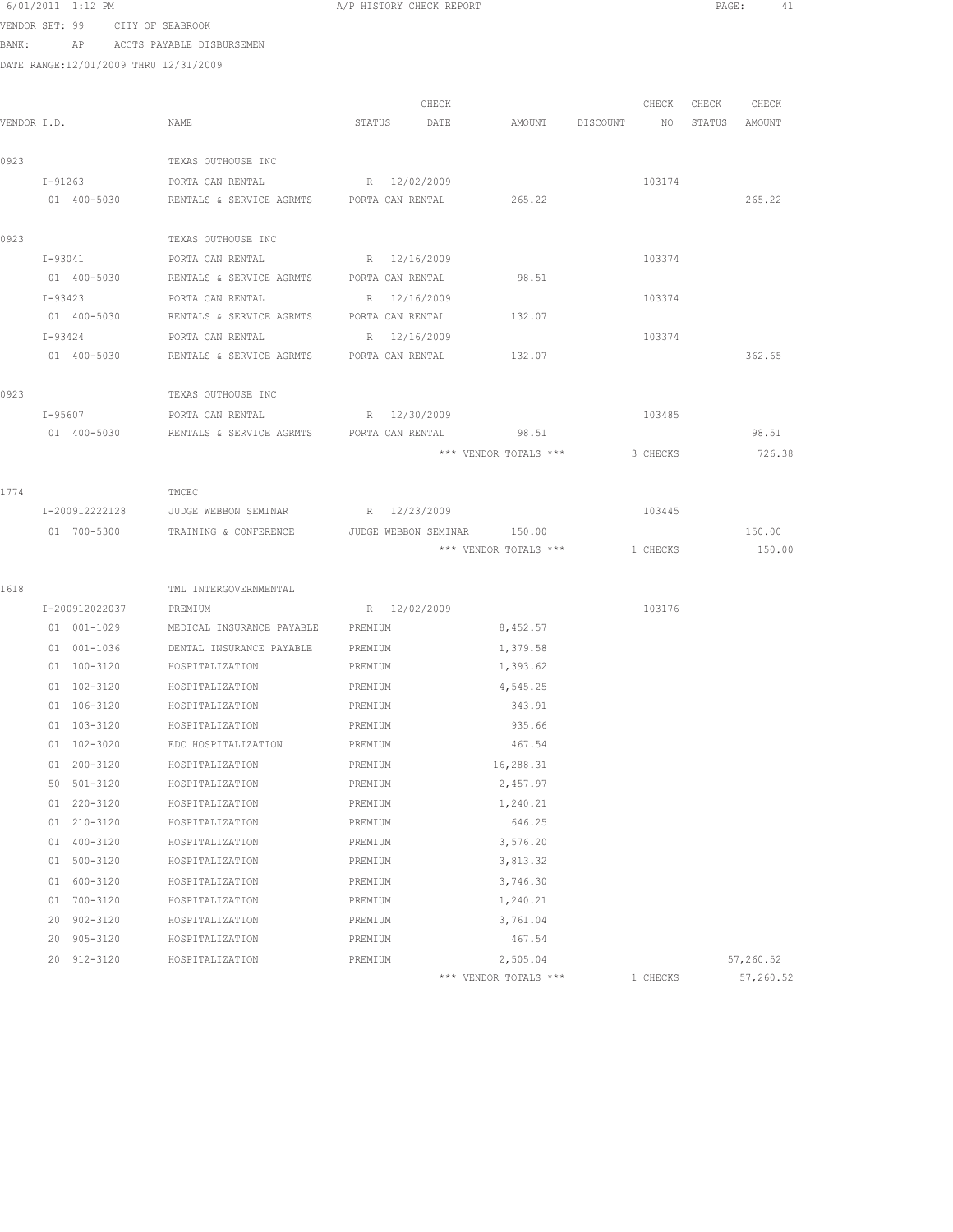|      | 6/01/2011 1:12 PM                     |                                                 | A/P HISTORY CHECK REPORT    |                       |                           | PAGE:             | 41        |
|------|---------------------------------------|-------------------------------------------------|-----------------------------|-----------------------|---------------------------|-------------------|-----------|
|      | VENDOR SET: 99 CITY OF SEABROOK       |                                                 |                             |                       |                           |                   |           |
|      |                                       | BANK: AP ACCTS PAYABLE DISBURSEMEN              |                             |                       |                           |                   |           |
|      | DATE RANGE:12/01/2009 THRU 12/31/2009 |                                                 |                             |                       |                           |                   |           |
|      |                                       |                                                 |                             |                       |                           |                   |           |
|      |                                       |                                                 | CHECK                       |                       |                           | CHECK CHECK CHECK |           |
|      | VENDOR I.D.                           | NAME                                            | STATUS DATE                 | AMOUNT                | DISCOUNT NO STATUS AMOUNT |                   |           |
|      |                                       |                                                 |                             |                       |                           |                   |           |
| 0923 |                                       | TEXAS OUTHOUSE INC                              |                             |                       |                           |                   |           |
|      | I-91263                               | PORTA CAN RENTAL                                | R 12/02/2009                |                       | 103174                    |                   |           |
|      | 01 400-5030                           | RENTALS & SERVICE AGRMTS PORTA CAN RENTAL       |                             | 265.22                |                           |                   | 265.22    |
|      |                                       |                                                 |                             |                       |                           |                   |           |
| 0923 |                                       | TEXAS OUTHOUSE INC                              |                             |                       |                           |                   |           |
|      | I-93041                               | PORTA CAN RENTAL                                | R 12/16/2009                |                       | 103374                    |                   |           |
|      | 01 400-5030                           | RENTALS & SERVICE AGRMTS                        | PORTA CAN RENTAL            | 98.51                 |                           |                   |           |
|      | I-93423                               | PORTA CAN RENTAL                                | R 12/16/2009                |                       | 103374                    |                   |           |
|      | 01 400-5030                           | RENTALS & SERVICE AGRMTS                        | PORTA CAN RENTAL            | 132.07                |                           |                   |           |
|      | I-93424                               | PORTA CAN RENTAL                                | R 12/16/2009                |                       | 103374                    |                   |           |
|      | 01 400-5030                           | RENTALS & SERVICE AGRMTS PORTA CAN RENTAL       |                             | 132.07                |                           |                   | 362.65    |
| 0923 |                                       | TEXAS OUTHOUSE INC                              |                             |                       |                           |                   |           |
|      | $I - 95607$                           | PORTA CAN RENTAL R 12/30/2009                   |                             |                       | 103485                    |                   |           |
|      | 01 400-5030                           | RENTALS & SERVICE AGRMTS PORTA CAN RENTAL 98.51 |                             |                       |                           |                   | 98.51     |
|      |                                       |                                                 |                             | *** VENDOR TOTALS *** | 3 CHECKS                  |                   | 726.38    |
|      |                                       |                                                 |                             |                       |                           |                   |           |
| 1774 |                                       | TMCEC                                           |                             |                       |                           |                   |           |
|      | I-200912222128                        | JUDGE WEBBON SEMINAR                            | R 12/23/2009                |                       | 103445                    |                   |           |
|      | 01 700-5300                           | TRAINING & CONFERENCE                           | JUDGE WEBBON SEMINAR 150.00 |                       |                           |                   | 150.00    |
|      |                                       |                                                 |                             | *** VENDOR TOTALS *** | 1 CHECKS                  |                   | 150.00    |
|      |                                       |                                                 |                             |                       |                           |                   |           |
| 1618 |                                       | TML INTERGOVERNMENTAL                           |                             |                       |                           |                   |           |
|      | I-200912022037                        | PREMIUM                                         | R 12/02/2009                |                       | 103176                    |                   |           |
|      | 01 001-1029                           | MEDICAL INSURANCE PAYABLE PREMIUM               |                             | 8,452.57              |                           |                   |           |
|      | 01 001-1036                           | DENTAL INSURANCE PAYABLE                        | PREMIUM                     | 1,379.58              |                           |                   |           |
|      | 01 100-3120                           | HOSPITALIZATION                                 | PREMIUM                     | 1,393.62              |                           |                   |           |
|      | 01 102-3120                           | HOSPITALIZATION                                 | PREMIUM                     | 4,545.25              |                           |                   |           |
|      | 01 106-3120                           | HOSPITALIZATION                                 | PREMIUM                     | 343.91                |                           |                   |           |
|      | 103-3120<br>01                        | HOSPITALIZATION                                 | PREMIUM                     | 935.66                |                           |                   |           |
|      | 102-3020<br>01                        | EDC HOSPITALIZATION                             | PREMIUM                     | 467.54                |                           |                   |           |
|      | 200-3120<br>01                        | HOSPITALIZATION                                 | PREMIUM                     | 16,288.31             |                           |                   |           |
|      | 50 501-3120                           | HOSPITALIZATION                                 | PREMIUM                     | 2,457.97              |                           |                   |           |
|      | 01 220-3120                           | HOSPITALIZATION                                 | PREMIUM                     | 1,240.21              |                           |                   |           |
|      | 01 210-3120                           | HOSPITALIZATION                                 | PREMIUM                     | 646.25                |                           |                   |           |
|      | 01 400-3120                           | HOSPITALIZATION                                 | PREMIUM                     | 3,576.20              |                           |                   |           |
|      | 01 500-3120                           | HOSPITALIZATION                                 | PREMIUM                     | 3,813.32              |                           |                   |           |
|      | 600-3120<br>01                        | HOSPITALIZATION                                 | PREMIUM                     | 3,746.30              |                           |                   |           |
|      | 700-3120<br>01                        | HOSPITALIZATION                                 | PREMIUM                     | 1,240.21              |                           |                   |           |
|      | $902 - 3120$<br>20                    | HOSPITALIZATION                                 | PREMIUM                     | 3,761.04              |                           |                   |           |
|      | 20<br>905-3120                        | HOSPITALIZATION                                 | PREMIUM                     | 467.54                |                           |                   |           |
|      | 20 912-3120                           | HOSPITALIZATION                                 | PREMIUM                     | 2,505.04              |                           |                   | 57,260.52 |

\*\*\* VENDOR TOTALS \*\*\* 1 CHECKS 57,260.52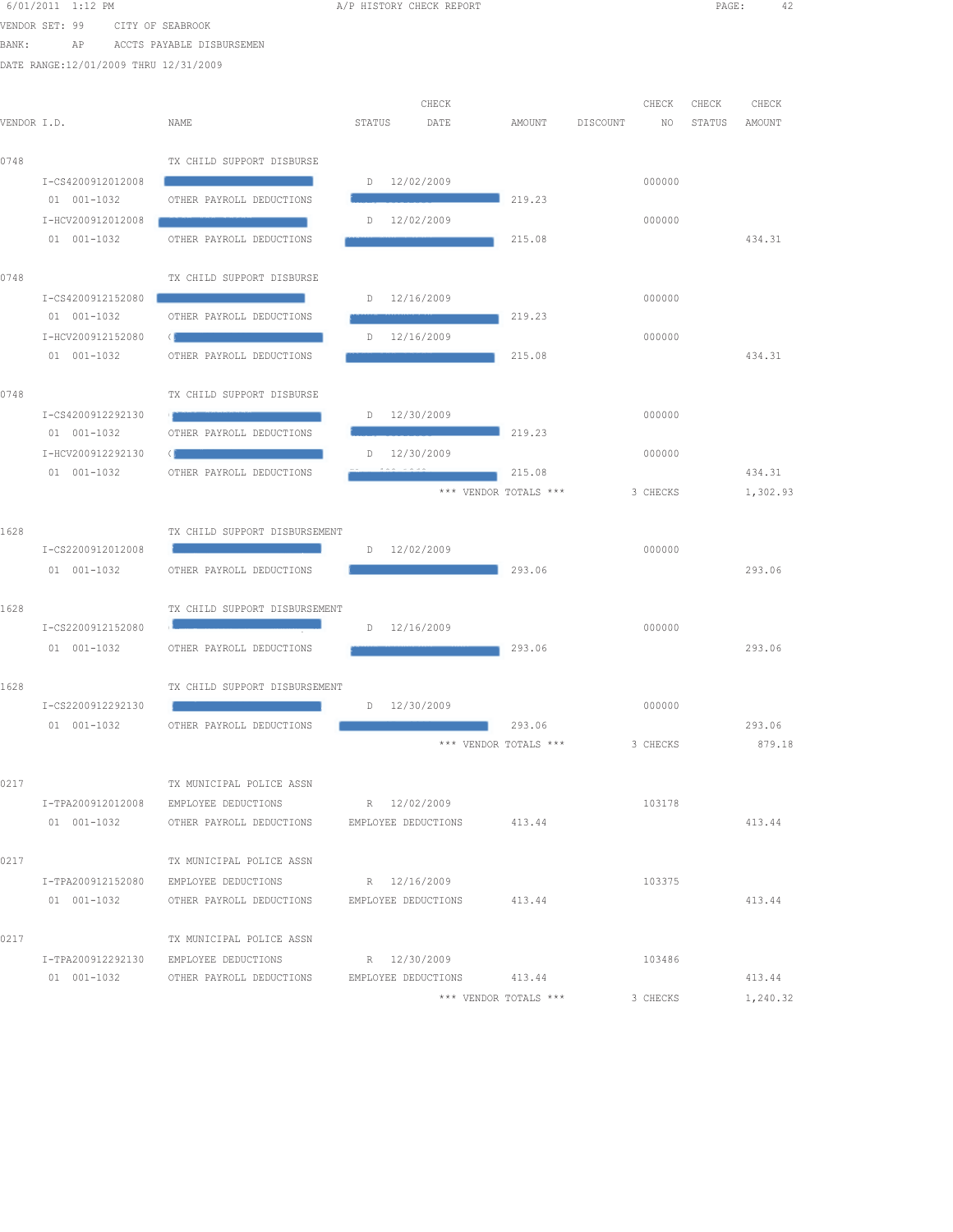|             | 6/01/2011 1:12 PM                     |                                                 | A/P HISTORY CHECK REPORT |                                                                                                                      |                       |          |             | PAGE:           |                 | 42 |
|-------------|---------------------------------------|-------------------------------------------------|--------------------------|----------------------------------------------------------------------------------------------------------------------|-----------------------|----------|-------------|-----------------|-----------------|----|
|             | VENDOR SET: 99                        | CITY OF SEABROOK                                |                          |                                                                                                                      |                       |          |             |                 |                 |    |
| BANK:       | AP                                    | ACCTS PAYABLE DISBURSEMEN                       |                          |                                                                                                                      |                       |          |             |                 |                 |    |
|             | DATE RANGE:12/01/2009 THRU 12/31/2009 |                                                 |                          |                                                                                                                      |                       |          |             |                 |                 |    |
|             |                                       |                                                 |                          |                                                                                                                      |                       |          |             |                 |                 |    |
| VENDOR I.D. |                                       | NAME                                            | STATUS                   | CHECK<br>DATE                                                                                                        | AMOUNT                | DISCOUNT | CHECK<br>NO | CHECK<br>STATUS | CHECK<br>AMOUNT |    |
|             |                                       |                                                 |                          |                                                                                                                      |                       |          |             |                 |                 |    |
| 0748        |                                       | TX CHILD SUPPORT DISBURSE                       |                          |                                                                                                                      |                       |          |             |                 |                 |    |
|             | I-CS4200912012008                     |                                                 |                          | $D = 12/02/2009$                                                                                                     |                       |          | 000000      |                 |                 |    |
|             | 01 001-1032                           | OTHER PAYROLL DEDUCTIONS                        |                          |                                                                                                                      | 219.23                |          |             |                 |                 |    |
|             | I-HCV200912012008                     |                                                 |                          | $D = 12/02/2009$                                                                                                     |                       |          | 000000      |                 |                 |    |
|             | 01 001-1032                           | OTHER PAYROLL DEDUCTIONS                        |                          |                                                                                                                      | 215.08                |          |             |                 | 434.31          |    |
|             |                                       |                                                 |                          |                                                                                                                      |                       |          |             |                 |                 |    |
| 0748        |                                       | TX CHILD SUPPORT DISBURSE                       |                          |                                                                                                                      |                       |          |             |                 |                 |    |
|             | I-CS4200912152080<br>01 001-1032      | OTHER PAYROLL DEDUCTIONS                        |                          | $D = 12/16/2009$                                                                                                     | 219.23                |          | 000000      |                 |                 |    |
|             | I-HCV200912152080                     | $\left($ $\right)$                              | D                        | 12/16/2009                                                                                                           |                       |          | 000000      |                 |                 |    |
|             | 01 001-1032                           | OTHER PAYROLL DEDUCTIONS                        |                          |                                                                                                                      | 215.08                |          |             |                 | 434.31          |    |
|             |                                       |                                                 |                          |                                                                                                                      |                       |          |             |                 |                 |    |
| 0748        |                                       | TX CHILD SUPPORT DISBURSE                       |                          |                                                                                                                      |                       |          |             |                 |                 |    |
|             | I-CS4200912292130                     |                                                 |                          | D 12/30/2009                                                                                                         |                       |          | 000000      |                 |                 |    |
|             | 01 001-1032                           | OTHER PAYROLL DEDUCTIONS                        |                          | <b>Contract Contract Contract Contract Contract Contract Contract Contract Contract Contract Contract Contract C</b> | 219.23                |          |             |                 |                 |    |
|             | I-HCV200912292130                     | <sup>(1</sup>                                   |                          | D 12/30/2009                                                                                                         |                       |          | 000000      |                 |                 |    |
|             | 01 001-1032                           | OTHER PAYROLL DEDUCTIONS                        |                          |                                                                                                                      | 215.08                |          |             |                 | 434.31          |    |
|             |                                       |                                                 |                          |                                                                                                                      | *** VENDOR TOTALS *** |          | 3 CHECKS    |                 | 1,302.93        |    |
| 1628        |                                       | TX CHILD SUPPORT DISBURSEMENT                   |                          |                                                                                                                      |                       |          |             |                 |                 |    |
|             | I-CS2200912012008                     |                                                 |                          | D 12/02/2009                                                                                                         |                       |          | 000000      |                 |                 |    |
|             | 01 001-1032                           | OTHER PAYROLL DEDUCTIONS                        |                          |                                                                                                                      | 293.06                |          |             |                 | 293.06          |    |
|             |                                       |                                                 |                          |                                                                                                                      |                       |          |             |                 |                 |    |
| 1628        |                                       | TX CHILD SUPPORT DISBURSEMENT                   |                          |                                                                                                                      |                       |          |             |                 |                 |    |
|             | I-CS2200912152080                     |                                                 |                          | $D = 12/16/2009$                                                                                                     |                       |          | 000000      |                 |                 |    |
|             | 01 001-1032                           | OTHER PAYROLL DEDUCTIONS                        |                          |                                                                                                                      | 293.06                |          |             |                 | 293.06          |    |
|             |                                       |                                                 |                          |                                                                                                                      |                       |          |             |                 |                 |    |
| 1628        | I-CS2200912292130                     | TX CHILD SUPPORT DISBURSEMENT                   |                          | D 12/30/2009                                                                                                         |                       |          | 000000      |                 |                 |    |
|             | 01 001-1032                           | OTHER PAYROLL DEDUCTIONS                        |                          |                                                                                                                      | 293.06                |          |             |                 | 293.06          |    |
|             |                                       |                                                 |                          |                                                                                                                      | *** VENDOR TOTALS *** |          | 3 CHECKS    |                 | 879.18          |    |
|             |                                       |                                                 |                          |                                                                                                                      |                       |          |             |                 |                 |    |
| 0217        |                                       | TX MUNICIPAL POLICE ASSN                        |                          |                                                                                                                      |                       |          |             |                 |                 |    |
|             |                                       | I-TPA200912012008 EMPLOYEE DEDUCTIONS           | R 12/02/2009             |                                                                                                                      |                       |          | 103178      |                 |                 |    |
|             | 01 001-1032                           | OTHER PAYROLL DEDUCTIONS                        | EMPLOYEE DEDUCTIONS      |                                                                                                                      | 413.44                |          |             |                 | 413.44          |    |
|             |                                       |                                                 |                          |                                                                                                                      |                       |          |             |                 |                 |    |
| 0217        | I-TPA200912152080                     | TX MUNICIPAL POLICE ASSN                        | R 12/16/2009             |                                                                                                                      |                       |          | 103375      |                 |                 |    |
|             | 01 001-1032                           | EMPLOYEE DEDUCTIONS<br>OTHER PAYROLL DEDUCTIONS | EMPLOYEE DEDUCTIONS      |                                                                                                                      | 413.44                |          |             |                 | 413.44          |    |
|             |                                       |                                                 |                          |                                                                                                                      |                       |          |             |                 |                 |    |
| 0217        |                                       | TX MUNICIPAL POLICE ASSN                        |                          |                                                                                                                      |                       |          |             |                 |                 |    |
|             |                                       | I-TPA200912292130 EMPLOYEE DEDUCTIONS           | R 12/30/2009             |                                                                                                                      |                       |          | 103486      |                 |                 |    |
|             | 01 001-1032                           | OTHER PAYROLL DEDUCTIONS EMPLOYEE DEDUCTIONS    |                          |                                                                                                                      | 413.44                |          |             |                 | 413.44          |    |
|             |                                       |                                                 |                          |                                                                                                                      |                       |          |             |                 |                 |    |

\*\*\* VENDOR TOTALS \*\*\* 3 CHECKS 1,240.32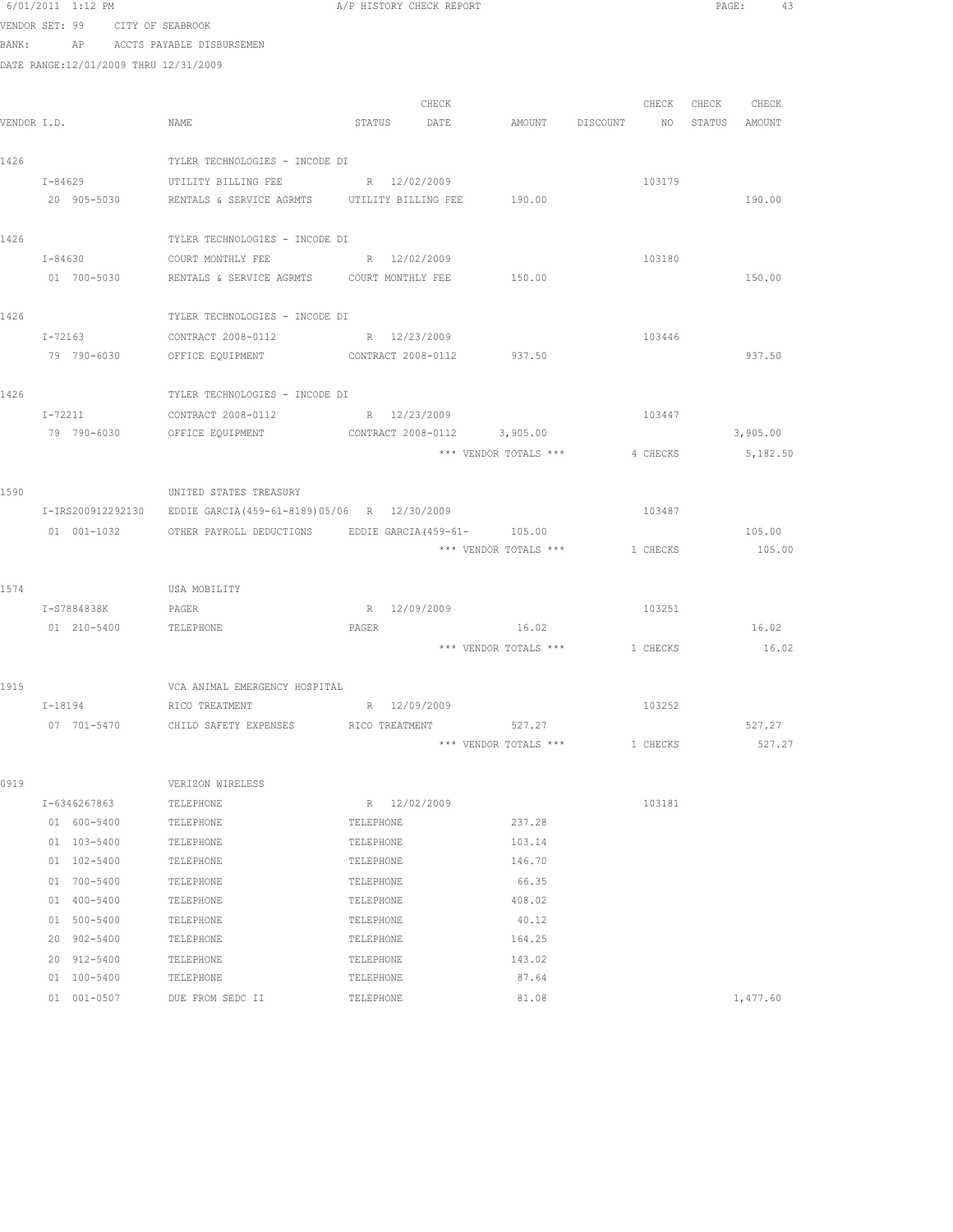|      | 6/01/2011 1:12 PM                     |                                                                   | A/P HISTORY CHECK REPORT                     |                       |                                | PAGE:<br>43       |
|------|---------------------------------------|-------------------------------------------------------------------|----------------------------------------------|-----------------------|--------------------------------|-------------------|
|      | VENDOR SET: 99 CITY OF SEABROOK       |                                                                   |                                              |                       |                                |                   |
|      | BANK: AP ACCTS PAYABLE DISBURSEMEN    |                                                                   |                                              |                       |                                |                   |
|      | DATE RANGE:12/01/2009 THRU 12/31/2009 |                                                                   |                                              |                       |                                |                   |
|      |                                       |                                                                   |                                              |                       |                                |                   |
|      |                                       |                                                                   | CHECK                                        |                       |                                | CHECK CHECK CHECK |
|      | VENDOR I.D.                           | NAME                                                              | STATUS DATE AMOUNT DISCOUNT NO STATUS AMOUNT |                       |                                |                   |
|      |                                       |                                                                   |                                              |                       |                                |                   |
| 1426 |                                       | TYLER TECHNOLOGIES - INCODE DI                                    |                                              |                       |                                |                   |
|      | $I - 84629$                           | UTILITY BILLING FEE                                               | R 12/02/2009                                 |                       | 103179                         |                   |
|      |                                       | 20 905-5030 RENTALS & SERVICE AGRMTS UTILITY BILLING FEE 190.00   |                                              |                       |                                | 190.00            |
| 1426 |                                       | TYLER TECHNOLOGIES - INCODE DI                                    |                                              |                       |                                |                   |
|      |                                       | I-84630 COURT MONTHLY FEE                                         | R 12/02/2009                                 |                       | 103180                         |                   |
|      |                                       | 01 700-5030 RENTALS & SERVICE AGRMTS COURT MONTHLY FEE 350.00     |                                              |                       |                                | 150.00            |
|      |                                       |                                                                   |                                              |                       |                                |                   |
| 1426 |                                       | TYLER TECHNOLOGIES - INCODE DI                                    |                                              |                       |                                |                   |
|      | I-72163                               | CONTRACT 2008-0112                                                | R 12/23/2009                                 |                       | 103446                         |                   |
|      | 79 790-6030                           | OFFICE EQUIPMENT                                                  | CONTRACT 2008-0112 937.50                    |                       |                                | 937.50            |
|      |                                       |                                                                   |                                              |                       |                                |                   |
| 1426 |                                       | TYLER TECHNOLOGIES - INCODE DI                                    |                                              |                       |                                |                   |
|      | I-72211                               | CONTRACT 2008-0112 R 12/23/2009                                   |                                              |                       | 103447                         |                   |
|      |                                       | 79 790-6030 OFFICE EQUIPMENT CONTRACT 2008-0112 3,905.00          |                                              |                       |                                | 3,905.00          |
|      |                                       |                                                                   |                                              | *** VENDOR TOTALS *** | 4 CHECKS                       | 5,182.50          |
| 1590 |                                       | UNITED STATES TREASURY                                            |                                              |                       |                                |                   |
|      |                                       | I-IRS200912292130 EDDIE GARCIA (459-61-8189) 05/06 R 12/30/2009   |                                              |                       | 103487                         |                   |
|      |                                       | 01 001-1032 OTHER PAYROLL DEDUCTIONS EDDIE GARCIA (459-61- 105.00 |                                              |                       |                                | 105.00            |
|      |                                       |                                                                   |                                              | *** VENDOR TOTALS *** | 1 CHECKS                       | 105.00            |
|      |                                       |                                                                   |                                              |                       |                                |                   |
| 1574 |                                       | USA MOBILITY                                                      |                                              |                       |                                |                   |
|      | I-S7884838K                           | PAGER                                                             | R 12/09/2009                                 |                       | 103251                         |                   |
|      | 01  210-5400  TELEPHONE               |                                                                   | PAGER                                        | 16.02                 |                                | 16.02             |
|      |                                       |                                                                   |                                              |                       | *** VENDOR TOTALS *** 1 CHECKS | 16.02             |
| 1915 |                                       |                                                                   |                                              |                       |                                |                   |
|      | I-18194                               | VCA ANIMAL EMERGENCY HOSPITAL                                     | R 12/09/2009                                 |                       | 103252                         |                   |
|      | 07 701-5470                           | RICO TREATMENT<br>CHILD SAFETY EXPENSES                           | RICO TREATMENT                               | 527.27                |                                | 527.27            |
|      |                                       |                                                                   |                                              | *** VENDOR TOTALS *** | 1 CHECKS                       | 527.27            |
|      |                                       |                                                                   |                                              |                       |                                |                   |
| 0919 |                                       | VERIZON WIRELESS                                                  |                                              |                       |                                |                   |
|      | I-6346267863                          | TELEPHONE                                                         | R 12/02/2009                                 |                       | 103181                         |                   |
|      | 01 600-5400                           | TELEPHONE                                                         | TELEPHONE                                    | 237.28                |                                |                   |
|      | 01 103-5400                           | TELEPHONE                                                         | TELEPHONE                                    | 103.14                |                                |                   |
|      | 01 102-5400                           | TELEPHONE                                                         | TELEPHONE                                    | 146.70                |                                |                   |
|      | 01 700-5400                           | TELEPHONE                                                         | TELEPHONE                                    | 66.35                 |                                |                   |
|      | 01 400-5400                           | TELEPHONE                                                         | TELEPHONE                                    | 408.02                |                                |                   |
|      | 01 500-5400                           | TELEPHONE                                                         | TELEPHONE                                    | 40.12                 |                                |                   |
|      | 20 902-5400                           | TELEPHONE                                                         | TELEPHONE                                    | 164.25                |                                |                   |
|      | 20 912-5400                           | TELEPHONE                                                         | TELEPHONE                                    | 143.02                |                                |                   |

01 001-0507 DUE FROM SEDC II TELEPHONE 81.08 81.08 1,477.60

01 100-5400 TELEPHONE TELEPHONE 87.64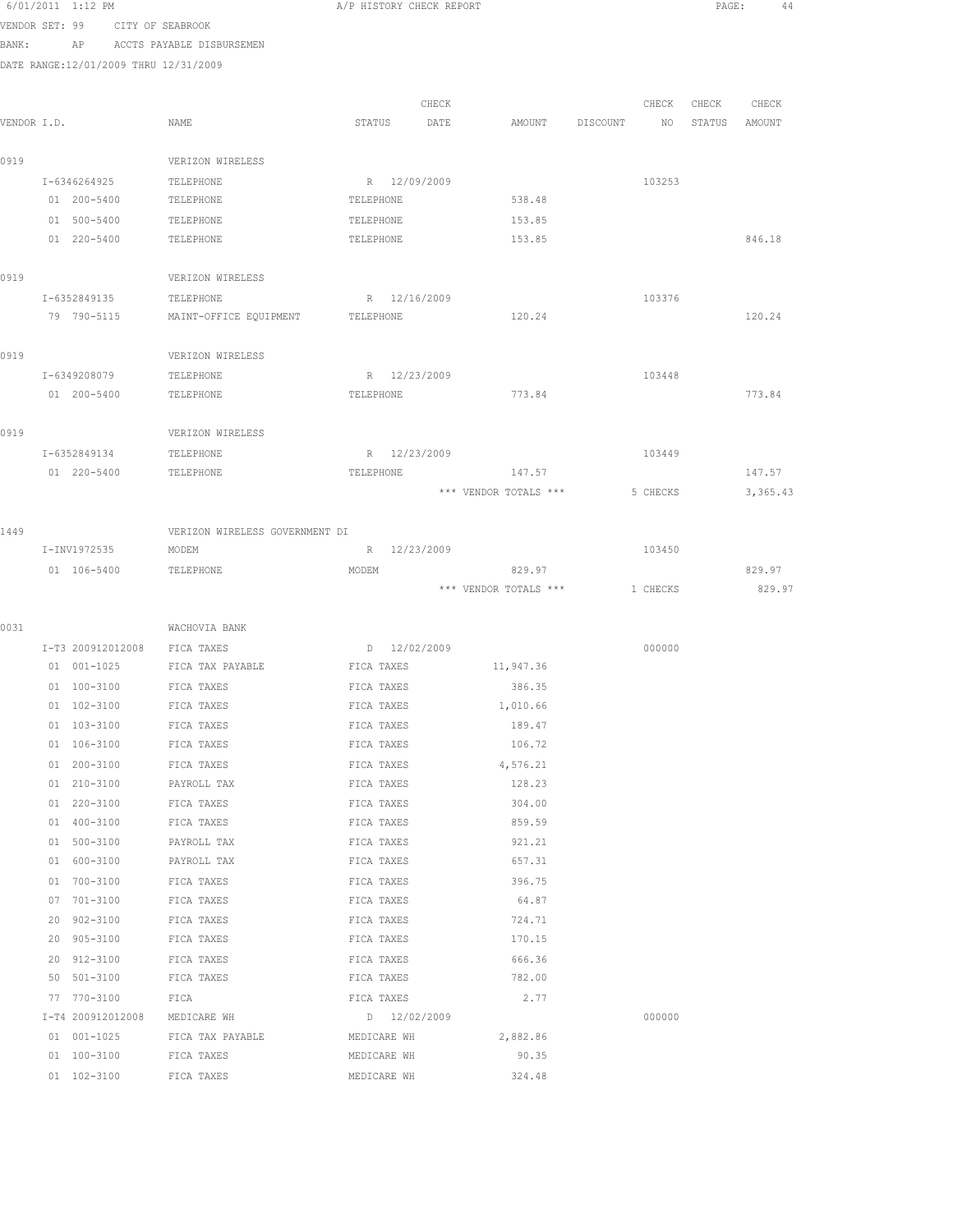|                |    | 6/01/2011 1:12 PM                     |                                | A/P HISTORY CHECK REPORT  |       |                       |          |          | PAGE:  | 44       |
|----------------|----|---------------------------------------|--------------------------------|---------------------------|-------|-----------------------|----------|----------|--------|----------|
| VENDOR SET: 99 |    |                                       | CITY OF SEABROOK               |                           |       |                       |          |          |        |          |
| BANK:          |    | AP                                    | ACCTS PAYABLE DISBURSEMEN      |                           |       |                       |          |          |        |          |
|                |    | DATE RANGE:12/01/2009 THRU 12/31/2009 |                                |                           |       |                       |          |          |        |          |
|                |    |                                       |                                |                           |       |                       |          |          |        |          |
|                |    |                                       |                                |                           | CHECK |                       |          | CHECK    | CHECK  | CHECK    |
| VENDOR I.D.    |    |                                       | NAME                           | STATUS                    | DATE  | AMOUNT                | DISCOUNT | NO       | STATUS | AMOUNT   |
|                |    |                                       |                                |                           |       |                       |          |          |        |          |
| 0919           |    |                                       | VERIZON WIRELESS               |                           |       |                       |          |          |        |          |
|                |    | I-6346264925<br>01 200-5400           | TELEPHONE<br>TELEPHONE         | R 12/09/2009<br>TELEPHONE |       | 538.48                |          | 103253   |        |          |
|                |    | 01 500-5400                           | TELEPHONE                      | TELEPHONE                 |       | 153.85                |          |          |        |          |
|                |    | 01 220-5400                           | TELEPHONE                      | TELEPHONE                 |       | 153.85                |          |          |        | 846.18   |
|                |    |                                       |                                |                           |       |                       |          |          |        |          |
| 0919           |    |                                       | VERIZON WIRELESS               |                           |       |                       |          |          |        |          |
|                |    | I-6352849135                          | TELEPHONE                      | R 12/16/2009              |       |                       |          | 103376   |        |          |
|                |    | 79 790-5115                           | MAINT-OFFICE EQUIPMENT         | TELEPHONE                 |       | 120.24                |          |          |        | 120.24   |
|                |    |                                       |                                |                           |       |                       |          |          |        |          |
| 0919           |    |                                       | VERIZON WIRELESS               |                           |       |                       |          |          |        |          |
|                |    | I-6349208079                          | TELEPHONE                      | R 12/23/2009              |       |                       |          | 103448   |        |          |
|                |    | 01 200-5400                           | TELEPHONE                      | TELEPHONE                 |       | 773.84                |          |          |        | 773.84   |
|                |    |                                       |                                |                           |       |                       |          |          |        |          |
| 0919           |    |                                       | VERIZON WIRELESS               |                           |       |                       |          |          |        |          |
|                |    | I-6352849134                          | TELEPHONE                      | R 12/23/2009              |       |                       |          | 103449   |        |          |
|                |    | 01 220-5400                           | TELEPHONE                      | TELEPHONE                 |       | 147.57                |          |          |        | 147.57   |
|                |    |                                       |                                |                           |       | *** VENDOR TOTALS *** |          | 5 CHECKS |        | 3,365.43 |
| 1449           |    |                                       | VERIZON WIRELESS GOVERNMENT DI |                           |       |                       |          |          |        |          |
|                |    | I-INV1972535                          | MODEM                          | R 12/23/2009              |       |                       |          | 103450   |        |          |
|                |    | 01 106-5400                           | TELEPHONE                      | MODEM                     |       | 829.97                |          |          |        | 829.97   |
|                |    |                                       |                                |                           |       | *** VENDOR TOTALS *** |          | 1 CHECKS |        | 829.97   |
|                |    |                                       |                                |                           |       |                       |          |          |        |          |
| 0031           |    |                                       | WACHOVIA BANK                  |                           |       |                       |          |          |        |          |
|                |    | I-T3 200912012008                     | FICA TAXES                     | D 12/02/2009              |       |                       |          | 000000   |        |          |
|                |    | 01 001-1025                           | FICA TAX PAYABLE               | FICA TAXES                |       | 11,947.36             |          |          |        |          |
|                |    | 01 100-3100                           | FICA TAXES                     | FICA TAXES                |       | 386.35                |          |          |        |          |
|                |    | 01 102-3100                           | FICA TAXES                     | FICA TAXES                |       | 1,010.66              |          |          |        |          |
|                |    | 01 103-3100                           | FICA TAXES                     | FICA TAXES                |       | 189.47                |          |          |        |          |
|                |    | 01 106-3100                           | FICA TAXES                     | FICA TAXES                |       | 106.72                |          |          |        |          |
|                |    | 01 200-3100                           | FICA TAXES                     | FICA TAXES                |       | 4,576.21              |          |          |        |          |
|                |    | 01 210-3100                           | PAYROLL TAX                    | FICA TAXES                |       | 128.23                |          |          |        |          |
|                |    | 01 220-3100                           | FICA TAXES                     | FICA TAXES                |       | 304.00                |          |          |        |          |
|                |    | 01 400-3100                           | FICA TAXES                     | FICA TAXES                |       | 859.59                |          |          |        |          |
|                |    | 01 500-3100                           | PAYROLL TAX                    | FICA TAXES<br>FICA TAXES  |       | 921.21                |          |          |        |          |
|                |    | 01 600-3100<br>01 700-3100            | PAYROLL TAX<br>FICA TAXES      |                           |       | 657.31<br>396.75      |          |          |        |          |
|                |    | 07 701-3100                           | FICA TAXES                     | FICA TAXES<br>FICA TAXES  |       | 64.87                 |          |          |        |          |
|                | 20 | $902 - 3100$                          | FICA TAXES                     | FICA TAXES                |       | 724.71                |          |          |        |          |
|                | 20 | 905-3100                              | FICA TAXES                     | FICA TAXES                |       | 170.15                |          |          |        |          |
|                | 20 | 912-3100                              | FICA TAXES                     | FICA TAXES                |       | 666.36                |          |          |        |          |
|                |    | 50 501-3100                           | FICA TAXES                     | FICA TAXES                |       | 782.00                |          |          |        |          |
|                |    | 77 770-3100                           | FICA                           | FICA TAXES                |       | 2.77                  |          |          |        |          |
|                |    | I-T4 200912012008                     | MEDICARE WH                    | D 12/02/2009              |       |                       |          | 000000   |        |          |
|                |    | 01 001-1025                           | FICA TAX PAYABLE               | MEDICARE WH               |       | 2,882.86              |          |          |        |          |
|                |    | 01 100-3100                           | FICA TAXES                     | MEDICARE WH               |       | 90.35                 |          |          |        |          |

01 102-3100 FICA TAXES MEDICARE WH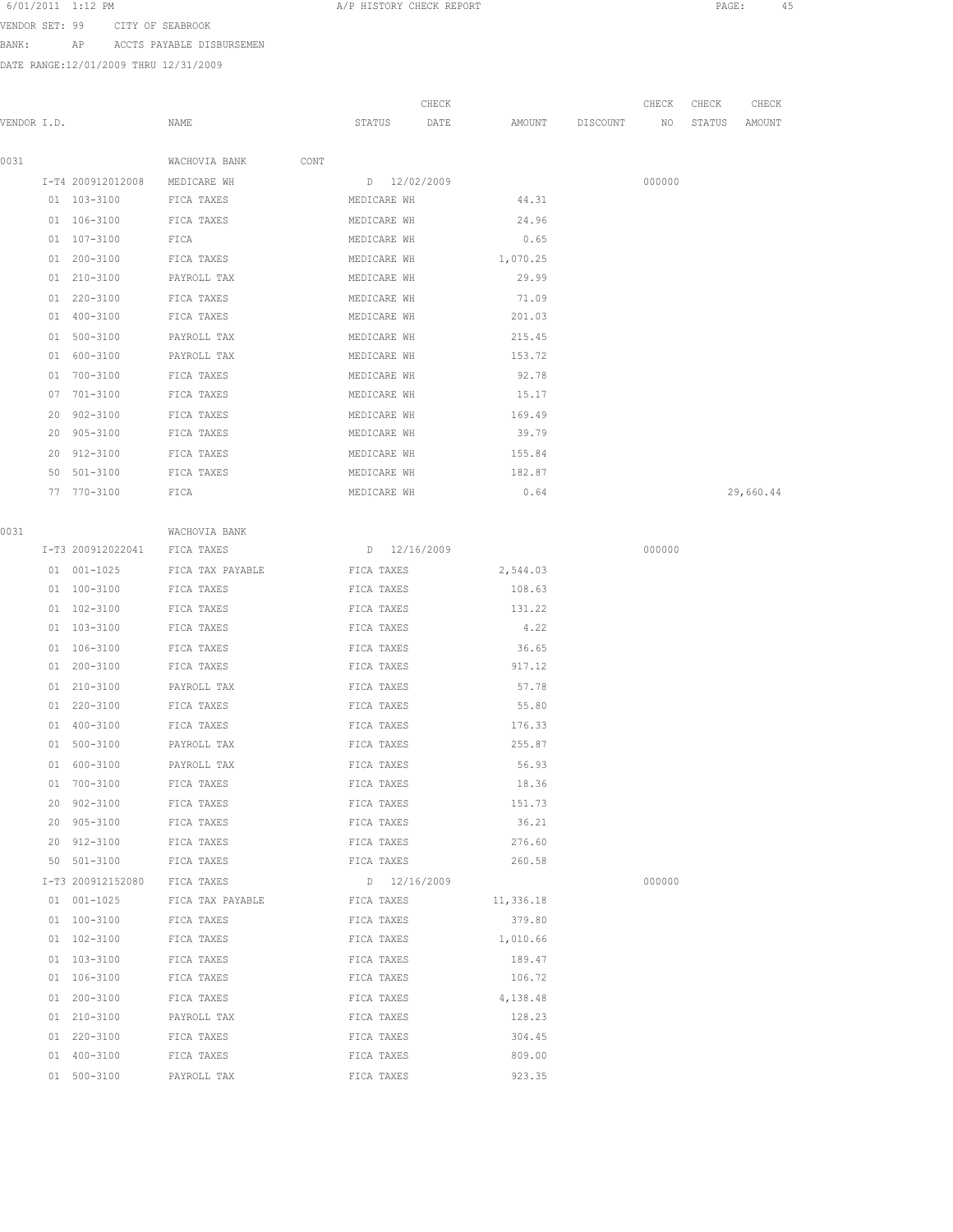VENDOR SET: 99 CITY OF SEABROOK BANK: AP ACCTS PAYABLE DISBURSEMEN

|             |    |                   |                       |              | CHECK |           |          | CHECK  | CHECK  | CHECK     |
|-------------|----|-------------------|-----------------------|--------------|-------|-----------|----------|--------|--------|-----------|
| VENDOR I.D. |    |                   | NAME                  | STATUS       | DATE  | AMOUNT    | DISCOUNT | NO     | STATUS | AMOUNT    |
| 0031        |    |                   | WACHOVIA BANK<br>CONT |              |       |           |          |        |        |           |
|             |    | I-T4 200912012008 | MEDICARE WH           | D 12/02/2009 |       |           |          | 000000 |        |           |
|             |    | 01 103-3100       | FICA TAXES            | MEDICARE WH  |       | 44.31     |          |        |        |           |
|             |    | 01 106-3100       | FICA TAXES            | MEDICARE WH  |       | 24.96     |          |        |        |           |
|             |    | 01 107-3100       | FICA                  | MEDICARE WH  |       | 0.65      |          |        |        |           |
|             |    | 01 200-3100       | FICA TAXES            | MEDICARE WH  |       | 1,070.25  |          |        |        |           |
|             |    | 01 210-3100       | PAYROLL TAX           | MEDICARE WH  |       | 29.99     |          |        |        |           |
|             |    | 01 220-3100       | FICA TAXES            | MEDICARE WH  |       | 71.09     |          |        |        |           |
|             |    | 01 400-3100       | FICA TAXES            | MEDICARE WH  |       | 201.03    |          |        |        |           |
|             |    | 01 500-3100       | PAYROLL TAX           | MEDICARE WH  |       | 215.45    |          |        |        |           |
|             | 01 | 600-3100          | PAYROLL TAX           | MEDICARE WH  |       | 153.72    |          |        |        |           |
|             | 01 | 700-3100          | FICA TAXES            | MEDICARE WH  |       | 92.78     |          |        |        |           |
|             | 07 | 701-3100          | FICA TAXES            | MEDICARE WH  |       | 15.17     |          |        |        |           |
|             | 20 | $902 - 3100$      | FICA TAXES            | MEDICARE WH  |       | 169.49    |          |        |        |           |
|             | 20 | $905 - 3100$      | FICA TAXES            | MEDICARE WH  |       | 39.79     |          |        |        |           |
|             | 20 | 912-3100          | FICA TAXES            | MEDICARE WH  |       | 155.84    |          |        |        |           |
|             | 50 | 501-3100          | FICA TAXES            | MEDICARE WH  |       | 182.87    |          |        |        |           |
|             |    | 77 770-3100       | FICA                  | MEDICARE WH  |       | 0.64      |          |        |        | 29,660.44 |
|             |    |                   |                       |              |       |           |          |        |        |           |
| 0031        |    |                   | WACHOVIA BANK         |              |       |           |          |        |        |           |
|             |    | I-T3 200912022041 | FICA TAXES            | D 12/16/2009 |       |           |          | 000000 |        |           |
|             |    | 01 001-1025       | FICA TAX PAYABLE      | FICA TAXES   |       | 2,544.03  |          |        |        |           |
|             |    | 01 100-3100       | FICA TAXES            | FICA TAXES   |       | 108.63    |          |        |        |           |
|             |    | 01 102-3100       | FICA TAXES            | FICA TAXES   |       | 131.22    |          |        |        |           |
|             |    | 01 103-3100       | FICA TAXES            | FICA TAXES   |       | 4.22      |          |        |        |           |
|             |    | 01 106-3100       | FICA TAXES            | FICA TAXES   |       | 36.65     |          |        |        |           |
|             |    | 01 200-3100       | FICA TAXES            | FICA TAXES   |       | 917.12    |          |        |        |           |
|             |    | 01 210-3100       | PAYROLL TAX           | FICA TAXES   |       | 57.78     |          |        |        |           |
|             |    | 01 220-3100       | FICA TAXES            | FICA TAXES   |       | 55.80     |          |        |        |           |
|             |    | 01 400-3100       | FICA TAXES            | FICA TAXES   |       | 176.33    |          |        |        |           |
|             |    | 01 500-3100       | PAYROLL TAX           | FICA TAXES   |       | 255.87    |          |        |        |           |
|             |    | 01 600-3100       | PAYROLL TAX           | FICA TAXES   |       | 56.93     |          |        |        |           |
|             | 01 | 700-3100          | FICA TAXES            | FICA TAXES   |       | 18.36     |          |        |        |           |
|             | 20 | $902 - 3100$      | FICA TAXES            | FICA TAXES   |       | 151.73    |          |        |        |           |
|             | 20 | $905 - 3100$      | FICA TAXES            | FICA TAXES   |       | 36.21     |          |        |        |           |
|             | 20 | 912-3100          | FICA TAXES            | FICA TAXES   |       | 276.60    |          |        |        |           |
|             |    | 50 501-3100       | FICA TAXES            | FICA TAXES   |       | 260.58    |          |        |        |           |
|             |    | I-T3 200912152080 | FICA TAXES            | D 12/16/2009 |       |           |          | 000000 |        |           |
|             |    | 01 001-1025       | FICA TAX PAYABLE      | FICA TAXES   |       | 11,336.18 |          |        |        |           |
|             |    | 01 100-3100       | FICA TAXES            | FICA TAXES   |       | 379.80    |          |        |        |           |
|             |    | 01 102-3100       | FICA TAXES            | FICA TAXES   |       | 1,010.66  |          |        |        |           |
|             |    | 01 103-3100       | FICA TAXES            | FICA TAXES   |       | 189.47    |          |        |        |           |
|             |    | 01 106-3100       | FICA TAXES            | FICA TAXES   |       | 106.72    |          |        |        |           |
|             |    | 01 200-3100       | FICA TAXES            | FICA TAXES   |       | 4,138.48  |          |        |        |           |
|             |    | 01 210-3100       | PAYROLL TAX           | FICA TAXES   |       | 128.23    |          |        |        |           |
|             |    | 01 220-3100       | FICA TAXES            | FICA TAXES   |       | 304.45    |          |        |        |           |
|             |    | 01 400-3100       | FICA TAXES            | FICA TAXES   |       | 809.00    |          |        |        |           |
|             |    | 01 500-3100       | PAYROLL TAX           | FICA TAXES   |       | 923.35    |          |        |        |           |
|             |    |                   |                       |              |       |           |          |        |        |           |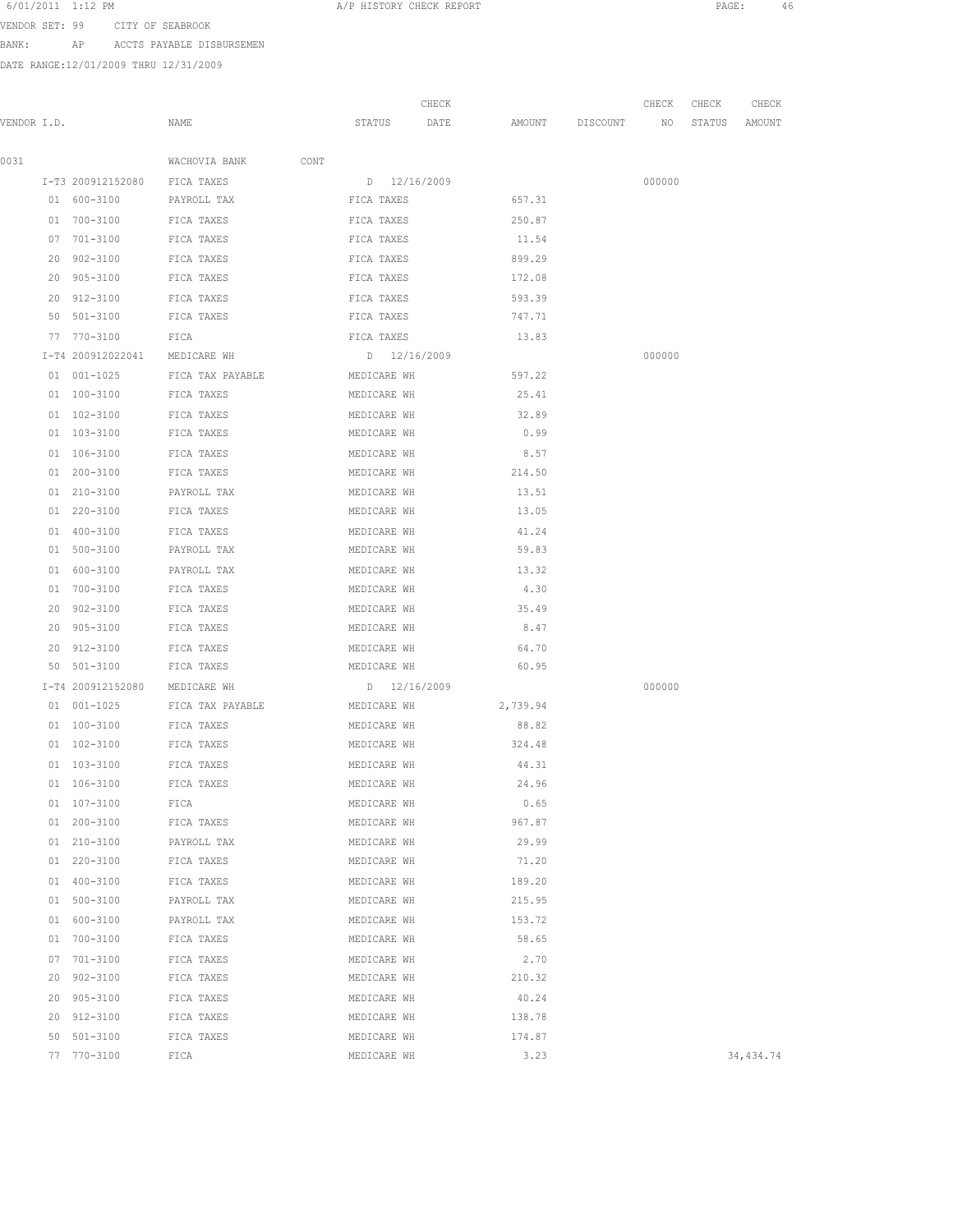VENDOR SET: 99 CITY OF SEABROOK BANK: AP ACCTS PAYABLE DISBURSEMEN

|             |    |                               |                    |              | CHECK |          |                    | CHECK  | CHECK  | CHECK     |
|-------------|----|-------------------------------|--------------------|--------------|-------|----------|--------------------|--------|--------|-----------|
| VENDOR I.D. |    |                               | NAME               | STATUS DATE  |       |          | AMOUNT DISCOUNT NO |        | STATUS | AMOUNT    |
| 0031        |    |                               | WACHOVIA BANK CONT |              |       |          |                    |        |        |           |
|             |    | I-T3 200912152080 FICA TAXES  |                    | D 12/16/2009 |       |          |                    | 000000 |        |           |
|             |    | 01 600-3100                   | PAYROLL TAX        | FICA TAXES   |       | 657.31   |                    |        |        |           |
|             |    | 01 700-3100                   | FICA TAXES         | FICA TAXES   |       | 250.87   |                    |        |        |           |
|             |    | 07 701-3100                   | FICA TAXES         | FICA TAXES   |       | 11.54    |                    |        |        |           |
|             |    | 20 902-3100                   | FICA TAXES         | FICA TAXES   |       | 899.29   |                    |        |        |           |
|             |    | 20 905-3100                   | FICA TAXES         | FICA TAXES   |       | 172.08   |                    |        |        |           |
|             |    | 20 912-3100                   | FICA TAXES         | FICA TAXES   |       | 593.39   |                    |        |        |           |
|             |    | 50 501-3100                   | FICA TAXES         | FICA TAXES   |       | 747.71   |                    |        |        |           |
|             |    | 77 770-3100                   | FICA               | FICA TAXES   |       | 13.83    |                    |        |        |           |
|             |    | I-T4 200912022041 MEDICARE WH |                    | D 12/16/2009 |       |          |                    | 000000 |        |           |
|             |    | 01 001-1025                   | FICA TAX PAYABLE   | MEDICARE WH  |       | 597.22   |                    |        |        |           |
|             |    | 01 100-3100                   | FICA TAXES         | MEDICARE WH  |       | 25.41    |                    |        |        |           |
|             |    | $01 102 - 3100$               | FICA TAXES         | MEDICARE WH  |       | 32.89    |                    |        |        |           |
|             |    | 01 103-3100                   | FICA TAXES         | MEDICARE WH  |       | 0.99     |                    |        |        |           |
|             |    | 01 106-3100                   | FICA TAXES         | MEDICARE WH  |       | 8.57     |                    |        |        |           |
|             |    | 01 200-3100                   | FICA TAXES         | MEDICARE WH  |       | 214.50   |                    |        |        |           |
|             |    | 01 210-3100                   | PAYROLL TAX        | MEDICARE WH  |       | 13.51    |                    |        |        |           |
|             |    | 01 220-3100                   | FICA TAXES         | MEDICARE WH  |       | 13.05    |                    |        |        |           |
|             |    | 01 400-3100                   | FICA TAXES         | MEDICARE WH  |       | 41.24    |                    |        |        |           |
|             |    | 01 500-3100                   | PAYROLL TAX        | MEDICARE WH  |       | 59.83    |                    |        |        |           |
|             |    | 01 600-3100                   | PAYROLL TAX        | MEDICARE WH  |       | 13.32    |                    |        |        |           |
|             |    | 01 700-3100                   | FICA TAXES         | MEDICARE WH  |       | 4.30     |                    |        |        |           |
|             |    | 20 902-3100                   | FICA TAXES         | MEDICARE WH  |       | 35.49    |                    |        |        |           |
|             |    | 20 905-3100                   | FICA TAXES         | MEDICARE WH  |       | 8.47     |                    |        |        |           |
|             |    | 20 912-3100                   | FICA TAXES         | MEDICARE WH  |       | 64.70    |                    |        |        |           |
|             |    | 50 501-3100                   | FICA TAXES         | MEDICARE WH  |       | 60.95    |                    |        |        |           |
|             |    | I-T4 200912152080             | MEDICARE WH        | D 12/16/2009 |       |          |                    | 000000 |        |           |
|             |    | 01 001-1025                   | FICA TAX PAYABLE   | MEDICARE WH  |       | 2,739.94 |                    |        |        |           |
|             |    | 01 100-3100                   | FICA TAXES         | MEDICARE WH  |       | 88.82    |                    |        |        |           |
|             |    | 01 102-3100                   | FICA TAXES         | MEDICARE WH  |       | 324.48   |                    |        |        |           |
|             |    | 01 103-3100                   | FICA TAXES         | MEDICARE WH  |       | 44.31    |                    |        |        |           |
|             |    | 01 106-3100                   | FICA TAXES         | MEDICARE WH  |       | 24.96    |                    |        |        |           |
|             |    | 01 107-3100                   | FICA               | MEDICARE WH  |       | 0.65     |                    |        |        |           |
|             |    | 01 200-3100                   | FICA TAXES         | MEDICARE WH  |       | 967.87   |                    |        |        |           |
|             |    | 01 210-3100                   | PAYROLL TAX        | MEDICARE WH  |       | 29.99    |                    |        |        |           |
|             |    | 01 220-3100                   | FICA TAXES         | MEDICARE WH  |       | 71.20    |                    |        |        |           |
|             |    | 01 400-3100                   | FICA TAXES         | MEDICARE WH  |       | 189.20   |                    |        |        |           |
|             |    | 01 500-3100                   | PAYROLL TAX        | MEDICARE WH  |       | 215.95   |                    |        |        |           |
|             |    | 01 600-3100                   | PAYROLL TAX        | MEDICARE WH  |       | 153.72   |                    |        |        |           |
|             | 01 | 700-3100                      | FICA TAXES         | MEDICARE WH  |       | 58.65    |                    |        |        |           |
|             | 07 | 701-3100                      | FICA TAXES         | MEDICARE WH  |       | 2.70     |                    |        |        |           |
|             | 20 | $902 - 3100$                  | FICA TAXES         | MEDICARE WH  |       | 210.32   |                    |        |        |           |
|             |    | 20 905-3100                   | FICA TAXES         | MEDICARE WH  |       | 40.24    |                    |        |        |           |
|             |    | 20 912-3100                   | FICA TAXES         | MEDICARE WH  |       | 138.78   |                    |        |        |           |
|             | 50 | 501-3100                      | FICA TAXES         | MEDICARE WH  |       | 174.87   |                    |        |        |           |
|             |    | 77 770-3100                   | FICA               | MEDICARE WH  |       | 3.23     |                    |        |        | 34,434.74 |
|             |    |                               |                    |              |       |          |                    |        |        |           |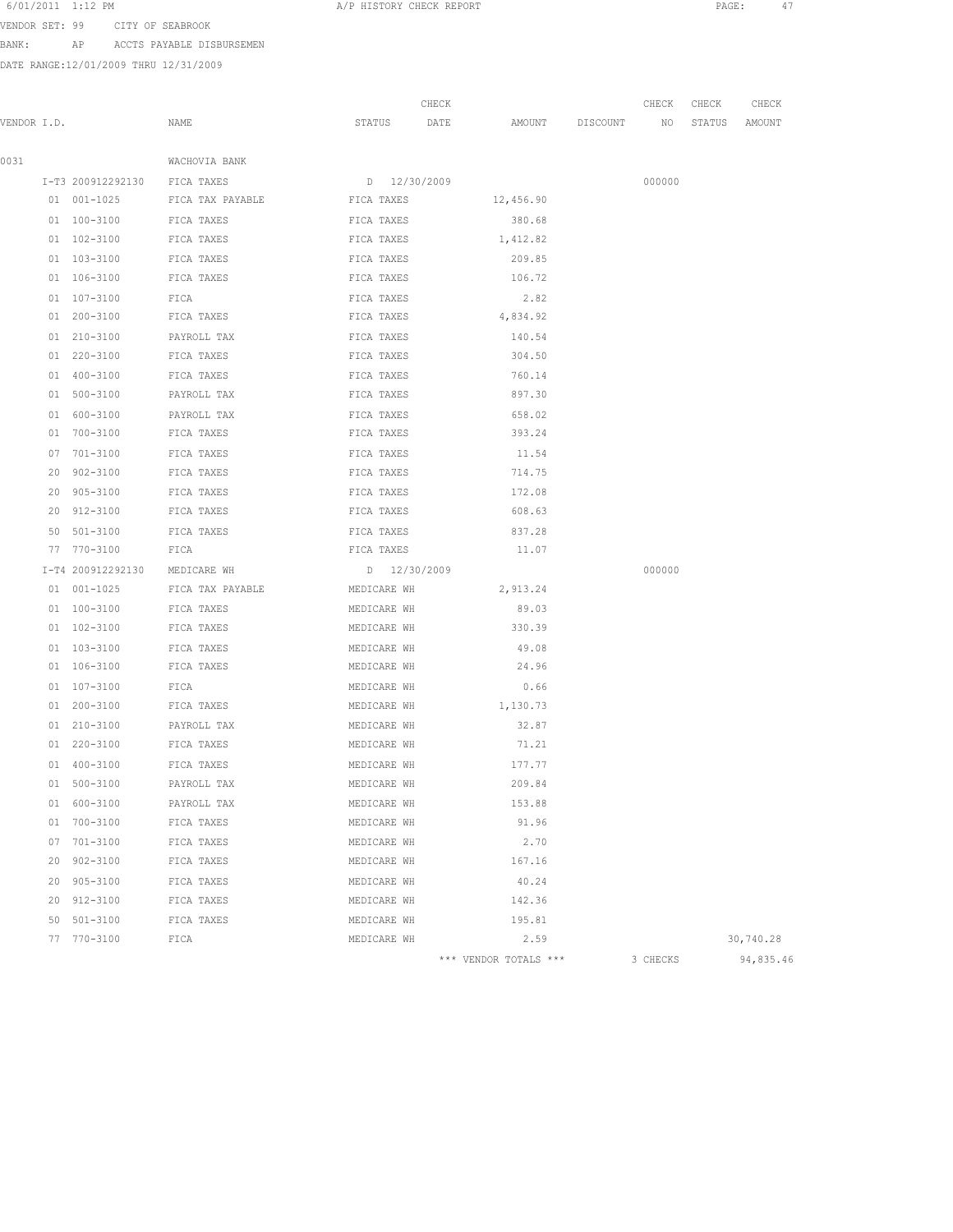VENDOR SET: 99 CITY OF SEABROOK

BANK: AP ACCTS PAYABLE DISBURSEMEN

|             |    |                   |                  |              | CHECK |                       |          | CHECK    | CHECK  | CHECK     |
|-------------|----|-------------------|------------------|--------------|-------|-----------------------|----------|----------|--------|-----------|
| VENDOR I.D. |    |                   | NAME             | STATUS       | DATE  | AMOUNT                | DISCOUNT | NO       | STATUS | AMOUNT    |
|             |    |                   |                  |              |       |                       |          |          |        |           |
| 0031        |    |                   | WACHOVIA BANK    |              |       |                       |          |          |        |           |
|             |    | I-T3 200912292130 | FICA TAXES       | D 12/30/2009 |       |                       |          | 000000   |        |           |
|             |    | 01 001-1025       | FICA TAX PAYABLE | FICA TAXES   |       | 12,456.90             |          |          |        |           |
|             |    | 01 100-3100       | FICA TAXES       | FICA TAXES   |       | 380.68                |          |          |        |           |
|             |    | 01 102-3100       | FICA TAXES       | FICA TAXES   |       | 1,412.82              |          |          |        |           |
|             |    | 01 103-3100       | FICA TAXES       | FICA TAXES   |       | 209.85                |          |          |        |           |
|             |    | 01 106-3100       | FICA TAXES       | FICA TAXES   |       | 106.72                |          |          |        |           |
|             |    | 01 107-3100       | FICA             | FICA TAXES   |       | 2.82                  |          |          |        |           |
|             |    | 01 200-3100       | FICA TAXES       | FICA TAXES   |       | 4,834.92              |          |          |        |           |
|             |    | 01 210-3100       | PAYROLL TAX      | FICA TAXES   |       | 140.54                |          |          |        |           |
|             |    | 01 220-3100       | FICA TAXES       | FICA TAXES   |       | 304.50                |          |          |        |           |
|             |    | 01 400-3100       | FICA TAXES       | FICA TAXES   |       | 760.14                |          |          |        |           |
|             |    | 01 500-3100       | PAYROLL TAX      | FICA TAXES   |       | 897.30                |          |          |        |           |
|             |    | 01 600-3100       | PAYROLL TAX      | FICA TAXES   |       | 658.02                |          |          |        |           |
|             |    | 01 700-3100       | FICA TAXES       | FICA TAXES   |       | 393.24                |          |          |        |           |
|             |    | 07 701-3100       | FICA TAXES       | FICA TAXES   |       | 11.54                 |          |          |        |           |
|             | 20 | 902-3100          | FICA TAXES       | FICA TAXES   |       | 714.75                |          |          |        |           |
|             |    | 20 905-3100       | FICA TAXES       | FICA TAXES   |       | 172.08                |          |          |        |           |
|             |    | 20 912-3100       | FICA TAXES       | FICA TAXES   |       | 608.63                |          |          |        |           |
|             |    | 50 501-3100       | FICA TAXES       | FICA TAXES   |       | 837.28                |          |          |        |           |
|             |    | 77 770-3100       | FICA             | FICA TAXES   |       | 11.07                 |          |          |        |           |
|             |    | I-T4 200912292130 | MEDICARE WH      | D 12/30/2009 |       |                       |          | 000000   |        |           |
|             |    | $01 001 - 1025$   | FICA TAX PAYABLE | MEDICARE WH  |       | 2,913.24              |          |          |        |           |
|             |    | 01 100-3100       | FICA TAXES       | MEDICARE WH  |       | 89.03                 |          |          |        |           |
|             |    | 01 102-3100       | FICA TAXES       | MEDICARE WH  |       | 330.39                |          |          |        |           |
|             |    | 01 103-3100       | FICA TAXES       | MEDICARE WH  |       | 49.08                 |          |          |        |           |
|             |    | 01 106-3100       | FICA TAXES       | MEDICARE WH  |       | 24.96                 |          |          |        |           |
|             |    | 01 107-3100       | FICA             | MEDICARE WH  |       | 0.66                  |          |          |        |           |
|             |    | 01 200-3100       | FICA TAXES       | MEDICARE WH  |       | 1,130.73              |          |          |        |           |
|             |    | $01 210 - 3100$   | PAYROLL TAX      | MEDICARE WH  |       | 32.87                 |          |          |        |           |
|             |    | 01 220-3100       | FICA TAXES       | MEDICARE WH  |       | 71.21                 |          |          |        |           |
|             |    | 01 400-3100       | FICA TAXES       | MEDICARE WH  |       | 177.77                |          |          |        |           |
|             |    | 01 500-3100       | PAYROLL TAX      | MEDICARE WH  |       | 209.84                |          |          |        |           |
|             |    | 01 600-3100       | PAYROLL TAX      | MEDICARE WH  |       | 153.88                |          |          |        |           |
|             |    | 01 700-3100       | FICA TAXES       | MEDICARE WH  |       | 91.96                 |          |          |        |           |
|             |    | 07 701-3100       | FICA TAXES       | MEDICARE WH  |       | 2.70                  |          |          |        |           |
|             |    | 20 902-3100       | FICA TAXES       | MEDICARE WH  |       | 167.16                |          |          |        |           |
|             |    | 20 905-3100       | FICA TAXES       | MEDICARE WH  |       | 40.24                 |          |          |        |           |
|             |    | 20 912-3100       | FICA TAXES       | MEDICARE WH  |       | 142.36                |          |          |        |           |
|             |    | 50 501-3100       | FICA TAXES       | MEDICARE WH  |       | 195.81                |          |          |        |           |
|             |    | 77 770-3100       | FICA             | MEDICARE WH  |       | 2.59                  |          |          |        | 30,740.28 |
|             |    |                   |                  |              |       | *** VENDOR TOTALS *** |          | 3 CHECKS |        | 94,835.46 |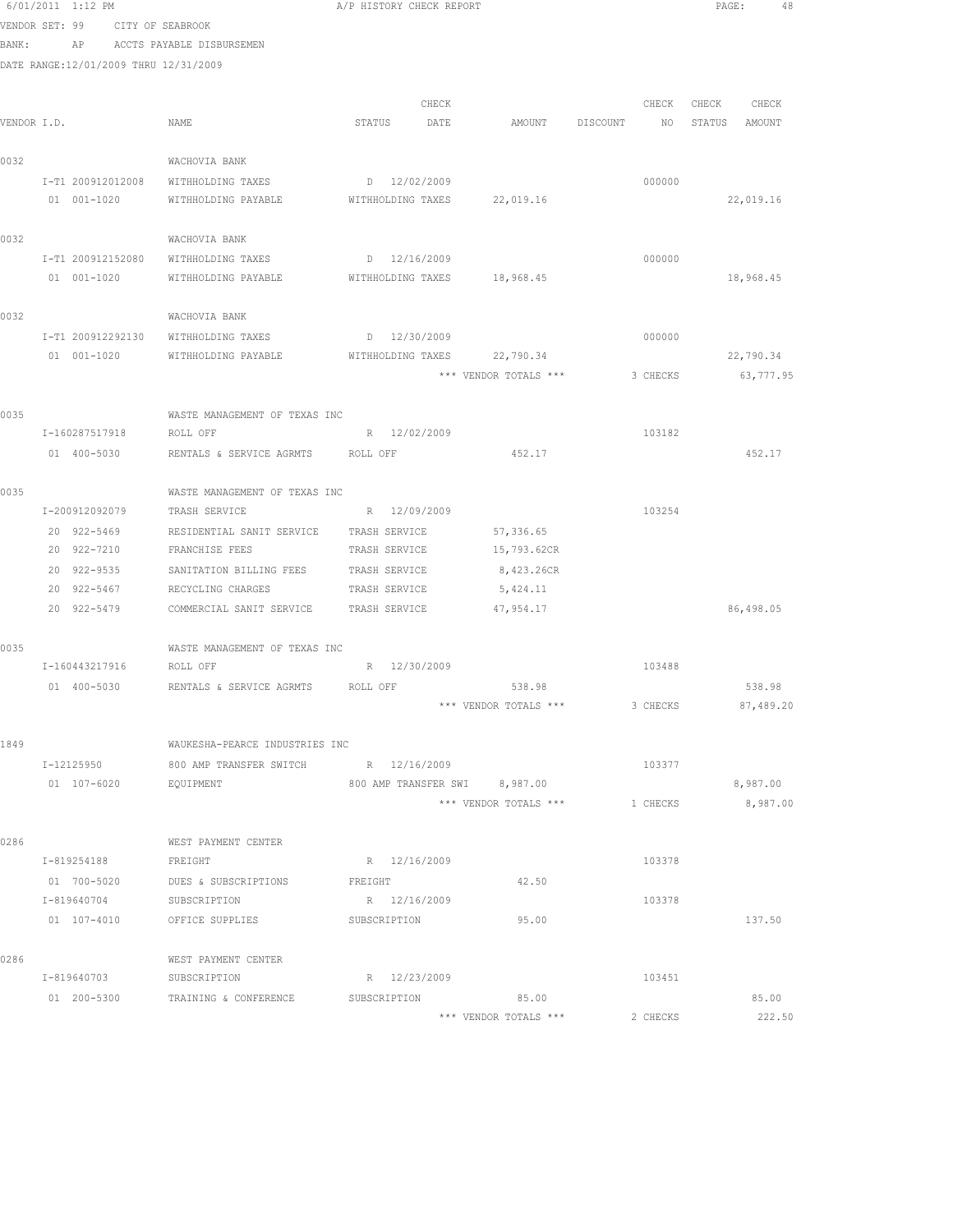|       |                | 6/01/2011 1:12 PM                     |                                                 | A/P HISTORY CHECK REPORT      |                       |                             | PAGE:<br>48            |
|-------|----------------|---------------------------------------|-------------------------------------------------|-------------------------------|-----------------------|-----------------------------|------------------------|
|       | VENDOR SET: 99 |                                       | CITY OF SEABROOK                                |                               |                       |                             |                        |
| BANK: |                | AP                                    | ACCTS PAYABLE DISBURSEMEN                       |                               |                       |                             |                        |
|       |                | DATE RANGE:12/01/2009 THRU 12/31/2009 |                                                 |                               |                       |                             |                        |
|       |                |                                       |                                                 |                               |                       |                             |                        |
|       |                |                                       |                                                 | CHECK                         |                       | CHECK                       | CHECK CHECK            |
|       | VENDOR I.D.    |                                       | NAME                                            | STATUS DATE                   | <b>AMOUNT</b>         | DISCOUNT<br>NO <sub>1</sub> | STATUS AMOUNT          |
| 0032  |                |                                       | WACHOVIA BANK                                   |                               |                       |                             |                        |
|       |                | I-T1 200912012008                     | WITHHOLDING TAXES                               | D 12/02/2009                  |                       | 000000                      |                        |
|       |                | 01 001-1020                           | WITHHOLDING PAYABLE                             | WITHHOLDING TAXES 22,019.16   |                       |                             | 22,019.16              |
|       |                |                                       |                                                 |                               |                       |                             |                        |
| 0032  |                |                                       | WACHOVIA BANK                                   |                               |                       |                             |                        |
|       |                | I-T1 200912152080                     | WITHHOLDING TAXES                               | D 12/16/2009                  |                       | 000000                      |                        |
|       |                | 01 001-1020                           | WITHHOLDING PAYABLE WITHHOLDING TAXES 18,968.45 |                               |                       |                             | 18,968.45              |
|       |                |                                       |                                                 |                               |                       |                             |                        |
| 0032  |                |                                       | WACHOVIA BANK                                   |                               |                       |                             |                        |
|       |                | I-T1 200912292130                     | WITHHOLDING TAXES                               | $D = 12/30/2009$              |                       | 000000                      |                        |
|       |                | 01 001-1020                           | WITHHOLDING PAYABLE                             | WITHHOLDING TAXES 22,790.34   | *** VENDOR TOTALS *** |                             | 22,790.34<br>63,777.95 |
|       |                |                                       |                                                 |                               |                       | 3 CHECKS                    |                        |
| 0035  |                |                                       | WASTE MANAGEMENT OF TEXAS INC                   |                               |                       |                             |                        |
|       |                | I-160287517918                        | ROLL OFF                                        | R 12/02/2009                  |                       | 103182                      |                        |
|       |                | 01 400-5030                           | RENTALS & SERVICE AGRMTS ROLL OFF               |                               | 452.17                |                             | 452.17                 |
|       |                |                                       |                                                 |                               |                       |                             |                        |
| 0035  |                |                                       | WASTE MANAGEMENT OF TEXAS INC                   |                               |                       |                             |                        |
|       |                | I-200912092079                        | TRASH SERVICE                                   | R 12/09/2009                  |                       | 103254                      |                        |
|       |                | 20 922-5469                           | RESIDENTIAL SANIT SERVICE TRASH SERVICE         |                               | 57,336.65             |                             |                        |
|       |                | 20 922-7210                           | FRANCHISE FEES                                  | TRASH SERVICE                 | 15,793.62CR           |                             |                        |
|       |                | 20 922-9535                           | SANITATION BILLING FEES TRASH SERVICE           |                               | 8,423.26CR            |                             |                        |
|       |                | 20 922-5467                           | RECYCLING CHARGES TRASH SERVICE                 |                               | 5,424.11              |                             |                        |
|       |                | 20 922-5479                           | COMMERCIAL SANIT SERVICE TRASH SERVICE          |                               | 47,954.17             |                             | 86,498.05              |
| 0035  |                |                                       | WASTE MANAGEMENT OF TEXAS INC                   |                               |                       |                             |                        |
|       |                | I-160443217916                        | ROLL OFF                                        | R 12/30/2009                  |                       | 103488                      |                        |
|       |                | 01 400-5030                           | RENTALS & SERVICE AGRMTS                        | ROLL OFF                      | 538.98                |                             | 538.98                 |
|       |                |                                       |                                                 |                               | *** VENDOR TOTALS *** | 3 CHECKS                    | 87,489.20              |
|       |                |                                       |                                                 |                               |                       |                             |                        |
| 1849  |                |                                       | WAUKESHA-PEARCE INDUSTRIES INC                  |                               |                       |                             |                        |
|       |                | I-12125950                            | 800 AMP TRANSFER SWITCH                         | R 12/16/2009                  |                       | 103377                      |                        |
|       |                | 01 107-6020                           | EQUIPMENT                                       | 800 AMP TRANSFER SWI 8,987.00 |                       |                             | 8,987.00               |
|       |                |                                       |                                                 |                               | *** VENDOR TOTALS *** | 1 CHECKS                    | 8,987.00               |
|       |                |                                       |                                                 |                               |                       |                             |                        |
| 0286  |                |                                       | WEST PAYMENT CENTER                             |                               |                       |                             |                        |
|       |                | I-819254188                           | FREIGHT                                         | R 12/16/2009                  |                       | 103378                      |                        |
|       |                | 01 700-5020<br>I-819640704            | DUES & SUBSCRIPTIONS<br>SUBSCRIPTION            | FREIGHT<br>R 12/16/2009       | 42.50                 | 103378                      |                        |
|       |                | 01 107-4010                           | OFFICE SUPPLIES                                 | SUBSCRIPTION                  | 95.00                 |                             | 137.50                 |
|       |                |                                       |                                                 |                               |                       |                             |                        |
| 0286  |                |                                       | WEST PAYMENT CENTER                             |                               |                       |                             |                        |
|       |                | I-819640703                           | SUBSCRIPTION                                    | R 12/23/2009                  |                       | 103451                      |                        |
|       |                |                                       | 01 200-5300 TRAINING & CONFERENCE               | SUBSCRIPTION                  | 85.00                 |                             | 85.00                  |
|       |                |                                       |                                                 |                               | *** VENDOR TOTALS *** | 2 CHECKS                    | 222.50                 |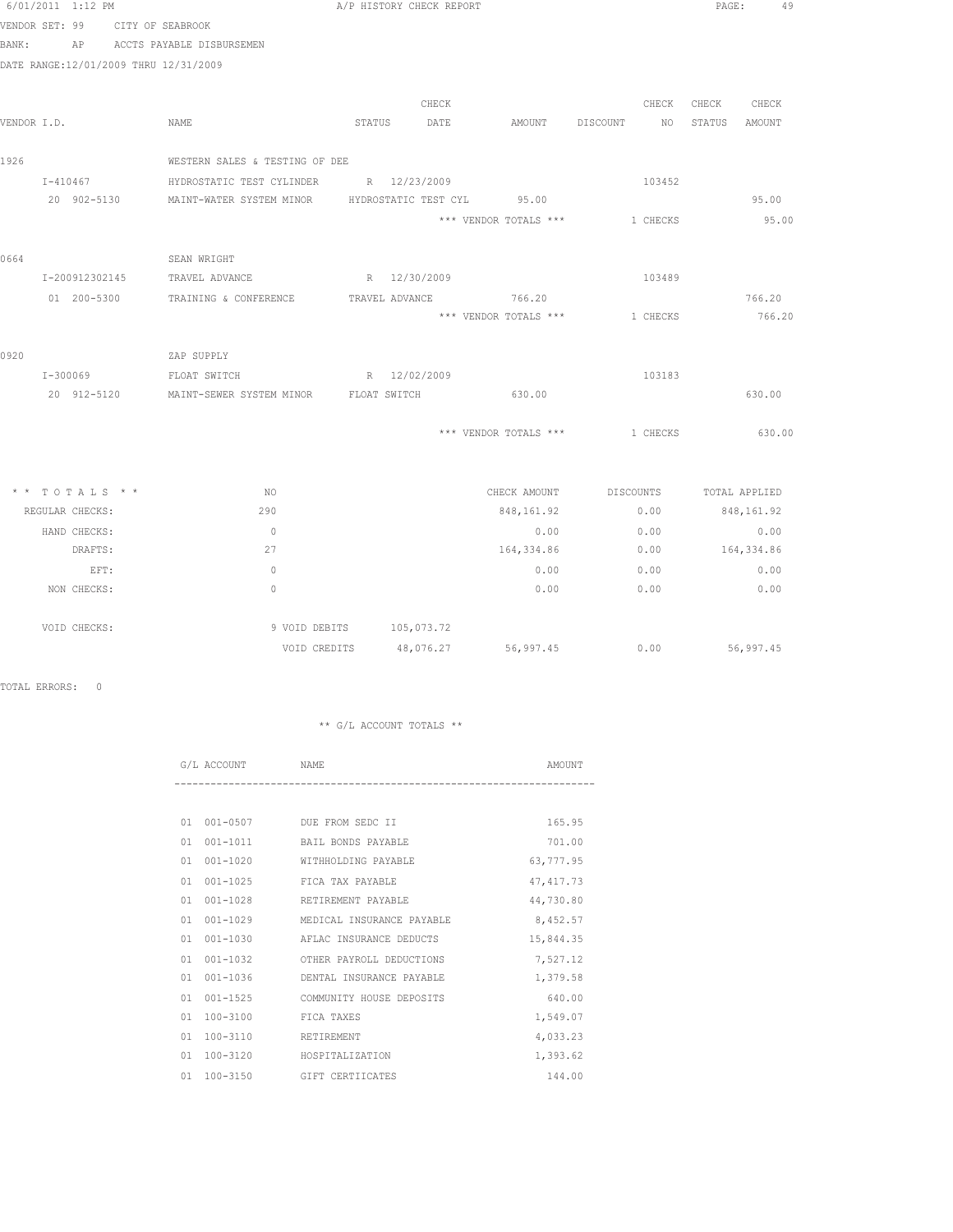| 6/01/2011 1:12 PM                   |                                                   | A/P HISTORY CHECK REPORT                                        |                                      | PAGE:<br>49        |
|-------------------------------------|---------------------------------------------------|-----------------------------------------------------------------|--------------------------------------|--------------------|
| VENDOR SET: 99                      | CITY OF SEABROOK                                  |                                                                 |                                      |                    |
|                                     | BANK: AP ACCTS PAYABLE DISBURSEMEN                |                                                                 |                                      |                    |
|                                     | DATE RANGE:12/01/2009 THRU 12/31/2009             |                                                                 |                                      |                    |
|                                     |                                                   |                                                                 |                                      |                    |
|                                     |                                                   | CHECK                                                           | CHECK                                | CHECK<br>CHECK     |
| VENDOR I.D.                         | NAME                                              | STATUS DATE                                                     | AMOUNT DISCOUNT NO                   | STATUS<br>AMOUNT   |
| 1926                                | WESTERN SALES & TESTING OF DEE                    |                                                                 |                                      |                    |
| $I - 410467$                        | HYDROSTATIC TEST CYLINDER R 12/23/2009            |                                                                 | 103452                               |                    |
|                                     |                                                   | 20 902-5130 MAINT-WATER SYSTEM MINOR HYDROSTATIC TEST CYL 95.00 |                                      | 95.00              |
|                                     |                                                   | *** VENDOR TOTALS ***                                           | 1 CHECKS                             | 95.00              |
|                                     |                                                   |                                                                 |                                      |                    |
| 0664                                | SEAN WRIGHT                                       |                                                                 |                                      |                    |
|                                     | I-200912302145 TRAVEL ADVANCE                     | R 12/30/2009                                                    | 103489                               |                    |
|                                     |                                                   | 01  200-5300  TRAINING & CONFERENCE  TRAVEL ADVANCE  766.20     |                                      | 766.20             |
|                                     |                                                   | *** VENDOR TOTALS *** 1 CHECKS                                  |                                      | 766.20             |
|                                     |                                                   |                                                                 |                                      |                    |
| 0920                                | ZAP SUPPLY                                        |                                                                 |                                      |                    |
|                                     | I-300069 FLOAT SWITCH R 12/02/2009                |                                                                 | 103183                               |                    |
|                                     | 20 912-5120 MAINT-SEWER SYSTEM MINOR FLOAT SWITCH | 630.00                                                          |                                      | 630.00             |
|                                     |                                                   | *** VENDOR TOTALS ***                                           | 1 CHECKS                             | 630.00             |
|                                     |                                                   |                                                                 |                                      |                    |
|                                     |                                                   |                                                                 |                                      |                    |
| $*$ * TOTALS * *<br>REGULAR CHECKS: | NO.<br>290                                        |                                                                 | CHECK AMOUNT DISCOUNTS TOTAL APPLIED |                    |
|                                     |                                                   | 848,161.92                                                      | 0.00                                 | 848,161.92         |
| HAND CHECKS:<br>DRAFTS:             | $\overline{0}$<br>27                              | 0.00<br>164,334.86                                              | 0.00<br>0.00                         | 0.00<br>164,334.86 |
| EFT:                                | $\bigcirc$                                        | 0.00                                                            | 0.00                                 | 0.00               |
| NON CHECKS:                         | $\bigcirc$                                        | 0.00                                                            | 0.00                                 | 0.00               |
|                                     |                                                   |                                                                 |                                      |                    |
| VOID CHECKS:                        |                                                   | 9 VOID DEBITS 105,073.72                                        |                                      |                    |

TOTAL ERRORS: 0

# \*\* G/L ACCOUNT TOTALS \*\*

VOID CREDITS 48,076.27 56,997.45 0.00 56,997.45

|    | G/L ACCOUNT<br>NAME. |                           | AMOUNT     |
|----|----------------------|---------------------------|------------|
|    |                      |                           |            |
| 01 |                      | 001-0507 DUE FROM SEDC II | 165.95     |
| 01 | $001 - 1011$         | BAIL BONDS PAYABLE        | 701.00     |
| 01 | $001 - 1020$         | WITHHOLDING PAYABLE       | 63,777.95  |
| 01 | $001 - 1025$         | FICA TAX PAYABLE          | 47, 417.73 |
| 01 | $001 - 1028$         | RETIREMENT PAYABLE        | 44,730.80  |
| 01 | $001 - 1029$         | MEDICAL INSURANCE PAYABLE | 8,452.57   |
| 01 | $001 - 1030$         | AFLAC INSURANCE DEDUCTS   | 15,844.35  |
| 01 | $001 - 1032$         | OTHER PAYROLL DEDUCTIONS  | 7,527.12   |
| 01 | $001 - 1036$         | DENTAL INSURANCE PAYABLE  | 1,379.58   |
| 01 | $001 - 1525$         | COMMUNITY HOUSE DEPOSITS  | 640.00     |
| 01 | $100 - 3100$         | FICA TAXES                | 1,549.07   |
| 01 | $100 - 3110$         | RETIREMENT                | 4,033.23   |
| 01 | $100 - 3120$         | HOSPITALIZATION           | 1,393.62   |
| 01 | $100 - 3150$         | GIFT CERTIICATES          | 144.00     |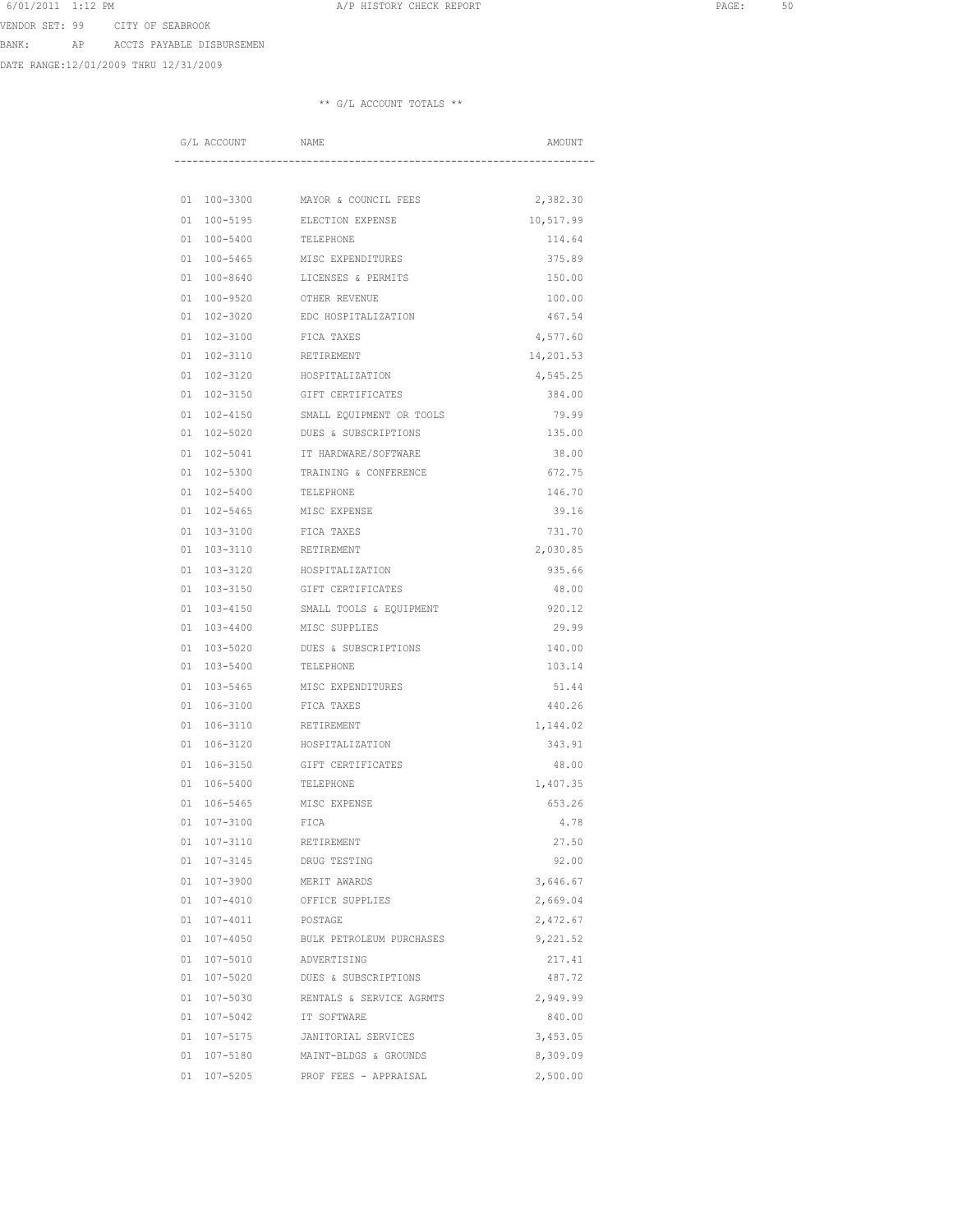VENDOR SET: 99 CITY OF SEABROOK

BANK: AP ACCTS PAYABLE DISBURSEMEN

DATE RANGE:12/01/2009 THRU 12/31/2009

|          | G/L ACCOUNT              | NAME                                     | AMOUNT             |
|----------|--------------------------|------------------------------------------|--------------------|
|          |                          |                                          |                    |
|          |                          |                                          |                    |
|          | 01 100-3300              | MAYOR & COUNCIL FEES                     | 2,382.30           |
| 01       | $100 - 5195$             | ELECTION EXPENSE                         | 10,517.99          |
| 01       | $100 - 5400$             | TELEPHONE                                | 114.64             |
| 01       | $100 - 5465$             | MISC EXPENDITURES                        | 375.89             |
| 01       | $100 - 8640$             | LICENSES & PERMITS                       | 150.00             |
| 01       | 100-9520                 | OTHER REVENUE                            | 100.00             |
| 01       | 102-3020                 | EDC HOSPITALIZATION                      | 467.54             |
| 01       | $102 - 3100$             | FICA TAXES                               | 4,577.60           |
| 01       | $102 - 3110$             | RETIREMENT                               | 14,201.53          |
| 01       | 102-3120                 | HOSPITALIZATION                          | 4,545.25           |
| 01       | $102 - 3150$             | GIFT CERTIFICATES                        | 384.00             |
| 01       | $102 - 4150$             | SMALL EQUIPMENT OR TOOLS                 | 79.99              |
| 01       | 102-5020                 | DUES & SUBSCRIPTIONS                     | 135.00             |
| 01       | $102 - 5041$             | IT HARDWARE/SOFTWARE                     | 38.00              |
| 01       | $102 - 5300$             | TRAINING & CONFERENCE                    | 672.75             |
| 01<br>01 | 102-5400<br>$102 - 5465$ | TELEPHONE<br>MISC EXPENSE                | 146.70             |
|          |                          |                                          | 39.16              |
| 01<br>01 | 103-3100<br>103-3110     | FICA TAXES<br>RETIREMENT                 | 731.70<br>2,030.85 |
|          |                          |                                          |                    |
| 01<br>01 | 103-3120<br>103-3150     | HOSPITALIZATION<br>GIFT CERTIFICATES     | 935.66<br>48.00    |
|          |                          |                                          | 920.12             |
| 01<br>01 | 103-4150<br>103-4400     | SMALL TOOLS & EQUIPMENT<br>MISC SUPPLIES | 29.99              |
| 01       | 103-5020                 | DUES & SUBSCRIPTIONS                     | 140.00             |
| 01       | 103-5400                 | TELEPHONE                                | 103.14             |
| 01       | $103 - 5465$             | MISC EXPENDITURES                        | 51.44              |
| 01       | 106-3100                 | FICA TAXES                               | 440.26             |
| 01       | 106-3110                 | RETIREMENT                               | 1,144.02           |
| 01       | 106-3120                 | HOSPITALIZATION                          | 343.91             |
| 01       | 106-3150                 | GIFT CERTIFICATES                        | 48.00              |
| 01       | 106-5400                 | TELEPHONE                                | 1,407.35           |
| 01       | $106 - 5465$             | MISC EXPENSE                             | 653.26             |
| 01       | 107-3100                 | FICA                                     | 4.78               |
| 01       | 107-3110                 | RETIREMENT                               | 27.50              |
| 01       | 107-3145                 | DRUG TESTING                             | 92.00              |
| 01       | 107-3900                 | MERIT AWARDS                             | 3,646.67           |
| 01       | 107-4010                 | OFFICE SUPPLIES                          | 2,669.04           |
| 01       | $107 - 4011$             | POSTAGE                                  | 2,472.67           |
| 01       | $107 - 4050$             | BULK PETROLEUM PURCHASES                 | 9,221.52           |
| 01       | $107 - 5010$             | ADVERTISING                              | 217.41             |
| 01       | 107-5020                 | DUES & SUBSCRIPTIONS                     | 487.72             |
| 01       | 107-5030                 | RENTALS & SERVICE AGRMTS                 | 2,949.99           |
| 01       | $107 - 5042$             | IT SOFTWARE                              | 840.00             |
| 01       | 107-5175                 | JANITORIAL SERVICES                      | 3,453.05           |
|          | 01 107-5180              | MAINT-BLDGS & GROUNDS                    | 8,309.09           |
|          | 01 107-5205              | PROF FEES - APPRAISAL                    | 2,500.00           |
|          |                          |                                          |                    |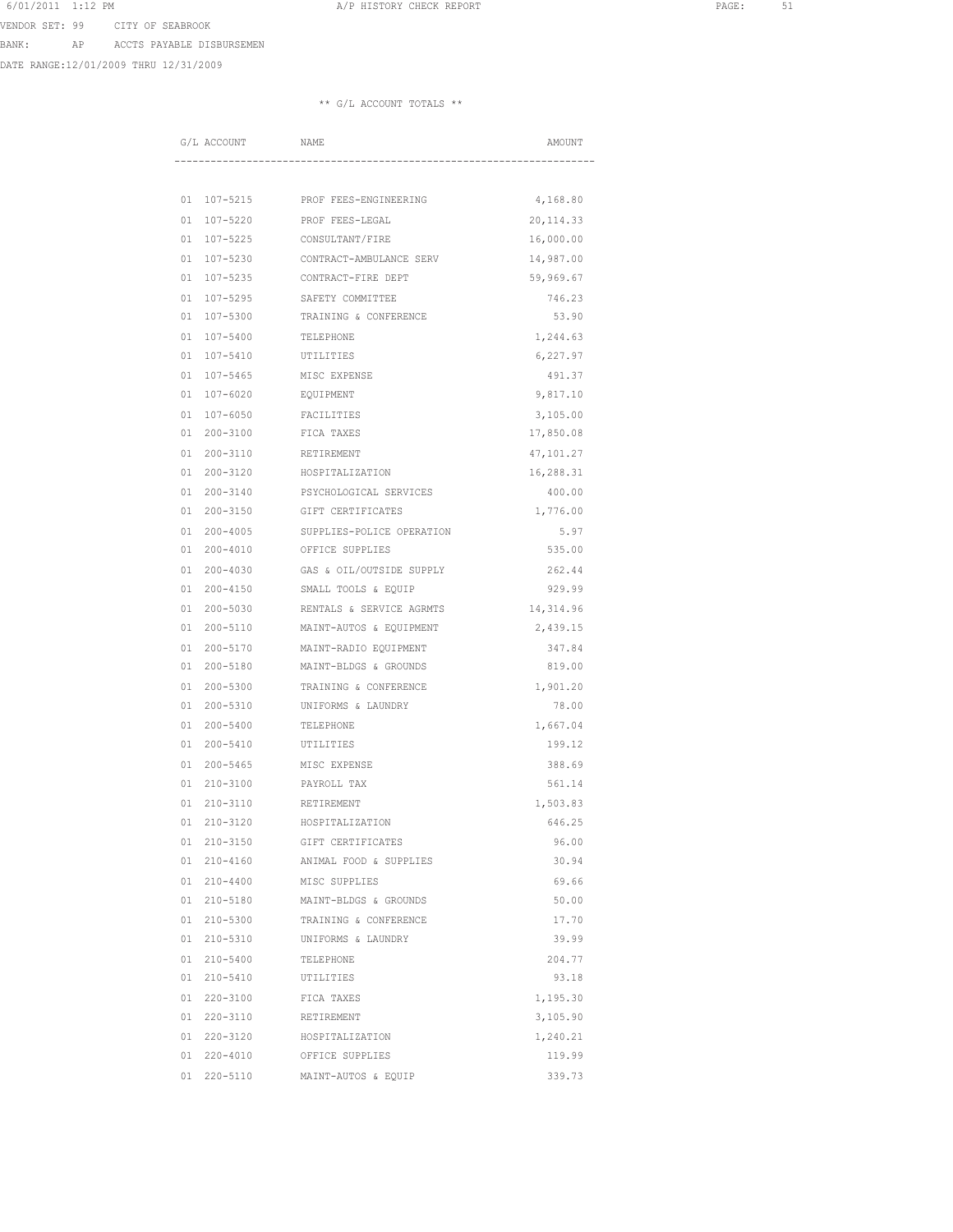VENDOR SET: 99 CITY OF SEABROOK

BANK: AP ACCTS PAYABLE DISBURSEMEN

DATE RANGE:12/01/2009 THRU 12/31/2009

|          | G/L ACCOUNT              | NAME                                      | AMOUNT               |
|----------|--------------------------|-------------------------------------------|----------------------|
|          |                          |                                           |                      |
|          |                          |                                           |                      |
| 01       | 107-5215                 | PROF FEES-ENGINEERING                     | 4,168.80             |
| 01       | $107 - 5220$             | PROF FEES-LEGAL                           | 20, 114.33           |
| 01       | 107-5225                 | CONSULTANT/FIRE                           | 16,000.00            |
| 01       | 107-5230                 | CONTRACT-AMBULANCE SERV                   | 14,987.00            |
| 01       | 107-5235                 | CONTRACT-FIRE DEPT                        | 59,969.67            |
| 01<br>01 | 107-5295<br>$107 - 5300$ | SAFETY COMMITTEE<br>TRAINING & CONFERENCE | 746.23<br>53.90      |
|          | $107 - 5400$             |                                           |                      |
| 01<br>01 | $107 - 5410$             | TELEPHONE<br>UTILITIES                    | 1,244.63<br>6,227.97 |
| 01       | $107 - 5465$             | MISC EXPENSE                              | 491.37               |
| 01       | $107 - 6020$             | <b>EQUIPMENT</b>                          | 9,817.10             |
| 01       | $107 - 6050$             | FACILITIES                                | 3,105.00             |
| 01       | $200 - 3100$             | FICA TAXES                                | 17,850.08            |
| 01       | 200-3110                 | RETIREMENT                                | 47,101.27            |
| 01       | 200-3120                 | HOSPITALIZATION                           | 16,288.31            |
| 01       | $200 - 3140$             | PSYCHOLOGICAL SERVICES                    | 400.00               |
| 01       | $200 - 3150$             | GIFT CERTIFICATES                         | 1,776.00             |
| 01       | $200 - 4005$             | SUPPLIES-POLICE OPERATION                 | 5.97                 |
| 01       | $200 - 4010$             | OFFICE SUPPLIES                           | 535.00               |
| 01       | $200 - 4030$             | GAS & OIL/OUTSIDE SUPPLY                  | 262.44               |
| 01       | $200 - 4150$             | SMALL TOOLS & EQUIP                       | 929.99               |
| 01       | $200 - 5030$             | RENTALS & SERVICE AGRMTS                  | 14, 314.96           |
| 01       | 200-5110                 | MAINT-AUTOS & EQUIPMENT                   | 2,439.15             |
| 01       | 200-5170                 | MAINT-RADIO EQUIPMENT                     | 347.84               |
| 01       | 200-5180                 | MAINT-BLDGS & GROUNDS                     | 819.00               |
| 01       | $200 - 5300$             | TRAINING & CONFERENCE                     | 1,901.20             |
| 01       | $200 - 5310$             | UNIFORMS & LAUNDRY                        | 78.00                |
| 01       | $200 - 5400$             | TELEPHONE                                 | 1,667.04             |
| 01       | $200 - 5410$             | UTILITIES                                 | 199.12               |
| 01       | $200 - 5465$             | MISC EXPENSE                              | 388.69               |
| 01       | $210 - 3100$             | PAYROLL TAX                               | 561.14               |
| 01       | $210 - 3110$             | RETIREMENT                                | 1,503.83             |
| 01       | 210-3120                 | HOSPITALIZATION                           | 646.25               |
| 01       | $210 - 3150$             | GIFT CERTIFICATES                         | 96.00                |
| 01       | $210 - 4160$             | ANIMAL FOOD & SUPPLIES                    | 30.94                |
| 01       | $210 - 4400$             | MISC SUPPLIES                             | 69.66                |
| 01       | 210-5180                 | MAINT-BLDGS & GROUNDS                     | 50.00                |
| 01       | 210-5300                 | TRAINING & CONFERENCE                     | 17.70                |
| 01       | $210 - 5310$             | UNIFORMS & LAUNDRY                        | 39.99                |
| 01       | $210 - 5400$             | TELEPHONE                                 | 204.77               |
| 01       | 210-5410                 | UTILITIES                                 | 93.18                |
| 01       | 220-3100                 | FICA TAXES                                | 1,195.30             |
| 01       | 220-3110                 | RETIREMENT                                | 3,105.90             |
|          | 01 220-3120              | HOSPITALIZATION                           | 1,240.21             |
|          | 01 220-4010              | OFFICE SUPPLIES                           | 119.99               |
| 01       | 220-5110                 | MAINT-AUTOS & EQUIP                       | 339.73               |
|          |                          |                                           |                      |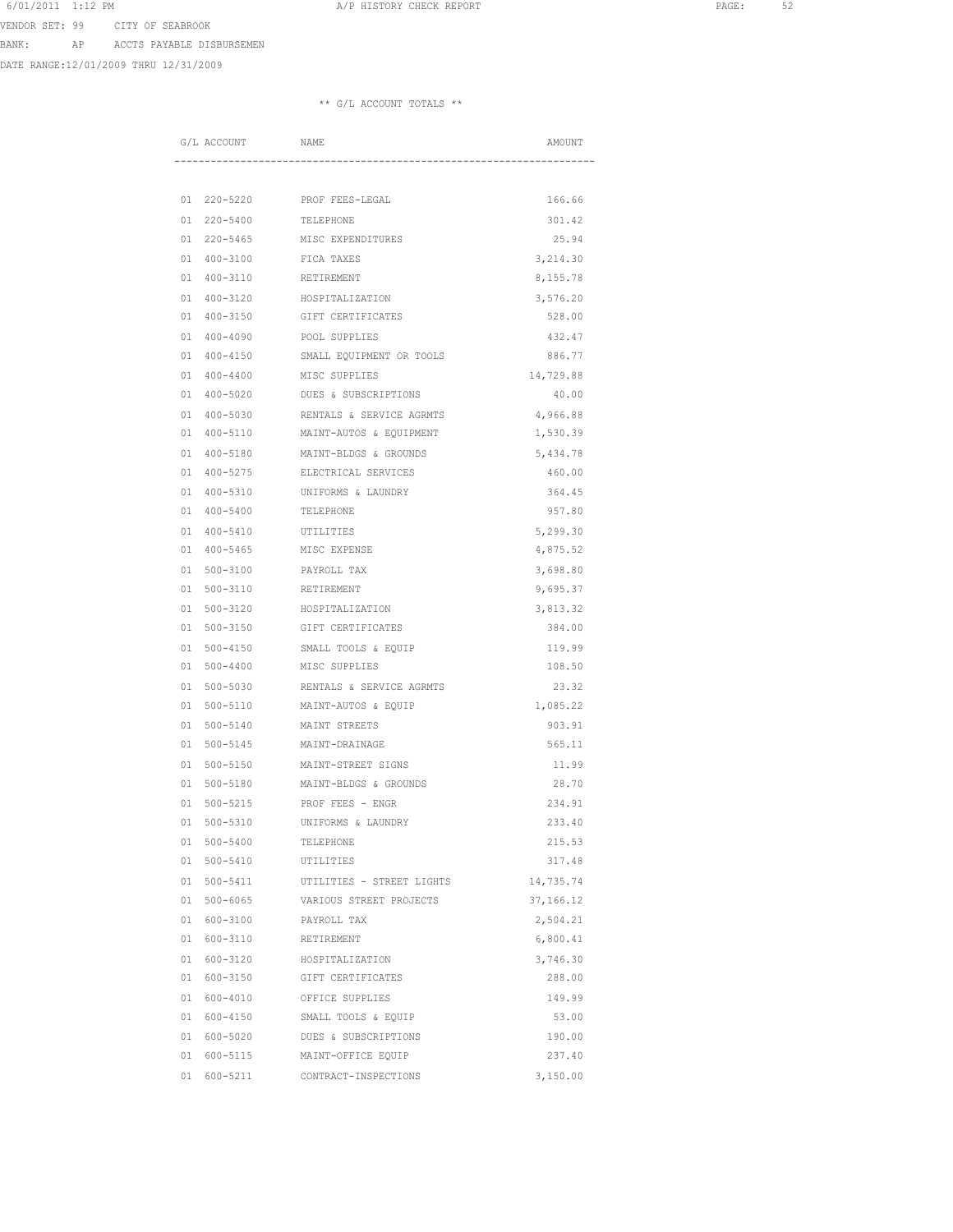6/01/2011 1:12 PM **A/P HISTORY CHECK REPORT PAGE:** 52 VENDOR SET: 99 CITY OF SEABROOK

BANK: AP ACCTS PAYABLE DISBURSEMEN

DATE RANGE:12/01/2009 THRU 12/31/2009

|    | G/L ACCOUNT  | NAME                      | AMOUNT    |
|----|--------------|---------------------------|-----------|
|    |              |                           |           |
| 01 | 220-5220     | PROF FEES-LEGAL           | 166.66    |
| 01 | 220-5400     | TELEPHONE                 | 301.42    |
| 01 | $220 - 5465$ | MISC EXPENDITURES         | 25.94     |
| 01 | $400 - 3100$ | FICA TAXES                | 3,214.30  |
| 01 | $400 - 3110$ | RETIREMENT                | 8,155.78  |
| 01 | $400 - 3120$ | HOSPITALIZATION           | 3,576.20  |
| 01 | $400 - 3150$ | GIFT CERTIFICATES         | 528.00    |
| 01 | $400 - 4090$ | POOL SUPPLIES             | 432.47    |
| 01 | $400 - 4150$ | SMALL EQUIPMENT OR TOOLS  | 886.77    |
| 01 | $400 - 4400$ | MISC SUPPLIES             | 14,729.88 |
| 01 | 400-5020     | DUES & SUBSCRIPTIONS      | 40.00     |
| 01 | $400 - 5030$ | RENTALS & SERVICE AGRMTS  | 4,966.88  |
| 01 | $400 - 5110$ | MAINT-AUTOS & EQUIPMENT   | 1,530.39  |
| 01 | $400 - 5180$ | MAINT-BLDGS & GROUNDS     | 5,434.78  |
| 01 | $400 - 5275$ | ELECTRICAL SERVICES       | 460.00    |
| 01 | $400 - 5310$ | UNIFORMS & LAUNDRY        | 364.45    |
| 01 | $400 - 5400$ | TELEPHONE                 | 957.80    |
| 01 | $400 - 5410$ | UTILITIES                 | 5,299.30  |
| 01 | $400 - 5465$ | MISC EXPENSE              | 4,875.52  |
| 01 | $500 - 3100$ | PAYROLL TAX               | 3,698.80  |
| 01 | $500 - 3110$ | RETIREMENT                | 9,695.37  |
| 01 | $500 - 3120$ | HOSPITALIZATION           | 3,813.32  |
| 01 | 500-3150     | GIFT CERTIFICATES         | 384.00    |
| 01 | $500 - 4150$ | SMALL TOOLS & EQUIP       | 119.99    |
| 01 | $500 - 4400$ | MISC SUPPLIES             | 108.50    |
| 01 | $500 - 5030$ | RENTALS & SERVICE AGRMTS  | 23.32     |
| 01 | 500-5110     | MAINT-AUTOS & EQUIP       | 1,085.22  |
| 01 | $500 - 5140$ | MAINT STREETS             | 903.91    |
| 01 | $500 - 5145$ | MAINT-DRAINAGE            | 565.11    |
| 01 | $500 - 5150$ | MAINT-STREET SIGNS        | 11.99     |
| 01 | $500 - 5180$ | MAINT-BLDGS & GROUNDS     | 28.70     |
| 01 | $500 - 5215$ | PROF FEES - ENGR          | 234.91    |
| 01 | $500 - 5310$ | UNIFORMS & LAUNDRY        | 233.40    |
| 01 | $500 - 5400$ | TELEPHONE                 | 215.53    |
| 01 | 500-5410     | UTILITIES                 | 317.48    |
| 01 | 500-5411     | UTILITIES - STREET LIGHTS | 14,735.74 |
| 01 | $500 - 6065$ | VARIOUS STREET PROJECTS   | 37,166.12 |
|    | 01 600-3100  | PAYROLL TAX               | 2,504.21  |
|    | 01 600-3110  | RETIREMENT                | 6,800.41  |
| 01 | 600-3120     | HOSPITALIZATION           | 3,746.30  |
| 01 | 600-3150     | GIFT CERTIFICATES         | 288.00    |
| 01 | 600-4010     | OFFICE SUPPLIES           | 149.99    |
| 01 | 600-4150     | SMALL TOOLS & EQUIP       | 53.00     |
|    | 01 600-5020  | DUES & SUBSCRIPTIONS      | 190.00    |
|    | 01 600-5115  | MAINT-OFFICE EQUIP        | 237.40    |
|    | 01 600-5211  | CONTRACT-INSPECTIONS      | 3,150.00  |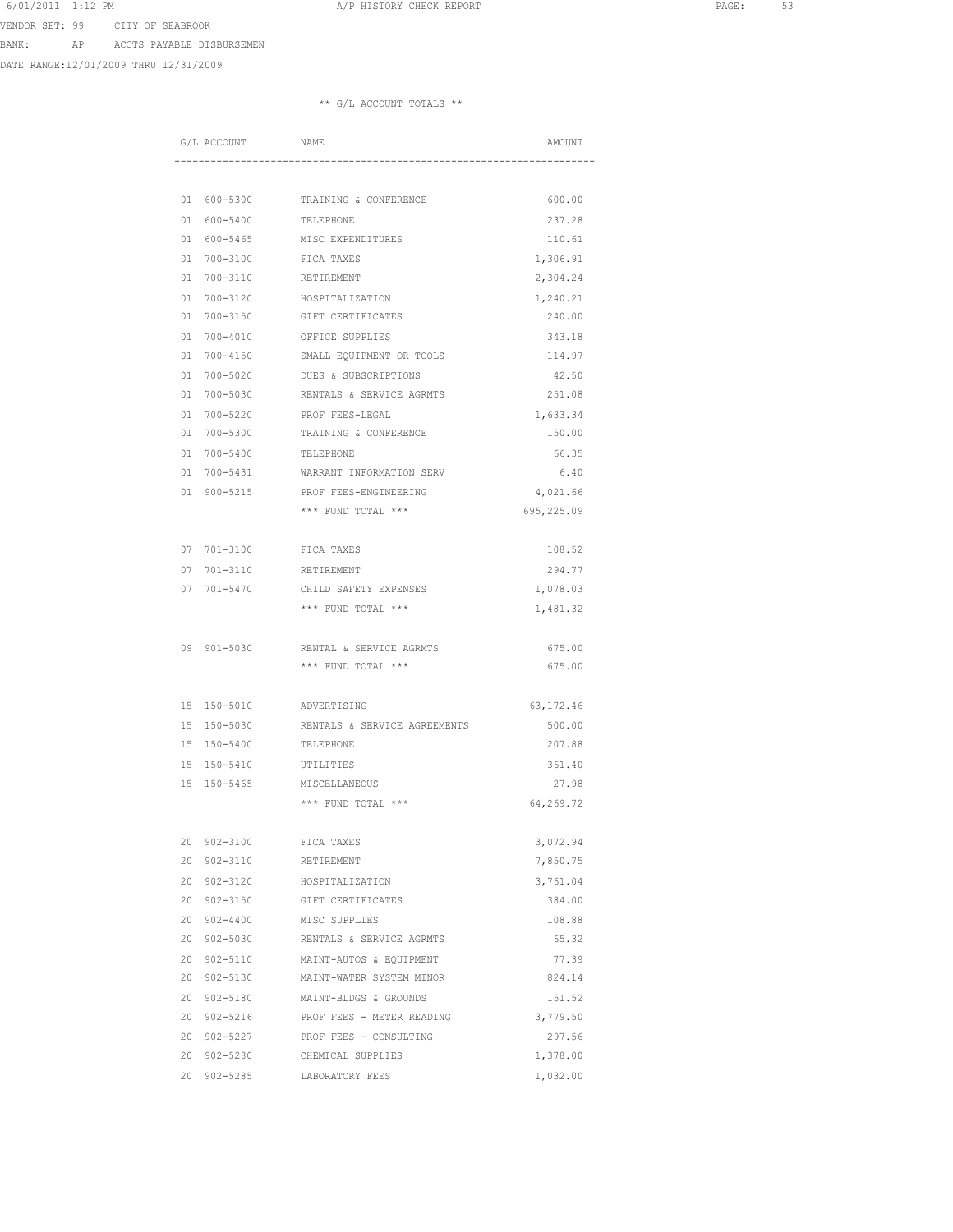VENDOR SET: 99 CITY OF SEABROOK

BANK: AP ACCTS PAYABLE DISBURSEMEN

DATE RANGE:12/01/2009 THRU 12/31/2009

|    | G/L ACCOUNT         | NAME                                  | AMOUNT     |
|----|---------------------|---------------------------------------|------------|
|    |                     |                                       |            |
|    |                     |                                       |            |
|    | 01 600-5300         | TRAINING & CONFERENCE                 | 600.00     |
| 01 | 600-5400            | TELEPHONE                             | 237.28     |
| 01 | 600-5465            | MISC EXPENDITURES                     | 110.61     |
| 01 | 700-3100            | FICA TAXES                            | 1,306.91   |
| 01 | 700-3110            | RETIREMENT                            | 2,304.24   |
| 01 | 700-3120            | HOSPITALIZATION                       | 1,240.21   |
| 01 | 700-3150            | GIFT CERTIFICATES                     | 240.00     |
| 01 | $700 - 4010$        | OFFICE SUPPLIES                       | 343.18     |
| 01 | 700-4150            | SMALL EQUIPMENT OR TOOLS              | 114.97     |
| 01 | 700-5020            | DUES & SUBSCRIPTIONS                  | 42.50      |
| 01 | 700-5030            | RENTALS & SERVICE AGRMTS              | 251.08     |
| 01 | 700-5220            | PROF FEES-LEGAL                       | 1,633.34   |
| 01 | 700-5300            | TRAINING & CONFERENCE                 | 150.00     |
| 01 | 700-5400            | TELEPHONE                             | 66.35      |
| 01 | $700 - 5431$        | WARRANT INFORMATION SERV              | 6.40       |
| 01 |                     | 900-5215 PROF FEES-ENGINEERING        | 4,021.66   |
|    |                     | *** FUND TOTAL ***                    | 695,225.09 |
| 07 | 701-3100 FICA TAXES |                                       | 108.52     |
| 07 | 701-3110            | RETIREMENT                            | 294.77     |
| 07 | 701-5470            | CHILD SAFETY EXPENSES                 | 1,078.03   |
|    |                     | *** FUND TOTAL ***                    | 1,481.32   |
|    |                     |                                       |            |
|    | 09 901-5030         | RENTAL & SERVICE AGRMTS               | 675.00     |
|    |                     | *** FUND TOTAL ***                    | 675.00     |
|    |                     |                                       |            |
| 15 | 150-5010            | ADVERTISING                           | 63, 172.46 |
| 15 | 150-5030            | RENTALS & SERVICE AGREEMENTS          | 500.00     |
|    | 15 150-5400         | TELEPHONE                             | 207.88     |
|    | 15 150-5410         | UTILITIES                             | 361.40     |
| 15 | $150 - 5465$        | MISCELLANEOUS                         | 27.98      |
|    |                     | *** FUND TOTAL ***                    | 64,269.72  |
|    |                     |                                       |            |
|    | 20 902-3100         | FICA TAXES                            | 3,072.94   |
|    | 20 902-3110         | RETIREMENT                            | 7,850.75   |
| 20 | 902-3120            | HOSPITALIZATION                       | 3,761.04   |
| 20 | 902-3150            | GIFT CERTIFICATES                     | 384.00     |
|    | 20 902-4400         | MISC SUPPLIES                         | 108.88     |
| 20 | 902-5030            | RENTALS & SERVICE AGRMTS              | 65.32      |
|    | 20 902-5110         | MAINT-AUTOS & EQUIPMENT               | 77.39      |
|    |                     | 20 902-5130 MAINT-WATER SYSTEM MINOR  | 824.14     |
|    |                     | 20 902-5180 MAINT-BLDGS & GROUNDS     | 151.52     |
|    |                     | 20 902-5216 PROF FEES - METER READING | 3,779.50   |
|    | 20 902-5227         | PROF FEES - CONSULTING                | 297.56     |
|    | 20 902-5280         | CHEMICAL SUPPLIES                     | 1,378.00   |
|    | 20 902-5285         | LABORATORY FEES                       | 1,032.00   |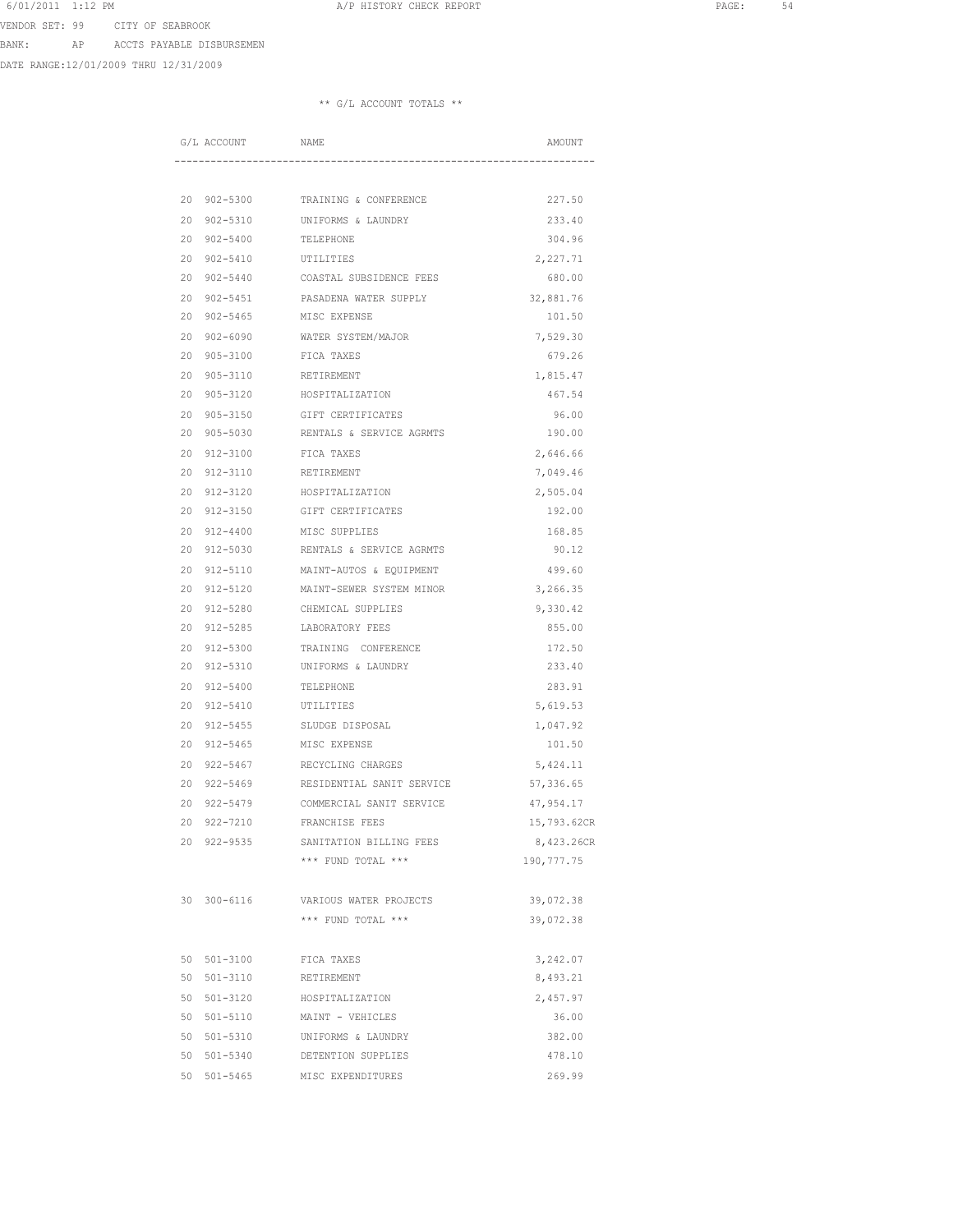VENDOR SET: 99 CITY OF SEABROOK

BANK: AP ACCTS PAYABLE DISBURSEMEN

DATE RANGE:12/01/2009 THRU 12/31/2009

|    | G/L ACCOUNT  | NAME                             | AMOUNT      |
|----|--------------|----------------------------------|-------------|
|    |              |                                  |             |
| 20 | 902-5300     | TRAINING & CONFERENCE            | 227.50      |
| 20 | $902 - 5310$ | UNIFORMS & LAUNDRY               | 233.40      |
| 20 | $902 - 5400$ | TELEPHONE                        | 304.96      |
| 20 | $902 - 5410$ | UTILITIES                        | 2,227.71    |
| 20 | $902 - 5440$ | COASTAL SUBSIDENCE FEES          | 680.00      |
| 20 | $902 - 5451$ | PASADENA WATER SUPPLY            | 32,881.76   |
| 20 | $902 - 5465$ | MISC EXPENSE                     | 101.50      |
| 20 | $902 - 6090$ | WATER SYSTEM/MAJOR               | 7,529.30    |
| 20 | $905 - 3100$ | FICA TAXES                       | 679.26      |
| 20 | 905-3110     | RETIREMENT                       | 1,815.47    |
| 20 | $905 - 3120$ | HOSPITALIZATION                  | 467.54      |
| 20 | $905 - 3150$ | GIFT CERTIFICATES                | 96.00       |
| 20 | $905 - 5030$ | RENTALS & SERVICE AGRMTS         | 190.00      |
| 20 | $912 - 3100$ | FICA TAXES                       | 2,646.66    |
| 20 | 912-3110     | RETIREMENT                       | 7,049.46    |
| 20 | 912-3120     | HOSPITALIZATION                  | 2,505.04    |
| 20 | $912 - 3150$ | GIFT CERTIFICATES                | 192.00      |
| 20 | $912 - 4400$ | MISC SUPPLIES                    | 168.85      |
| 20 | 912-5030     | RENTALS & SERVICE AGRMTS         | 90.12       |
| 20 |              | 912-5110 MAINT-AUTOS & EOUIPMENT | 499.60      |
| 20 | 912-5120     | MAINT-SEWER SYSTEM MINOR         | 3,266.35    |
| 20 | $912 - 5280$ | CHEMICAL SUPPLIES                | 9,330.42    |
| 20 | 912-5285     | LABORATORY FEES                  | 855.00      |
| 20 | $912 - 5300$ | TRAINING CONFERENCE              | 172.50      |
| 20 | 912-5310     | UNIFORMS & LAUNDRY               | 233.40      |
| 20 | 912-5400     | TELEPHONE                        | 283.91      |
| 20 | 912-5410     | UTILITIES                        | 5,619.53    |
| 20 | $912 - 5455$ | SLUDGE DISPOSAL                  | 1,047.92    |
| 20 | $912 - 5465$ | MISC EXPENSE                     | 101.50      |
| 20 | $922 - 5467$ | RECYCLING CHARGES                | 5,424.11    |
| 20 | 922-5469     | RESIDENTIAL SANIT SERVICE        | 57,336.65   |
| 20 | 922-5479     | COMMERCIAL SANIT SERVICE         | 47,954.17   |
| 20 | $922 - 7210$ | FRANCHISE FEES                   | 15,793.62CR |
| 20 | $922 - 9535$ | SANITATION BILLING FEES          | 8,423.26CR  |
|    |              | *** FUND TOTAL ***               | 190, 777.75 |
|    | 30 300-6116  | VARIOUS WATER PROJECTS           | 39,072.38   |
|    |              | *** FUND TOTAL ***               | 39,072.38   |
| 50 | $501 - 3100$ | FICA TAXES                       | 3,242.07    |
| 50 | $501 - 3110$ | RETIREMENT                       | 8,493.21    |
| 50 | 501-3120     | HOSPITALIZATION                  | 2,457.97    |
| 50 | 501-5110     | MAINT - VEHICLES                 | 36.00       |
| 50 | 501-5310     | UNIFORMS & LAUNDRY               | 382.00      |
| 50 | 501-5340     | DETENTION SUPPLIES               | 478.10      |
| 50 | $501 - 5465$ | MISC EXPENDITURES                | 269.99      |
|    |              |                                  |             |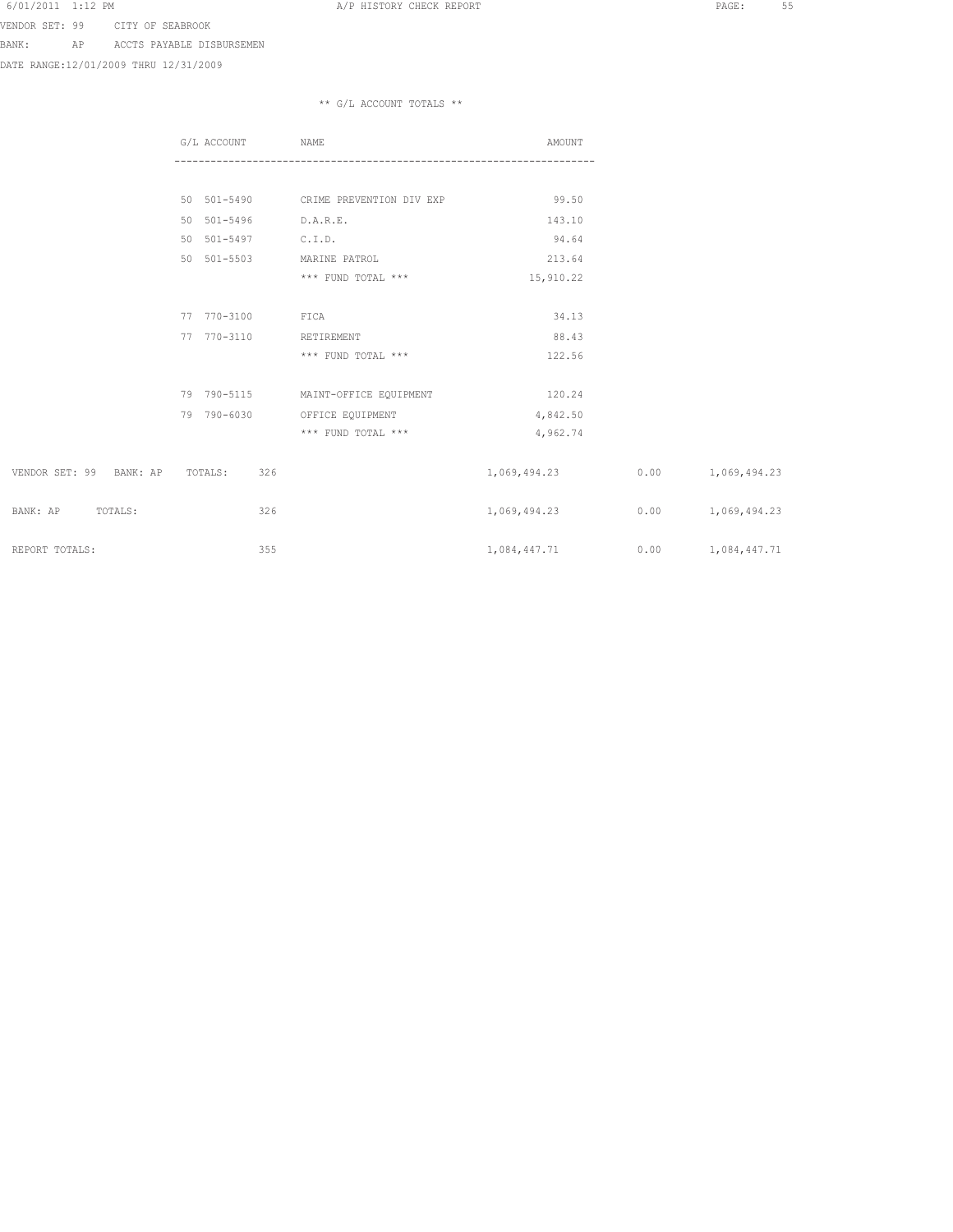VENDOR SET: 99 CITY OF SEABROOK

BANK: AP ACCTS PAYABLE DISBURSEMEN

DATE RANGE:12/01/2009 THRU 12/31/2009

|                         | G/L ACCOUNT    | NAME                                 | AMOUNT       |      |                     |
|-------------------------|----------------|--------------------------------------|--------------|------|---------------------|
|                         |                |                                      |              |      |                     |
|                         |                | 50 501-5490 CRIME PREVENTION DIV EXP | 99.50        |      |                     |
|                         | 50 501-5496    | D.A.R.E.                             | 143.10       |      |                     |
|                         | 50 501-5497    | C.I.D.                               | 94.64        |      |                     |
|                         | 50 501-5503    | MARINE PATROL                        | 213.64       |      |                     |
|                         |                | *** FUND TOTAL ***                   | 15,910.22    |      |                     |
|                         |                |                                      |              |      |                     |
|                         | 77 770-3100    | FICA                                 | 34.13        |      |                     |
|                         | 77 770-3110    | RETIREMENT                           | 88.43        |      |                     |
|                         |                | *** FUND TOTAL ***                   | 122.56       |      |                     |
|                         |                |                                      |              |      |                     |
|                         | 79 790-5115    | MAINT-OFFICE EQUIPMENT               | 120.24       |      |                     |
|                         | 79 790-6030    | OFFICE EQUIPMENT                     | 4,842.50     |      |                     |
|                         |                | *** FUND TOTAL ***                   | 4,962.74     |      |                     |
| VENDOR SET: 99 BANK: AP | TOTALS:<br>326 |                                      | 1,069,494.23 | 0.00 | 1,069,494.23        |
| BANK: AP<br>TOTALS:     | 326            |                                      | 1,069,494.23 |      | $0.00$ 1,069,494.23 |
| REPORT TOTALS:          | 355            |                                      | 1,084,447.71 |      | $0.00$ 1,084,447.71 |